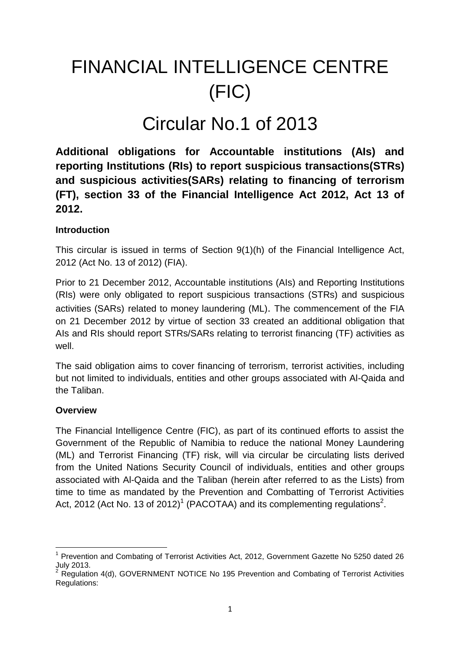# FINANCIAL INTELLIGENCE CENTRE (FIC)

# Circular No.1 of 2013

**Additional obligations for Accountable institutions (AIs) and reporting Institutions (RIs) to report suspicious transactions(STRs) and suspicious activities(SARs) relating to financing of terrorism (FT), section 33 of the Financial Intelligence Act 2012, Act 13 of 2012.**

### **Introduction**

This circular is issued in terms of Section 9(1)(h) of the Financial Intelligence Act, 2012 (Act No. 13 of 2012) (FIA).

Prior to 21 December 2012, Accountable institutions (AIs) and Reporting Institutions (RIs) were only obligated to report suspicious transactions (STRs) and suspicious activities (SARs) related to money laundering (ML). The commencement of the FIA on 21 December 2012 by virtue of section 33 created an additional obligation that AIs and RIs should report STRs/SARs relating to terrorist financing (TF) activities as well.

The said obligation aims to cover financing of terrorism, terrorist activities, including but not limited to individuals, entities and other groups associated with Al-Qaida and the Taliban.

### **Overview**

The Financial Intelligence Centre (FIC), as part of its continued efforts to assist the Government of the Republic of Namibia to reduce the national Money Laundering (ML) and Terrorist Financing (TF) risk, will via circular be circulating lists derived from the United Nations Security Council of individuals, entities and other groups associated with Al-Qaida and the Taliban (herein after referred to as the Lists) from time to time as mandated by the Prevention and Combatting of Terrorist Activities Act, 2012 (Act No. 13 of 2012)<sup>1</sup> (PACOTAA) and its complementing regulations<sup>2</sup>.

 $\overline{a}$ <sup>1</sup> Prevention and Combating of Terrorist Activities Act, 2012, Government Gazette No 5250 dated 26 July 2013.

<sup>&</sup>lt;sup>2</sup> Regulation 4(d), GOVERNMENT NOTICE No 195 Prevention and Combating of Terrorist Activities Regulations: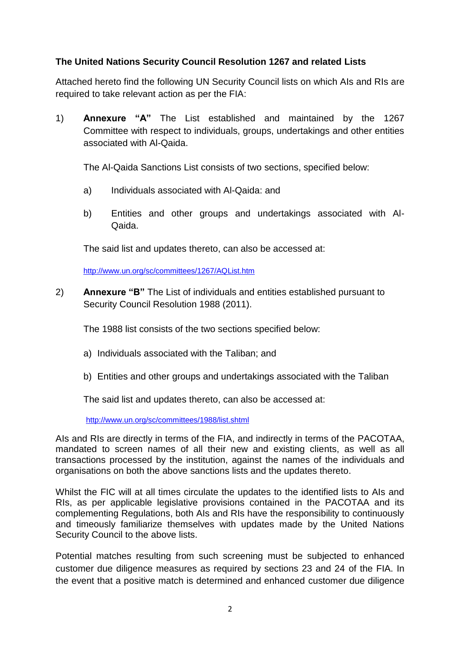### **The United Nations Security Council Resolution 1267 and related Lists**

Attached hereto find the following UN Security Council lists on which AIs and RIs are required to take relevant action as per the FIA:

1) **Annexure "A"** The List established and maintained by the 1267 Committee with respect to individuals, groups, undertakings and other entities associated with Al-Qaida.

The Al-Qaida Sanctions List consists of two sections, specified below:

- a) Individuals associated with Al-Qaida: and
- b) Entities and other groups and undertakings associated with Al-Qaida.

The said list and updates thereto, can also be accessed at:

http://www.un.org/sc/committees/1267/AQList.htm

2) **Annexure "B"** The List of individuals and entities established pursuant to Security Council Resolution 1988 (2011).

The 1988 list consists of the two sections specified below:

- a) Individuals associated with the Taliban; and
- b) Entities and other groups and undertakings associated with the Taliban

The said list and updates thereto, can also be accessed at:

http://www.un.org/sc/committees/1988/list.shtml

AIs and RIs are directly in terms of the FIA, and indirectly in terms of the PACOTAA, mandated to screen names of all their new and existing clients, as well as all transactions processed by the institution, against the names of the individuals and organisations on both the above sanctions lists and the updates thereto.

Whilst the FIC will at all times circulate the updates to the identified lists to AIs and RIs, as per applicable legislative provisions contained in the PACOTAA and its complementing Regulations, both AIs and RIs have the responsibility to continuously and timeously familiarize themselves with updates made by the United Nations Security Council to the above lists.

Potential matches resulting from such screening must be subjected to enhanced customer due diligence measures as required by sections 23 and 24 of the FIA. In the event that a positive match is determined and enhanced customer due diligence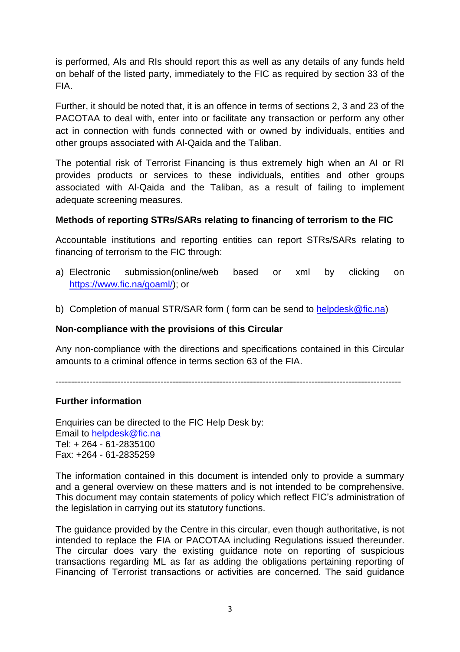is performed, AIs and RIs should report this as well as any details of any funds held on behalf of the listed party, immediately to the FIC as required by section 33 of the FIA.

Further, it should be noted that, it is an offence in terms of sections 2, 3 and 23 of the PACOTAA to deal with, enter into or facilitate any transaction or perform any other act in connection with funds connected with or owned by individuals, entities and other groups associated with Al-Qaida and the Taliban.

The potential risk of Terrorist Financing is thus extremely high when an AI or RI provides products or services to these individuals, entities and other groups associated with Al-Qaida and the Taliban, as a result of failing to implement adequate screening measures.

### **Methods of reporting STRs/SARs relating to financing of terrorism to the FIC**

Accountable institutions and reporting entities can report STRs/SARs relating to financing of terrorism to the FIC through:

- a) Electronic submission(online/web based or xml by clicking on https://www.fic.na/goaml/); or
- b) Completion of manual STR/SAR form ( form can be send to helpdesk@fic.na)

### **Non-compliance with the provisions of this Circular**

Any non-compliance with the directions and specifications contained in this Circular amounts to a criminal offence in terms section 63 of the FIA.

----------------------------------------------------------------------------------------------------------------

### **Further information**

Enquiries can be directed to the FIC Help Desk by: Email to helpdesk@fic.na Tel: + 264 - 61-2835100 Fax: +264 - 61-2835259

The information contained in this document is intended only to provide a summary and a general overview on these matters and is not intended to be comprehensive. This document may contain statements of policy which reflect FIC's administration of the legislation in carrying out its statutory functions.

The guidance provided by the Centre in this circular, even though authoritative, is not intended to replace the FIA or PACOTAA including Regulations issued thereunder. The circular does vary the existing guidance note on reporting of suspicious transactions regarding ML as far as adding the obligations pertaining reporting of Financing of Terrorist transactions or activities are concerned. The said guidance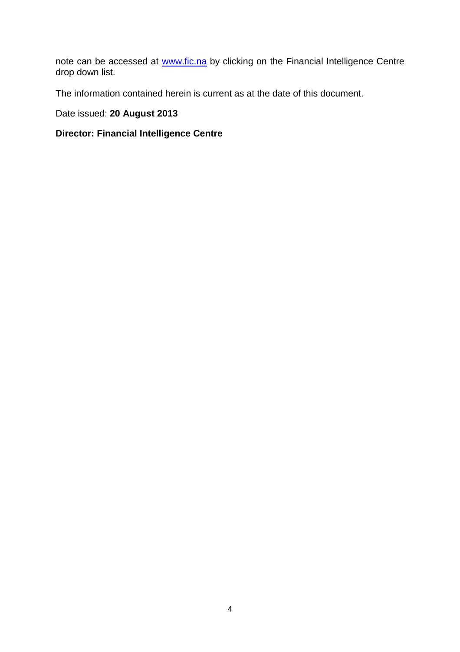note can be accessed at www.fic.na by clicking on the Financial Intelligence Centre drop down list.

The information contained herein is current as at the date of this document.

### Date issued: **20 August 2013**

### **Director: Financial Intelligence Centre**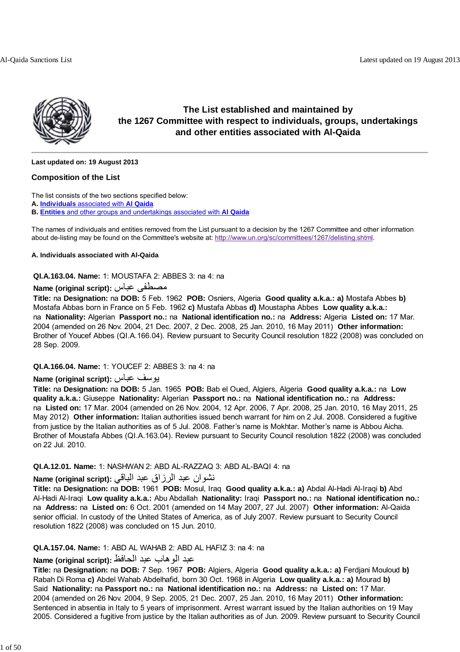

### **The List established and maintained by the 1267 Committee with respect to individuals, groups, undertakings and other entities associated with Al-Qaida**

**Last updated on: 19 August 2013**

#### **Composition of the List**

The list consists of the two sections specified below:

**A. Individuals** associated with **Al Qaida**

**B. Entities** and other groups and undertakings associated with **Al Qaida**

The names of individuals and entities removed from the List pursuant to a decision by the 1267 Committee and other information about de-listing may be found on the Committee's website at: http://www.un.org/sc/committees/1267/delisting.shtml.

#### **A. Individuals associated with Al-Qaida**

**QI.A.163.04. Name:** 1: MOUSTAFA 2: ABBES 3: na 4: na

#### **Name (original script):** عباس مصطفى

**Title:** na **Designation:** na **DOB:** 5 Feb. 1962 **POB:** Osniers, Algeria **Good quality a.k.a.: a)** Mostafa Abbes **b)** Mostafa Abbas born in France on 5 Feb. 1962 **c)** Mustafa Abbas **d)** Moustapha Abbes **Low quality a.k.a.:** na **Nationality:** Algerian **Passport no.:** na **National identification no.:** na **Address:** Algeria **Listed on:** 17 Mar. 2004 (amended on 26 Nov. 2004, 21 Dec. 2007, 2 Dec. 2008, 25 Jan. 2010, 16 May 2011) **Other information:** Brother of Youcef Abbes (QI.A.166.04). Review pursuant to Security Council resolution 1822 (2008) was concluded on 28 Sep. 2009.

#### **QI.A.166.04. Name:** 1: YOUCEF 2: ABBES 3: na 4: na

### **Name (original script):** عباس يوسف

**Title:** na **Designation:** na **DOB:** 5 Jan. 1965 **POB:** Bab el Oued, Algiers, Algeria **Good quality a.k.a.:** na **Low quality a.k.a.:** Giuseppe **Nationality:** Algerian **Passport no.:** na **National identification no.:** na **Address:** na **Listed on:** 17 Mar. 2004 (amended on 26 Nov. 2004, 12 Apr. 2006, 7 Apr. 2008, 25 Jan. 2010, 16 May 2011, 25 May 2012) **Other information:** Italian authorities issued bench warrant for him on 2 Jul. 2008. Considered a fugitive from justice by the Italian authorities as of 5 Jul. 2008. Father's name is Mokhtar. Mother's name is Abbou Aicha. Brother of Moustafa Abbes (QI.A.163.04). Review pursuant to Security Council resolution 1822 (2008) was concluded on 22 Jul. 2010.

### **QI.A.12.01. Name:** 1: NASHWAN 2: ABD AL-RAZZAQ 3: ABD AL-BAQI 4: na

### نشوان عبد الرزاق عبد الباقي **:(script original (Name**

**Title:** na **Designation:** na **DOB:** 1961 **POB:** Mosul, Iraq **Good quality a.k.a.: a)** Abdal Al-Hadi Al-Iraqi **b)** Abd Al-Hadi Al-Iraqi **Low quality a.k.a.:** Abu Abdallah **Nationality:** Iraqi **Passport no.:** na **National identification no.:** na **Address:** na **Listed on:** 6 Oct. 2001 (amended on 14 May 2007, 27 Jul. 2007) **Other information:** Al-Qaida senior official. In custody of the United States of America, as of July 2007. Review pursuant to Security Council resolution 1822 (2008) was concluded on 15 Jun. 2010.

#### **QI.A.157.04. Name:** 1: ABD AL WAHAB 2: ABD AL HAFIZ 3: na 4: na

### عبد الوهاب عبد الحافظ **:(script original (Name**

**Title:** na **Designation:** na **DOB:** 7 Sep. 1967 **POB:** Algiers, Algeria **Good quality a.k.a.: a)** Ferdjani Mouloud **b)** Rabah Di Roma **c)** Abdel Wahab Abdelhafid, born 30 Oct. 1968 in Algeria **Low quality a.k.a.: a)** Mourad **b)** Said **Nationality:** na **Passport no.:** na **National identification no.:** na **Address:** na **Listed on:** 17 Mar. 2004 (amended on 26 Nov. 2004, 9 Sep. 2005, 21 Dec. 2007, 25 Jan. 2010, 16 May 2011) **Other information:** Sentenced in absentia in Italy to 5 years of imprisonment. Arrest warrant issued by the Italian authorities on 19 May 2005. Considered a fugitive from justice by the Italian authorities as of Jun. 2009. Review pursuant to Security Council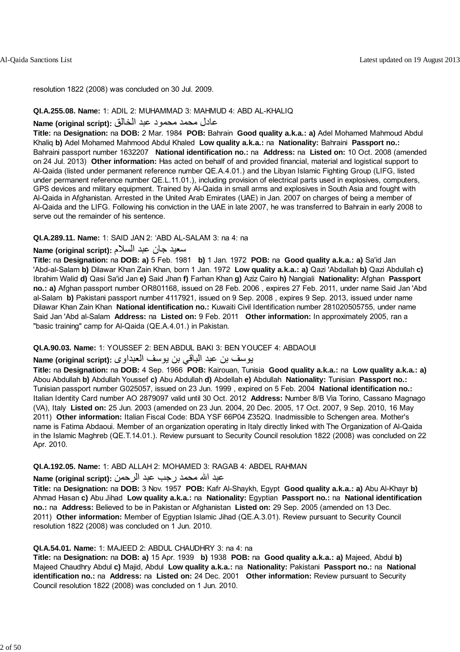resolution 1822 (2008) was concluded on 30 Jul. 2009.

#### **QI.A.255.08. Name:** 1: ADIL 2: MUHAMMAD 3: MAHMUD 4: ABD AL-KHALIQ

#### عادل محمد محمود عبد الخالق **:(script original (Name**

**Title:** na **Designation:** na **DOB:** 2 Mar. 1984 **POB:** Bahrain **Good quality a.k.a.: a)** Adel Mohamed Mahmoud Abdul Khaliq **b)** Adel Mohamed Mahmood Abdul Khaled **Low quality a.k.a.:** na **Nationality:** Bahraini **Passport no.:** Bahraini passport number 1632207 **National identification no.:** na **Address:** na **Listed on:** 10 Oct. 2008 (amended on 24 Jul. 2013) **Other information:** Has acted on behalf of and provided financial, material and logistical support to Al-Qaida (listed under permanent reference number QE.A.4.01.) and the Libyan Islamic Fighting Group (LIFG, listed under permanent reference number QE.L.11.01.), including provision of electrical parts used in explosives, computers, GPS devices and military equipment. Trained by Al-Qaida in small arms and explosives in South Asia and fought with Al-Qaida in Afghanistan. Arrested in the United Arab Emirates (UAE) in Jan. 2007 on charges of being a member of Al-Qaida and the LIFG. Following his conviction in the UAE in late 2007, he was transferred to Bahrain in early 2008 to serve out the remainder of his sentence.

#### **QI.A.289.11. Name:** 1: SAID JAN 2: 'ABD AL-SALAM 3: na 4: na

### سعيد جان عبد السلام **:(script original (Name**

**Title:** na **Designation:** na **DOB: a)** 5 Feb. 1981 **b)** 1 Jan. 1972 **POB:** na **Good quality a.k.a.: a)** Sa'id Jan 'Abd-al-Salam **b)** Dilawar Khan Zain Khan, born 1 Jan. 1972 **Low quality a.k.a.: a)** Qazi 'Abdallah **b)** Qazi Abdullah **c)** Ibrahim Walid **d)** Qasi Sa'id Jan **e)** Said Jhan **f)** Farhan Khan **g)** Aziz Cairo **h)** Nangiali **Nationality:** Afghan **Passport no.: a)** Afghan passport number OR801168, issued on 28 Feb. 2006 , expires 27 Feb. 2011, under name Said Jan 'Abd al-Salam **b)** Pakistani passport number 4117921, issued on 9 Sep. 2008 , expires 9 Sep. 2013, issued under name Dilawar Khan Zain Khan **National identification no.:** Kuwaiti Civil Identification number 281020505755, under name Said Jan 'Abd al-Salam **Address:** na **Listed on:** 9 Feb. 2011 **Other information:** In approximately 2005, ran a "basic training" camp for Al-Qaida (QE.A.4.01.) in Pakistan.

#### **QI.A.90.03. Name:** 1: YOUSSEF 2: BEN ABDUL BAKI 3: BEN YOUCEF 4: ABDAOUI

#### يوسف بن عبد الباقي بن يوسف العبداوى **:(script original (Name**

**Title:** na **Designation:** na **DOB:** 4 Sep. 1966 **POB:** Kairouan, Tunisia **Good quality a.k.a.:** na **Low quality a.k.a.: a)** Abou Abdullah **b)** Abdullah Youssef **c)** Abu Abdullah **d)** Abdellah **e)** Abdullah **Nationality:** Tunisian **Passport no.:** Tunisian passport number G025057, issued on 23 Jun. 1999 , expired on 5 Feb. 2004 **National identification no.:** Italian Identity Card number AO 2879097 valid until 30 Oct. 2012 **Address:** Number 8/B Via Torino, Cassano Magnago (VA), Italy **Listed on:** 25 Jun. 2003 (amended on 23 Jun. 2004, 20 Dec. 2005, 17 Oct. 2007, 9 Sep. 2010, 16 May 2011) **Other information:** Italian Fiscal Code: BDA YSF 66P04 Z352Q. Inadmissible to Schengen area. Mother's name is Fatima Abdaoui. Member of an organization operating in Italy directly linked with The Organization of Al-Qaida in the Islamic Maghreb (QE.T.14.01.). Review pursuant to Security Council resolution 1822 (2008) was concluded on 22 Apr. 2010.

#### **QI.A.192.05. Name:** 1: ABD ALLAH 2: MOHAMED 3: RAGAB 4: ABDEL RAHMAN

#### عبد االله محمد رجب عبد الرحمن **:(script original (Name**

**Title:** na **Designation:** na **DOB:** 3 Nov. 1957 **POB:** Kafr Al-Shaykh, Egypt **Good quality a.k.a.: a)** Abu Al-Khayr **b)** Ahmad Hasan **c)** Abu Jihad **Low quality a.k.a.:** na **Nationality:** Egyptian **Passport no.:** na **National identification no.:** na **Address:** Believed to be in Pakistan or Afghanistan **Listed on:** 29 Sep. 2005 (amended on 13 Dec. 2011) **Other information:** Member of Egyptian Islamic Jihad (QE.A.3.01). Review pursuant to Security Council resolution 1822 (2008) was concluded on 1 Jun. 2010.

#### **QI.A.54.01. Name:** 1: MAJEED 2: ABDUL CHAUDHRY 3: na 4: na

**Title:** na **Designation:** na **DOB: a)** 15 Apr. 1939 **b)** 1938 **POB:** na **Good quality a.k.a.: a)** Majeed, Abdul **b)** Majeed Chaudhry Abdul **c)** Majid, Abdul **Low quality a.k.a.:** na **Nationality:** Pakistani **Passport no.:** na **National identification no.:** na **Address:** na **Listed on:** 24 Dec. 2001 **Other information:** Review pursuant to Security Council resolution 1822 (2008) was concluded on 1 Jun. 2010.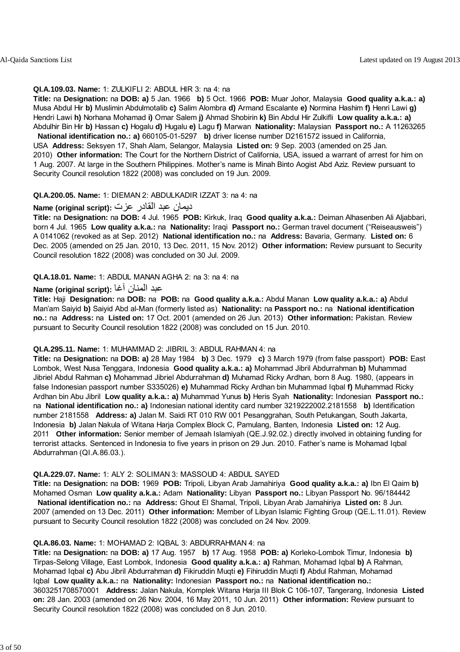#### **QI.A.109.03. Name:** 1: ZULKIFLI 2: ABDUL HIR 3: na 4: na

**Title:** na **Designation:** na **DOB: a)** 5 Jan. 1966 **b)** 5 Oct. 1966 **POB:** Muar Johor, Malaysia **Good quality a.k.a.: a)** Musa Abdul Hir **b)** Muslimin Abdulmotalib **c)** Salim Alombra **d)** Armand Escalante **e)** Normina Hashim **f)** Henri Lawi **g)** Hendri Lawi **h)** Norhana Mohamad **i)** Omar Salem **j)** Ahmad Shobirin **k)** Bin Abdul Hir Zulkifli **Low quality a.k.a.: a)** Abdulhir Bin Hir **b)** Hassan **c)** Hogalu **d)** Hugalu **e)** Lagu **f)** Marwan **Nationality:** Malaysian **Passport no.:** A 11263265

 **National identification no.: a)** 660105-01-5297 **b)** driver license number D2161572 issued in California, USA **Address:** Seksyen 17, Shah Alam, Selangor, Malaysia **Listed on:** 9 Sep. 2003 (amended on 25 Jan. 2010) **Other information:** The Court for the Northern District of California, USA, issued a warrant of arrest for him on 1 Aug. 2007. At large in the Southern Philippines. Mother's name is Minah Binto Aogist Abd Aziz. Review pursuant to Security Council resolution 1822 (2008) was concluded on 19 Jun. 2009.

#### **QI.A.200.05. Name:** 1: DIEMAN 2: ABDULKADIR IZZAT 3: na 4: na

#### ديمان عبد القادر عزت **:(script original (Name**

**Title:** na **Designation:** na **DOB:** 4 Jul. 1965 **POB:** Kirkuk, Iraq **Good quality a.k.a.:** Deiman Alhasenben Ali Aljabbari, born 4 Jul. 1965 **Low quality a.k.a.:** na **Nationality:** Iraqi **Passport no.:** German travel document ("Reiseausweis") A 0141062 (revoked as at Sep. 2012) **National identification no.:** na **Address:** Bavaria, Germany. **Listed on:** 6 Dec. 2005 (amended on 25 Jan. 2010, 13 Dec. 2011, 15 Nov. 2012) **Other information:** Review pursuant to Security Council resolution 1822 (2008) was concluded on 30 Jul. 2009.

#### **QI.A.18.01. Name:** 1: ABDUL MANAN AGHA 2: na 3: na 4: na

### عبد المنان آغا **:(script original (Name**

**Title:** Haji **Designation:** na **DOB:** na **POB:** na **Good quality a.k.a.:** Abdul Manan **Low quality a.k.a.: a)** Abdul Man'am Saiyid **b)** Saiyid Abd al-Man (formerly listed as) **Nationality:** na **Passport no.:** na **National identification no.:** na **Address:** na **Listed on:** 17 Oct. 2001 (amended on 26 Jun. 2013) **Other information:** Pakistan. Review pursuant to Security Council resolution 1822 (2008) was concluded on 15 Jun. 2010.

#### **QI.A.295.11. Name:** 1: MUHAMMAD 2: JIBRIL 3: ABDUL RAHMAN 4: na

**Title:** na **Designation:** na **DOB: a)** 28 May 1984 **b)** 3 Dec. 1979 **c)** 3 March 1979 (from false passport) **POB:** East Lombok, West Nusa Tenggara, Indonesia **Good quality a.k.a.: a)** Mohammad Jibril Abdurrahman **b)** Muhammad Jibriel Abdul Rahman **c)** Mohammad Jibriel Abdurrahman **d)** Muhamad Ricky Ardhan, born 8 Aug. 1980, (appears in false Indonesian passport number S335026) **e)** Muhammad Ricky Ardhan bin Muhammad Iqbal **f)** Muhammad Ricky Ardhan bin Abu Jibril **Low quality a.k.a.: a)** Muhammad Yunus **b)** Heris Syah **Nationality:** Indonesian **Passport no.:** na **National identification no.: a)** Indonesian national identity card number 3219222002.2181558 **b)** Identification number 2181558 **Address: a)** Jalan M. Saidi RT 010 RW 001 Pesanggrahan, South Petukangan, South Jakarta, Indonesia **b)** Jalan Nakula of Witana Harja Complex Block C, Pamulang, Banten, Indonesia **Listed on:** 12 Aug. 2011 **Other information:** Senior member of Jemaah Islamiyah (QE.J.92.02.) directly involved in obtaining funding for terrorist attacks. Sentenced in Indonesia to five years in prison on 29 Jun. 2010. Father's name is Mohamad Iqbal Abdurrahman (QI.A.86.03.).

#### **QI.A.229.07. Name:** 1: ALY 2: SOLIMAN 3: MASSOUD 4: ABDUL SAYED

**Title:** na **Designation:** na **DOB:** 1969 **POB:** Tripoli, Libyan Arab Jamahiriya **Good quality a.k.a.: a)** Ibn El Qaim **b)** Mohamed Osman **Low quality a.k.a.:** Adam **Nationality:** Libyan **Passport no.:** Libyan Passport No. 96/184442 **National identification no.:** na **Address:** Ghout El Shamal, Tripoli, Libyan Arab Jamahiriya **Listed on:** 8 Jun. 2007 (amended on 13 Dec. 2011) **Other information:** Member of Libyan Islamic Fighting Group (QE.L.11.01). Review pursuant to Security Council resolution 1822 (2008) was concluded on 24 Nov. 2009.

#### **QI.A.86.03. Name:** 1: MOHAMAD 2: IQBAL 3: ABDURRAHMAN 4: na

**Title:** na **Designation:** na **DOB: a)** 17 Aug. 1957 **b)** 17 Aug. 1958 **POB: a)** Korleko-Lombok Timur, Indonesia **b)** Tirpas-Selong Village, East Lombok, Indonesia **Good quality a.k.a.: a)** Rahman, Mohamad Iqbal **b)** A Rahman, Mohamad Iqbal **c)** Abu Jibril Abdurrahman **d)** Fikiruddin Muqti **e)** Fihiruddin Muqti **f)** Abdul Rahman, Mohamad Iqbal **Low quality a.k.a.:** na **Nationality:** Indonesian **Passport no.:** na **National identification no.:** 3603251708570001 **Address:** Jalan Nakula, Komplek Witana Harja III Blok C 106-107, Tangerang, Indonesia **Listed on:** 28 Jan. 2003 (amended on 26 Nov. 2004, 16 May 2011, 10 Jun. 2011) **Other information:** Review pursuant to Security Council resolution 1822 (2008) was concluded on 8 Jun. 2010.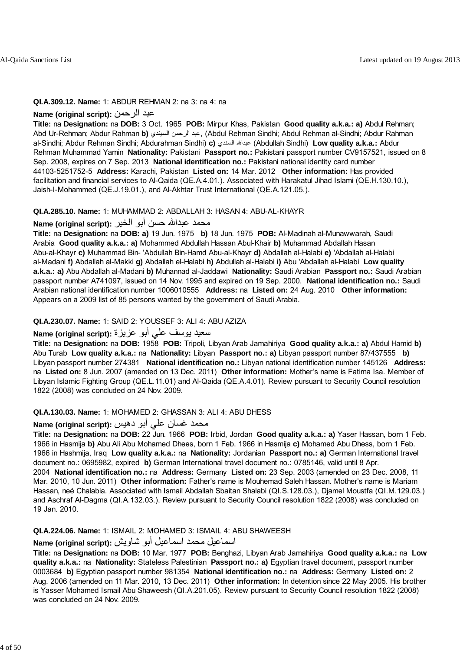#### **QI.A.309.12. Name:** 1: ABDUR REHMAN 2: na 3: na 4: na

#### **Name (original script):** الرحمن عبد

**Title:** na **Designation:** na **DOB:** 3 Oct. 1965 **POB:** Mirpur Khas, Pakistan **Good quality a.k.a.: a)** Abdul Rehman; Abd Ur-Rehman; Abdur Rahman **b)** السيندي الرحمن عبد,) Abdul Rehman Sindhi; Abdul Rehman al-Sindhi; Abdur Rahman al-Sindhi; Abdur Rehman Sindhi; Abdurahman Sindhi) **c)** السندي عبداالله) Abdullah Sindhi) **Low quality a.k.a.:** Abdur Rehman Muhammad Yamin **Nationality:** Pakistani **Passport no.:** Pakistani passport number CV9157521, issued on 8 Sep. 2008, expires on 7 Sep. 2013 **National identification no.:** Pakistani national identity card number 44103-5251752-5 **Address:** Karachi, Pakistan **Listed on:** 14 Mar. 2012 **Other information:** Has provided facilitation and financial services to Al-Qaida (QE.A.4.01.). Associated with Harakatul Jihad Islami (QE.H.130.10.), Jaish-I-Mohammed (QE.J.19.01.), and Al-Akhtar Trust International (QE.A.121.05.).

#### **QI.A.285.10. Name:** 1: MUHAMMAD 2: ABDALLAH 3: HASAN 4: ABU-AL-KHAYR

#### محمد عبدالله حسن أبو الخير **: Name (original script**

**Title:** na **Designation:** na **DOB: a)** 19 Jun. 1975 **b)** 18 Jun. 1975 **POB:** Al-Madinah al-Munawwarah, Saudi Arabia **Good quality a.k.a.: a)** Mohammed Abdullah Hassan Abul-Khair **b)** Muhammad Abdallah Hasan Abu-al-Khayr **c)** Muhammad Bin- 'Abdullah Bin-Hamd Abu-al-Khayr **d)** Abdallah al-Halabi **e)** 'Abdallah al-Halabi al-Madani **f)** Abdallah al-Makki **g)** Abdallah el-Halabi **h)** Abdullah al-Halabi **i)** Abu 'Abdallah al-Halabi **Low quality a.k.a.: a)** Abu Abdallah al-Madani **b)** Muhannad al-Jaddawi **Nationality:** Saudi Arabian **Passport no.:** Saudi Arabian passport number A741097, issued on 14 Nov. 1995 and expired on 19 Sep. 2000. **National identification no.:** Saudi Arabian national identification number 1006010555 **Address:** na **Listed on:** 24 Aug. 2010 **Other information:** Appears on a 2009 list of 85 persons wanted by the government of Saudi Arabia.

#### **QI.A.230.07. Name:** 1: SAID 2: YOUSSEF 3: ALI 4: ABU AZIZA

### سعيد يوسف علي أبو عزيزة **:(script original (Name**

**Title:** na **Designation:** na **DOB:** 1958 **POB:** Tripoli, Libyan Arab Jamahiriya **Good quality a.k.a.: a)** Abdul Hamid **b)** Abu Turab **Low quality a.k.a.:** na **Nationality:** Libyan **Passport no.: a)** Libyan passport number 87/437555 **b)** Libyan passport number 274381 **National identification no.:** Libyan national identification number 145126 **Address:** na **Listed on:** 8 Jun. 2007 (amended on 13 Dec. 2011) **Other information:** Mother's name is Fatima Isa. Member of Libyan Islamic Fighting Group (QE.L.11.01) and Al-Qaida (QE.A.4.01). Review pursuant to Security Council resolution 1822 (2008) was concluded on 24 Nov. 2009.

#### **QI.A.130.03. Name:** 1: MOHAMED 2: GHASSAN 3: ALI 4: ABU DHESS

### محمد غسان علي أبو دهيس **:(script original (Name**

**Title:** na **Designation:** na **DOB:** 22 Jun. 1966 **POB:** Irbid, Jordan **Good quality a.k.a.: a)** Yaser Hassan, born 1 Feb. 1966 in Hasmija **b)** Abu Ali Abu Mohamed Dhees, born 1 Feb. 1966 in Hasmija **c)** Mohamed Abu Dhess, born 1 Feb. 1966 in Hashmija, Iraq **Low quality a.k.a.:** na **Nationality:** Jordanian **Passport no.: a)** German International travel document no.: 0695982, expired **b)** German International travel document no.: 0785146, valid until 8 Apr. 2004 **National identification no.:** na **Address:** Germany **Listed on:** 23 Sep. 2003 (amended on 23 Dec. 2008, 11 Mar. 2010, 10 Jun. 2011) **Other information:** Father's name is Mouhemad Saleh Hassan. Mother's name is Mariam Hassan, neé Chalabia. Associated with Ismail Abdallah Sbaitan Shalabi (QI.S.128.03.), Djamel Moustfa (QI.M.129.03.) and Aschraf Al-Dagma (QI.A.132.03.). Review pursuant to Security Council resolution 1822 (2008) was concluded on 19 Jan. 2010.

#### **QI.A.224.06. Name:** 1: ISMAIL 2: MOHAMED 3: ISMAIL 4: ABU SHAWEESH

#### اسماعيل محمد اسماعيل أبو شاويش **:(script original (Name**

**Title:** na **Designation:** na **DOB:** 10 Mar. 1977 **POB:** Benghazi, Libyan Arab Jamahiriya **Good quality a.k.a.:** na **Low quality a.k.a.:** na **Nationality:** Stateless Palestinian **Passport no.: a)** Egyptian travel document, passport number 0003684 **b)** Egyptian passport number 981354 **National identification no.:** na **Address:** Germany **Listed on:** 2 Aug. 2006 (amended on 11 Mar. 2010, 13 Dec. 2011) **Other information:** In detention since 22 May 2005. His brother is Yasser Mohamed Ismail Abu Shaweesh (QI.A.201.05). Review pursuant to Security Council resolution 1822 (2008) was concluded on 24 Nov. 2009.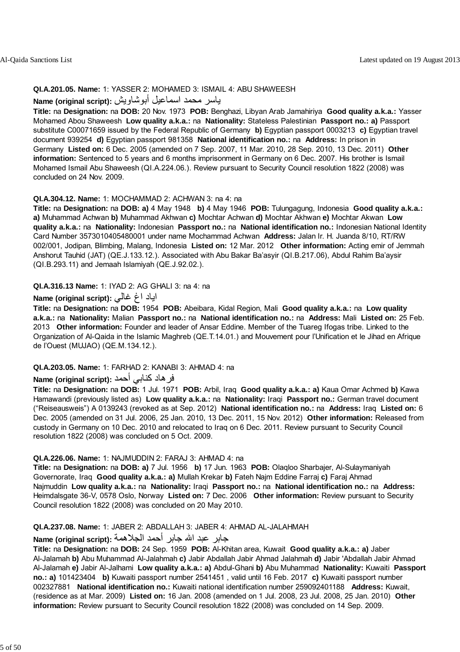#### **QI.A.201.05. Name:** 1: YASSER 2: MOHAMED 3: ISMAIL 4: ABU SHAWEESH

### ياسر محمد اسماعيل أبوشاويش **:(script original (Name**

**Title:** na **Designation:** na **DOB:** 20 Nov. 1973 **POB:** Benghazi, Libyan Arab Jamahiriya **Good quality a.k.a.:** Yasser Mohamed Abou Shaweesh **Low quality a.k.a.:** na **Nationality:** Stateless Palestinian **Passport no.: a)** Passport substitute C00071659 issued by the Federal Republic of Germany **b)** Egyptian passport 0003213 **c)** Egyptian travel document 939254 **d)** Egyptian passport 981358 **National identification no.:** na **Address:** In prison in Germany **Listed on:** 6 Dec. 2005 (amended on 7 Sep. 2007, 11 Mar. 2010, 28 Sep. 2010, 13 Dec. 2011) **Other information:** Sentenced to 5 years and 6 months imprisonment in Germany on 6 Dec. 2007. His brother is Ismail Mohamed Ismail Abu Shaweesh (QI.A.224.06.). Review pursuant to Security Council resolution 1822 (2008) was concluded on 24 Nov. 2009.

#### **QI.A.304.12. Name:** 1: MOCHAMMAD 2: ACHWAN 3: na 4: na

**Title:** na **Designation:** na **DOB: a)** 4 May 1948 **b)** 4 May 1946 **POB:** Tulungagung, Indonesia **Good quality a.k.a.: a)** Muhammad Achwan **b)** Muhammad Akhwan **c)** Mochtar Achwan **d)** Mochtar Akhwan **e)** Mochtar Akwan **Low quality a.k.a.:** na **Nationality:** Indonesian **Passport no.:** na **National identification no.:** Indonesian National Identity Card Number 3573010405480001 under name Mochammad Achwan **Address:** Jalan Ir. H. Juanda 8/10, RT/RW 002/001, Jodipan, Blimbing, Malang, Indonesia **Listed on:** 12 Mar. 2012 **Other information:** Acting emir of Jemmah Anshorut Tauhid (JAT) (QE.J.133.12.). Associated with Abu Bakar Ba'asyir (QI.B.217.06), Abdul Rahim Ba'aysir (QI.B.293.11) and Jemaah Islamiyah (QE.J.92.02.).

#### **QI.A.316.13 Name:** 1: IYAD 2: AG GHALI 3: na 4: na

#### اياد اغ غالي **:(script original (Name**

**Title:** na **Designation:** na **DOB:** 1954 **POB:** Abeibara, Kidal Region, Mali **Good quality a.k.a.:** na **Low quality a.k.a.:** na **Nationality:** Malian **Passport no.:** na **National identification no.:** na **Address:** Mali **Listed on:** 25 Feb. 2013 **Other information:** Founder and leader of Ansar Eddine. Member of the Tuareg Ifogas tribe. Linked to the Organization of Al-Qaida in the Islamic Maghreb (QE.T.14.01.) and Mouvement pour l'Unification et le Jihad en Afrique de l'Ouest (MUJAO) (QE.M.134.12.).

#### **QI.A.203.05. Name:** 1: FARHAD 2: KANABI 3: AHMAD 4: na

#### فر هاد كنابي أحمد **:Name (original script**)

**Title:** na **Designation:** na **DOB:** 1 Jul. 1971 **POB:** Arbil, Iraq **Good quality a.k.a.: a)** Kaua Omar Achmed **b)** Kawa Hamawandi (previously listed as) **Low quality a.k.a.:** na **Nationality:** Iraqi **Passport no.:** German travel document ("Reiseausweis") A 0139243 (revoked as at Sep. 2012) **National identification no.:** na **Address:** Iraq **Listed on:** 6 Dec. 2005 (amended on 31 Jul. 2006, 25 Jan. 2010, 13 Dec. 2011, 15 Nov. 2012) **Other information:** Released from custody in Germany on 10 Dec. 2010 and relocated to Iraq on 6 Dec. 2011. Review pursuant to Security Council resolution 1822 (2008) was concluded on 5 Oct. 2009.

#### **QI.A.226.06. Name:** 1: NAJMUDDIN 2: FARAJ 3: AHMAD 4: na

**Title:** na **Designation:** na **DOB: a)** 7 Jul. 1956 **b)** 17 Jun. 1963 **POB:** Olaqloo Sharbajer, Al-Sulaymaniyah Governorate, Iraq **Good quality a.k.a.: a)** Mullah Krekar **b)** Fateh Najm Eddine Farraj **c)** Faraj Ahmad Najmuddin **Low quality a.k.a.:** na **Nationality:** Iraqi **Passport no.:** na **National identification no.:** na **Address:** Heimdalsgate 36-V, 0578 Oslo, Norway **Listed on:** 7 Dec. 2006 **Other information:** Review pursuant to Security Council resolution 1822 (2008) was concluded on 20 May 2010.

#### **QI.A.237.08. Name:** 1: JABER 2: ABDALLAH 3: JABER 4: AHMAD AL-JALAHMAH

### جابر عبد االله جابر أحمد الجلاهمة **:(script original (Name**

**Title:** na **Designation:** na **DOB:** 24 Sep. 1959 **POB:** Al-Khitan area, Kuwait **Good quality a.k.a.: a)** Jaber Al-Jalamah **b)** Abu Muhammad Al-Jalahmah **c)** Jabir Abdallah Jabir Ahmad Jalahmah **d)** Jabir 'Abdallah Jabir Ahmad Al-Jalamah **e)** Jabir Al-Jalhami **Low quality a.k.a.: a)** Abdul-Ghani **b)** Abu Muhammad **Nationality:** Kuwaiti **Passport no.: a)** 101423404 **b)** Kuwaiti passport number 2541451 , valid until 16 Feb. 2017 **c)** Kuwaiti passport number 002327881 **National identification no.:** Kuwaiti national identification number 259092401188 **Address:** Kuwait, (residence as at Mar. 2009) **Listed on:** 16 Jan. 2008 (amended on 1 Jul. 2008, 23 Jul. 2008, 25 Jan. 2010) **Other information:** Review pursuant to Security Council resolution 1822 (2008) was concluded on 14 Sep. 2009.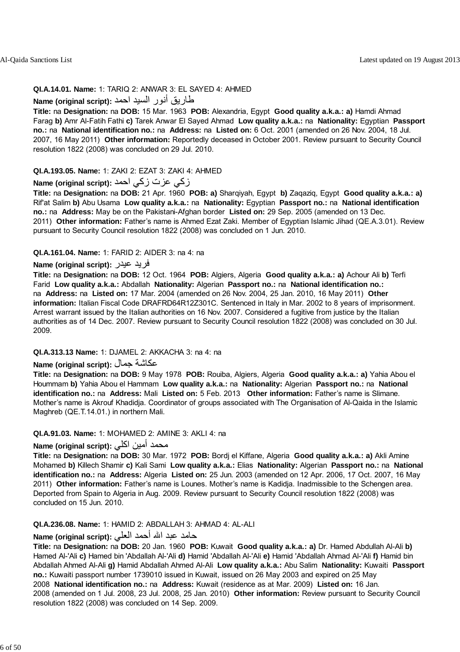#### **QI.A.14.01. Name:** 1: TARIQ 2: ANWAR 3: EL SAYED 4: AHMED

### طاريق أنور السيد احمد **:(script original (Name**

**Title:** na **Designation:** na **DOB:** 15 Mar. 1963 **POB:** Alexandria, Egypt **Good quality a.k.a.: a)** Hamdi Ahmad Farag **b)** Amr Al-Fatih Fathi **c)** Tarek Anwar El Sayed Ahmad **Low quality a.k.a.:** na **Nationality:** Egyptian **Passport no.:** na **National identification no.:** na **Address:** na **Listed on:** 6 Oct. 2001 (amended on 26 Nov. 2004, 18 Jul. 2007, 16 May 2011) **Other information:** Reportedly deceased in October 2001. Review pursuant to Security Council resolution 1822 (2008) was concluded on 29 Jul. 2010.

#### **QI.A.193.05. Name:** 1: ZAKI 2: EZAT 3: ZAKI 4: AHMED

### زآي عزت زآي احمد **:(script original (Name**

**Title:** na **Designation:** na **DOB:** 21 Apr. 1960 **POB: a)** Sharqiyah, Egypt **b)** Zaqaziq, Egypt **Good quality a.k.a.: a)** Rif'at Salim **b)** Abu Usama **Low quality a.k.a.:** na **Nationality:** Egyptian **Passport no.:** na **National identification no.:** na **Address:** May be on the Pakistani-Afghan border **Listed on:** 29 Sep. 2005 (amended on 13 Dec. 2011) **Other information:** Father's name is Ahmed Ezat Zaki. Member of Egyptian Islamic Jihad (QE.A.3.01). Review pursuant to Security Council resolution 1822 (2008) was concluded on 1 Jun. 2010.

#### **QI.A.161.04. Name:** 1: FARID 2: AIDER 3: na 4: na

#### **Name (original script):** عيدر فريد

**Title:** na **Designation:** na **DOB:** 12 Oct. 1964 **POB:** Algiers, Algeria **Good quality a.k.a.: a)** Achour Ali **b)** Terfi Farid **Low quality a.k.a.:** Abdallah **Nationality:** Algerian **Passport no.:** na **National identification no.:** na **Address:** na **Listed on:** 17 Mar. 2004 (amended on 26 Nov. 2004, 25 Jan. 2010, 16 May 2011) **Other information:** Italian Fiscal Code DRAFRD64R12Z301C. Sentenced in Italy in Mar. 2002 to 8 years of imprisonment. Arrest warrant issued by the Italian authorities on 16 Nov. 2007. Considered a fugitive from justice by the Italian authorities as of 14 Dec. 2007. Review pursuant to Security Council resolution 1822 (2008) was concluded on 30 Jul. 2009.

#### **QI.A.313.13 Name:** 1: DJAMEL 2: AKKACHA 3: na 4: na

### **Name (original script):** جمال عكاشة

**Title:** na **Designation:** na **DOB:** 9 May 1978 **POB:** Rouiba, Algiers, Algeria **Good quality a.k.a.: a)** Yahia Abou el Hoummam **b)** Yahia Abou el Hammam **Low quality a.k.a.:** na **Nationality:** Algerian **Passport no.:** na **National identification no.:** na **Address:** Mali **Listed on:** 5 Feb. 2013 **Other information:** Father's name is Slimane. Mother's name is Akrouf Khadidja. Coordinator of groups associated with The Organisation of Al-Qaida in the Islamic Maghreb (QE.T.14.01.) in northern Mali.

#### **QI.A.91.03. Name:** 1: MOHAMED 2: AMINE 3: AKLI 4: na

### محمد أمين اكلي **: Name (original script)**

**Title:** na **Designation:** na **DOB:** 30 Mar. 1972 **POB:** Bordj el Kiffane, Algeria **Good quality a.k.a.: a)** Akli Amine Mohamed **b)** Killech Shamir **c)** Kali Sami **Low quality a.k.a.:** Elias **Nationality:** Algerian **Passport no.:** na **National identification no.:** na **Address:** Algeria **Listed on:** 25 Jun. 2003 (amended on 12 Apr. 2006, 17 Oct. 2007, 16 May 2011) **Other information:** Father's name is Lounes. Mother's name is Kadidja. Inadmissible to the Schengen area. Deported from Spain to Algeria in Aug. 2009. Review pursuant to Security Council resolution 1822 (2008) was concluded on 15 Jun. 2010.

#### **QI.A.236.08. Name:** 1: HAMID 2: ABDALLAH 3: AHMAD 4: AL-ALI

### حامد عبد االله أحمد العلي **:(script original (Name**

**Title:** na **Designation:** na **DOB:** 20 Jan. 1960 **POB:** Kuwait **Good quality a.k.a.: a)** Dr. Hamed Abdullah Al-Ali **b)** Hamed Al-'Ali **c)** Hamed bin 'Abdallah Al-'Ali **d)** Hamid 'Abdallah Al-'Ali **e)** Hamid 'Abdallah Ahmad Al-'Ali **f)** Hamid bin Abdallah Ahmed Al-Ali **g)** Hamid Abdallah Ahmed Al-Ali **Low quality a.k.a.:** Abu Salim **Nationality:** Kuwaiti **Passport no.:** Kuwaiti passport number 1739010 issued in Kuwait, issued on 26 May 2003 and expired on 25 May 2008 **National identification no.:** na **Address:** Kuwait (residence as at Mar. 2009) **Listed on:** 16 Jan. 2008 (amended on 1 Jul. 2008, 23 Jul. 2008, 25 Jan. 2010) **Other information:** Review pursuant to Security Council resolution 1822 (2008) was concluded on 14 Sep. 2009.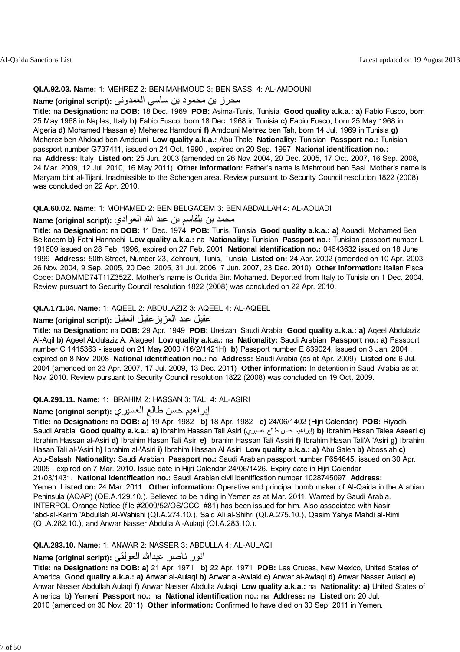#### **QI.A.92.03. Name:** 1: MEHREZ 2: BEN MAHMOUD 3: BEN SASSI 4: AL-AMDOUNI

### محرز بن محمود بن ساسي العمدوني **:(script original (Name**

**Title:** na **Designation:** na **DOB:** 18 Dec. 1969 **POB:** Asima-Tunis, Tunisia **Good quality a.k.a.: a)** Fabio Fusco, born 25 May 1968 in Naples, Italy **b)** Fabio Fusco, born 18 Dec. 1968 in Tunisia **c)** Fabio Fusco, born 25 May 1968 in Algeria **d)** Mohamed Hassan **e)** Meherez Hamdouni **f)** Amdouni Mehrez ben Tah, born 14 Jul. 1969 in Tunisia **g)** Meherez ben Ahdoud ben Amdouni **Low quality a.k.a.:** Abu Thale **Nationality:** Tunisian **Passport no.:** Tunisian passport number G737411, issued on 24 Oct. 1990 , expired on 20 Sep. 1997 **National identification no.:** na **Address:** Italy **Listed on:** 25 Jun. 2003 (amended on 26 Nov. 2004, 20 Dec. 2005, 17 Oct. 2007, 16 Sep. 2008, 24 Mar. 2009, 12 Jul. 2010, 16 May 2011) **Other information:** Father's name is Mahmoud ben Sasi. Mother's name is Maryam bint al-Tijani. Inadmissible to the Schengen area. Review pursuant to Security Council resolution 1822 (2008) was concluded on 22 Apr. 2010.

#### **QI.A.60.02. Name:** 1: MOHAMED 2: BEN BELGACEM 3: BEN ABDALLAH 4: AL-AOUADI

### محمد بن بلقاسم بن عبد االله العوادي **:(script original (Name**

**Title:** na **Designation:** na **DOB:** 11 Dec. 1974 **POB:** Tunis, Tunisia **Good quality a.k.a.: a)** Aouadi, Mohamed Ben Belkacem **b)** Fathi Hannachi **Low quality a.k.a.:** na **Nationality:** Tunisian **Passport no.:** Tunisian passport number L 191609 issued on 28 Feb. 1996, expired on 27 Feb. 2001 **National identification no.:** 04643632 issued on 18 June 1999 **Address:** 50th Street, Number 23, Zehrouni, Tunis, Tunisia **Listed on:** 24 Apr. 2002 (amended on 10 Apr. 2003, 26 Nov. 2004, 9 Sep. 2005, 20 Dec. 2005, 31 Jul. 2006, 7 Jun. 2007, 23 Dec. 2010) **Other information:** Italian Fiscal Code: DAOMMD74T11Z352Z. Mother's name is Ourida Bint Mohamed. Deported from Italy to Tunisia on 1 Dec. 2004. Review pursuant to Security Council resolution 1822 (2008) was concluded on 22 Apr. 2010.

#### **QI.A.171.04. Name:** 1: AQEEL 2: ABDULAZIZ 3: AQEEL 4: AL-AQEEL

### عقيل عبد العزيزعقيل العقيل **:(script original (Name**

**Title:** na **Designation:** na **DOB:** 29 Apr. 1949 **POB:** Uneizah, Saudi Arabia **Good quality a.k.a.: a)** Aqeel Abdulaziz Al-Aqil **b)** Ageel Abdulaziz A. Alageel **Low quality a.k.a.:** na **Nationality:** Saudi Arabian **Passport no.: a)** Passport number C 1415363 - issued on 21 May 2000 (16/2/1421H) **b)** Passport number E 839024, issued on 3 Jan. 2004 , expired on 8 Nov. 2008 **National identification no.:** na **Address:** Saudi Arabia (as at Apr. 2009) **Listed on:** 6 Jul. 2004 (amended on 23 Apr. 2007, 17 Jul. 2009, 13 Dec. 2011) **Other information:** In detention in Saudi Arabia as at Nov. 2010. Review pursuant to Security Council resolution 1822 (2008) was concluded on 19 Oct. 2009.

#### **QI.A.291.11. Name:** 1: IBRAHIM 2: HASSAN 3: TALI 4: AL-ASIRI

#### إبراهيم حسن طالع العسيري **:(Name (original script**

**Title:** na **Designation:** na **DOB: a)** 19 Apr. 1982 **b)** 18 Apr. 1982 **c)** 24/06/1402 (Hijri Calendar) **POB:** Riyadh, Saudi Arabia **Good quality a.k.a.: a)** Ibrahim Hassan Tali Asiri (عسيري طالع حسن إبراهيم (**b)** Ibrahim Hasan Talea Aseeri **c)** Ibrahim Hassan al-Asiri **d)** Ibrahim Hasan Tali Asiri **e)** Ibrahim Hassan Tali Assiri **f)** Ibrahim Hasan Tali'A 'Asiri **g)** Ibrahim Hasan Tali al-'Asiri **h)** Ibrahim al-'Asiri **i)** Ibrahim Hassan Al Asiri **Low quality a.k.a.: a)** Abu Saleh **b)** Abosslah **c)** Abu-Salaah **Nationality:** Saudi Arabian **Passport no.:** Saudi Arabian passport number F654645, issued on 30 Apr. 2005 , expired on 7 Mar. 2010. Issue date in Hijri Calendar 24/06/1426. Expiry date in Hijri Calendar 21/03/1431. **National identification no.:** Saudi Arabian civil identification number 1028745097 **Address:** Yemen **Listed on:** 24 Mar. 2011 **Other information:** Operative and principal bomb maker of Al-Qaida in the Arabian Peninsula (AQAP) (QE.A.129.10.). Believed to be hiding in Yemen as at Mar. 2011. Wanted by Saudi Arabia. INTERPOL Orange Notice (file #2009/52/OS/CCC, #81) has been issued for him. Also associated with Nasir 'abd-al-Karim 'Abdullah Al-Wahishi (QI.A.274.10.), Said Ali al-Shihri (QI.A.275.10.), Qasim Yahya Mahdi al-Rimi (QI.A.282.10.), and Anwar Nasser Abdulla Al-Aulaqi (QI.A.283.10.).

#### **QI.A.283.10. Name:** 1: ANWAR 2: NASSER 3: ABDULLA 4: AL-AULAQI

#### انور ناصر عبداالله العولقي **:(script original (Name**

**Title:** na **Designation:** na **DOB: a)** 21 Apr. 1971 **b)** 22 Apr. 1971 **POB:** Las Cruces, New Mexico, United States of America **Good quality a.k.a.: a)** Anwar al-Aulaqi **b)** Anwar al-Awlaki **c)** Anwar al-Awlaqi **d)** Anwar Nasser Aulaqi **e)** Anwar Nasser Abdullah Aulaqi **f)** Anwar Nasser Abdulla Aulaqi **Low quality a.k.a.:** na **Nationality: a)** United States of America **b)** Yemeni **Passport no.:** na **National identification no.:** na **Address:** na **Listed on:** 20 Jul. 2010 (amended on 30 Nov. 2011) **Other information:** Confirmed to have died on 30 Sep. 2011 in Yemen.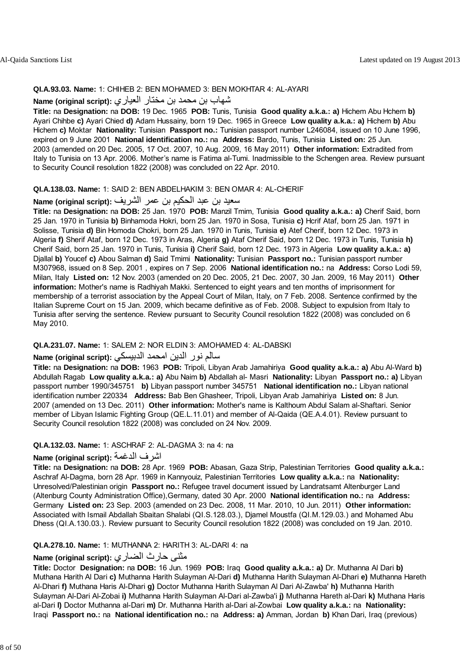#### **QI.A.93.03. Name:** 1: CHIHEB 2: BEN MOHAMED 3: BEN MOKHTAR 4: AL-AYARI

#### شهاب بن محمد بن مختار العياري **:(script original (Name**

**Title:** na **Designation:** na **DOB:** 19 Dec. 1965 **POB:** Tunis, Tunisia **Good quality a.k.a.: a)** Hichem Abu Hchem **b)** Ayari Chihbe **c)** Ayari Chied **d)** Adam Hussainy, born 19 Dec. 1965 in Greece **Low quality a.k.a.: a)** Hichem **b)** Abu Hichem **c)** Moktar **Nationality:** Tunisian **Passport no.:** Tunisian passport number L246084, issued on 10 June 1996, expired on 9 June 2001 **National identification no.:** na **Address:** Bardo, Tunis, Tunisia **Listed on:** 25 Jun. 2003 (amended on 20 Dec. 2005, 17 Oct. 2007, 10 Aug. 2009, 16 May 2011) **Other information:** Extradited from Italy to Tunisia on 13 Apr. 2006. Mother's name is Fatima al-Tumi. Inadmissible to the Schengen area. Review pursuant to Security Council resolution 1822 (2008) was concluded on 22 Apr. 2010.

#### **QI.A.138.03. Name:** 1: SAID 2: BEN ABDELHAKIM 3: BEN OMAR 4: AL-CHERIF

### سعيد بن عبد الحكيم بن عمر الشريف **:(script original (Name**

**Title:** na **Designation:** na **DOB:** 25 Jan. 1970 **POB:** Manzil Tmim, Tunisia **Good quality a.k.a.: a)** Cherif Said, born 25 Jan. 1970 in Tunisia **b)** Binhamoda Hokri, born 25 Jan. 1970 in Sosa, Tunisia **c)** Hcrif Ataf, born 25 Jan. 1971 in Solisse, Tunisia **d)** Bin Homoda Chokri, born 25 Jan. 1970 in Tunis, Tunisia **e)** Atef Cherif, born 12 Dec. 1973 in Algeria **f)** Sherif Ataf, born 12 Dec. 1973 in Aras, Algeria **g)** Ataf Cherif Said, born 12 Dec. 1973 in Tunis, Tunisia **h)** Cherif Said, born 25 Jan. 1970 in Tunis, Tunisia **i)** Cherif Said, born 12 Dec. 1973 in Algeria **Low quality a.k.a.: a)** Djallal **b)** Youcef **c)** Abou Salman **d)** Said Tmimi **Nationality:** Tunisian **Passport no.:** Tunisian passport number M307968, issued on 8 Sep. 2001 , expires on 7 Sep. 2006 **National identification no.:** na **Address:** Corso Lodi 59, Milan, Italy **Listed on:** 12 Nov. 2003 (amended on 20 Dec. 2005, 21 Dec. 2007, 30 Jan. 2009, 16 May 2011) **Other information:** Mother's name is Radhiyah Makki. Sentenced to eight years and ten months of imprisonment for membership of a terrorist association by the Appeal Court of Milan, Italy, on 7 Feb. 2008. Sentence confirmed by the Italian Supreme Court on 15 Jan. 2009, which became definitive as of Feb. 2008. Subject to expulsion from Italy to Tunisia after serving the sentence. Review pursuant to Security Council resolution 1822 (2008) was concluded on 6 May 2010.

#### **QI.A.231.07. Name:** 1: SALEM 2: NOR ELDIN 3: AMOHAMED 4: AL-DABSKI

### سالم نور الدين امحمد الدبيسكي **:(script original (Name**

**Title:** na **Designation:** na **DOB:** 1963 **POB:** Tripoli, Libyan Arab Jamahiriya **Good quality a.k.a.: a)** Abu Al-Ward **b)** Abdullah Ragab **Low quality a.k.a.: a)** Abu Naim **b)** Abdallah al- Masri **Nationality:** Libyan **Passport no.: a)** Libyan passport number 1990/345751 **b)** Libyan passport number 345751 **National identification no.:** Libyan national identification number 220334 **Address:** Bab Ben Ghasheer, Tripoli, Libyan Arab Jamahiriya **Listed on:** 8 Jun. 2007 (amended on 13 Dec. 2011) **Other information:** Mother's name is Kalthoum Abdul Salam al-Shaftari. Senior member of Libyan Islamic Fighting Group (QE.L.11.01) and member of Al-Qaida (QE.A.4.01). Review pursuant to Security Council resolution 1822 (2008) was concluded on 24 Nov. 2009.

#### **QI.A.132.03. Name:** 1: ASCHRAF 2: AL-DAGMA 3: na 4: na

#### **Name (original script):** الدغمة اشرف

**Title:** na **Designation:** na **DOB:** 28 Apr. 1969 **POB:** Abasan, Gaza Strip, Palestinian Territories **Good quality a.k.a.:** Aschraf Al-Dagma, born 28 Apr. 1969 in Kannyouiz, Palestinian Territories **Low quality a.k.a.:** na **Nationality:** Unresolved/Palestinian origin **Passport no.:** Refugee travel document issued by Landratsamt Altenburger Land (Altenburg County Administration Office),Germany, dated 30 Apr. 2000 **National identification no.:** na **Address:** Germany **Listed on:** 23 Sep. 2003 (amended on 23 Dec. 2008, 11 Mar. 2010, 10 Jun. 2011) **Other information:** Associated with Ismail Abdallah Sbaitan Shalabi (QI.S.128.03.), Djamel Moustfa (QI.M.129.03.) and Mohamed Abu Dhess (QI.A.130.03.). Review pursuant to Security Council resolution 1822 (2008) was concluded on 19 Jan. 2010.

#### **QI.A.278.10. Name:** 1: MUTHANNA 2: HARITH 3: AL-DARI 4: na

### مثنى حارث الضاري **:(script original (Name**

**Title:** Doctor **Designation:** na **DOB:** 16 Jun. 1969 **POB:** Iraq **Good quality a.k.a.: a)** Dr. Muthanna Al Dari **b)** Muthana Harith Al Dari **c)** Muthanna Harith Sulayman Al-Dari **d)** Muthanna Harith Sulayman Al-Dhari **e)** Muthanna Hareth Al-Dhari **f)** Muthana Haris Al-Dhari **g)** Doctor Muthanna Harith Sulayman Al Dari Al-Zawba' **h)** Muthanna Harith Sulayman Al-Dari Al-Zobai **i)** Muthanna Harith Sulayman Al-Dari al-Zawba'i **j)** Muthanna Hareth al-Dari **k)** Muthana Haris al-Dari **l)** Doctor Muthanna al-Dari **m)** Dr. Muthanna Harith al-Dari al-Zowbai **Low quality a.k.a.:** na **Nationality:** Iraqi **Passport no.:** na **National identification no.:** na **Address: a)** Amman, Jordan **b)** Khan Dari, Iraq (previous)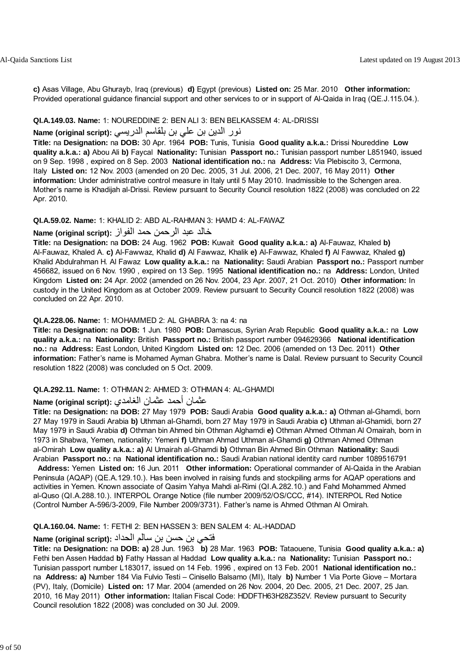**c)** Asas Village, Abu Ghurayb, Iraq (previous) **d)** Egypt (previous) **Listed on:** 25 Mar. 2010 **Other information:** Provided operational guidance financial support and other services to or in support of Al-Qaida in Iraq (QE.J.115.04.).

#### **QI.A.149.03. Name:** 1: NOUREDDINE 2: BEN ALI 3: BEN BELKASSEM 4: AL-DRISSI

### نور الدين بن علي بن بلقاسم الدريسي **:(script original (Name**

**Title:** na **Designation:** na **DOB:** 30 Apr. 1964 **POB:** Tunis, Tunisia **Good quality a.k.a.:** Drissi Noureddine **Low quality a.k.a.: a)** Abou Ali **b)** Faycal **Nationality:** Tunisian **Passport no.:** Tunisian passport number L851940, issued on 9 Sep. 1998 , expired on 8 Sep. 2003 **National identification no.:** na **Address:** Via Plebiscito 3, Cermona, Italy **Listed on:** 12 Nov. 2003 (amended on 20 Dec. 2005, 31 Jul. 2006, 21 Dec. 2007, 16 May 2011) **Other information:** Under administrative control measure in Italy until 5 May 2010. Inadmissible to the Schengen area. Mother's name is Khadijah al-Drissi. Review pursuant to Security Council resolution 1822 (2008) was concluded on 22 Apr. 2010.

#### **QI.A.59.02. Name:** 1: KHALID 2: ABD AL-RAHMAN 3: HAMD 4: AL-FAWAZ

#### خالد عبد الرحمن حمد الفواز **:(script original (Name**

**Title:** na **Designation:** na **DOB:** 24 Aug. 1962 **POB:** Kuwait **Good quality a.k.a.: a)** Al-Fauwaz, Khaled **b)** Al-Fauwaz, Khaled A. **c)** Al-Fawwaz, Khalid **d)** Al Fawwaz, Khalik **e)** Al-Fawwaz, Khaled **f)** Al Fawwaz, Khaled **g)** Khalid Abdulrahman H. Al Fawaz **Low quality a.k.a.:** na **Nationality:** Saudi Arabian **Passport no.:** Passport number 456682, issued on 6 Nov. 1990 , expired on 13 Sep. 1995 **National identification no.:** na **Address:** London, United Kingdom **Listed on:** 24 Apr. 2002 (amended on 26 Nov. 2004, 23 Apr. 2007, 21 Oct. 2010) **Other information:** In custody in the United Kingdom as at October 2009. Review pursuant to Security Council resolution 1822 (2008) was concluded on 22 Apr. 2010.

#### **QI.A.228.06. Name:** 1: MOHAMMED 2: AL GHABRA 3: na 4: na

**Title:** na **Designation:** na **DOB:** 1 Jun. 1980 **POB:** Damascus, Syrian Arab Republic **Good quality a.k.a.:** na **Low quality a.k.a.:** na **Nationality:** British **Passport no.:** British passport number 094629366 **National identification no.:** na **Address:** East London, United Kingdom **Listed on:** 12 Dec. 2006 (amended on 13 Dec. 2011) **Other information:** Father's name is Mohamed Ayman Ghabra. Mother's name is Dalal. Review pursuant to Security Council resolution 1822 (2008) was concluded on 5 Oct. 2009.

#### **QI.A.292.11. Name:** 1: OTHMAN 2: AHMED 3: OTHMAN 4: AL-GHAMDI

#### عثمان أحمد عثمان الغامدي **:(script original (Name**

**Title:** na **Designation:** na **DOB:** 27 May 1979 **POB:** Saudi Arabia **Good quality a.k.a.: a)** Othman al-Ghamdi, born 27 May 1979 in Saudi Arabia **b)** Uthman al-Ghamdi, born 27 May 1979 in Saudi Arabia **c)** Uthman al-Ghamidi, born 27 May 1979 in Saudi Arabia **d)** Othman bin Ahmed bin Othman Alghamdi **e)** Othman Ahmed Othman Al Omairah, born in 1973 in Shabwa, Yemen, nationality: Yemeni **f)** Uthman Ahmad Uthman al-Ghamdi **g)** Othman Ahmed Othman al-Omirah **Low quality a.k.a.: a)** Al Umairah al-Ghamdi **b)** Othman Bin Ahmed Bin Othman **Nationality:** Saudi Arabian **Passport no.:** na **National identification no.:** Saudi Arabian national identity card number 1089516791

 **Address:** Yemen **Listed on:** 16 Jun. 2011 **Other information:** Operational commander of Al-Qaida in the Arabian Peninsula (AQAP) (QE.A.129.10.). Has been involved in raising funds and stockpiling arms for AQAP operations and activities in Yemen. Known associate of Qasim Yahya Mahdi al-Rimi (QI.A.282.10.) and Fahd Mohammed Ahmed al-Quso (QI.A.288.10.). INTERPOL Orange Notice (file number 2009/52/OS/CCC, #14). INTERPOL Red Notice (Control Number A-596/3-2009, File Number 2009/3731). Father's name is Ahmed Othman Al Omirah.

#### **QI.A.160.04. Name:** 1: FETHI 2: BEN HASSEN 3: BEN SALEM 4: AL-HADDAD

#### فتحي بن حسن بن سالم الحداد **:(script original (Name**

**Title:** na **Designation:** na **DOB: a)** 28 Jun. 1963 **b)** 28 Mar. 1963 **POB:** Tataouene, Tunisia **Good quality a.k.a.: a)** Fethi ben Assen Haddad **b)** Fathy Hassan al Haddad **Low quality a.k.a.:** na **Nationality:** Tunisian **Passport no.:** Tunisian passport number L183017, issued on 14 Feb. 1996 , expired on 13 Feb. 2001 **National identification no.:** na **Address: a)** Number 184 Via Fulvio Testi – Cinisello Balsamo (MI), Italy **b)** Number 1 Via Porte Giove – Mortara (PV), Italy, (Domicile) **Listed on:** 17 Mar. 2004 (amended on 26 Nov. 2004, 20 Dec. 2005, 21 Dec. 2007, 25 Jan. 2010, 16 May 2011) **Other information:** Italian Fiscal Code: HDDFTH63H28Z352V. Review pursuant to Security Council resolution 1822 (2008) was concluded on 30 Jul. 2009.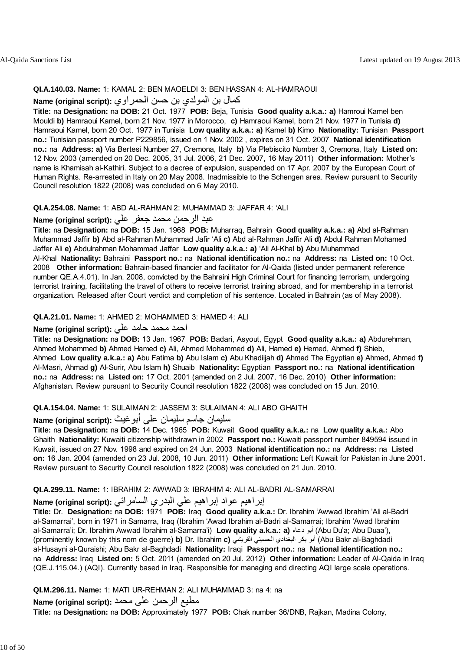#### **QI.A.140.03. Name:** 1: KAMAL 2: BEN MAOELDI 3: BEN HASSAN 4: AL-HAMRAOUI

#### آمال بن المولدي بن حسن الحمراوي **:(script original (Name**

**Title:** na **Designation:** na **DOB:** 21 Oct. 1977 **POB:** Beja, Tunisia **Good quality a.k.a.: a)** Hamroui Kamel ben Mouldi **b)** Hamraoui Kamel, born 21 Nov. 1977 in Morocco, **c)** Hamraoui Kamel, born 21 Nov. 1977 in Tunisia **d)** Hamraoui Kamel, born 20 Oct. 1977 in Tunisia **Low quality a.k.a.: a)** Kamel **b)** Kimo **Nationality:** Tunisian **Passport no.:** Tunisian passport number P229856, issued on 1 Nov. 2002 , expires on 31 Oct. 2007 **National identification no.:** na **Address: a)** Via Bertesi Number 27, Cremona, Italy **b)** Via Plebiscito Number 3, Cremona, Italy **Listed on:** 12 Nov. 2003 (amended on 20 Dec. 2005, 31 Jul. 2006, 21 Dec. 2007, 16 May 2011) **Other information:** Mother's name is Khamisah al-Kathiri. Subject to a decree of expulsion, suspended on 17 Apr. 2007 by the European Court of Human Rights. Re-arrested in Italy on 20 May 2008. Inadmissible to the Schengen area. Review pursuant to Security Council resolution 1822 (2008) was concluded on 6 May 2010.

#### **QI.A.254.08. Name:** 1: ABD AL-RAHMAN 2: MUHAMMAD 3: JAFFAR 4: 'ALI

### عبد الرحمن محمد جعفر علي **:(script original (Name**

**Title:** na **Designation:** na **DOB:** 15 Jan. 1968 **POB:** Muharraq, Bahrain **Good quality a.k.a.: a)** Abd al-Rahman Muhammad Jaffir **b)** Abd al-Rahman Muhammad Jafir 'Ali **c)** Abd al-Rahman Jaffir Ali **d)** Abdul Rahman Mohamed Jaffer Ali **e)** Abdulrahman Mohammad Jaffar **Low quality a.k.a.: a)** 'Ali Al-Khal **b)** Abu Muhammad Al-Khal **Nationality:** Bahraini **Passport no.:** na **National identification no.:** na **Address:** na **Listed on:** 10 Oct. 2008 **Other information:** Bahrain-based financier and facilitator for Al-Qaida (listed under permanent reference number QE.A.4.01). In Jan. 2008, convicted by the Bahraini High Criminal Court for financing terrorism, undergoing terrorist training, facilitating the travel of others to receive terrorist training abroad, and for membership in a terrorist organization. Released after Court verdict and completion of his sentence. Located in Bahrain (as of May 2008).

#### **QI.A.21.01. Name:** 1: AHMED 2: MOHAMMED 3: HAMED 4: ALI

#### احمد محمد حامد علي **:(script original (Name**

**Title:** na **Designation:** na **DOB:** 13 Jan. 1967 **POB:** Badari, Asyout, Egypt **Good quality a.k.a.: a)** Abdurehman, Ahmed Mohammed **b)** Ahmed Hamed **c)** Ali, Ahmed Mohammed **d)** Ali, Hamed **e)** Hemed, Ahmed **f)** Shieb, Ahmed **Low quality a.k.a.: a)** Abu Fatima **b)** Abu Islam **c)** Abu Khadiijah **d)** Ahmed The Egyptian **e)** Ahmed, Ahmed **f)** Al-Masri, Ahmad **g)** Al-Surir, Abu Islam **h)** Shuaib **Nationality:** Egyptian **Passport no.:** na **National identification no.:** na **Address:** na **Listed on:** 17 Oct. 2001 (amended on 2 Jul. 2007, 16 Dec. 2010) **Other information:** Afghanistan. Review pursuant to Security Council resolution 1822 (2008) was concluded on 15 Jun. 2010.

#### **QI.A.154.04. Name:** 1: SULAIMAN 2: JASSEM 3: SULAIMAN 4: ALI ABO GHAITH

### سليمان جاسم سليمان علي أبوغيث **:(script original (Name**

**Title:** na **Designation:** na **DOB:** 14 Dec. 1965 **POB:** Kuwait **Good quality a.k.a.:** na **Low quality a.k.a.:** Abo Ghaith **Nationality:** Kuwaiti citizenship withdrawn in 2002 **Passport no.:** Kuwaiti passport number 849594 issued in Kuwait, issued on 27 Nov. 1998 and expired on 24 Jun. 2003 **National identification no.:** na **Address:** na **Listed on:** 16 Jan. 2004 (amended on 23 Jul. 2008, 10 Jun. 2011) **Other information:** Left Kuwait for Pakistan in June 2001. Review pursuant to Security Council resolution 1822 (2008) was concluded on 21 Jun. 2010.

#### **QI.A.299.11. Name:** 1: IBRAHIM 2: AWWAD 3: IBRAHIM 4: ALI AL-BADRI AL-SAMARRAI

### إبراهيم عواد إبراهيم علي البدري السامرائي **:Name (original script)**

**Title:** Dr. **Designation:** na **DOB:** 1971 **POB:** Iraq **Good quality a.k.a.:** Dr. Ibrahim 'Awwad Ibrahim 'Ali al-Badri al-Samarrai', born in 1971 in Samarra, Iraq (Ibrahim 'Awad Ibrahim al-Badri al-Samarrai; Ibrahim 'Awad Ibrahim al-Samarra'i; Dr. Ibrahim Awwad Ibrahim al-Samarra'i) **Low quality a.k.a.: a)** دعاء أبو) Abu Du'a; Abu Duaa'), (prominently known by this nom de guerre) **b)** Dr. Ibrahim **c)** القريشي الحسيني البغدادي بكر أبو) Abu Bakr al-Baghdadi al-Husayni al-Quraishi; Abu Bakr al-Baghdadi **Nationality:** Iraqi **Passport no.:** na **National identification no.:** na **Address:** Iraq **Listed on:** 5 Oct. 2011 (amended on 20 Jul. 2012) **Other information:** Leader of Al-Qaida in Iraq (QE.J.115.04.) (AQI). Currently based in Iraq. Responsible for managing and directing AQI large scale operations.

#### **QI.M.296.11. Name:** 1: MATI UR-REHMAN 2: ALI MUHAMMAD 3: na 4: na

مطيع الرحمن علی محمد **:(script original (Name**

**Title:** na **Designation:** na **DOB:** Approximately 1977 **POB:** Chak number 36/DNB, Rajkan, Madina Colony,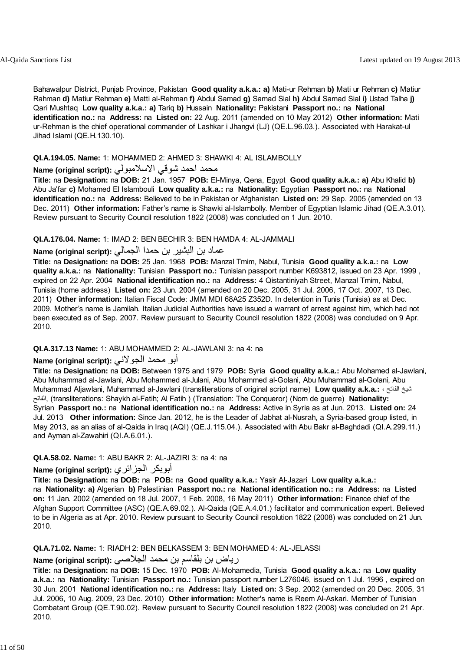Bahawalpur District, Punjab Province, Pakistan **Good quality a.k.a.: a)** Mati-ur Rehman **b)** Mati ur Rehman **c)** Matiur Rahman **d)** Matiur Rehman **e)** Matti al-Rehman **f)** Abdul Samad **g)** Samad Sial **h)** Abdul Samad Sial **i)** Ustad Talha **j)** Qari Mushtaq **Low quality a.k.a.: a)** Tariq **b)** Hussain **Nationality:** Pakistani **Passport no.:** na **National identification no.:** na **Address:** na **Listed on:** 22 Aug. 2011 (amended on 10 May 2012) **Other information:** Mati ur-Rehman is the chief operational commander of Lashkar i Jhangvi (LJ) (QE.L.96.03.). Associated with Harakat-ul Jihad Islami (QE.H.130.10).

#### **QI.A.194.05. Name:** 1: MOHAMMED 2: AHMED 3: SHAWKI 4: AL ISLAMBOLLY

#### محمد احمد شوقي الاسلامبولي **:Name (original script**)

**Title:** na **Designation:** na **DOB:** 21 Jan. 1957 **POB:** El-Minya, Qena, Egypt **Good quality a.k.a.: a)** Abu Khalid **b)** Abu Ja'far **c)** Mohamed El Islambouli **Low quality a.k.a.:** na **Nationality:** Egyptian **Passport no.:** na **National identification no.:** na **Address:** Believed to be in Pakistan or Afghanistan **Listed on:** 29 Sep. 2005 (amended on 13 Dec. 2011) **Other information:** Father's name is Shawki al-Islambolly. Member of Egyptian Islamic Jihad (QE.A.3.01). Review pursuant to Security Council resolution 1822 (2008) was concluded on 1 Jun. 2010.

#### **QI.A.176.04. Name:** 1: IMAD 2: BEN BECHIR 3: BEN HAMDA 4: AL-JAMMALI

### عماد بن البشير بن حمدا الجمالي **:(script original (Name**

**Title:** na **Designation:** na **DOB:** 25 Jan. 1968 **POB:** Manzal Tmim, Nabul, Tunisia **Good quality a.k.a.:** na **Low quality a.k.a.:** na **Nationality:** Tunisian **Passport no.:** Tunisian passport number K693812, issued on 23 Apr. 1999 , expired on 22 Apr. 2004 **National identification no.:** na **Address:** 4 Qistantiniyah Street, Manzal Tmim, Nabul, Tunisia (home address) **Listed on:** 23 Jun. 2004 (amended on 20 Dec. 2005, 31 Jul. 2006, 17 Oct. 2007, 13 Dec. 2011) **Other information:** Italian Fiscal Code: JMM MDI 68A25 Z352D. In detention in Tunis (Tunisia) as at Dec. 2009. Mother's name is Jamilah. Italian Judicial Authorities have issued a warrant of arrest against him, which had not been executed as of Sep. 2007. Review pursuant to Security Council resolution 1822 (2008) was concluded on 9 Apr. 2010.

#### **QI.A.317.13 Name:** 1: ABU MOHAMMED 2: AL-JAWLANI 3: na 4: na

### أبو محمد الجولاني **:(script original (Name**

**Title:** na **Designation:** na **DOB:** Between 1975 and 1979 **POB:** Syria **Good quality a.k.a.:** Abu Mohamed al-Jawlani, Abu Muhammad al-Jawlani, Abu Mohammed al-Julani, Abu Mohammed al-Golani, Abu Muhammad al-Golani, Abu Muhammad Aljawlani, Muhammad al-Jawlani (transliterations of original script name) **Low quality a.k.a.:** ، الفاتح شيخ الفاتح,) transliterations: Shaykh al-Fatih; Al Fatih ) (Translation: The Conqueror) (Nom de guerre) **Nationality:** Syrian **Passport no.:** na **National identification no.:** na **Address:** Active in Syria as at Jun. 2013. **Listed on:** 24 Jul. 2013 **Other information:** Since Jan. 2012, he is the Leader of Jabhat al-Nusrah, a Syria-based group listed, in May 2013, as an alias of al-Qaida in Iraq (AQI) (QE.J.115.04.). Associated with Abu Bakr al-Baghdadi (QI.A.299.11.) and Ayman al-Zawahiri (QI.A.6.01.).

#### **QI.A.58.02. Name:** 1: ABU BAKR 2: AL-JAZIRI 3: na 4: na

### **Name (original script):** الجزائري أبوبكر

**Title:** na **Designation:** na **DOB:** na **POB:** na **Good quality a.k.a.:** Yasir Al-Jazari **Low quality a.k.a.:** na **Nationality: a)** Algerian **b)** Palestinian **Passport no.:** na **National identification no.:** na **Address:** na **Listed on:** 11 Jan. 2002 (amended on 18 Jul. 2007, 1 Feb. 2008, 16 May 2011) **Other information:** Finance chief of the Afghan Support Committee (ASC) (QE.A.69.02.). Al-Qaida (QE.A.4.01.) facilitator and communication expert. Believed to be in Algeria as at Apr. 2010. Review pursuant to Security Council resolution 1822 (2008) was concluded on 21 Jun. 2010.

#### **QI.A.71.02. Name:** 1: RIADH 2: BEN BELKASSEM 3: BEN MOHAMED 4: AL-JELASSI

### رياض بن بلقاسم بن محمد الجلاصي **:(script original (Name**

**Title:** na **Designation:** na **DOB:** 15 Dec. 1970 **POB:** Al-Mohamedia, Tunisia **Good quality a.k.a.:** na **Low quality a.k.a.:** na **Nationality:** Tunisian **Passport no.:** Tunisian passport number L276046, issued on 1 Jul. 1996 , expired on 30 Jun. 2001 **National identification no.:** na **Address:** Italy **Listed on:** 3 Sep. 2002 (amended on 20 Dec. 2005, 31 Jul. 2006, 10 Aug. 2009, 23 Dec. 2010) **Other information:** Mother's name is Reem Al-Askari. Member of Tunisian Combatant Group (QE.T.90.02). Review pursuant to Security Council resolution 1822 (2008) was concluded on 21 Apr. 2010.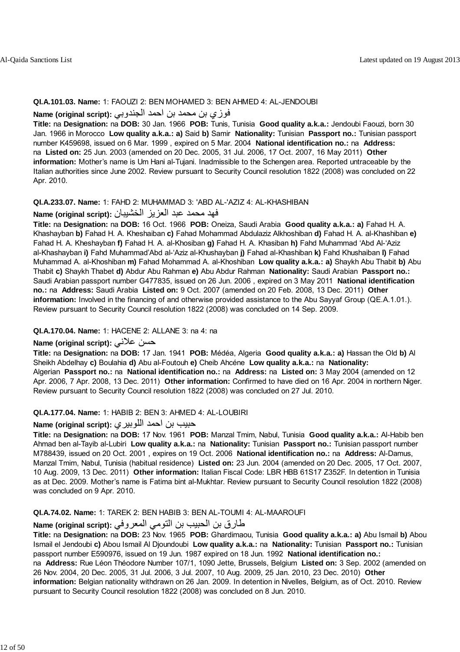#### **QI.A.101.03. Name:** 1: FAOUZI 2: BEN MOHAMED 3: BEN AHMED 4: AL-JENDOUBI

#### فوزي بن محمد بن احمد الجندوبي **:(script original (Name**

**Title:** na **Designation:** na **DOB:** 30 Jan. 1966 **POB:** Tunis, Tunisia **Good quality a.k.a.:** Jendoubi Faouzi, born 30 Jan. 1966 in Morocco **Low quality a.k.a.: a)** Said **b)** Samir **Nationality:** Tunisian **Passport no.:** Tunisian passport number K459698, issued on 6 Mar. 1999 , expired on 5 Mar. 2004 **National identification no.:** na **Address:** na **Listed on:** 25 Jun. 2003 (amended on 20 Dec. 2005, 31 Jul. 2006, 17 Oct. 2007, 16 May 2011) **Other information:** Mother's name is Um Hani al-Tujani. Inadmissible to the Schengen area. Reported untraceable by the Italian authorities since June 2002. Review pursuant to Security Council resolution 1822 (2008) was concluded on 22 Apr. 2010.

#### **QI.A.233.07. Name:** 1: FAHD 2: MUHAMMAD 3: 'ABD AL-'AZIZ 4: AL-KHASHIBAN

#### فهد محمد عبد العزيز الخشيبان **:(script original (Name**

**Title:** na **Designation:** na **DOB:** 16 Oct. 1966 **POB:** Oneiza, Saudi Arabia **Good quality a.k.a.: a)** Fahad H. A. Khashayban **b)** Fahad H. A. Kheshaiban **c)** Fahad Mohammad Abdulaziz Alkhoshiban **d)** Fahad H. A. al-Khashiban **e)** Fahad H. A. Kheshayban **f)** Fahad H. A. al-Khosiban **g)** Fahad H. A. Khasiban **h)** Fahd Muhammad 'Abd Al-'Aziz al-Khashayban **i)** Fahd Muhammad'Abd al-'Aziz al-Khushayban **j)** Fahad al-Khashiban **k)** Fahd Khushaiban **l)** Fahad Muhammad A. al-Khoshiban **m)** Fahad Mohammad A. al-Khoshiban **Low quality a.k.a.: a)** Shaykh Abu Thabit **b)** Abu Thabit **c)** Shaykh Thabet **d)** Abdur Abu Rahman **e)** Abu Abdur Rahman **Nationality:** Saudi Arabian **Passport no.:** Saudi Arabian passport number G477835, issued on 26 Jun. 2006 , expired on 3 May 2011 **National identification no.:** na **Address:** Saudi Arabia **Listed on:** 9 Oct. 2007 (amended on 20 Feb. 2008, 13 Dec. 2011) **Other information:** Involved in the financing of and otherwise provided assistance to the Abu Sayyaf Group (QE.A.1.01.). Review pursuant to Security Council resolution 1822 (2008) was concluded on 14 Sep. 2009.

#### **QI.A.170.04. Name:** 1: HACENE 2: ALLANE 3: na 4: na

#### **Name (original script):** علاني حسن

**Title:** na **Designation:** na **DOB:** 17 Jan. 1941 **POB:** Médéa, Algeria **Good quality a.k.a.: a)** Hassan the Old **b)** Al Sheikh Abdelhay **c)** Boulahia **d)** Abu al-Foutouh **e)** Cheib Ahcéne **Low quality a.k.a.:** na **Nationality:** Algerian **Passport no.:** na **National identification no.:** na **Address:** na **Listed on:** 3 May 2004 (amended on 12 Apr. 2006, 7 Apr. 2008, 13 Dec. 2011) **Other information:** Confirmed to have died on 16 Apr. 2004 in northern Niger. Review pursuant to Security Council resolution 1822 (2008) was concluded on 27 Jul. 2010.

#### **QI.A.177.04. Name:** 1: HABIB 2: BEN 3: AHMED 4: AL-LOUBIRI

### حبيب بن احمد اللوبيري **:(script original (Name**

**Title:** na **Designation:** na **DOB:** 17 Nov. 1961 **POB:** Manzal Tmim, Nabul, Tunisia **Good quality a.k.a.:** Al-Habib ben Ahmad ben al-Tayib al-Lubiri **Low quality a.k.a.:** na **Nationality:** Tunisian **Passport no.:** Tunisian passport number M788439, issued on 20 Oct. 2001 , expires on 19 Oct. 2006 **National identification no.:** na **Address:** Al-Damus, Manzal Tmim, Nabul, Tunisia (habitual residence) **Listed on:** 23 Jun. 2004 (amended on 20 Dec. 2005, 17 Oct. 2007, 10 Aug. 2009, 13 Dec. 2011) **Other information:** Italian Fiscal Code: LBR HBB 61S17 Z352F. In detention in Tunisia as at Dec. 2009. Mother's name is Fatima bint al-Mukhtar. Review pursuant to Security Council resolution 1822 (2008) was concluded on 9 Apr. 2010.

#### **QI.A.74.02. Name:** 1: TAREK 2: BEN HABIB 3: BEN AL-TOUMI 4: AL-MAAROUFI

### طارق بن الحبيب بن التومي المعروفي **:(script original (Name**

**Title:** na **Designation:** na **DOB:** 23 Nov. 1965 **POB:** Ghardimaou, Tunisia **Good quality a.k.a.: a)** Abu Ismail **b)** Abou Ismail el Jendoubi **c)** Abou Ismail Al Djoundoubi **Low quality a.k.a.:** na **Nationality:** Tunisian **Passport no.:** Tunisian passport number E590976, issued on 19 Jun. 1987 expired on 18 Jun. 1992 **National identification no.:**

na **Address:** Rue Léon Théodore Number 107/1, 1090 Jette, Brussels, Belgium **Listed on:** 3 Sep. 2002 (amended on 26 Nov. 2004, 20 Dec. 2005, 31 Jul. 2006, 3 Jul. 2007, 10 Aug. 2009, 25 Jan. 2010, 23 Dec. 2010) **Other**

**information:** Belgian nationality withdrawn on 26 Jan. 2009. In detention in Nivelles, Belgium, as of Oct. 2010. Review pursuant to Security Council resolution 1822 (2008) was concluded on 8 Jun. 2010.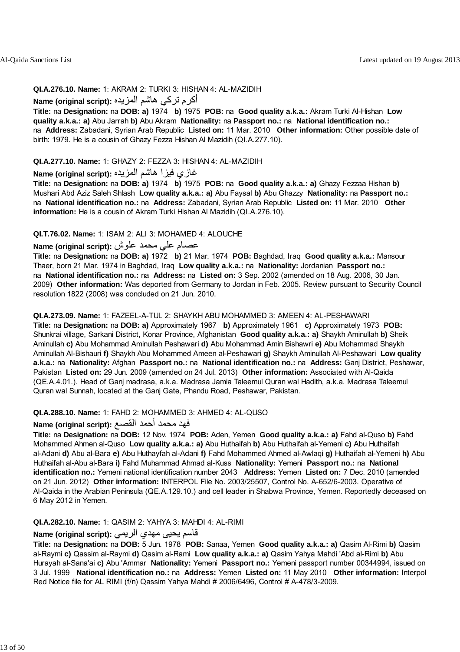#### **QI.A.276.10. Name:** 1: AKRAM 2: TURKI 3: HISHAN 4: AL-MAZIDIH

### أكرم تركي هاشم المزيده **:(Name (original script**

**Title:** na **Designation:** na **DOB: a)** 1974 **b)** 1975 **POB:** na **Good quality a.k.a.:** Akram Turki Al-Hishan **Low quality a.k.a.: a)** Abu Jarrah **b)** Abu Akram **Nationality:** na **Passport no.:** na **National identification no.:** na **Address:** Zabadani, Syrian Arab Republic **Listed on:** 11 Mar. 2010 **Other information:** Other possible date of birth: 1979. He is a cousin of Ghazy Fezza Hishan Al Mazidih (QI.A.277.10).

#### **QI.A.277.10. Name:** 1: GHAZY 2: FEZZA 3: HISHAN 4: AL-MAZIDIH

### غازي فيزا هاشم المزيده **:(script original (Name**

**Title:** na **Designation:** na **DOB: a)** 1974 **b)** 1975 **POB:** na **Good quality a.k.a.: a)** Ghazy Fezzaa Hishan **b)** Mushari Abd Aziz Saleh Shlash **Low quality a.k.a.: a)** Abu Faysal **b)** Abu Ghazzy **Nationality:** na **Passport no.:** na **National identification no.:** na **Address:** Zabadani, Syrian Arab Republic **Listed on:** 11 Mar. 2010 **Other information:** He is a cousin of Akram Turki Hishan Al Mazidih (QI.A.276.10).

#### **QI.T.76.02. Name:** 1: ISAM 2: ALI 3: MOHAMED 4: ALOUCHE

#### عصام علي محمد علوش **:(script original (Name**

**Title:** na **Designation:** na **DOB: a)** 1972 **b)** 21 Mar. 1974 **POB:** Baghdad, Iraq **Good quality a.k.a.:** Mansour Thaer, born 21 Mar. 1974 in Baghdad, Iraq **Low quality a.k.a.:** na **Nationality:** Jordanian **Passport no.:** na **National identification no.:** na **Address:** na **Listed on:** 3 Sep. 2002 (amended on 18 Aug. 2006, 30 Jan. 2009) **Other information:** Was deported from Germany to Jordan in Feb. 2005. Review pursuant to Security Council resolution 1822 (2008) was concluded on 21 Jun. 2010.

#### **QI.A.273.09. Name:** 1: FAZEEL-A-TUL 2: SHAYKH ABU MOHAMMED 3: AMEEN 4: AL-PESHAWARI

**Title:** na **Designation:** na **DOB: a)** Approximately 1967 **b)** Approximately 1961 **c)** Approximately 1973 **POB:** Shunkrai village, Sarkani District, Konar Province, Afghanistan **Good quality a.k.a.: a)** Shaykh Aminullah **b)** Sheik Aminullah **c)** Abu Mohammad Aminullah Peshawari **d)** Abu Mohammad Amin Bishawri **e)** Abu Mohammad Shaykh Aminullah Al-Bishauri **f)** Shaykh Abu Mohammed Ameen al-Peshawari **g)** Shaykh Aminullah Al-Peshawari **Low quality a.k.a.:** na **Nationality:** Afghan **Passport no.:** na **National identification no.:** na **Address:** Ganj District, Peshawar, Pakistan **Listed on:** 29 Jun. 2009 (amended on 24 Jul. 2013) **Other information:** Associated with Al-Qaida (QE.A.4.01.). Head of Ganj madrasa, a.k.a. Madrasa Jamia Taleemul Quran wal Hadith, a.k.a. Madrasa Taleemul Quran wal Sunnah, located at the Ganj Gate, Phandu Road, Peshawar, Pakistan.

#### **QI.A.288.10. Name:** 1: FAHD 2: MOHAMMED 3: AHMED 4: AL-QUSO

## فهد محمد أحمد القصع **:(script original (Name**

**Title:** na **Designation:** na **DOB:** 12 Nov. 1974 **POB:** Aden, Yemen **Good quality a.k.a.: a)** Fahd al-Quso **b)** Fahd Mohammed Ahmen al-Quso **Low quality a.k.a.: a)** Abu Huthaifah **b)** Abu Huthaifah al-Yemeni **c)** Abu Huthaifah al-Adani **d)** Abu al-Bara **e)** Abu Huthayfah al-Adani **f)** Fahd Mohammed Ahmed al-Awlaqi **g)** Huthaifah al-Yemeni **h)** Abu Huthaifah al-Abu al-Bara **i)** Fahd Muhammad Ahmad al-Kuss **Nationality:** Yemeni **Passport no.:** na **National identification no.:** Yemeni national identification number 2043 **Address:** Yemen **Listed on:** 7 Dec. 2010 (amended on 21 Jun. 2012) **Other information:** INTERPOL File No. 2003/25507, Control No. A-652/6-2003. Operative of Al-Qaida in the Arabian Peninsula (QE.A.129.10.) and cell leader in Shabwa Province, Yemen. Reportedly deceased on 6 May 2012 in Yemen.

#### **QI.A.282.10. Name:** 1: QASIM 2: YAHYA 3: MAHDI 4: AL-RIMI

#### قاسم يحيى مهدي الري*مي* : Name (original script)

**Title:** na **Designation:** na **DOB:** 5 Jun. 1978 **POB:** Sanaa, Yemen **Good quality a.k.a.: a)** Qasim Al-Rimi **b)** Qasim al-Raymi **c)** Qassim al-Raymi **d)** Qasim al-Rami **Low quality a.k.a.: a)** Qasim Yahya Mahdi 'Abd al-Rimi **b)** Abu Hurayah al-Sana'ai **c)** Abu 'Ammar **Nationality:** Yemeni **Passport no.:** Yemeni passport number 00344994, issued on 3 Jul. 1999 **National identification no.:** na **Address:** Yemen **Listed on:** 11 May 2010 **Other information:** Interpol Red Notice file for AL RIMI (f/n) Qassim Yahya Mahdi # 2006/6496, Control # A-478/3-2009.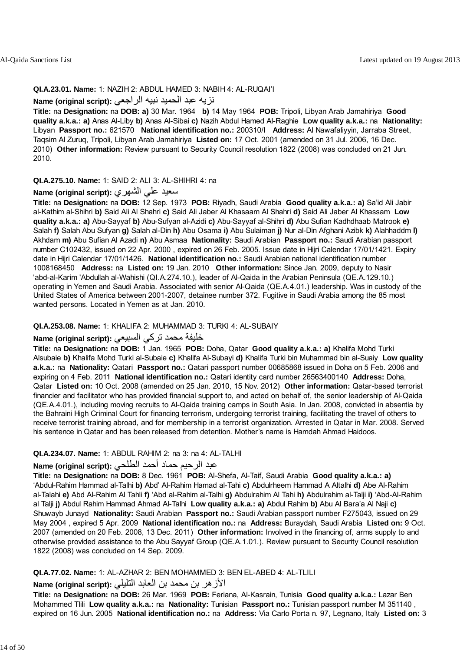#### **QI.A.23.01. Name:** 1: NAZIH 2: ABDUL HAMED 3: NABIH 4: AL-RUQAI'I

### نزيه عبد الحميد نبيه الراجعي **:(script original (Name**

**Title:** na **Designation:** na **DOB: a)** 30 Mar. 1964 **b)** 14 May 1964 **POB:** Tripoli, Libyan Arab Jamahiriya **Good quality a.k.a.: a)** Anas Al-Liby **b)** Anas Al-Sibai **c)** Nazih Abdul Hamed Al-Raghie **Low quality a.k.a.:** na **Nationality:** Libyan **Passport no.:** 621570 **National identification no.:** 200310/I **Address:** Al Nawafaliyyin, Jarraba Street, Taqsim Al Zuruq, Tripoli, Libyan Arab Jamahiriya **Listed on:** 17 Oct. 2001 (amended on 31 Jul. 2006, 16 Dec. 2010) **Other information:** Review pursuant to Security Council resolution 1822 (2008) was concluded on 21 Jun. 2010.

#### **QI.A.275.10. Name:** 1: SAID 2: ALI 3: AL-SHIHRI 4: na

### سعيد علي الشهري **:(script original (Name**

**Title:** na **Designation:** na **DOB:** 12 Sep. 1973 **POB:** Riyadh, Saudi Arabia **Good quality a.k.a.: a)** Sa'id Ali Jabir al-Kathim al-Shihri **b)** Said Ali Al Shahri **c)** Said Ali Jaber Al Khasaam Al Shahri **d)** Said Ali Jaber Al Khassam **Low quality a.k.a.: a)** Abu-Sayyaf **b)** Abu-Sufyan al-Azidi **c)** Abu-Sayyaf al-Shihri **d)** Abu Sufian Kadhdhaab Matrook **e)** Salah **f)** Salah Abu Sufyan **g)** Salah al-Din **h)** Abu Osama **i)** Abu Sulaiman **j)** Nur al-Din Afghani Azibk **k)** Alahhaddm **l)** Akhdam **m)** Abu Sufian Al Azadi **n)** Abu Asmaa **Nationality:** Saudi Arabian **Passport no.:** Saudi Arabian passport number C102432, issued on 22 Apr. 2000 , expired on 26 Feb. 2005. Issue date in Hijri Calendar 17/01/1421. Expiry date in Hijri Calendar 17/01/1426. **National identification no.:** Saudi Arabian national identification number 1008168450 **Address:** na **Listed on:** 19 Jan. 2010 **Other information:** Since Jan. 2009, deputy to Nasir 'abd-al-Karim 'Abdullah al-Wahishi (QI.A.274.10.), leader of Al-Qaida in the Arabian Peninsula (QE.A.129.10.) operating in Yemen and Saudi Arabia. Associated with senior Al-Qaida (QE.A.4.01.) leadership. Was in custody of the United States of America between 2001-2007, detainee number 372. Fugitive in Saudi Arabia among the 85 most wanted persons. Located in Yemen as at Jan. 2010.

#### **QI.A.253.08. Name:** 1: KHALIFA 2: MUHAMMAD 3: TURKI 4: AL-SUBAIY

### خليفة محمد تركي السبيعي :(Name (original script

**Title:** na **Designation:** na **DOB:** 1 Jan. 1965 **POB:** Doha, Qatar **Good quality a.k.a.: a)** Khalifa Mohd Turki Alsubaie **b)** Khalifa Mohd Turki al-Subaie **c)** Khalifa Al-Subayi **d)** Khalifa Turki bin Muhammad bin al-Suaiy **Low quality a.k.a.:** na **Nationality:** Qatari **Passport no.:** Qatari passport number 00685868 issued in Doha on 5 Feb. 2006 and expiring on 4 Feb. 2011 **National identification no.:** Qatari identity card number 26563400140 **Address:** Doha, Qatar **Listed on:** 10 Oct. 2008 (amended on 25 Jan. 2010, 15 Nov. 2012) **Other information:** Qatar-based terrorist financier and facilitator who has provided financial support to, and acted on behalf of, the senior leadership of Al-Qaida (QE.A.4.01.), including moving recruits to Al-Qaida training camps in South Asia. In Jan. 2008, convicted in absentia by the Bahraini High Criminal Court for financing terrorism, undergoing terrorist training, facilitating the travel of others to receive terrorist training abroad, and for membership in a terrorist organization. Arrested in Qatar in Mar. 2008. Served his sentence in Qatar and has been released from detention. Mother's name is Hamdah Ahmad Haidoos.

#### **QI.A.234.07. Name:** 1: ABDUL RAHIM 2: na 3: na 4: AL-TALHI

## عبد الرحيم حماد أحمد الطلحي **:(script original (Name**

**Title:** na **Designation:** na **DOB:** 8 Dec. 1961 **POB:** Al-Shefa, Al-Taif, Saudi Arabia **Good quality a.k.a.: a)** 'Abdul-Rahim Hammad al-Talhi **b)** Abd' Al-Rahim Hamad al-Tahi **c)** Abdulrheem Hammad A Altalhi **d)** Abe Al-Rahim al-Talahi **e)** Abd Al-Rahim Al Tahli **f)** 'Abd al-Rahim al-Talhi **g)** Abdulrahim Al Tahi **h)** Abdulrahim al-Talji **i)** 'Abd-Al-Rahim al Talji **j)** Abdul Rahim Hammad Ahmad Al-Talhi **Low quality a.k.a.: a)** Abdul Rahim **b)** Abu Al Bara'a Al Naji **c)** Shuwayb Junayd **Nationality:** Saudi Arabian **Passport no.:** Saudi Arabian passport number F275043, issued on 29 May 2004 , expired 5 Apr. 2009 **National identification no.:** na **Address:** Buraydah, Saudi Arabia **Listed on:** 9 Oct. 2007 (amended on 20 Feb. 2008, 13 Dec. 2011) **Other information:** Involved in the financing of, arms supply to and otherwise provided assistance to the Abu Sayyaf Group (QE.A.1.01.). Review pursuant to Security Council resolution 1822 (2008) was concluded on 14 Sep. 2009.

#### **QI.A.77.02. Name:** 1: AL-AZHAR 2: BEN MOHAMMED 3: BEN EL-ABED 4: AL-TLILI

### الأزهر بن محمد بن العابد التليلي **:(script original (Name**

**Title:** na **Designation:** na **DOB:** 26 Mar. 1969 **POB:** Feriana, Al-Kasrain, Tunisia **Good quality a.k.a.:** Lazar Ben Mohammed Tlili **Low quality a.k.a.:** na **Nationality:** Tunisian **Passport no.:** Tunisian passport number M 351140 , expired on 16 Jun. 2005 **National identification no.:** na **Address:** Via Carlo Porta n. 97, Legnano, Italy **Listed on:** 3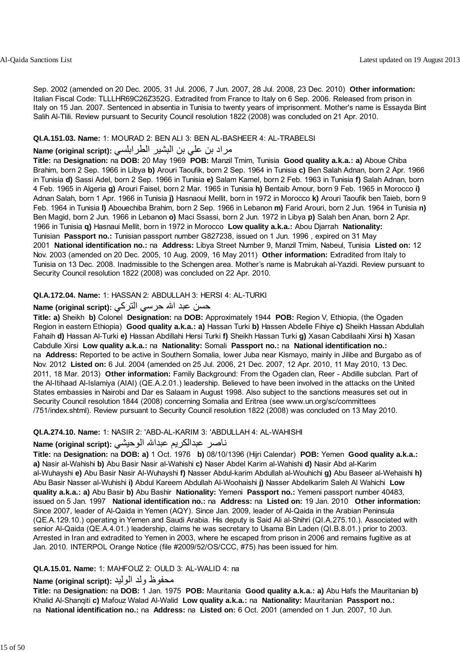Sep. 2002 (amended on 20 Dec. 2005, 31 Jul. 2006, 7 Jun. 2007, 28 Jul. 2008, 23 Dec. 2010) **Other information:** Italian Fiscal Code: TLLLHR69C26Z352G. Extradited from France to Italy on 6 Sep. 2006. Released from prison in Italy on 15 Jan. 2007. Sentenced in absentia in Tunisia to twenty years of imprisonment. Mother's name is Essayda Bint Salih Al-Tlili. Review pursuant to Security Council resolution 1822 (2008) was concluded on 21 Apr. 2010.

#### **QI.A.151.03. Name:** 1: MOURAD 2: BEN ALI 3: BEN AL-BASHEER 4: AL-TRABELSI

### مراد بن علي بن البشير الطرابلسي **:Name (original script)**

**Title:** na **Designation:** na **DOB:** 20 May 1969 **POB:** Manzil Tmim, Tunisia **Good quality a.k.a.: a)** Aboue Chiba Brahim, born 2 Sep. 1966 in Libya **b)** Arouri Taoufik, born 2 Sep. 1964 in Tunisia **c)** Ben Salah Adnan, born 2 Apr. 1966 in Tunisia **d)** Sassi Adel, born 2 Sep. 1966 in Tunisia **e)** Salam Kamel, born 2 Feb. 1963 in Tunisia **f)** Salah Adnan, born 4 Feb. 1965 in Algeria **g)** Arouri Faisel, born 2 Mar. 1965 in Tunisia **h)** Bentaib Amour, born 9 Feb. 1965 in Morocco **i)** Adnan Salah, born 1 Apr. 1966 in Tunisia **j)** Hasnaoui Mellit, born in 1972 in Morocco **k)** Arouri Taoufik ben Taieb, born 9 Feb. 1964 in Tunisia **l)** Abouechiba Brahim, born 2 Sep. 1966 in Lebanon **m)** Farid Arouri, born 2 Jun. 1964 in Tunisia **n)** Ben Magid, born 2 Jun. 1966 in Lebanon **o)** Maci Ssassi, born 2 Jun. 1972 in Libya **p)** Salah ben Anan, born 2 Apr. 1966 in Tunisia **q)** Hasnaui Mellit, born in 1972 in Morocco **Low quality a.k.a.:** Abou Djarrah **Nationality:** Tunisian **Passport no.:** Tunisian passport number G827238, issued on 1 Jun. 1996 , expired on 31 May 2001 **National identification no.:** na **Address:** Libya Street Number 9, Manzil Tmim, Nabeul, Tunisia **Listed on:** 12 Nov. 2003 (amended on 20 Dec. 2005, 10 Aug. 2009, 16 May 2011) **Other information:** Extradited from Italy to Tunisia on 13 Dec. 2008. Inadmissible to the Schengen area. Mother's name is Mabrukah al-Yazidi. Review pursuant to Security Council resolution 1822 (2008) was concluded on 22 Apr. 2010.

#### **QI.A.172.04. Name:** 1: HASSAN 2: ABDULLAH 3: HERSI 4: AL-TURKI

#### حسن عبد الله حرسي التركي : Name (original script)

**Title: a)** Sheikh **b)** Colonel **Designation:** na **DOB:** Approximately 1944 **POB:** Region V, Ethiopia, (the Ogaden Region in eastern Ethiopia) **Good quality a.k.a.: a)** Hassan Turki **b)** Hassen Abdelle Fihiye **c)** Sheikh Hassan Abdullah Fahaih **d)** Hassan Al-Turki **e)** Hassan Abdillahi Hersi Turki **f)** Sheikh Hassan Turki **g)** Xasan Cabdilaahi Xirsi **h)** Xasan Cabdulle Xirsi **Low quality a.k.a.:** na **Nationality:** Somali **Passport no.:** na **National identification no.:** na **Address:** Reported to be active in Southern Somalia, lower Juba near Kismayo, mainly in Jilibe and Burgabo as of Nov. 2012 **Listed on:** 6 Jul. 2004 (amended on 25 Jul. 2006, 21 Dec. 2007, 12 Apr. 2010, 11 May 2010, 13 Dec. 2011, 18 Mar. 2013) **Other information:** Family Background: From the Ogaden clan, Reer - Abdille subclan. Part of the Al-Itihaad Al-Islamiya (AIAI) (QE.A.2.01.) leadership. Believed to have been involved in the attacks on the United States embassies in Nairobi and Dar es Salaam in August 1998. Also subject to the sanctions measures set out in Security Council resolution 1844 (2008) concerning Somalia and Eritrea (see www.un.org/sc/committees /751/index.shtml). Review pursuant to Security Council resolution 1822 (2008) was concluded on 13 May 2010.

#### **QI.A.274.10. Name:** 1: NASIR 2: 'ABD-AL-KARIM 3: 'ABDULLAH 4: AL-WAHISHI

### ناصر عبدالكريم عبداالله الوحيشي **:(script original (Name**

**Title:** na **Designation:** na **DOB: a)** 1 Oct. 1976 **b)** 08/10/1396 (Hijri Calendar) **POB:** Yemen **Good quality a.k.a.: a)** Nasir al-Wahishi **b)** Abu Basir Nasir al-Wahishi **c)** Naser Abdel Karim al-Wahishi **d)** Nasir Abd al-Karim al-Wuhayshi **e)** Abu Basir Nasir Al-Wuhayshi **f)** Nasser Abdul-karim Abdullah al-Wouhichi **g)** Abu Baseer al-Wehaishi **h)** Abu Basir Nasser al-Wuhishi **i)** Abdul Kareem Abdullah Al-Woohaishi **j)** Nasser Abdelkarim Saleh Al Wahichi **Low quality a.k.a.: a)** Abu Basir **b)** Abu Bashir **Nationality:** Yemeni **Passport no.:** Yemeni passport number 40483, issued on 5 Jan. 1997 **National identification no.:** na **Address:** na **Listed on:** 19 Jan. 2010 **Other information:** Since 2007, leader of Al-Qaida in Yemen (AQY). Since Jan. 2009, leader of Al-Qaida in the Arabian Peninsula (QE.A.129.10.) operating in Yemen and Saudi Arabia. His deputy is Said Ali al-Shihri (QI.A.275.10.). Associated with senior Al-Qaida (QE.A.4.01.) leadership, claims he was secretary to Usama Bin Laden (QI.B.8.01.) prior to 2003. Arrested in Iran and extradited to Yemen in 2003, where he escaped from prison in 2006 and remains fugitive as at Jan. 2010. INTERPOL Orange Notice (file #2009/52/OS/CCC, #75) has been issued for him.

#### **QI.A.15.01. Name:** 1: MAHFOUZ 2: OULD 3: AL-WALID 4: na

### محفوظ ولد الوليد **:**Name (original script)

**Title:** na **Designation:** na **DOB:** 1 Jan. 1975 **POB:** Mauritania **Good quality a.k.a.: a)** Abu Hafs the Mauritanian **b)** Khalid Al-Shanqiti **c)** Mafouz Walad Al-Walid **Low quality a.k.a.:** na **Nationality:** Mauritanian **Passport no.:** na **National identification no.:** na **Address:** na **Listed on:** 6 Oct. 2001 (amended on 1 Jun. 2007, 10 Jun.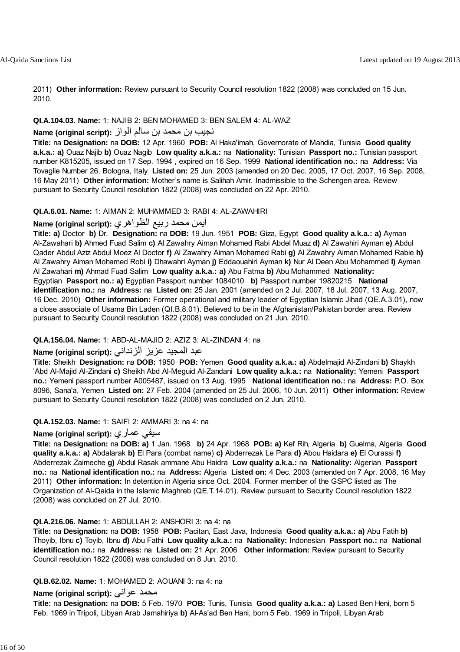2011) **Other information:** Review pursuant to Security Council resolution 1822 (2008) was concluded on 15 Jun. 2010.

#### **QI.A.104.03. Name:** 1: NAJIB 2: BEN MOHAMED 3: BEN SALEM 4: AL-WAZ

#### نجيب بن محمد بن سالم الواز **:(script original (Name**

**Title:** na **Designation:** na **DOB:** 12 Apr. 1960 **POB:** Al Haka'imah, Governorate of Mahdia, Tunisia **Good quality a.k.a.: a)** Ouaz Najib **b)** Ouaz Nagib **Low quality a.k.a.:** na **Nationality:** Tunisian **Passport no.:** Tunisian passport number K815205, issued on 17 Sep. 1994 , expired on 16 Sep. 1999 **National identification no.:** na **Address:** Via Tovaglie Number 26, Bologna, Italy **Listed on:** 25 Jun. 2003 (amended on 20 Dec. 2005, 17 Oct. 2007, 16 Sep. 2008, 16 May 2011) **Other information:** Mother's name is Salihah Amir. Inadmissible to the Schengen area. Review pursuant to Security Council resolution 1822 (2008) was concluded on 22 Apr. 2010.

#### **QI.A.6.01. Name:** 1: AIMAN 2: MUHAMMED 3: RABI 4: AL-ZAWAHIRI

### أيمن محمد ربيع الظواهري **:(script original (Name**

**Title: a)** Doctor **b)** Dr. **Designation:** na **DOB:** 19 Jun. 1951 **POB:** Giza, Egypt **Good quality a.k.a.: a)** Ayman Al-Zawahari **b)** Ahmed Fuad Salim **c)** Al Zawahry Aiman Mohamed Rabi Abdel Muaz **d)** Al Zawahiri Ayman **e)** Abdul Qader Abdul Aziz Abdul Moez Al Doctor **f)** Al Zawahry Aiman Mohamed Rabi **g)** Al Zawahry Aiman Mohamed Rabie **h)** Al Zawahry Aiman Mohamed Robi **i)** Dhawahri Ayman **j)** Eddaouahiri Ayman **k)** Nur Al Deen Abu Mohammed **l)** Ayman Al Zawahari **m)** Ahmad Fuad Salim **Low quality a.k.a.: a)** Abu Fatma **b)** Abu Mohammed **Nationality:** Egyptian **Passport no.: a)** Egyptian Passport number 1084010 **b)** Passport number 19820215 **National identification no.:** na **Address:** na **Listed on:** 25 Jan. 2001 (amended on 2 Jul. 2007, 18 Jul. 2007, 13 Aug. 2007, 16 Dec. 2010) **Other information:** Former operational and military leader of Egyptian Islamic Jihad (QE.A.3.01), now a close associate of Usama Bin Laden (QI.B.8.01). Believed to be in the Afghanistan/Pakistan border area. Review pursuant to Security Council resolution 1822 (2008) was concluded on 21 Jun. 2010.

#### **QI.A.156.04. Name:** 1: ABD-AL-MAJID 2: AZIZ 3: AL-ZINDANI 4: na

#### عبد المجيد عزيز الزنداني **:(script original (Name**

**Title:** Sheikh **Designation:** na **DOB:** 1950 **POB:** Yemen **Good quality a.k.a.: a)** Abdelmajid Al-Zindani **b)** Shaykh 'Abd Al-Majid Al-Zindani **c)** Sheikh Abd Al-Meguid Al-Zandani **Low quality a.k.a.:** na **Nationality:** Yemeni **Passport no.:** Yemeni passport number A005487, issued on 13 Aug. 1995 **National identification no.:** na **Address:** P.O. Box 8096, Sana'a, Yemen **Listed on:** 27 Feb. 2004 (amended on 25 Jul. 2006, 10 Jun. 2011) **Other information:** Review pursuant to Security Council resolution 1822 (2008) was concluded on 2 Jun. 2010.

#### **QI.A.152.03. Name:** 1: SAIFI 2: AMMARI 3: na 4: na

#### **Name (original script):** عماري سيفي

**Title:** na **Designation:** na **DOB: a)** 1 Jan. 1968 **b)** 24 Apr. 1968 **POB: a)** Kef Rih, Algeria **b)** Guelma, Algeria **Good quality a.k.a.: a)** Abdalarak **b)** El Para (combat name) **c)** Abderrezak Le Para **d)** Abou Haidara **e)** El Ourassi **f)** Abderrezak Zaimeche **g)** Abdul Rasak ammane Abu Haidra **Low quality a.k.a.:** na **Nationality:** Algerian **Passport no.:** na **National identification no.:** na **Address:** Algeria **Listed on:** 4 Dec. 2003 (amended on 7 Apr. 2008, 16 May 2011) **Other information:** In detention in Algeria since Oct. 2004. Former member of the GSPC listed as The Organization of Al-Qaida in the Islamic Maghreb (QE.T.14.01). Review pursuant to Security Council resolution 1822 (2008) was concluded on 27 Jul. 2010.

#### **QI.A.216.06. Name:** 1: ABDULLAH 2: ANSHORI 3: na 4: na

**Title:** na **Designation:** na **DOB:** 1958 **POB:** Pacitan, East Java, Indonesia **Good quality a.k.a.: a)** Abu Fatih **b)** Thoyib, Ibnu **c)** Toyib, Ibnu **d)** Abu Fathi **Low quality a.k.a.:** na **Nationality:** Indonesian **Passport no.:** na **National identification no.:** na **Address:** na **Listed on:** 21 Apr. 2006 **Other information:** Review pursuant to Security Council resolution 1822 (2008) was concluded on 8 Jun. 2010.

#### **QI.B.62.02. Name:** 1: MOHAMED 2: AOUANI 3: na 4: na

#### **Name (original script):** عواني محمد

**Title:** na **Designation:** na **DOB:** 5 Feb. 1970 **POB:** Tunis, Tunisia **Good quality a.k.a.: a)** Lased Ben Heni, born 5 Feb. 1969 in Tripoli, Libyan Arab Jamahiriya **b)** Al-As'ad Ben Hani, born 5 Feb. 1969 in Tripoli, Libyan Arab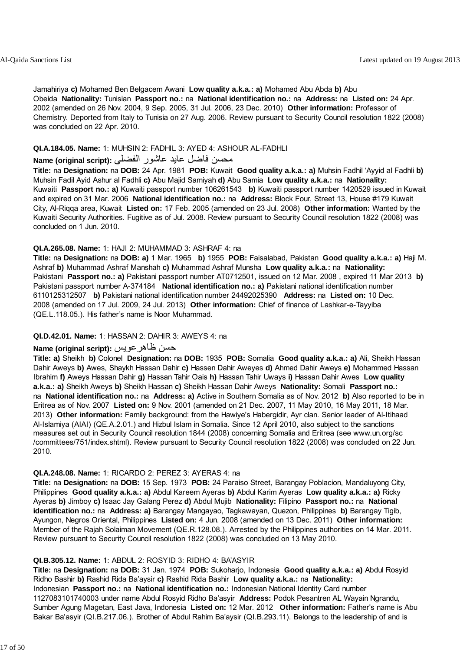Jamahiriya **c)** Mohamed Ben Belgacem Awani **Low quality a.k.a.: a)** Mohamed Abu Abda **b)** Abu Obeida **Nationality:** Tunisian **Passport no.:** na **National identification no.:** na **Address:** na **Listed on:** 24 Apr. 2002 (amended on 26 Nov. 2004, 9 Sep. 2005, 31 Jul. 2006, 23 Dec. 2010) **Other information:** Professor of Chemistry. Deported from Italy to Tunisia on 27 Aug. 2006. Review pursuant to Security Council resolution 1822 (2008) was concluded on 22 Apr. 2010.

#### **QI.A.184.05. Name:** 1: MUHSIN 2: FADHIL 3: AYED 4: ASHOUR AL-FADHLI

#### محسن فاضل عايد عاشور الفضلي **:Name (original script**)

**Title:** na **Designation:** na **DOB:** 24 Apr. 1981 **POB:** Kuwait **Good quality a.k.a.: a)** Muhsin Fadhil 'Ayyid al Fadhli **b)** Muhsin Fadil Ayid Ashur al Fadhli **c)** Abu Majid Samiyah **d)** Abu Samia **Low quality a.k.a.:** na **Nationality:** Kuwaiti **Passport no.: a)** Kuwaiti passport number 106261543 **b)** Kuwaiti passport number 1420529 issued in Kuwait and expired on 31 Mar. 2006 **National identification no.:** na **Address:** Block Four, Street 13, House #179 Kuwait City, Al-Riqqa area, Kuwait **Listed on:** 17 Feb. 2005 (amended on 23 Jul. 2008) **Other information:** Wanted by the Kuwaiti Security Authorities. Fugitive as of Jul. 2008. Review pursuant to Security Council resolution 1822 (2008) was concluded on 1 Jun. 2010.

#### **QI.A.265.08. Name:** 1: HAJI 2: MUHAMMAD 3: ASHRAF 4: na

**Title:** na **Designation:** na **DOB: a)** 1 Mar. 1965 **b)** 1955 **POB:** Faisalabad, Pakistan **Good quality a.k.a.: a)** Haji M. Ashraf **b)** Muhammad Ashraf Manshah **c)** Muhammad Ashraf Munsha **Low quality a.k.a.:** na **Nationality:** Pakistani **Passport no.: a)** Pakistani passport number AT0712501, issued on 12 Mar. 2008 , expired 11 Mar 2013 **b)** Pakistani passport number A-374184 **National identification no.: a)** Pakistani national identification number 6110125312507 **b)** Pakistani national identification number 24492025390 **Address:** na **Listed on:** 10 Dec. 2008 (amended on 17 Jul. 2009, 24 Jul. 2013) **Other information:** Chief of finance of Lashkar-e-Tayyiba (QE.L.118.05.). His father's name is Noor Muhammad.

#### **QI.D.42.01. Name:** 1: HASSAN 2: DAHIR 3: AWEYS 4: na

### **Name (original script):** ظاهرعويس حسن

**Title: a)** Sheikh **b)** Colonel **Designation:** na **DOB:** 1935 **POB:** Somalia **Good quality a.k.a.: a)** Ali, Sheikh Hassan Dahir Aweys **b)** Awes, Shaykh Hassan Dahir **c)** Hassen Dahir Aweyes **d)** Ahmed Dahir Aweys **e)** Mohammed Hassan Ibrahim **f)** Aweys Hassan Dahir **g)** Hassan Tahir Oais **h)** Hassan Tahir Uways **i)** Hassan Dahir Awes **Low quality a.k.a.: a)** Sheikh Aweys **b)** Sheikh Hassan **c)** Sheikh Hassan Dahir Aweys **Nationality:** Somali **Passport no.:** na **National identification no.:** na **Address: a)** Active in Southern Somalia as of Nov. 2012 **b)** Also reported to be in Eritrea as of Nov. 2007 **Listed on:** 9 Nov. 2001 (amended on 21 Dec. 2007, 11 May 2010, 16 May 2011, 18 Mar. 2013) **Other information:** Family background: from the Hawiye's Habergidir, Ayr clan. Senior leader of Al-Itihaad Al-Islamiya (AIAI) (QE.A.2.01.) and Hizbul Islam in Somalia. Since 12 April 2010, also subject to the sanctions measures set out in Security Council resolution 1844 (2008) concerning Somalia and Eritrea (see www.un.org/sc /committees/751/index.shtml). Review pursuant to Security Council resolution 1822 (2008) was concluded on 22 Jun. 2010.

#### **QI.A.248.08. Name:** 1: RICARDO 2: PEREZ 3: AYERAS 4: na

**Title:** na **Designation:** na **DOB:** 15 Sep. 1973 **POB:** 24 Paraiso Street, Barangay Poblacion, Mandaluyong City, Philippines **Good quality a.k.a.: a)** Abdul Kareem Ayeras **b)** Abdul Karim Ayeras **Low quality a.k.a.: a)** Ricky Ayeras **b)** Jimboy **c)** Isaac Jay Galang Perez **d)** Abdul Mujib **Nationality:** Filipino **Passport no.:** na **National identification no.:** na **Address: a)** Barangay Mangayao, Tagkawayan, Quezon, Philippines **b)** Barangay Tigib, Ayungon, Negros Oriental, Philippines **Listed on:** 4 Jun. 2008 (amended on 13 Dec. 2011) **Other information:** Member of the Rajah Solaiman Movement (QE.R.128.08.). Arrested by the Philippines authorities on 14 Mar. 2011. Review pursuant to Security Council resolution 1822 (2008) was concluded on 13 May 2010.

#### **QI.B.305.12. Name:** 1: ABDUL 2: ROSYID 3: RIDHO 4: BA'ASYIR

**Title:** na **Designation:** na **DOB:** 31 Jan. 1974 **POB:** Sukoharjo, Indonesia **Good quality a.k.a.: a)** Abdul Rosyid Ridho Bashir **b)** Rashid Rida Ba'aysir **c)** Rashid Rida Bashir **Low quality a.k.a.:** na **Nationality:** Indonesian **Passport no.:** na **National identification no.:** Indonesian National Identity Card number 1127083101740003 under name Abdul Rosyid Ridho Ba'asyir **Address:** Podok Pesantren AL Wayain Ngrandu, Sumber Agung Magetan, East Java, Indonesia **Listed on:** 12 Mar. 2012 **Other information:** Father's name is Abu Bakar Ba'asyir (QI.B.217.06.). Brother of Abdul Rahim Ba'aysir (QI.B.293.11). Belongs to the leadership of and is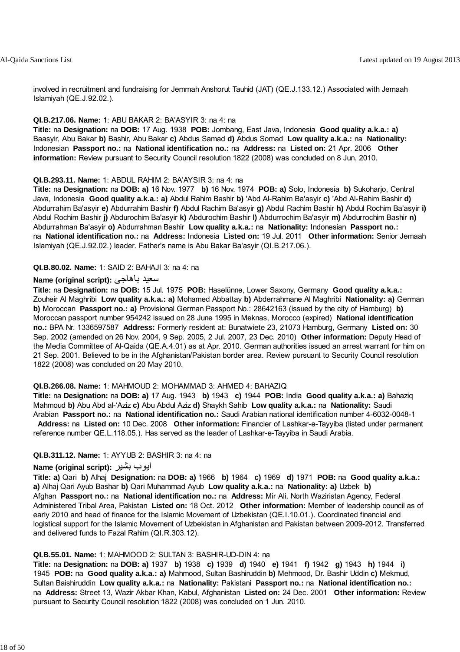involved in recruitment and fundraising for Jemmah Anshorut Tauhid (JAT) (QE.J.133.12.) Associated with Jemaah Islamiyah (QE.J.92.02.).

#### **QI.B.217.06. Name:** 1: ABU BAKAR 2: BA'ASYIR 3: na 4: na

**Title:** na **Designation:** na **DOB:** 17 Aug. 1938 **POB:** Jombang, East Java, Indonesia **Good quality a.k.a.: a)** Baasyir, Abu Bakar **b)** Bashir, Abu Bakar **c)** Abdus Samad **d)** Abdus Somad **Low quality a.k.a.:** na **Nationality:** Indonesian **Passport no.:** na **National identification no.:** na **Address:** na **Listed on:** 21 Apr. 2006 **Other information:** Review pursuant to Security Council resolution 1822 (2008) was concluded on 8 Jun. 2010.

#### **QI.B.293.11. Name:** 1: ABDUL RAHIM 2: BA'AYSIR 3: na 4: na

**Title:** na **Designation:** na **DOB: a)** 16 Nov. 1977 **b)** 16 Nov. 1974 **POB: a)** Solo, Indonesia **b)** Sukoharjo, Central Java, Indonesia **Good quality a.k.a.: a)** Abdul Rahim Bashir **b)** 'Abd Al-Rahim Ba'asyir **c)** 'Abd Al-Rahim Bashir **d)** Abdurrahim Ba'asyir **e)** Abdurrahim Bashir **f)** Abdul Rachim Ba'asyir **g)** Abdul Rachim Bashir **h)** Abdul Rochim Ba'asyir **i)** Abdul Rochim Bashir **j)** Abdurochim Ba'asyir **k)** Abdurochim Bashir **l)** Abdurrochim Ba'asyir **m)** Abdurrochim Bashir **n)** Abdurrahman Ba'asyir **o)** Abdurrahman Bashir **Low quality a.k.a.:** na **Nationality:** Indonesian **Passport no.:** na **National identification no.:** na **Address:** Indonesia **Listed on:** 19 Jul. 2011 **Other information:** Senior Jemaah Islamiyah (QE.J.92.02.) leader. Father's name is Abu Bakar Ba'asyir (QI.B.217.06.).

#### **QI.B.80.02. Name:** 1: SAID 2: BAHAJI 3: na 4: na

#### **Name (original script):** باهاجى سعيد

**Title:** na **Designation:** na **DOB:** 15 Jul. 1975 **POB:** Haselünne, Lower Saxony, Germany **Good quality a.k.a.:** Zouheir Al Maghribi **Low quality a.k.a.: a)** Mohamed Abbattay **b)** Abderrahmane Al Maghribi **Nationality: a)** German **b)** Moroccan **Passport no.: a)** Provisional German Passport No.: 28642163 (issued by the city of Hamburg) **b)** Moroccan passport number 954242 issued on 28 June 1995 in Meknas, Morocco (expired) **National identification no.:** BPA Nr. 1336597587 **Address:** Formerly resident at: Bunatwiete 23, 21073 Hamburg, Germany **Listed on:** 30 Sep. 2002 (amended on 26 Nov. 2004, 9 Sep. 2005, 2 Jul. 2007, 23 Dec. 2010) **Other information:** Deputy Head of the Media Committee of Al-Qaida (QE.A.4.01) as at Apr. 2010. German authorities issued an arrest warrant for him on 21 Sep. 2001. Believed to be in the Afghanistan/Pakistan border area. Review pursuant to Security Council resolution 1822 (2008) was concluded on 20 May 2010.

#### **QI.B.266.08. Name:** 1: MAHMOUD 2: MOHAMMAD 3: AHMED 4: BAHAZIQ

**Title:** na **Designation:** na **DOB: a)** 17 Aug. 1943 **b)** 1943 **c)** 1944 **POB:** India **Good quality a.k.a.: a)** Bahaziq Mahmoud **b)** Abu Abd al-'Aziz **c)** Abu Abdul Aziz **d)** Shaykh Sahib **Low quality a.k.a.:** na **Nationality:** Saudi Arabian **Passport no.:** na **National identification no.:** Saudi Arabian national identification number 4-6032-0048-1 **Address:** na **Listed on:** 10 Dec. 2008 **Other information:** Financier of Lashkar-e-Tayyiba (listed under permanent reference number QE.L.118.05.). Has served as the leader of Lashkar-e-Tayyiba in Saudi Arabia.

#### **QI.B.311.12. Name:** 1: AYYUB 2: BASHIR 3: na 4: na

#### **Name (original script):** بشير ايوب

**Title: a)** Qari **b)** Alhaj **Designation:** na **DOB: a)** 1966 **b)** 1964 **c)** 1969 **d)** 1971 **POB:** na **Good quality a.k.a.: a)** Alhaj Qari Ayub Bashar **b)** Qari Muhammad Ayub **Low quality a.k.a.:** na **Nationality: a)** Uzbek **b)** Afghan **Passport no.:** na **National identification no.:** na **Address:** Mir Ali, North Waziristan Agency, Federal Administered Tribal Area, Pakistan **Listed on:** 18 Oct. 2012 **Other information:** Member of leadership council as of early 2010 and head of finance for the Islamic Movement of Uzbekistan (QE.I.10.01.). Coordinated financial and logistical support for the Islamic Movement of Uzbekistan in Afghanistan and Pakistan between 2009-2012. Transferred and delivered funds to Fazal Rahim (QI.R.303.12).

#### **QI.B.55.01. Name:** 1: MAHMOOD 2: SULTAN 3: BASHIR-UD-DIN 4: na

**Title:** na **Designation:** na **DOB: a)** 1937 **b)** 1938 **c)** 1939 **d)** 1940 **e)** 1941 **f)** 1942 **g)** 1943 **h)** 1944 **i)** 1945 **POB:** na **Good quality a.k.a.: a)** Mahmood, Sultan Bashiruddin **b)** Mehmood, Dr. Bashir Uddin **c)** Mekmud, Sultan Baishiruddin **Low quality a.k.a.:** na **Nationality:** Pakistani **Passport no.:** na **National identification no.:** na **Address:** Street 13, Wazir Akbar Khan, Kabul, Afghanistan **Listed on:** 24 Dec. 2001 **Other information:** Review pursuant to Security Council resolution 1822 (2008) was concluded on 1 Jun. 2010.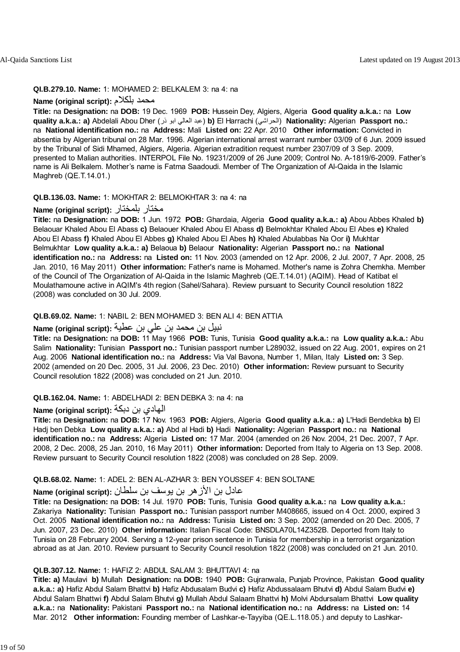#### **QI.B.279.10. Name:** 1: MOHAMED 2: BELKALEM 3: na 4: na

**Name (original script):** بلكلام محمد

**Title:** na **Designation:** na **DOB:** 19 Dec. 1969 **POB:** Hussein Dey, Algiers, Algeria **Good quality a.k.a.:** na **Low quality a.k.a.: a)** Abdelali Abou Dher (ذر ابو العالي عبد (**b)** El Harrachi (الحراشي (**Nationality:** Algerian **Passport no.:** na **National identification no.:** na **Address:** Mali **Listed on:** 22 Apr. 2010 **Other information:** Convicted in absentia by Algerian tribunal on 28 Mar. 1996. Algerian international arrest warrant number 03/09 of 6 Jun. 2009 issued by the Tribunal of Sidi Mhamed, Algiers, Algeria. Algerian extradition request number 2307/09 of 3 Sep. 2009, presented to Malian authorities. INTERPOL File No. 19231/2009 of 26 June 2009; Control No. A-1819/6-2009. Father's name is Ali Belkalem. Mother's name is Fatma Saadoudi. Member of The Organization of Al-Qaida in the Islamic Maghreb (QE.T.14.01.)

#### **QI.B.136.03. Name:** 1: MOKHTAR 2: BELMOKHTAR 3: na 4: na

#### **Name (original script):** بلمختار مختار

**Title:** na **Designation:** na **DOB:** 1 Jun. 1972 **POB:** Ghardaia, Algeria **Good quality a.k.a.: a)** Abou Abbes Khaled **b)** Belaouar Khaled Abou El Abass **c)** Belaouer Khaled Abou El Abass **d)** Belmokhtar Khaled Abou El Abes **e)** Khaled Abou El Abass **f)** Khaled Abou El Abbes **g)** Khaled Abou El Abes **h)** Khaled Abulabbas Na Oor **i)** Mukhtar Belmukhtar **Low quality a.k.a.: a)** Belaoua **b)** Belaour **Nationality:** Algerian **Passport no.:** na **National identification no.:** na **Address:** na **Listed on:** 11 Nov. 2003 (amended on 12 Apr. 2006, 2 Jul. 2007, 7 Apr. 2008, 25 Jan. 2010, 16 May 2011) **Other information:** Father's name is Mohamed. Mother's name is Zohra Chemkha. Member of the Council of The Organization of Al-Qaida in the Islamic Maghreb (QE.T.14.01) (AQIM). Head of Katibat el Moulathamoune active in AQIM's 4th region (Sahel/Sahara). Review pursuant to Security Council resolution 1822 (2008) was concluded on 30 Jul. 2009.

#### **QI.B.69.02. Name:** 1: NABIL 2: BEN MOHAMED 3: BEN ALI 4: BEN ATTIA

#### نبيل بن محمد بن علي بن عطية **:(script original (Name**

**Title:** na **Designation:** na **DOB:** 11 May 1966 **POB:** Tunis, Tunisia **Good quality a.k.a.:** na **Low quality a.k.a.:** Abu Salim **Nationality:** Tunisian **Passport no.:** Tunisian passport number L289032, issued on 22 Aug. 2001, expires on 21 Aug. 2006 **National identification no.:** na **Address:** Via Val Bavona, Number 1, Milan, Italy **Listed on:** 3 Sep. 2002 (amended on 20 Dec. 2005, 31 Jul. 2006, 23 Dec. 2010) **Other information:** Review pursuant to Security Council resolution 1822 (2008) was concluded on 21 Jun. 2010.

#### **QI.B.162.04. Name:** 1: ABDELHADI 2: BEN DEBKA 3: na 4: na

#### الهادي بن دبكة **:(script original (Name**

**Title:** na **Designation:** na **DOB:** 17 Nov. 1963 **POB:** Algiers, Algeria **Good quality a.k.a.: a)** L'Hadi Bendebka **b)** El Hadj ben Debka **Low quality a.k.a.: a)** Abd al Hadi **b)** Hadi **Nationality:** Algerian **Passport no.:** na **National identification no.:** na **Address:** Algeria **Listed on:** 17 Mar. 2004 (amended on 26 Nov. 2004, 21 Dec. 2007, 7 Apr. 2008, 2 Dec. 2008, 25 Jan. 2010, 16 May 2011) **Other information:** Deported from Italy to Algeria on 13 Sep. 2008. Review pursuant to Security Council resolution 1822 (2008) was concluded on 28 Sep. 2009.

#### **QI.B.68.02. Name:** 1: ADEL 2: BEN AL-AZHAR 3: BEN YOUSSEF 4: BEN SOLTANE

### عادل بن الأزهر بن يوسف بن سلطان **:(script original (Name**

**Title:** na **Designation:** na **DOB:** 14 Jul. 1970 **POB:** Tunis, Tunisia **Good quality a.k.a.:** na **Low quality a.k.a.:** Zakariya **Nationality:** Tunisian **Passport no.:** Tunisian passport number M408665, issued on 4 Oct. 2000, expired 3 Oct. 2005 **National identification no.:** na **Address:** Tunisia **Listed on:** 3 Sep. 2002 (amended on 20 Dec. 2005, 7 Jun. 2007, 23 Dec. 2010) **Other information:** Italian Fiscal Code: BNSDLA70L14Z352B. Deported from Italy to Tunisia on 28 February 2004. Serving a 12-year prison sentence in Tunisia for membership in a terrorist organization abroad as at Jan. 2010. Review pursuant to Security Council resolution 1822 (2008) was concluded on 21 Jun. 2010.

#### **QI.B.307.12. Name:** 1: HAFIZ 2: ABDUL SALAM 3: BHUTTAVI 4: na

**Title: a)** Maulavi **b)** Mullah **Designation:** na **DOB:** 1940 **POB:** Gujranwala, Punjab Province, Pakistan **Good quality a.k.a.: a)** Hafiz Abdul Salam Bhattvi **b)** Hafiz Abdusalam Budvi **c)** Hafiz Abdussalaam Bhutvi **d)** Abdul Salam Budvi **e)** Abdul Salam Bhattwi **f)** Abdul Salam Bhutvi **g)** Mullah Abdul Salaam Bhattvi **h)** Molvi Abdursalam Bhattvi **Low quality a.k.a.:** na **Nationality:** Pakistani **Passport no.:** na **National identification no.:** na **Address:** na **Listed on:** 14 Mar. 2012 **Other information:** Founding member of Lashkar-e-Tayyiba (QE.L.118.05.) and deputy to Lashkar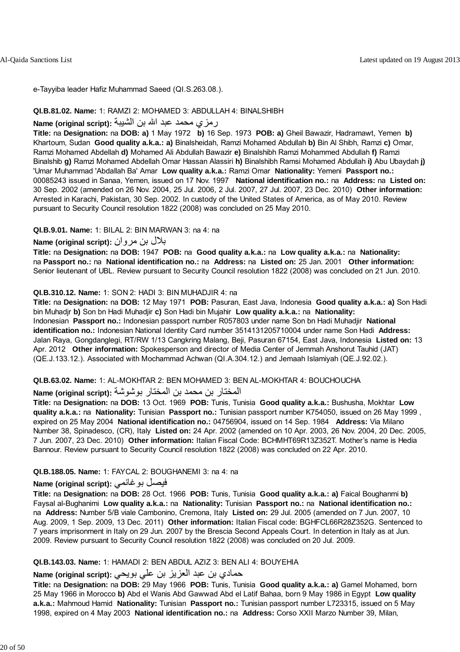e-Tayyiba leader Hafiz Muhammad Saeed (QI.S.263.08.).

#### **QI.B.81.02. Name:** 1: RAMZI 2: MOHAMED 3: ABDULLAH 4: BINALSHIBH

### رمزي محمد عبد االله بن الشيبة **:(script original (Name**

**Title:** na **Designation:** na **DOB: a)** 1 May 1972 **b)** 16 Sep. 1973 **POB: a)** Gheil Bawazir, Hadramawt, Yemen **b)** Khartoum, Sudan **Good quality a.k.a.: a)** Binalsheidah, Ramzi Mohamed Abdullah **b)** Bin Al Shibh, Ramzi **c)** Omar, Ramzi Mohamed Abdellah **d)** Mohamed Ali Abdullah Bawazir **e)** Binalshibh Ramzi Mohammed Abdullah **f)** Ramzi Binalshib **g)** Ramzi Mohamed Abdellah Omar Hassan Alassiri **h)** Binalshibh Ramsi Mohamed Abdullah **i)** Abu Ubaydah **j)** 'Umar Muhammad 'Abdallah Ba' Amar **Low quality a.k.a.:** Ramzi Omar **Nationality:** Yemeni **Passport no.:** 00085243 issued in Sanaa, Yemen, issued on 17 Nov. 1997 **National identification no.:** na **Address:** na **Listed on:** 30 Sep. 2002 (amended on 26 Nov. 2004, 25 Jul. 2006, 2 Jul. 2007, 27 Jul. 2007, 23 Dec. 2010) **Other information:** Arrested in Karachi, Pakistan, 30 Sep. 2002. In custody of the United States of America, as of May 2010. Review pursuant to Security Council resolution 1822 (2008) was concluded on 25 May 2010.

#### **QI.B.9.01. Name:** 1: BILAL 2: BIN MARWAN 3: na 4: na

#### بلال بن مروان **:(script original (Name**

**Title:** na **Designation:** na **DOB:** 1947 **POB:** na **Good quality a.k.a.:** na **Low quality a.k.a.:** na **Nationality:** na **Passport no.:** na **National identification no.:** na **Address:** na **Listed on:** 25 Jan. 2001 **Other information:** Senior lieutenant of UBL. Review pursuant to Security Council resolution 1822 (2008) was concluded on 21 Jun. 2010.

#### **QI.B.310.12. Name:** 1: SON 2: HADI 3: BIN MUHADJIR 4: na

**Title:** na **Designation:** na **DOB:** 12 May 1971 **POB:** Pasuran, East Java, Indonesia **Good quality a.k.a.: a)** Son Hadi bin Muhadjr **b)** Son bn Hadi Muhadjir **c)** Son Hadi bin Mujahir **Low quality a.k.a.:** na **Nationality:** Indonesian **Passport no.:** Indonesian passport number R057803 under name Son bn Hadi Muhadjir **National identification no.:** Indonesian National Identity Card number 3514131205710004 under name Son Hadi **Address:** Jalan Raya, Gongdanglegi, RT/RW 1/13 Cangkring Malang, Beji, Pasuran 67154, East Java, Indonesia **Listed on:** 13 Apr. 2012 **Other information:** Spokesperson and director of Media Center of Jemmah Anshorut Tauhid (JAT) (QE.J.133.12.). Associated with Mochammad Achwan (QI.A.304.12.) and Jemaah Islamiyah (QE.J.92.02.).

#### **QI.B.63.02. Name:** 1: AL-MOKHTAR 2: BEN MOHAMED 3: BEN AL-MOKHTAR 4: BOUCHOUCHA

#### المختار بن محمد بن المختار بوشوشة **:(script original (Name**

**Title:** na **Designation:** na **DOB:** 13 Oct. 1969 **POB:** Tunis, Tunisia **Good quality a.k.a.:** Bushusha, Mokhtar **Low quality a.k.a.:** na **Nationality:** Tunisian **Passport no.:** Tunisian passport number K754050, issued on 26 May 1999 , expired on 25 May 2004 **National identification no.:** 04756904, issued on 14 Sep. 1984 **Address:** Via Milano Number 38, Spinadesco, (CR), Italy **Listed on:** 24 Apr. 2002 (amended on 10 Apr. 2003, 26 Nov. 2004, 20 Dec. 2005, 7 Jun. 2007, 23 Dec. 2010) **Other information:** Italian Fiscal Code: BCHMHT69R13Z352T. Mother's name is Hedia Bannour. Review pursuant to Security Council resolution 1822 (2008) was concluded on 22 Apr. 2010.

#### **QI.B.188.05. Name:** 1: FAYCAL 2: BOUGHANEMI 3: na 4: na

### **Name (original script):** بوغانمي فيصل

**Title:** na **Designation:** na **DOB:** 28 Oct. 1966 **POB:** Tunis, Tunisia **Good quality a.k.a.: a)** Faical Boughanmi **b)** Faysal al-Bughanimi **Low quality a.k.a.:** na **Nationality:** Tunisian **Passport no.:** na **National identification no.:** na **Address:** Number 5/B viale Cambonino, Cremona, Italy **Listed on:** 29 Jul. 2005 (amended on 7 Jun. 2007, 10 Aug. 2009, 1 Sep. 2009, 13 Dec. 2011) **Other information:** Italian Fiscal code: BGHFCL66R28Z352G. Sentenced to 7 years imprisonment in Italy on 29 Jun. 2007 by the Brescia Second Appeals Court. In detention in Italy as at Jun. 2009. Review pursuant to Security Council resolution 1822 (2008) was concluded on 20 Jul. 2009.

#### **QI.B.143.03. Name:** 1: HAMADI 2: BEN ABDUL AZIZ 3: BEN ALI 4: BOUYEHIA

### حمادي بن عبد العزيز بن علي بويحي **:(script original (Name**

**Title:** na **Designation:** na **DOB:** 29 May 1966 **POB:** Tunis, Tunisia **Good quality a.k.a.: a)** Gamel Mohamed, born 25 May 1966 in Morocco **b)** Abd el Wanis Abd Gawwad Abd el Latif Bahaa, born 9 May 1986 in Egypt **Low quality a.k.a.:** Mahmoud Hamid **Nationality:** Tunisian **Passport no.:** Tunisian passport number L723315, issued on 5 May 1998, expired on 4 May 2003 **National identification no.:** na **Address:** Corso XXII Marzo Number 39, Milan,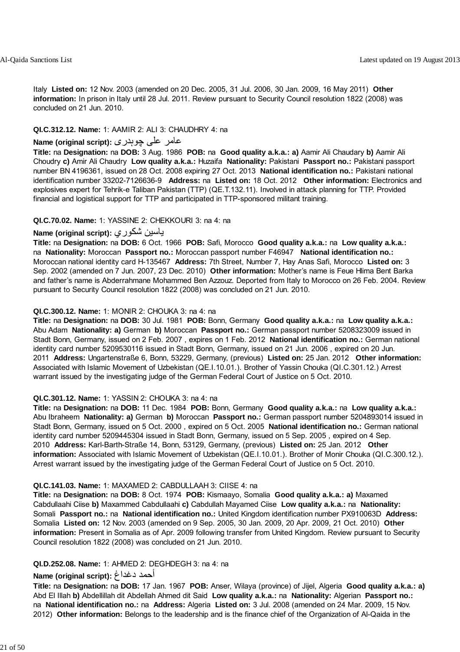Italy **Listed on:** 12 Nov. 2003 (amended on 20 Dec. 2005, 31 Jul. 2006, 30 Jan. 2009, 16 May 2011) **Other information:** In prison in Italy until 28 Jul. 2011. Review pursuant to Security Council resolution 1822 (2008) was concluded on 21 Jun. 2010.

#### **QI.C.312.12. Name:** 1: AAMIR 2: ALI 3: CHAUDHRY 4: na

### عامر علی چوہدری **:(script original (Name**

**Title:** na **Designation:** na **DOB:** 3 Aug. 1986 **POB:** na **Good quality a.k.a.: a)** Aamir Ali Chaudary **b)** Aamir Ali Choudry **c)** Amir Ali Chaudry **Low quality a.k.a.:** Huzaifa **Nationality:** Pakistani **Passport no.:** Pakistani passport number BN 4196361, issued on 28 Oct. 2008 expiring 27 Oct. 2013 **National identification no.:** Pakistani national identification number 33202-7126636-9 **Address:** na **Listed on:** 18 Oct. 2012 **Other information:** Electronics and explosives expert for Tehrik-e Taliban Pakistan (TTP) (QE.T.132.11). Involved in attack planning for TTP. Provided financial and logistical support for TTP and participated in TTP-sponsored militant training.

#### **QI.C.70.02. Name:** 1: YASSINE 2: CHEKKOURI 3: na 4: na

#### **Name (original script):** شكوري ياسين

**Title:** na **Designation:** na **DOB:** 6 Oct. 1966 **POB:** Safi, Morocco **Good quality a.k.a.:** na **Low quality a.k.a.:** na **Nationality:** Moroccan **Passport no.:** Moroccan passport number F46947 **National identification no.:** Moroccan national identity card H-135467 **Address:** 7th Street, Number 7, Hay Anas Safi, Morocco **Listed on:** 3 Sep. 2002 (amended on 7 Jun. 2007, 23 Dec. 2010) **Other information:** Mother's name is Feue Hlima Bent Barka and father's name is Abderrahmane Mohammed Ben Azzouz. Deported from Italy to Morocco on 26 Feb. 2004. Review pursuant to Security Council resolution 1822 (2008) was concluded on 21 Jun. 2010.

#### **QI.C.300.12. Name:** 1: MONIR 2: CHOUKA 3: na 4: na

**Title:** na **Designation:** na **DOB:** 30 Jul. 1981 **POB:** Bonn, Germany **Good quality a.k.a.:** na **Low quality a.k.a.:** Abu Adam **Nationality: a)** German **b)** Moroccan **Passport no.:** German passport number 5208323009 issued in Stadt Bonn, Germany, issued on 2 Feb. 2007 , expires on 1 Feb. 2012 **National identification no.:** German national identity card number 5209530116 issued in Stadt Bonn, Germany, issued on 21 Jun. 2006 , expired on 20 Jun. 2011 **Address:** Ungartenstraße 6, Bonn, 53229, Germany, (previous) **Listed on:** 25 Jan. 2012 **Other information:** Associated with Islamic Movement of Uzbekistan (QE.I.10.01.). Brother of Yassin Chouka (QI.C.301.12.) Arrest warrant issued by the investigating judge of the German Federal Court of Justice on 5 Oct. 2010.

#### **QI.C.301.12. Name:** 1: YASSIN 2: CHOUKA 3: na 4: na

**Title:** na **Designation:** na **DOB:** 11 Dec. 1984 **POB:** Bonn, Germany **Good quality a.k.a.:** na **Low quality a.k.a.:** Abu Ibraheem **Nationality: a)** German **b)** Moroccan **Passport no.:** German passport number 5204893014 issued in Stadt Bonn, Germany, issued on 5 Oct. 2000 , expired on 5 Oct. 2005 **National identification no.:** German national identity card number 5209445304 issued in Stadt Bonn, Germany, issued on 5 Sep. 2005 , expired on 4 Sep. 2010 **Address:** Karl-Barth-Straße 14, Bonn, 53129, Germany, (previous) **Listed on:** 25 Jan. 2012 **Other information:** Associated with Islamic Movement of Uzbekistan (QE.I.10.01.). Brother of Monir Chouka (QI.C.300.12.). Arrest warrant issued by the investigating judge of the German Federal Court of Justice on 5 Oct. 2010.

#### **QI.C.141.03. Name:** 1: MAXAMED 2: CABDULLAAH 3: CIISE 4: na

**Title:** na **Designation:** na **DOB:** 8 Oct. 1974 **POB:** Kismaayo, Somalia **Good quality a.k.a.: a)** Maxamed Cabdullaahi Ciise **b)** Maxammed Cabdullaahi **c)** Cabdullah Mayamed Ciise **Low quality a.k.a.:** na **Nationality:** Somali **Passport no.:** na **National identification no.:** United Kingdom identification number PX910063D **Address:** Somalia **Listed on:** 12 Nov. 2003 (amended on 9 Sep. 2005, 30 Jan. 2009, 20 Apr. 2009, 21 Oct. 2010) **Other information:** Present in Somalia as of Apr. 2009 following transfer from United Kingdom. Review pursuant to Security Council resolution 1822 (2008) was concluded on 21 Jun. 2010.

#### **QI.D.252.08. Name:** 1: AHMED 2: DEGHDEGH 3: na 4: na

#### **Name (original script):** دغداغ أحمد

**Title:** na **Designation:** na **DOB:** 17 Jan. 1967 **POB:** Anser, Wilaya (province) of Jijel, Algeria **Good quality a.k.a.: a)** Abd El Illah **b)** Abdellillah dit Abdellah Ahmed dit Said **Low quality a.k.a.:** na **Nationality:** Algerian **Passport no.:** na **National identification no.:** na **Address:** Algeria **Listed on:** 3 Jul. 2008 (amended on 24 Mar. 2009, 15 Nov. 2012) **Other information:** Belongs to the leadership and is the finance chief of the Organization of Al-Qaida in the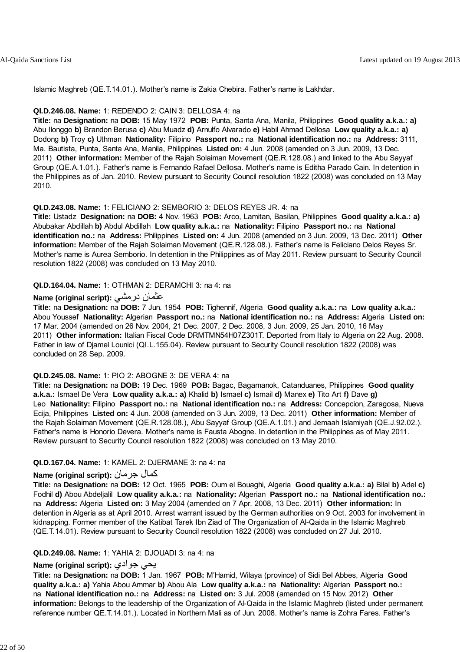Islamic Maghreb (QE.T.14.01.). Mother's name is Zakia Chebira. Father's name is Lakhdar.

#### **QI.D.246.08. Name:** 1: REDENDO 2: CAIN 3: DELLOSA 4: na

**Title:** na **Designation:** na **DOB:** 15 May 1972 **POB:** Punta, Santa Ana, Manila, Philippines **Good quality a.k.a.: a)** Abu Ilonggo **b)** Brandon Berusa **c)** Abu Muadz **d)** Arnulfo Alvarado **e)** Habil Ahmad Dellosa **Low quality a.k.a.: a)** Dodong **b)** Troy **c)** Uthman **Nationality:** Filipino **Passport no.:** na **National identification no.:** na **Address:** 3111, Ma. Bautista, Punta, Santa Ana, Manila, Philippines **Listed on:** 4 Jun. 2008 (amended on 3 Jun. 2009, 13 Dec. 2011) **Other information:** Member of the Rajah Solaiman Movement (QE.R.128.08.) and linked to the Abu Sayyaf Group (QE.A.1.01.). Father's name is Fernando Rafael Dellosa. Mother's name is Editha Parado Cain. In detention in the Philippines as of Jan. 2010. Review pursuant to Security Council resolution 1822 (2008) was concluded on 13 May 2010.

#### **QI.D.243.08. Name:** 1: FELICIANO 2: SEMBORIO 3: DELOS REYES JR. 4: na

**Title:** Ustadz **Designation:** na **DOB:** 4 Nov. 1963 **POB:** Arco, Lamitan, Basilan, Philippines **Good quality a.k.a.: a)** Abubakar Abdillah **b)** Abdul Abdillah **Low quality a.k.a.:** na **Nationality:** Filipino **Passport no.:** na **National identification no.:** na **Address:** Philippines **Listed on:** 4 Jun. 2008 (amended on 3 Jun. 2009, 13 Dec. 2011) **Other information:** Member of the Rajah Solaiman Movement (QE.R.128.08.). Father's name is Feliciano Delos Reyes Sr. Mother's name is Aurea Semborio. In detention in the Philippines as of May 2011. Review pursuant to Security Council resolution 1822 (2008) was concluded on 13 May 2010.

#### **QI.D.164.04. Name:** 1: OTHMAN 2: DERAMCHI 3: na 4: na

### **Name (original script):** درمشي عثمان

**Title:** na **Designation:** na **DOB:** 7 Jun. 1954 **POB:** Tighennif, Algeria **Good quality a.k.a.:** na **Low quality a.k.a.:** Abou Youssef **Nationality:** Algerian **Passport no.:** na **National identification no.:** na **Address:** Algeria **Listed on:** 17 Mar. 2004 (amended on 26 Nov. 2004, 21 Dec. 2007, 2 Dec. 2008, 3 Jun. 2009, 25 Jan. 2010, 16 May 2011) **Other information:** Italian Fiscal Code DRMTMN54H07Z301T. Deported from Italy to Algeria on 22 Aug. 2008. Father in law of Djamel Lounici (QI.L.155.04). Review pursuant to Security Council resolution 1822 (2008) was concluded on 28 Sep. 2009.

#### **QI.D.245.08. Name:** 1: PIO 2: ABOGNE 3: DE VERA 4: na

**Title:** na **Designation:** na **DOB:** 19 Dec. 1969 **POB:** Bagac, Bagamanok, Catanduanes, Philippines **Good quality a.k.a.:** Ismael De Vera **Low quality a.k.a.: a)** Khalid **b)** Ismael **c)** Ismail **d)** Manex **e)** Tito Art **f)** Dave **g)** Leo **Nationality:** Filipino **Passport no.:** na **National identification no.:** na **Address:** Concepcion, Zaragosa, Nueva Ecija, Philippines **Listed on:** 4 Jun. 2008 (amended on 3 Jun. 2009, 13 Dec. 2011) **Other information:** Member of the Rajah Solaiman Movement (QE.R.128.08.), Abu Sayyaf Group (QE.A.1.01.) and Jemaah Islamiyah (QE.J.92.02.). Father's name is Honorio Devera. Mother's name is Fausta Abogne. In detention in the Philippines as of May 2011. Review pursuant to Security Council resolution 1822 (2008) was concluded on 13 May 2010.

#### **QI.D.167.04. Name:** 1: KAMEL 2: DJERMANE 3: na 4: na

#### **Name (original script):** جرمان آمال

**Title:** na **Designation:** na **DOB:** 12 Oct. 1965 **POB:** Oum el Bouaghi, Algeria **Good quality a.k.a.: a)** Bilal **b)** Adel **c)** Fodhil **d)** Abou Abdeljalil **Low quality a.k.a.:** na **Nationality:** Algerian **Passport no.:** na **National identification no.:** na **Address:** Algeria **Listed on:** 3 May 2004 (amended on 7 Apr. 2008, 13 Dec. 2011) **Other information:** In detention in Algeria as at April 2010. Arrest warrant issued by the German authorities on 9 Oct. 2003 for involvement in kidnapping. Former member of the Katibat Tarek Ibn Ziad of The Organization of Al-Qaida in the Islamic Maghreb (QE.T.14.01). Review pursuant to Security Council resolution 1822 (2008) was concluded on 27 Jul. 2010.

#### **QI.D.249.08. Name:** 1: YAHIA 2: DJOUADI 3: na 4: na

### **Name (original script):** جوادي يحي

**Title:** na **Designation:** na **DOB:** 1 Jan. 1967 **POB:** M'Hamid, Wilaya (province) of Sidi Bel Abbes, Algeria **Good quality a.k.a.: a)** Yahia Abou Ammar **b)** Abou Ala **Low quality a.k.a.:** na **Nationality:** Algerian **Passport no.:** na **National identification no.:** na **Address:** na **Listed on:** 3 Jul. 2008 (amended on 15 Nov. 2012) **Other information:** Belongs to the leadership of the Organization of Al-Qaida in the Islamic Maghreb (listed under permanent reference number QE.T.14.01.). Located in Northern Mali as of Jun. 2008. Mother's name is Zohra Fares. Father's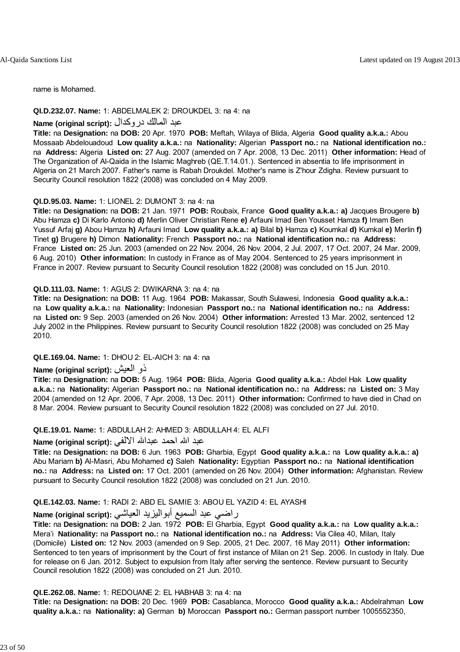name is Mohamed.

#### **QI.D.232.07. Name:** 1: ABDELMALEK 2: DROUKDEL 3: na 4: na

#### عبد المالك دروآدال **:(script original (Name**

**Title:** na **Designation:** na **DOB:** 20 Apr. 1970 **POB:** Meftah, Wilaya of Blida, Algeria **Good quality a.k.a.:** Abou Mossaab Abdelouadoud **Low quality a.k.a.:** na **Nationality:** Algerian **Passport no.:** na **National identification no.:** na **Address:** Algeria **Listed on:** 27 Aug. 2007 (amended on 7 Apr. 2008, 13 Dec. 2011) **Other information:** Head of The Organization of Al-Qaida in the Islamic Maghreb (QE.T.14.01.). Sentenced in absentia to life imprisonment in Algeria on 21 March 2007. Father's name is Rabah Droukdel. Mother's name is Z'hour Zdigha. Review pursuant to Security Council resolution 1822 (2008) was concluded on 4 May 2009.

#### **QI.D.95.03. Name:** 1: LIONEL 2: DUMONT 3: na 4: na

**Title:** na **Designation:** na **DOB:** 21 Jan. 1971 **POB:** Roubaix, France **Good quality a.k.a.: a)** Jacques Brougere **b)** Abu Hamza **c)** Di Karlo Antonio **d)** Merlin Oliver Christian Rene **e)** Arfauni Imad Ben Yousset Hamza **f)** Imam Ben Yussuf Arfaj **g)** Abou Hamza **h)** Arfauni Imad **Low quality a.k.a.: a)** Bilal **b)** Hamza **c)** Koumkal **d)** Kumkal **e)** Merlin **f)** Tinet **g)** Brugere **h)** Dimon **Nationality:** French **Passport no.:** na **National identification no.:** na **Address:** France **Listed on:** 25 Jun. 2003 (amended on 22 Nov. 2004, 26 Nov. 2004, 2 Jul. 2007, 17 Oct. 2007, 24 Mar. 2009, 6 Aug. 2010) **Other information:** In custody in France as of May 2004. Sentenced to 25 years imprisonment in France in 2007. Review pursuant to Security Council resolution 1822 (2008) was concluded on 15 Jun. 2010.

#### **QI.D.111.03. Name:** 1: AGUS 2: DWIKARNA 3: na 4: na

**Title:** na **Designation:** na **DOB:** 11 Aug. 1964 **POB:** Makassar, South Sulawesi, Indonesia **Good quality a.k.a.:** na **Low quality a.k.a.:** na **Nationality:** Indonesian **Passport no.:** na **National identification no.:** na **Address:** na **Listed on:** 9 Sep. 2003 (amended on 26 Nov. 2004) **Other information:** Arrested 13 Mar. 2002, sentenced 12 July 2002 in the Philippines. Review pursuant to Security Council resolution 1822 (2008) was concluded on 25 May 2010.

#### **QI.E.169.04. Name:** 1: DHOU 2: EL-AICH 3: na 4: na

#### **Name (original script):** العيش ذو

**Title:** na **Designation:** na **DOB:** 5 Aug. 1964 **POB:** Blida, Algeria **Good quality a.k.a.:** Abdel Hak **Low quality a.k.a.:** na **Nationality:** Algerian **Passport no.:** na **National identification no.:** na **Address:** na **Listed on:** 3 May 2004 (amended on 12 Apr. 2006, 7 Apr. 2008, 13 Dec. 2011) **Other information:** Confirmed to have died in Chad on 8 Mar. 2004. Review pursuant to Security Council resolution 1822 (2008) was concluded on 27 Jul. 2010.

#### **QI.E.19.01. Name:** 1: ABDULLAH 2: AHMED 3: ABDULLAH 4: EL ALFI

## عبد االله احمد عبداالله الالفي **:(script original (Name**

**Title:** na **Designation:** na **DOB:** 6 Jun. 1963 **POB:** Gharbia, Egypt **Good quality a.k.a.:** na **Low quality a.k.a.: a)** Abu Mariam **b)** Al-Masri, Abu Mohamed **c)** Saleh **Nationality:** Egyptian **Passport no.:** na **National identification no.:** na **Address:** na **Listed on:** 17 Oct. 2001 (amended on 26 Nov. 2004) **Other information:** Afghanistan. Review pursuant to Security Council resolution 1822 (2008) was concluded on 21 Jun. 2010.

#### **QI.E.142.03. Name:** 1: RADI 2: ABD EL SAMIE 3: ABOU EL YAZID 4: EL AYASHI

### راضي عبد السميع أبواليزيد العياشي **:(script original (Name**

**Title:** na **Designation:** na **DOB:** 2 Jan. 1972 **POB:** El Gharbia, Egypt **Good quality a.k.a.:** na **Low quality a.k.a.:** Mera'i **Nationality:** na **Passport no.:** na **National identification no.:** na **Address:** Via Cilea 40, Milan, Italy (Domicile) **Listed on:** 12 Nov. 2003 (amended on 9 Sep. 2005, 21 Dec. 2007, 16 May 2011) **Other information:** Sentenced to ten years of imprisonment by the Court of first instance of Milan on 21 Sep. 2006. In custody in Italy. Due for release on 6 Jan. 2012. Subject to expulsion from Italy after serving the sentence. Review pursuant to Security Council resolution 1822 (2008) was concluded on 21 Jun. 2010.

#### **QI.E.262.08. Name:** 1: REDOUANE 2: EL HABHAB 3: na 4: na

**Title:** na **Designation:** na **DOB:** 20 Dec. 1969 **POB:** Casablanca, Morocco **Good quality a.k.a.:** Abdelrahman **Low quality a.k.a.:** na **Nationality: a)** German **b)** Moroccan **Passport no.:** German passport number 1005552350,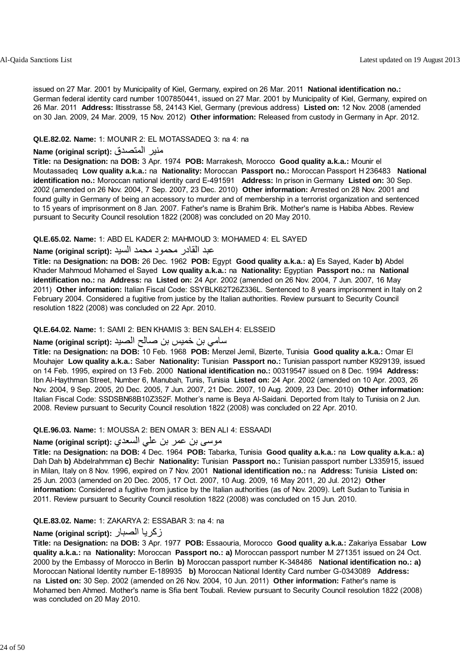issued on 27 Mar. 2001 by Municipality of Kiel, Germany, expired on 26 Mar. 2011 **National identification no.:** German federal identity card number 1007850441, issued on 27 Mar. 2001 by Municipality of Kiel, Germany, expired on 26 Mar. 2011 **Address:** lltisstrasse 58, 24143 Kiel, Germany (previous address) **Listed on:** 12 Nov. 2008 (amended on 30 Jan. 2009, 24 Mar. 2009, 15 Nov. 2012) **Other information:** Released from custody in Germany in Apr. 2012.

#### **QI.E.82.02. Name:** 1: MOUNIR 2: EL MOTASSADEQ 3: na 4: na

### **Name (original script):** المتصدق منير

**Title:** na **Designation:** na **DOB:** 3 Apr. 1974 **POB:** Marrakesh, Morocco **Good quality a.k.a.:** Mounir el Moutassadeq **Low quality a.k.a.:** na **Nationality:** Moroccan **Passport no.:** Moroccan Passport H 236483 **National identification no.:** Moroccan national identity card E-491591 **Address:** In prison in Germany **Listed on:** 30 Sep. 2002 (amended on 26 Nov. 2004, 7 Sep. 2007, 23 Dec. 2010) **Other information:** Arrested on 28 Nov. 2001 and found guilty in Germany of being an accessory to murder and of membership in a terrorist organization and sentenced to 15 years of imprisonment on 8 Jan. 2007. Father's name is Brahim Brik. Mother's name is Habiba Abbes. Review pursuant to Security Council resolution 1822 (2008) was concluded on 20 May 2010.

#### **QI.E.65.02. Name:** 1: ABD EL KADER 2: MAHMOUD 3: MOHAMED 4: EL SAYED

### عبد القادر محمود محمد السيد **:(script original (Name**

**Title:** na **Designation:** na **DOB:** 26 Dec. 1962 **POB:** Egypt **Good quality a.k.a.: a)** Es Sayed, Kader **b)** Abdel Khader Mahmoud Mohamed el Sayed **Low quality a.k.a.:** na **Nationality:** Egyptian **Passport no.:** na **National identification no.:** na **Address:** na **Listed on:** 24 Apr. 2002 (amended on 26 Nov. 2004, 7 Jun. 2007, 16 May 2011) **Other information:** Italian Fiscal Code: SSYBLK62T26Z336L. Sentenced to 8 years imprisonment in Italy on 2 February 2004. Considered a fugitive from justice by the Italian authorities. Review pursuant to Security Council resolution 1822 (2008) was concluded on 22 Apr. 2010.

#### **QI.E.64.02. Name:** 1: SAMI 2: BEN KHAMIS 3: BEN SALEH 4: ELSSEID

#### سامي بن خميس بن صالح الصيد **:(script original (Name**

**Title:** na **Designation:** na **DOB:** 10 Feb. 1968 **POB:** Menzel Jemil, Bizerte, Tunisia **Good quality a.k.a.:** Omar El Mouhajer **Low quality a.k.a.:** Saber **Nationality:** Tunisian **Passport no.:** Tunisian passport number K929139, issued on 14 Feb. 1995, expired on 13 Feb. 2000 **National identification no.:** 00319547 issued on 8 Dec. 1994 **Address:** Ibn Al-Haythman Street, Number 6, Manubah, Tunis, Tunisia **Listed on:** 24 Apr. 2002 (amended on 10 Apr. 2003, 26 Nov. 2004, 9 Sep. 2005, 20 Dec. 2005, 7 Jun. 2007, 21 Dec. 2007, 10 Aug. 2009, 23 Dec. 2010) **Other information:** Italian Fiscal Code: SSDSBN68B10Z352F. Mother's name is Beya Al-Saidani. Deported from Italy to Tunisia on 2 Jun. 2008. Review pursuant to Security Council resolution 1822 (2008) was concluded on 22 Apr. 2010.

#### **QI.E.96.03. Name:** 1: MOUSSA 2: BEN OMAR 3: BEN ALI 4: ESSAADI

### موسى بن عمر بن علي السعدي **:(Name (original script**

**Title:** na **Designation:** na **DOB:** 4 Dec. 1964 **POB:** Tabarka, Tunisia **Good quality a.k.a.:** na **Low quality a.k.a.: a)** Dah Dah **b)** Abdelrahmman **c)** Bechir **Nationality:** Tunisian **Passport no.:** Tunisian passport number L335915, issued in Milan, Italy on 8 Nov. 1996, expired on 7 Nov. 2001 **National identification no.:** na **Address:** Tunisia **Listed on:** 25 Jun. 2003 (amended on 20 Dec. 2005, 17 Oct. 2007, 10 Aug. 2009, 16 May 2011, 20 Jul. 2012) **Other information:** Considered a fugitive from justice by the Italian authorities (as of Nov. 2009). Left Sudan to Tunisia in 2011. Review pursuant to Security Council resolution 1822 (2008) was concluded on 15 Jun. 2010.

#### **QI.E.83.02. Name:** 1: ZAKARYA 2: ESSABAR 3: na 4: na

### **Name (original script):** الصبار زآريا

**Title:** na **Designation:** na **DOB:** 3 Apr. 1977 **POB:** Essaouria, Morocco **Good quality a.k.a.:** Zakariya Essabar **Low quality a.k.a.:** na **Nationality:** Moroccan **Passport no.: a)** Moroccan passport number M 271351 issued on 24 Oct. 2000 by the Embassy of Morocco in Berlin **b)** Moroccan passport number K-348486 **National identification no.: a)** Moroccan National Identity number E-189935 **b)** Moroccan National Identity Card number G-0343089 **Address:** na **Listed on:** 30 Sep. 2002 (amended on 26 Nov. 2004, 10 Jun. 2011) **Other information:** Father's name is Mohamed ben Ahmed. Mother's name is Sfia bent Toubali. Review pursuant to Security Council resolution 1822 (2008) was concluded on 20 May 2010.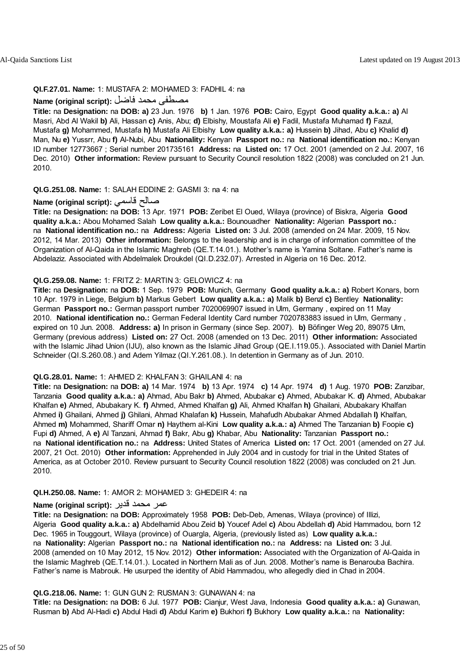#### **QI.F.27.01. Name:** 1: MUSTAFA 2: MOHAMED 3: FADHIL 4: na

#### مصطفى محمد فاضل **:(script original (Name**

**Title:** na **Designation:** na **DOB: a)** 23 Jun. 1976 **b)** 1 Jan. 1976 **POB:** Cairo, Egypt **Good quality a.k.a.: a)** Al Masri, Abd Al Wakil **b)** Ali, Hassan **c)** Anis, Abu; **d)** Elbishy, Moustafa Ali **e)** Fadil, Mustafa Muhamad **f)** Fazul, Mustafa **g)** Mohammed, Mustafa **h)** Mustafa Ali Elbishy **Low quality a.k.a.: a)** Hussein **b)** Jihad, Abu **c)** Khalid **d)** Man, Nu **e)** Yussrr, Abu **f)** Al-Nubi, Abu **Nationality:** Kenyan **Passport no.:** na **National identification no.:** Kenyan ID number 12773667 ; Serial number 201735161 **Address:** na **Listed on:** 17 Oct. 2001 (amended on 2 Jul. 2007, 16 Dec. 2010) **Other information:** Review pursuant to Security Council resolution 1822 (2008) was concluded on 21 Jun. 2010.

#### **QI.G.251.08. Name:** 1: SALAH EDDINE 2: GASMI 3: na 4: na

#### **Name (original script):** قاسمي صالح

**Title:** na **Designation:** na **DOB:** 13 Apr. 1971 **POB:** Zeribet El Oued, Wilaya (province) of Biskra, Algeria **Good quality a.k.a.:** Abou Mohamed Salah **Low quality a.k.a.:** Bounouadher **Nationality:** Algerian **Passport no.:** na **National identification no.:** na **Address:** Algeria **Listed on:** 3 Jul. 2008 (amended on 24 Mar. 2009, 15 Nov. 2012, 14 Mar. 2013) **Other information:** Belongs to the leadership and is in charge of information committee of the Organization of Al-Qaida in the Islamic Maghreb (QE.T.14.01.). Mother's name is Yamina Soltane. Father's name is Abdelaziz. Associated with Abdelmalek Droukdel (QI.D.232.07). Arrested in Algeria on 16 Dec. 2012.

#### **QI.G.259.08. Name:** 1: FRITZ 2: MARTIN 3: GELOWICZ 4: na

**Title:** na **Designation:** na **DOB:** 1 Sep. 1979 **POB:** Munich, Germany **Good quality a.k.a.: a)** Robert Konars, born 10 Apr. 1979 in Liege, Belgium **b)** Markus Gebert **Low quality a.k.a.: a)** Malik **b)** Benzl **c)** Bentley **Nationality:** German **Passport no.:** German passport number 7020069907 issued in Ulm, Germany , expired on 11 May 2010. **National identification no.:** German Federal Identity Card number 7020783883 issued in Ulm, Germany , expired on 10 Jun. 2008. **Address: a)** In prison in Germany (since Sep. 2007). **b)** Böfinger Weg 20, 89075 Ulm, Germany (previous address) **Listed on:** 27 Oct. 2008 (amended on 13 Dec. 2011) **Other information:** Associated with the Islamic Jihad Union (IJU), also known as the Islamic Jihad Group (QE.I.119.05.). Associated with Daniel Martin Schneider (QI.S.260.08.) and Adem Yilmaz (QI.Y.261.08.). In detention in Germany as of Jun. 2010.

#### **QI.G.28.01. Name:** 1: AHMED 2: KHALFAN 3: GHAILANI 4: na

**Title:** na **Designation:** na **DOB: a)** 14 Mar. 1974 **b)** 13 Apr. 1974 **c)** 14 Apr. 1974 **d)** 1 Aug. 1970 **POB:** Zanzibar, Tanzania **Good quality a.k.a.: a)** Ahmad, Abu Bakr **b)** Ahmed, Abubakar **c)** Ahmed, Abubakar K. **d)** Ahmed, Abubakar Khalfan **e)** Ahmed, Abubakary K. **f)** Ahmed, Ahmed Khalfan **g)** Ali, Ahmed Khalfan **h)** Ghailani, Abubakary Khalfan Ahmed **i)** Ghailani, Ahmed **j)** Ghilani, Ahmad Khalafan **k)** Hussein, Mahafudh Abubakar Ahmed Abdallah **l)** Khalfan, Ahmed **m)** Mohammed, Shariff Omar **n)** Haythem al-Kini **Low quality a.k.a.: a)** Ahmed The Tanzanian **b)** Foopie **c)** Fupi **d)** Ahmed, A **e)** Al Tanzani, Ahmad **f)** Bakr, Abu **g)** Khabar, Abu **Nationality:** Tanzanian **Passport no.:** na **National identification no.:** na **Address:** United States of America **Listed on:** 17 Oct. 2001 (amended on 27 Jul. 2007, 21 Oct. 2010) **Other information:** Apprehended in July 2004 and in custody for trial in the United States of America, as at October 2010. Review pursuant to Security Council resolution 1822 (2008) was concluded on 21 Jun. 2010.

#### **QI.H.250.08. Name:** 1: AMOR 2: MOHAMED 3: GHEDEIR 4: na

#### عمر محمد قدير **:(script original (Name**

**Title:** na **Designation:** na **DOB:** Approximately 1958 **POB:** Deb-Deb, Amenas, Wilaya (province) of Illizi, Algeria **Good quality a.k.a.: a)** Abdelhamid Abou Zeid **b)** Youcef Adel **c)** Abou Abdellah **d)** Abid Hammadou, born 12 Dec. 1965 in Touggourt, Wilaya (province) of Ouargla, Algeria, (previously listed as) **Low quality a.k.a.:** na **Nationality:** Algerian **Passport no.:** na **National identification no.:** na **Address:** na **Listed on:** 3 Jul. 2008 (amended on 10 May 2012, 15 Nov. 2012) **Other information:** Associated with the Organization of Al-Qaida in the Islamic Maghreb (QE.T.14.01.). Located in Northern Mali as of Jun. 2008. Mother's name is Benarouba Bachira. Father's name is Mabrouk. He usurped the identity of Abid Hammadou, who allegedly died in Chad in 2004.

#### **QI.G.218.06. Name:** 1: GUN GUN 2: RUSMAN 3: GUNAWAN 4: na

**Title:** na **Designation:** na **DOB:** 6 Jul. 1977 **POB:** Cianjur, West Java, Indonesia **Good quality a.k.a.: a)** Gunawan, Rusman **b)** Abd Al-Hadi **c)** Abdul Hadi **d)** Abdul Karim **e)** Bukhori **f)** Bukhory **Low quality a.k.a.:** na **Nationality:**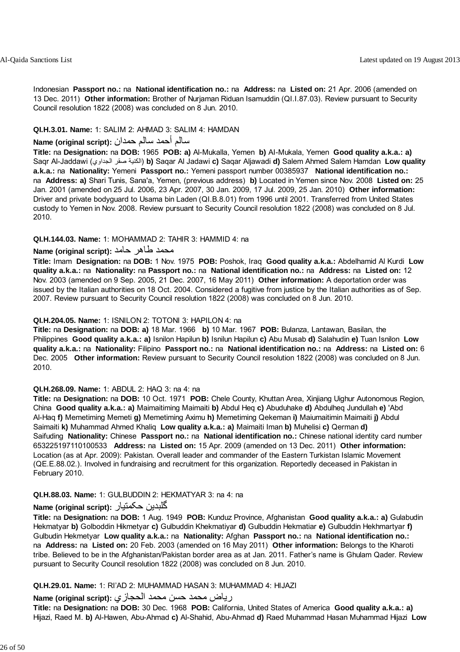Indonesian **Passport no.:** na **National identification no.:** na **Address:** na **Listed on:** 21 Apr. 2006 (amended on 13 Dec. 2011) **Other information:** Brother of Nurjaman Riduan Isamuddin (QI.I.87.03). Review pursuant to Security Council resolution 1822 (2008) was concluded on 8 Jun. 2010.

#### **QI.H.3.01. Name:** 1: SALIM 2: AHMAD 3: SALIM 4: HAMDAN

#### سالم أحمد سالم حمدان **:(script original (Name**

**Title:** na **Designation:** na **DOB:** 1965 **POB: a)** Al-Mukalla, Yemen **b)** AI-Mukala, Yemen **Good quality a.k.a.: a)** Saqr Al-Jaddawi (الجداوي صقر الكنية (**b)** Saqar Al Jadawi **c)** Saqar Aljawadi **d)** Salem Ahmed Salem Hamdan **Low quality a.k.a.:** na **Nationality:** Yemeni **Passport no.:** Yemeni passport number 00385937 **National identification no.:** na **Address: a)** Shari Tunis, Sana'a, Yemen, (previous address) **b)** Located in Yemen since Nov. 2008 **Listed on:** 25 Jan. 2001 (amended on 25 Jul. 2006, 23 Apr. 2007, 30 Jan. 2009, 17 Jul. 2009, 25 Jan. 2010) **Other information:** Driver and private bodyguard to Usama bin Laden (QI.B.8.01) from 1996 until 2001. Transferred from United States custody to Yemen in Nov. 2008. Review pursuant to Security Council resolution 1822 (2008) was concluded on 8 Jul. 2010.

#### **QI.H.144.03. Name:** 1: MOHAMMAD 2: TAHIR 3: HAMMID 4: na

### محمد طاهر حامد :**Name (original script)**

**Title:** Imam **Designation:** na **DOB:** 1 Nov. 1975 **POB:** Poshok, Iraq **Good quality a.k.a.:** Abdelhamid Al Kurdi **Low quality a.k.a.:** na **Nationality:** na **Passport no.:** na **National identification no.:** na **Address:** na **Listed on:** 12 Nov. 2003 (amended on 9 Sep. 2005, 21 Dec. 2007, 16 May 2011) **Other information:** A deportation order was issued by the Italian authorities on 18 Oct. 2004. Considered a fugitive from justice by the Italian authorities as of Sep. 2007. Review pursuant to Security Council resolution 1822 (2008) was concluded on 8 Jun. 2010.

#### **QI.H.204.05. Name:** 1: ISNILON 2: TOTONI 3: HAPILON 4: na

**Title:** na **Designation:** na **DOB: a)** 18 Mar. 1966 **b)** 10 Mar. 1967 **POB:** Bulanza, Lantawan, Basilan, the Philippines **Good quality a.k.a.: a)** Isnilon Hapilun **b)** Isnilun Hapilun **c)** Abu Musab **d)** Salahudin **e)** Tuan Isnilon **Low quality a.k.a.:** na **Nationality:** Filipino **Passport no.:** na **National identification no.:** na **Address:** na **Listed on:** 6 Dec. 2005 **Other information:** Review pursuant to Security Council resolution 1822 (2008) was concluded on 8 Jun. 2010.

#### **QI.H.268.09. Name:** 1: ABDUL 2: HAQ 3: na 4: na

**Title:** na **Designation:** na **DOB:** 10 Oct. 1971 **POB:** Chele County, Khuttan Area, Xinjiang Uighur Autonomous Region, China **Good quality a.k.a.: a)** Maimaitiming Maimaiti **b)** Abdul Heq **c)** Abuduhake **d)** Abdulheq Jundullah **e)** 'Abd Al-Haq **f)** Memetiming Memeti **g)** Memetiming Aximu **h)** Memetiming Qekeman **i)** Maiumaitimin Maimaiti **j)** Abdul Saimaiti **k)** Muhammad Ahmed Khaliq **Low quality a.k.a.: a)** Maimaiti Iman **b)** Muhelisi **c)** Qerman **d)** Saifuding **Nationality:** Chinese **Passport no.:** na **National identification no.:** Chinese national identity card number 653225197110100533 **Address:** na **Listed on:** 15 Apr. 2009 (amended on 13 Dec. 2011) **Other information:** Location (as at Apr. 2009): Pakistan. Overall leader and commander of the Eastern Turkistan Islamic Movement (QE.E.88.02.). Involved in fundraising and recruitment for this organization. Reportedly deceased in Pakistan in February 2010.

#### **QI.H.88.03. Name:** 1: GULBUDDIN 2: HEKMATYAR 3: na 4: na

### **Name (original script):** حکمتيار گلبدين

**Title:** na **Designation:** na **DOB:** 1 Aug. 1949 **POB:** Kunduz Province, Afghanistan **Good quality a.k.a.: a)** Gulabudin Hekmatyar **b)** Golboddin Hikmetyar **c)** Gulbuddin Khekmatiyar **d)** Gulbuddin Hekmatiar **e)** Gulbuddin Hekhmartyar **f)** Gulbudin Hekmetyar **Low quality a.k.a.:** na **Nationality:** Afghan **Passport no.:** na **National identification no.:** na **Address:** na **Listed on:** 20 Feb. 2003 (amended on 16 May 2011) **Other information:** Belongs to the Kharoti tribe. Believed to be in the Afghanistan/Pakistan border area as at Jan. 2011. Father's name is Ghulam Qader. Review pursuant to Security Council resolution 1822 (2008) was concluded on 8 Jun. 2010.

#### **QI.H.29.01. Name:** 1: RI'AD 2: MUHAMMAD HASAN 3: MUHAMMAD 4: HIJAZI

### رياض محمد حسن محمد الحجازي **:(script original (Name**

**Title:** na **Designation:** na **DOB:** 30 Dec. 1968 **POB:** California, United States of America **Good quality a.k.a.: a)** Hijazi, Raed M. **b)** Al-Hawen, Abu-Ahmad **c)** Al-Shahid, Abu-Ahmad **d)** Raed Muhammad Hasan Muhammad Hijazi **Low**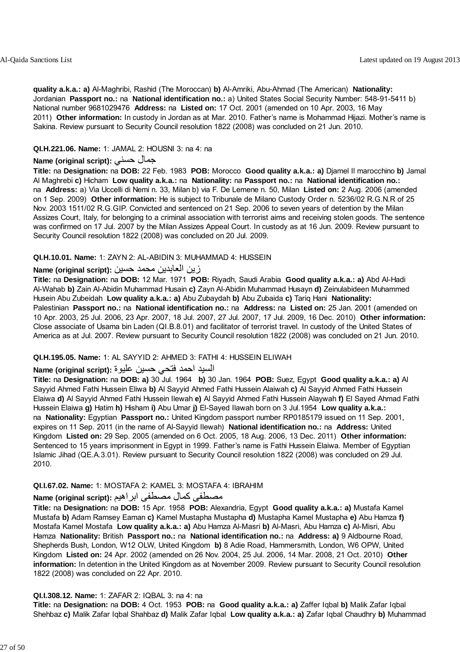**quality a.k.a.: a)** Al-Maghribi, Rashid (The Moroccan) **b)** Al-Amriki, Abu-Ahmad (The American) **Nationality:** Jordanian **Passport no.:** na **National identification no.:** a) United States Social Security Number: 548-91-5411 b) National number 9681029476 **Address:** na **Listed on:** 17 Oct. 2001 (amended on 10 Apr. 2003, 16 May 2011) **Other information:** In custody in Jordan as at Mar. 2010. Father's name is Mohammad Hijazi. Mother's name is Sakina. Review pursuant to Security Council resolution 1822 (2008) was concluded on 21 Jun. 2010.

#### **QI.H.221.06. Name:** 1: JAMAL 2: HOUSNI 3: na 4: na

#### **Name (original script):** حسني جمال

**Title:** na **Designation:** na **DOB:** 22 Feb. 1983 **POB:** Morocco **Good quality a.k.a.: a)** Djamel Il marocchino **b)** Jamal Al Maghrebi **c)** Hicham **Low quality a.k.a.:** na **Nationality:** na **Passport no.:** na **National identification no.:** na **Address:** a) Via Uccelli di Nemi n. 33, Milan b) via F. De Lemene n. 50, Milan **Listed on:** 2 Aug. 2006 (amended on 1 Sep. 2009) **Other information:** He is subject to Tribunale de Milano Custody Order n. 5236/02 R.G.N.R of 25 Nov. 2003 1511/02 R.G.GIP. Convicted and sentenced on 21 Sep. 2006 to seven years of detention by the Milan Assizes Court, Italy, for belonging to a criminal association with terrorist aims and receiving stolen goods. The sentence was confirmed on 17 Jul. 2007 by the Milan Assizes Appeal Court. In custody as at 16 Jun. 2009. Review pursuant to Security Council resolution 1822 (2008) was concluded on 20 Jul. 2009.

#### **QI.H.10.01. Name:** 1: ZAYN 2: AL-ABIDIN 3: MUHAMMAD 4: HUSSEIN

#### زين العابدين محمد حسين **:(script original (Name**

**Title:** na **Designation:** na **DOB:** 12 Mar. 1971 **POB:** Riyadh, Saudi Arabia **Good quality a.k.a.: a)** Abd Al-Hadi Al-Wahab **b)** Zain Al-Abidin Muhammad Husain **c)** Zayn Al-Abidin Muhammad Husayn **d)** Zeinulabideen Muhammed Husein Abu Zubeidah **Low quality a.k.a.: a)** Abu Zubaydah **b)** Abu Zubaida **c)** Tariq Hani **Nationality:** Palestinian **Passport no.:** na **National identification no.:** na **Address:** na **Listed on:** 25 Jan. 2001 (amended on 10 Apr. 2003, 25 Jul. 2006, 23 Apr. 2007, 18 Jul. 2007, 27 Jul. 2007, 17 Jul. 2009, 16 Dec. 2010) **Other information:** Close associate of Usama bin Laden (QI.B.8.01) and facilitator of terrorist travel. In custody of the United States of America as at Jul. 2007. Review pursuant to Security Council resolution 1822 (2008) was concluded on 21 Jun. 2010.

#### **QI.H.195.05. Name:** 1: AL SAYYID 2: AHMED 3: FATHI 4: HUSSEIN ELIWAH

### السيد احمد فتحي حسين عليوة **:(script original (Name**

**Title:** na **Designation:** na **DOB: a)** 30 Jul. 1964 **b)** 30 Jan. 1964 **POB:** Suez, Egypt **Good quality a.k.a.: a)** Al Sayyid Ahmed Fathi Hussein Eliwa **b)** Al Sayyid Ahmed Fathi Hussein Alaiwah **c)** Al Sayyid Ahmed Fathi Hussein Elaiwa **d)** Al Sayyid Ahmed Fathi Hussein Ilewah **e)** Al Sayyid Ahmed Fathi Hussein Alaywah **f)** El Sayed Ahmad Fathi Hussein Elaiwa **g)** Hatim **h)** Hisham **i)** Abu Umar **j)** El-Sayed Ilawah born on 3 Jul.1954 **Low quality a.k.a.:** na **Nationality:** Egyptian **Passport no.:** United Kingdom passport number RP0185179 issued on 11 Sep. 2001, expires on 11 Sep. 2011 (in the name of Al-Sayyid Ilewah) **National identification no.:** na **Address:** United Kingdom **Listed on:** 29 Sep. 2005 (amended on 6 Oct. 2005, 18 Aug. 2006, 13 Dec. 2011) **Other information:** Sentenced to 15 years imprisonment in Egypt in 1999. Father's name is Fathi Hussein Elaiwa. Member of Egyptian Islamic Jihad (QE.A.3.01). Review pursuant to Security Council resolution 1822 (2008) was concluded on 29 Jul. 2010.

#### **QI.I.67.02. Name:** 1: MOSTAFA 2: KAMEL 3: MOSTAFA 4: IBRAHIM

### مصطفى كمال مصطفى ابراهيم **:Name (original script**)

**Title:** na **Designation:** na **DOB:** 15 Apr. 1958 **POB:** Alexandria, Egypt **Good quality a.k.a.: a)** Mustafa Kamel Mustafa **b)** Adam Ramsey Eaman **c)** Kamel Mustapha Mustapha **d)** Mustapha Kamel Mustapha **e)** Abu Hamza **f)** Mostafa Kamel Mostafa **Low quality a.k.a.: a)** Abu Hamza Al-Masri **b)** Al-Masri, Abu Hamza **c)** Al-Misri, Abu Hamza **Nationality:** British **Passport no.:** na **National identification no.:** na **Address: a)** 9 Aldbourne Road, Shepherds Bush, London, W12 OLW, United Kingdom **b)** 8 Adie Road, Hammersmith, London, W6 OPW, United Kingdom **Listed on:** 24 Apr. 2002 (amended on 26 Nov. 2004, 25 Jul. 2006, 14 Mar. 2008, 21 Oct. 2010) **Other information:** In detention in the United Kingdom as at November 2009. Review pursuant to Security Council resolution 1822 (2008) was concluded on 22 Apr. 2010.

#### **QI.I.308.12. Name:** 1: ZAFAR 2: IQBAL 3: na 4: na

**Title:** na **Designation:** na **DOB:** 4 Oct. 1953 **POB:** na **Good quality a.k.a.: a)** Zaffer Iqbal **b)** Malik Zafar Iqbal Shehbaz **c)** Malik Zafar Iqbal Shahbaz **d)** Malik Zafar Iqbal **Low quality a.k.a.: a)** Zafar Iqbal Chaudhry **b)** Muhammad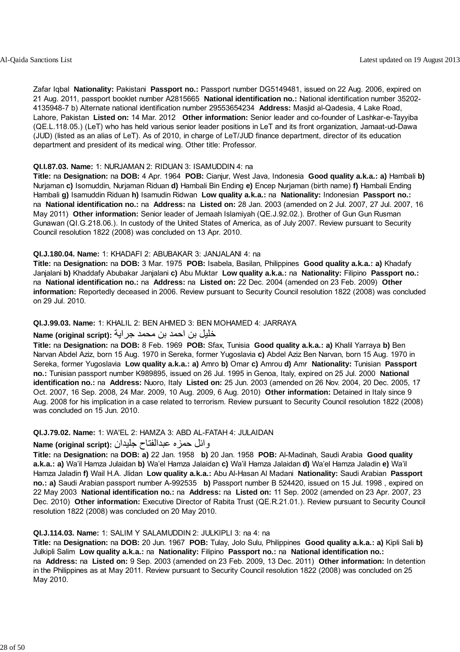Zafar Iqbal **Nationality:** Pakistani **Passport no.:** Passport number DG5149481, issued on 22 Aug. 2006, expired on 21 Aug. 2011, passport booklet number A2815665 **National identification no.:** National identification number 35202- 4135948-7 b) Alternate national identification number 29553654234 **Address:** Masjid al-Qadesia, 4 Lake Road, Lahore, Pakistan **Listed on:** 14 Mar. 2012 **Other information:** Senior leader and co-founder of Lashkar-e-Tayyiba (QE.L.118.05.) (LeT) who has held various senior leader positions in LeT and its front organization, Jamaat-ud-Dawa (JUD) (listed as an alias of LeT). As of 2010, in charge of LeT/JUD finance department, director of its education department and president of its medical wing. Other title: Professor.

#### **QI.I.87.03. Name:** 1: NURJAMAN 2: RIDUAN 3: ISAMUDDIN 4: na

**Title:** na **Designation:** na **DOB:** 4 Apr. 1964 **POB:** Cianjur, West Java, Indonesia **Good quality a.k.a.: a)** Hambali **b)** Nurjaman **c)** Isomuddin, Nurjaman Riduan **d)** Hambali Bin Ending **e)** Encep Nurjaman (birth name) **f)** Hambali Ending Hambali **g)** Isamuddin Riduan **h)** Isamudin Ridwan **Low quality a.k.a.:** na **Nationality:** Indonesian **Passport no.:** na **National identification no.:** na **Address:** na **Listed on:** 28 Jan. 2003 (amended on 2 Jul. 2007, 27 Jul. 2007, 16 May 2011) **Other information:** Senior leader of Jemaah Islamiyah (QE.J.92.02.). Brother of Gun Gun Rusman Gunawan (QI.G.218.06.). In custody of the United States of America, as of July 2007. Review pursuant to Security Council resolution 1822 (2008) was concluded on 13 Apr. 2010.

#### **QI.J.180.04. Name:** 1: KHADAFI 2: ABUBAKAR 3: JANJALANI 4: na

**Title:** na **Designation:** na **DOB:** 3 Mar. 1975 **POB:** Isabela, Basilan, Philippines **Good quality a.k.a.: a)** Khadafy Janjalani **b)** Khaddafy Abubakar Janjalani **c)** Abu Muktar **Low quality a.k.a.:** na **Nationality:** Filipino **Passport no.:** na **National identification no.:** na **Address:** na **Listed on:** 22 Dec. 2004 (amended on 23 Feb. 2009) **Other information:** Reportedly deceased in 2006. Review pursuant to Security Council resolution 1822 (2008) was concluded on 29 Jul. 2010.

#### **QI.J.99.03. Name:** 1: KHALIL 2: BEN AHMED 3: BEN MOHAMED 4: JARRAYA

#### خليل بن احمد بن محمد جراية **:(script original (Name**

**Title:** na **Designation:** na **DOB:** 8 Feb. 1969 **POB:** Sfax, Tunisia **Good quality a.k.a.: a)** Khalil Yarraya **b)** Ben Narvan Abdel Aziz, born 15 Aug. 1970 in Sereka, former Yugoslavia **c)** Abdel Aziz Ben Narvan, born 15 Aug. 1970 in Sereka, former Yugoslavia **Low quality a.k.a.: a)** Amro **b)** Omar **c)** Amrou **d)** Amr **Nationality:** Tunisian **Passport no.:** Tunisian passport number K989895, issued on 26 Jul. 1995 in Genoa, Italy, expired on 25 Jul. 2000 **National identification no.:** na **Address:** Nuoro, Italy **Listed on:** 25 Jun. 2003 (amended on 26 Nov. 2004, 20 Dec. 2005, 17 Oct. 2007, 16 Sep. 2008, 24 Mar. 2009, 10 Aug. 2009, 6 Aug. 2010) **Other information:** Detained in Italy since 9 Aug. 2008 for his implication in a case related to terrorism. Review pursuant to Security Council resolution 1822 (2008) was concluded on 15 Jun. 2010.

#### **QI.J.79.02. Name:** 1: WA'EL 2: HAMZA 3: ABD AL-FATAH 4: JULAIDAN

#### وائل حمزه عبدالفتاح جليدان **:(script original (Name**

**Title:** na **Designation:** na **DOB: a)** 22 Jan. 1958 **b)** 20 Jan. 1958 **POB:** Al-Madinah, Saudi Arabia **Good quality a.k.a.: a)** Wa'il Hamza Julaidan **b)** Wa'el Hamza Jalaidan **c)** Wa'il Hamza Jalaidan **d)** Wa'el Hamza Jaladin **e)** Wa'il Hamza Jaladin **f)** Wail H.A. Jlidan **Low quality a.k.a.:** Abu Al-Hasan Al Madani **Nationality:** Saudi Arabian **Passport no.: a)** Saudi Arabian passport number A-992535 **b)** Passport number B 524420, issued on 15 Jul. 1998 , expired on 22 May 2003 **National identification no.:** na **Address:** na **Listed on:** 11 Sep. 2002 (amended on 23 Apr. 2007, 23 Dec. 2010) **Other information:** Executive Director of Rabita Trust (QE.R.21.01.). Review pursuant to Security Council resolution 1822 (2008) was concluded on 20 May 2010.

#### **QI.J.114.03. Name:** 1: SALIM Y SALAMUDDIN 2: JULKIPLI 3: na 4: na

**Title:** na **Designation:** na **DOB:** 20 Jun. 1967 **POB:** Tulay, Jolo Sulu, Philippines **Good quality a.k.a.: a)** Kipli Sali **b)** Julkipli Salim **Low quality a.k.a.:** na **Nationality:** Filipino **Passport no.:** na **National identification no.:** na **Address:** na **Listed on:** 9 Sep. 2003 (amended on 23 Feb. 2009, 13 Dec. 2011) **Other information:** In detention in the Philippines as at May 2011. Review pursuant to Security Council resolution 1822 (2008) was concluded on 25 May 2010.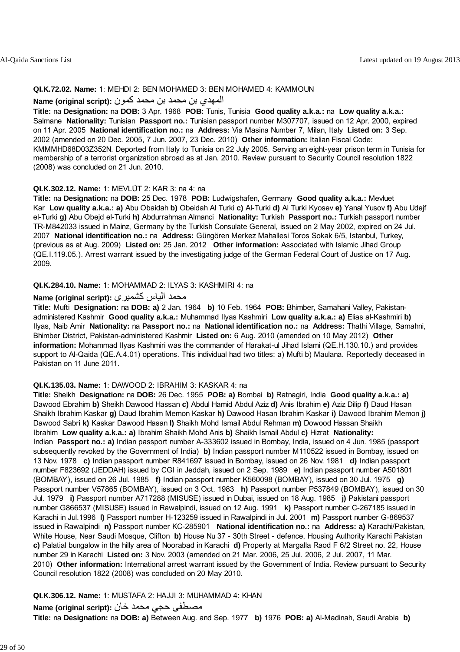#### **QI.K.72.02. Name:** 1: MEHDI 2: BEN MOHAMED 3: BEN MOHAMED 4: KAMMOUN

#### المهدي بن محمد بن محمد كمون **: Name (original script**)

**Title:** na **Designation:** na **DOB:** 3 Apr. 1968 **POB:** Tunis, Tunisia **Good quality a.k.a.:** na **Low quality a.k.a.:** Salmane **Nationality:** Tunisian **Passport no.:** Tunisian passport number M307707, issued on 12 Apr. 2000, expired on 11 Apr. 2005 **National identification no.:** na **Address:** Via Masina Number 7, Milan, Italy **Listed on:** 3 Sep. 2002 (amended on 20 Dec. 2005, 7 Jun. 2007, 23 Dec. 2010) **Other information:** Italian Fiscal Code: KMMMHD68D03Z352N. Deported from Italy to Tunisia on 22 July 2005. Serving an eight-year prison term in Tunisia for membership of a terrorist organization abroad as at Jan. 2010. Review pursuant to Security Council resolution 1822 (2008) was concluded on 21 Jun. 2010.

#### **QI.K.302.12. Name:** 1: MEVLÜT 2: KAR 3: na 4: na

**Title:** na **Designation:** na **DOB:** 25 Dec. 1978 **POB:** Ludwigshafen, Germany **Good quality a.k.a.:** Mevluet Kar **Low quality a.k.a.: a)** Abu Obaidah **b)** Obeidah Al Turki **c)** Al-Turki **d)** Al Turki Kyosev **e)** Yanal Yusov **f)** Abu Udejf el-Turki **g)** Abu Obejd el-Turki **h)** Abdurrahman Almanci **Nationality:** Turkish **Passport no.:** Turkish passport number TR-M842033 issued in Mainz, Germany by the Turkish Consulate General, issued on 2 May 2002, expired on 24 Jul. 2007 **National identification no.:** na **Address:** Güngören Merkez Mahallesi Toros Sokak 6/5, Istanbul, Turkey, (previous as at Aug. 2009) **Listed on:** 25 Jan. 2012 **Other information:** Associated with Islamic Jihad Group (QE.I.119.05.). Arrest warrant issued by the investigating judge of the German Federal Court of Justice on 17 Aug. 2009.

#### **QI.K.284.10. Name:** 1: MOHAMMAD 2: ILYAS 3: KASHMIRI 4: na

#### محمد الياس کشميری **:(script original (Name**

**Title:** Mufti **Designation:** na **DOB: a)** 2 Jan. 1964 **b)** 10 Feb. 1964 **POB:** Bhimber, Samahani Valley, Pakistanadministered Kashmir **Good quality a.k.a.:** Muhammad Ilyas Kashmiri **Low quality a.k.a.: a)** Elias al-Kashmiri **b)** Ilyas, Naib Amir **Nationality:** na **Passport no.:** na **National identification no.:** na **Address:** Thathi Village, Samahni, Bhimber District, Pakistan-administered Kashmir **Listed on:** 6 Aug. 2010 (amended on 10 May 2012) **Other information:** Mohammad Ilyas Kashmiri was the commander of Harakat-ul Jihad Islami (QE.H.130.10.) and provides support to Al-Qaida (QE.A.4.01) operations. This individual had two titles: a) Mufti b) Maulana. Reportedly deceased in Pakistan on 11 June 2011.

#### **QI.K.135.03. Name:** 1: DAWOOD 2: IBRAHIM 3: KASKAR 4: na

**Title:** Sheikh **Designation:** na **DOB:** 26 Dec. 1955 **POB: a)** Bombai **b)** Ratnagiri, India **Good quality a.k.a.: a)** Dawood Ebrahim **b)** Sheikh Dawood Hassan **c)** Abdul Hamid Abdul Aziz **d)** Anis Ibrahim **e)** Aziz Dilip **f)** Daud Hasan Shaikh Ibrahim Kaskar **g)** Daud Ibrahim Memon Kaskar **h)** Dawood Hasan Ibrahim Kaskar **i)** Dawood Ibrahim Memon **j)** Dawood Sabri **k)** Kaskar Dawood Hasan **l)** Shaikh Mohd Ismail Abdul Rehman **m)** Dowood Hassan Shaikh Ibrahim **Low quality a.k.a.: a)** Ibrahim Shaikh Mohd Anis **b)** Shaikh Ismail Abdul **c)** Hizrat **Nationality:** Indian **Passport no.: a)** Indian passport number A-333602 issued in Bombay, India, issued on 4 Jun. 1985 (passport subsequently revoked by the Government of India) **b)** Indian passport number M110522 issued in Bombay, issued on 13 Nov. 1978 **c)** Indian passport number R841697 issued in Bombay, issued on 26 Nov. 1981 **d)** Indian passport number F823692 (JEDDAH) issued by CGI in Jeddah, issued on 2 Sep. 1989 **e)** Indian passport number A501801 (BOMBAY), issued on 26 Jul. 1985 **f)** Indian passport number K560098 (BOMBAY), issued on 30 Jul. 1975 **g)** Passport number V57865 (BOMBAY), issued on 3 Oct. 1983 **h)** Passport number P537849 (BOMBAY), issued on 30 Jul. 1979 **i)** Passport number A717288 (MISUSE) issued in Dubai, issued on 18 Aug. 1985 **j)** Pakistani passport number G866537 (MISUSE) issued in Rawalpindi, issued on 12 Aug. 1991 **k)** Passport number C-267185 issued in Karachi in Jul.1996 **l)** Passport number H-123259 issued in Rawalpindi in Jul. 2001 **m)** Passport number G-869537 issued in Rawalpindi **n)** Passport number KC-285901 **National identification no.:** na **Address: a)** Karachi/Pakistan, White House, Near Saudi Mosque, Clifton **b)** House Nu 37 - 30th Street - defence, Housing Authority Karachi Pakistan **c)** Palatial bungalow in the hilly area of Noorabad in Karachi **d)** Property at Margalla Raod F 6/2 Street no. 22, House number 29 in Karachi **Listed on:** 3 Nov. 2003 (amended on 21 Mar. 2006, 25 Jul. 2006, 2 Jul. 2007, 11 Mar. 2010) **Other information:** International arrest warrant issued by the Government of India. Review pursuant to Security Council resolution 1822 (2008) was concluded on 20 May 2010.

#### **QI.K.306.12. Name:** 1: MUSTAFA 2: HAJJI 3: MUHAMMAD 4: KHAN

مصطفى حجي محمد خان **:(script original (Name**

**Title:** na **Designation:** na **DOB: a)** Between Aug. and Sep. 1977 **b)** 1976 **POB: a)** Al-Madinah, Saudi Arabia **b)**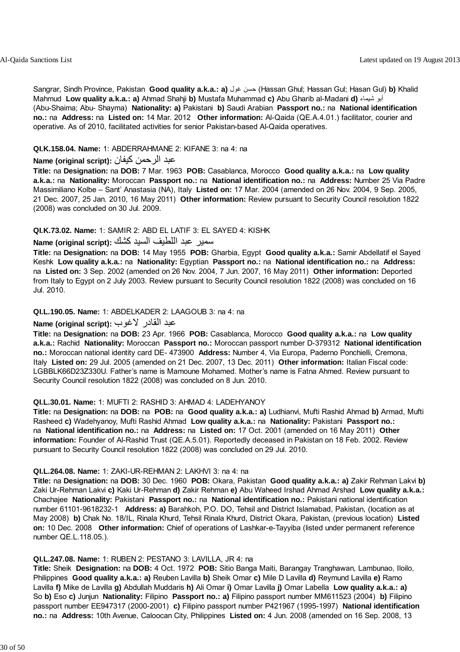Sangrar, Sindh Province, Pakistan **Good quality a.k.a.: a)** غول حسن) Hassan Ghul; Hassan Gul; Hasan Gul) **b)** Khalid Mahmud **Low quality a.k.a.: a)** Ahmad Shahji **b)** Mustafa Muhammad **c)** Abu Gharib al-Madani **d)** شيماء أبو (Abu-Shaima; Abu- Shayma) **Nationality: a)** Pakistani **b)** Saudi Arabian **Passport no.:** na **National identification no.:** na **Address:** na **Listed on:** 14 Mar. 2012 **Other information:** Al-Qaida (QE.A.4.01.) facilitator, courier and operative. As of 2010, facilitated activities for senior Pakistan-based Al-Qaida operatives.

#### **QI.K.158.04. Name:** 1: ABDERRAHMANE 2: KIFANE 3: na 4: na

#### عبد الرحمن آيفان **:(script original (Name**

**Title:** na **Designation:** na **DOB:** 7 Mar. 1963 **POB:** Casablanca, Morocco **Good quality a.k.a.:** na **Low quality a.k.a.:** na **Nationality:** Moroccan **Passport no.:** na **National identification no.:** na **Address:** Number 25 Via Padre Massimiliano Kolbe – Sant' Anastasia (NA), Italy **Listed on:** 17 Mar. 2004 (amended on 26 Nov. 2004, 9 Sep. 2005, 21 Dec. 2007, 25 Jan. 2010, 16 May 2011) **Other information:** Review pursuant to Security Council resolution 1822 (2008) was concluded on 30 Jul. 2009.

#### **QI.K.73.02. Name:** 1: SAMIR 2: ABD EL LATIF 3: EL SAYED 4: KISHK

### سمبر عبد اللطيف السيد كشك :**Name (original script)**

**Title:** na **Designation:** na **DOB:** 14 May 1955 **POB:** Gharbia, Egypt **Good quality a.k.a.:** Samir Abdellatif el Sayed Keshk **Low quality a.k.a.:** na **Nationality:** Egyptian **Passport no.:** na **National identification no.:** na **Address:** na **Listed on:** 3 Sep. 2002 (amended on 26 Nov. 2004, 7 Jun. 2007, 16 May 2011) **Other information:** Deported from Italy to Egypt on 2 July 2003. Review pursuant to Security Council resolution 1822 (2008) was concluded on 16 Jul. 2010.

#### **QI.L.190.05. Name:** 1: ABDELKADER 2: LAAGOUB 3: na 4: na

#### عبد القادر لاغوب **:(script original (Name**

**Title:** na **Designation:** na **DOB:** 23 Apr. 1966 **POB:** Casablanca, Morocco **Good quality a.k.a.:** na **Low quality a.k.a.:** Rachid **Nationality:** Moroccan **Passport no.:** Moroccan passport number D-379312 **National identification no.:** Moroccan national identity card DE- 473900 **Address:** Number 4, Via Europa, Paderno Ponchielli, Cremona, Italy **Listed on:** 29 Jul. 2005 (amended on 21 Dec. 2007, 13 Dec. 2011) **Other information:** Italian Fiscal code: LGBBLK66D23Z330U. Father's name is Mamoune Mohamed. Mother's name is Fatna Ahmed. Review pursuant to Security Council resolution 1822 (2008) was concluded on 8 Jun. 2010.

#### **QI.L.30.01. Name:** 1: MUFTI 2: RASHID 3: AHMAD 4: LADEHYANOY

**Title:** na **Designation:** na **DOB:** na **POB:** na **Good quality a.k.a.: a)** Ludhianvi, Mufti Rashid Ahmad **b)** Armad, Mufti Rasheed **c)** Wadehyanoy, Mufti Rashid Ahmad **Low quality a.k.a.:** na **Nationality:** Pakistani **Passport no.:** na **National identification no.:** na **Address:** na **Listed on:** 17 Oct. 2001 (amended on 16 May 2011) **Other information:** Founder of Al-Rashid Trust (QE.A.5.01). Reportedly deceased in Pakistan on 18 Feb. 2002. Review pursuant to Security Council resolution 1822 (2008) was concluded on 29 Jul. 2010.

#### **QI.L.264.08. Name:** 1: ZAKI-UR-REHMAN 2: LAKHVI 3: na 4: na

**Title:** na **Designation:** na **DOB:** 30 Dec. 1960 **POB:** Okara, Pakistan **Good quality a.k.a.: a)** Zakir Rehman Lakvi **b)** Zaki Ur-Rehman Lakvi **c)** Kaki Ur-Rehman **d)** Zakir Rehman **e)** Abu Waheed Irshad Ahmad Arshad **Low quality a.k.a.:** Chachajee **Nationality:** Pakistani **Passport no.:** na **National identification no.:** Pakistani national identification number 61101-9618232-1 **Address: a)** Barahkoh, P.O. DO, Tehsil and District Islamabad, Pakistan, (location as at May 2008) **b)** Chak No. 18/IL, Rinala Khurd, Tehsil Rinala Khurd, District Okara, Pakistan, (previous location) **Listed on:** 10 Dec. 2008 **Other information:** Chief of operations of Lashkar-e-Tayyiba (listed under permanent reference number QE.L.118.05.).

#### **QI.L.247.08. Name:** 1: RUBEN 2: PESTANO 3: LAVILLA, JR 4: na

**Title:** Sheik **Designation:** na **DOB:** 4 Oct. 1972 **POB:** Sitio Banga Maiti, Barangay Tranghawan, Lambunao, Iloilo, Philippines **Good quality a.k.a.: a)** Reuben Lavilla **b)** Sheik Omar **c)** Mile D Lavilla **d)** Reymund Lavilla **e)** Ramo Lavilla **f)** Mike de Lavilla **g)** Abdullah Muddaris **h)** Ali Omar **i)** Omar Lavilla **j)** Omar Labella **Low quality a.k.a.: a)** So **b)** Eso **c)** Junjun **Nationality:** Filipino **Passport no.: a)** Filipino passport number MM611523 (2004) **b)** Filipino passport number EE947317 (2000-2001) **c)** Filipino passport number P421967 (1995-1997) **National identification no.:** na **Address:** 10th Avenue, Caloocan City, Philippines **Listed on:** 4 Jun. 2008 (amended on 16 Sep. 2008, 13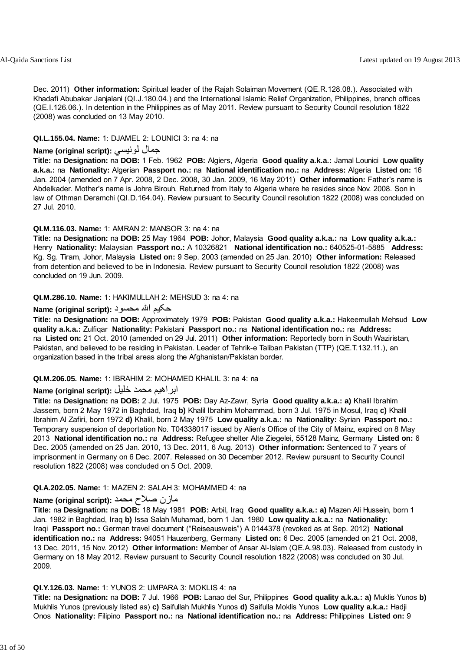Dec. 2011) **Other information:** Spiritual leader of the Rajah Solaiman Movement (QE.R.128.08.). Associated with Khadafi Abubakar Janjalani (QI.J.180.04.) and the International Islamic Relief Organization, Philippines, branch offices (QE.I.126.06.). In detention in the Philippines as of May 2011. Review pursuant to Security Council resolution 1822 (2008) was concluded on 13 May 2010.

#### **QI.L.155.04. Name:** 1: DJAMEL 2: LOUNICI 3: na 4: na

### **Name (original script):** لونيسي جمال

**Title:** na **Designation:** na **DOB:** 1 Feb. 1962 **POB:** Algiers, Algeria **Good quality a.k.a.:** Jamal Lounici **Low quality a.k.a.:** na **Nationality:** Algerian **Passport no.:** na **National identification no.:** na **Address:** Algeria **Listed on:** 16 Jan. 2004 (amended on 7 Apr. 2008, 2 Dec. 2008, 30 Jan. 2009, 16 May 2011) **Other information:** Father's name is Abdelkader. Mother's name is Johra Birouh. Returned from Italy to Algeria where he resides since Nov. 2008. Son in law of Othman Deramchi (QI.D.164.04). Review pursuant to Security Council resolution 1822 (2008) was concluded on 27 Jul. 2010.

#### **QI.M.116.03. Name:** 1: AMRAN 2: MANSOR 3: na 4: na

**Title:** na **Designation:** na **DOB:** 25 May 1964 **POB:** Johor, Malaysia **Good quality a.k.a.:** na **Low quality a.k.a.:** Henry **Nationality:** Malaysian **Passport no.:** A 10326821 **National identification no.:** 640525-01-5885 **Address:** Kg. Sg. Tiram, Johor, Malaysia **Listed on:** 9 Sep. 2003 (amended on 25 Jan. 2010) **Other information:** Released from detention and believed to be in Indonesia. Review pursuant to Security Council resolution 1822 (2008) was concluded on 19 Jun. 2009.

#### **QI.M.286.10. Name:** 1: HAKIMULLAH 2: MEHSUD 3: na 4: na

#### حکيم االله محسود **:(script original (Name**

**Title:** na **Designation:** na **DOB:** Approximately 1979 **POB:** Pakistan **Good quality a.k.a.:** Hakeemullah Mehsud **Low quality a.k.a.:** Zulfiqar **Nationality:** Pakistani **Passport no.:** na **National identification no.:** na **Address:** na **Listed on:** 21 Oct. 2010 (amended on 29 Jul. 2011) **Other information:** Reportedly born in South Waziristan, Pakistan, and believed to be residing in Pakistan. Leader of Tehrik-e Taliban Pakistan (TTP) (QE.T.132.11.), an organization based in the tribal areas along the Afghanistan/Pakistan border.

#### **QI.M.206.05. Name:** 1: IBRAHIM 2: MOHAMED KHALIL 3: na 4: na

### ابراهيم محمد خليل **:(script original (Name**

**Title:** na **Designation:** na **DOB:** 2 Jul. 1975 **POB:** Day Az-Zawr, Syria **Good quality a.k.a.: a)** Khalil Ibrahim Jassem, born 2 May 1972 in Baghdad, Iraq **b)** Khalil Ibrahim Mohammad, born 3 Jul. 1975 in Mosul, Iraq **c)** Khalil Ibrahim Al Zafiri, born 1972 **d)** Khalil, born 2 May 1975 **Low quality a.k.a.:** na **Nationality:** Syrian **Passport no.:** Temporary suspension of deportation No. T04338017 issued by Alien's Office of the City of Mainz, expired on 8 May 2013 **National identification no.:** na **Address:** Refugee shelter Alte Ziegelei, 55128 Mainz, Germany **Listed on:** 6 Dec. 2005 (amended on 25 Jan. 2010, 13 Dec. 2011, 6 Aug. 2013) **Other information:** Sentenced to 7 years of imprisonment in Germany on 6 Dec. 2007. Released on 30 December 2012. Review pursuant to Security Council resolution 1822 (2008) was concluded on 5 Oct. 2009.

#### **QI.A.202.05. Name:** 1: MAZEN 2: SALAH 3: MOHAMMED 4: na

#### مازن صلاح محمد **:(Name (original script**

**Title:** na **Designation:** na **DOB:** 18 May 1981 **POB:** Arbil, Iraq **Good quality a.k.a.: a)** Mazen Ali Hussein, born 1 Jan. 1982 in Baghdad, Iraq **b)** Issa Salah Muhamad, born 1 Jan. 1980 **Low quality a.k.a.:** na **Nationality:** Iraqi **Passport no.:** German travel document ("Reiseausweis") A 0144378 (revoked as at Sep. 2012) **National identification no.:** na **Address:** 94051 Hauzenberg, Germany **Listed on:** 6 Dec. 2005 (amended on 21 Oct. 2008, 13 Dec. 2011, 15 Nov. 2012) **Other information:** Member of Ansar Al-Islam (QE.A.98.03). Released from custody in Germany on 18 May 2012. Review pursuant to Security Council resolution 1822 (2008) was concluded on 30 Jul. 2009.

#### **QI.Y.126.03. Name:** 1: YUNOS 2: UMPARA 3: MOKLIS 4: na

**Title:** na **Designation:** na **DOB:** 7 Jul. 1966 **POB:** Lanao del Sur, Philippines **Good quality a.k.a.: a)** Muklis Yunos **b)** Mukhlis Yunos (previously listed as) **c)** Saifullah Mukhlis Yunos **d)** Saifulla Moklis Yunos **Low quality a.k.a.:** Hadji Onos **Nationality:** Filipino **Passport no.:** na **National identification no.:** na **Address:** Philippines **Listed on:** 9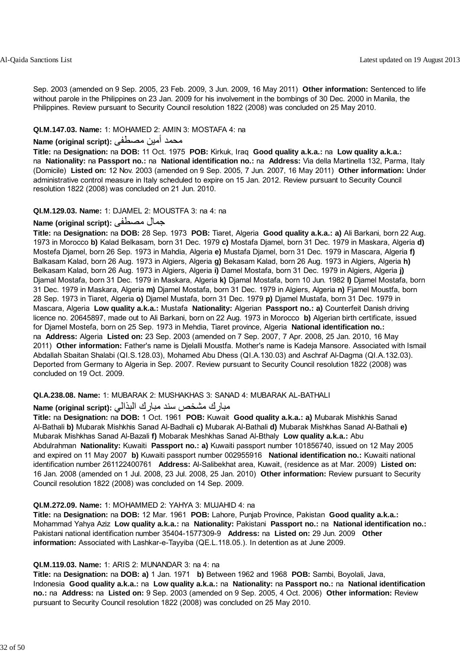Sep. 2003 (amended on 9 Sep. 2005, 23 Feb. 2009, 3 Jun. 2009, 16 May 2011) **Other information:** Sentenced to life without parole in the Philippines on 23 Jan. 2009 for his involvement in the bombings of 30 Dec. 2000 in Manila, the Philippines. Review pursuant to Security Council resolution 1822 (2008) was concluded on 25 May 2010.

#### **QI.M.147.03. Name:** 1: MOHAMED 2: AMIN 3: MOSTAFA 4: na

### محمد أمين مصطفى **:Name (original script)**

**Title:** na **Designation:** na **DOB:** 11 Oct. 1975 **POB:** Kirkuk, Iraq **Good quality a.k.a.:** na **Low quality a.k.a.:** na **Nationality:** na **Passport no.:** na **National identification no.:** na **Address:** Via della Martinella 132, Parma, Italy (Domicile) **Listed on:** 12 Nov. 2003 (amended on 9 Sep. 2005, 7 Jun. 2007, 16 May 2011) **Other information:** Under administrative control measure in Italy scheduled to expire on 15 Jan. 2012. Review pursuant to Security Council resolution 1822 (2008) was concluded on 21 Jun. 2010.

#### **QI.M.129.03. Name:** 1: DJAMEL 2: MOUSTFA 3: na 4: na

#### **Name (original script):** مصطفى جمال

**Title:** na **Designation:** na **DOB:** 28 Sep. 1973 **POB:** Tiaret, Algeria **Good quality a.k.a.: a)** Ali Barkani, born 22 Aug. 1973 in Morocco **b)** Kalad Belkasam, born 31 Dec. 1979 **c)** Mostafa Djamel, born 31 Dec. 1979 in Maskara, Algeria **d)** Mostefa Djamel, born 26 Sep. 1973 in Mahdia, Algeria **e)** Mustafa Djamel, born 31 Dec. 1979 in Mascara, Algeria **f)** Balkasam Kalad, born 26 Aug. 1973 in Algiers, Algeria **g)** Bekasam Kalad, born 26 Aug. 1973 in Algiers, Algeria **h)** Belkasam Kalad, born 26 Aug. 1973 in Algiers, Algeria **i)** Damel Mostafa, born 31 Dec. 1979 in Algiers, Algeria **j)** Djamal Mostafa, born 31 Dec. 1979 in Maskara, Algeria **k)** Djamal Mostafa, born 10 Jun. 1982 **l)** Djamel Mostafa, born 31 Dec. 1979 in Maskara, Algeria **m)** Djamel Mostafa, born 31 Dec. 1979 in Algiers, Algeria **n)** Fjamel Moustfa, born 28 Sep. 1973 in Tiaret, Algeria **o)** Djamel Mustafa, born 31 Dec. 1979 **p)** Djamel Mustafa, born 31 Dec. 1979 in Mascara, Algeria **Low quality a.k.a.:** Mustafa **Nationality:** Algerian **Passport no.: a)** Counterfeit Danish driving licence no. 20645897, made out to Ali Barkani, born on 22 Aug. 1973 in Morocco **b)** Algerian birth certificate, issued for Djamel Mostefa, born on 25 Sep. 1973 in Mehdia, Tiaret province, Algeria **National identification no.:** na **Address:** Algeria **Listed on:** 23 Sep. 2003 (amended on 7 Sep. 2007, 7 Apr. 2008, 25 Jan. 2010, 16 May 2011) **Other information:** Father's name is Djelalli Moustfa. Mother's name is Kadeja Mansore. Associated with Ismail Abdallah Sbaitan Shalabi (QI.S.128.03), Mohamed Abu Dhess (QI.A.130.03) and Aschraf Al-Dagma (QI.A.132.03). Deported from Germany to Algeria in Sep. 2007. Review pursuant to Security Council resolution 1822 (2008) was concluded on 19 Oct. 2009.

#### **QI.A.238.08. Name:** 1: MUBARAK 2: MUSHAKHAS 3: SANAD 4: MUBARAK AL-BATHALI

### مبارك مشخص سند مبارك البذالي **:** Name (original script)

**Title:** na **Designation:** na **DOB:** 1 Oct. 1961 **POB:** Kuwait **Good quality a.k.a.: a)** Mubarak Mishkhis Sanad Al-Bathali **b)** Mubarak Mishkhis Sanad Al-Badhali **c)** Mubarak Al-Bathali **d)** Mubarak Mishkhas Sanad Al-Bathali **e)** Mubarak Mishkhas Sanad Al-Bazali **f)** Mobarak Meshkhas Sanad Al-Bthaly **Low quality a.k.a.:** Abu Abdulrahman **Nationality:** Kuwaiti **Passport no.: a)** Kuwaiti passport number 101856740, issued on 12 May 2005 and expired on 11 May 2007 **b)** Kuwaiti passport number 002955916 **National identification no.:** Kuwaiti national identification number 261122400761 **Address:** Al-Salibekhat area, Kuwait, (residence as at Mar. 2009) **Listed on:** 16 Jan. 2008 (amended on 1 Jul. 2008, 23 Jul. 2008, 25 Jan. 2010) **Other information:** Review pursuant to Security Council resolution 1822 (2008) was concluded on 14 Sep. 2009.

#### **QI.M.272.09. Name:** 1: MOHAMMED 2: YAHYA 3: MUJAHID 4: na

**Title:** na **Designation:** na **DOB:** 12 Mar. 1961 **POB:** Lahore, Punjab Province, Pakistan **Good quality a.k.a.:** Mohammad Yahya Aziz **Low quality a.k.a.:** na **Nationality:** Pakistani **Passport no.:** na **National identification no.:** Pakistani national identification number 35404-1577309-9 **Address:** na **Listed on:** 29 Jun. 2009 **Other information:** Associated with Lashkar-e-Tayyiba (QE.L.118.05.). In detention as at June 2009.

#### **QI.M.119.03. Name:** 1: ARIS 2: MUNANDAR 3: na 4: na

**Title:** na **Designation:** na **DOB: a)** 1 Jan. 1971 **b)** Between 1962 and 1968 **POB:** Sambi, Boyolali, Java, Indonesia **Good quality a.k.a.:** na **Low quality a.k.a.:** na **Nationality:** na **Passport no.:** na **National identification no.:** na **Address:** na **Listed on:** 9 Sep. 2003 (amended on 9 Sep. 2005, 4 Oct. 2006) **Other information:** Review pursuant to Security Council resolution 1822 (2008) was concluded on 25 May 2010.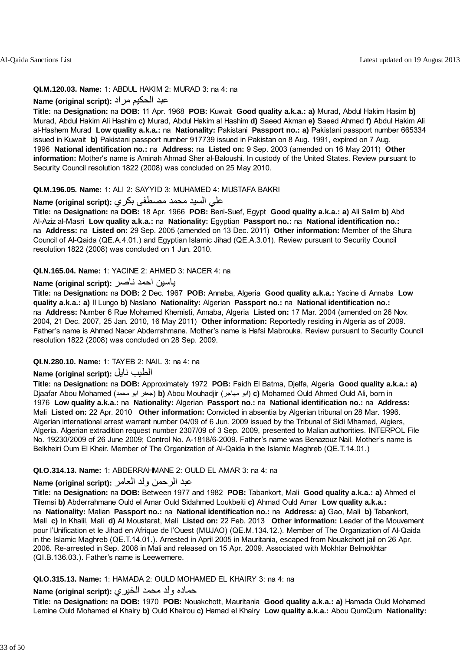#### **QI.M.120.03. Name:** 1: ABDUL HAKIM 2: MURAD 3: na 4: na

## عبد الحكيم مراد **:(script original (Name**

**Title:** na **Designation:** na **DOB:** 11 Apr. 1968 **POB:** Kuwait **Good quality a.k.a.: a)** Murad, Abdul Hakim Hasim **b)** Murad, Abdul Hakim Ali Hashim **c)** Murad, Abdul Hakim al Hashim **d)** Saeed Akman **e)** Saeed Ahmed **f)** Abdul Hakim Ali al-Hashem Murad **Low quality a.k.a.:** na **Nationality:** Pakistani **Passport no.: a)** Pakistani passport number 665334 issued in Kuwait **b)** Pakistani passport number 917739 issued in Pakistan on 8 Aug. 1991, expired on 7 Aug. 1996 **National identification no.:** na **Address:** na **Listed on:** 9 Sep. 2003 (amended on 16 May 2011) **Other information:** Mother's name is Aminah Ahmad Sher al-Baloushi. In custody of the United States. Review pursuant to Security Council resolution 1822 (2008) was concluded on 25 May 2010.

#### **QI.M.196.05. Name:** 1: ALI 2: SAYYID 3: MUHAMED 4: MUSTAFA BAKRI

## علي السيد محمد مصطفى بكري **:(script original (Name**

**Title:** na **Designation:** na **DOB:** 18 Apr. 1966 **POB:** Beni-Suef, Egypt **Good quality a.k.a.: a)** Ali Salim **b)** Abd Al-Aziz al-Masri **Low quality a.k.a.:** na **Nationality:** Egyptian **Passport no.:** na **National identification no.:** na **Address:** na **Listed on:** 29 Sep. 2005 (amended on 13 Dec. 2011) **Other information:** Member of the Shura Council of Al-Qaida (QE.A.4.01.) and Egyptian Islamic Jihad (QE.A.3.01). Review pursuant to Security Council resolution 1822 (2008) was concluded on 1 Jun. 2010.

#### **QI.N.165.04. Name:** 1: YACINE 2: AHMED 3: NACER 4: na

### ياسين احمد ناصر **:(script original (Name**

**Title:** na **Designation:** na **DOB:** 2 Dec. 1967 **POB:** Annaba, Algeria **Good quality a.k.a.:** Yacine di Annaba **Low quality a.k.a.: a)** Il Lungo **b)** Naslano **Nationality:** Algerian **Passport no.:** na **National identification no.:** na **Address:** Number 6 Rue Mohamed Khemisti, Annaba, Algeria **Listed on:** 17 Mar. 2004 (amended on 26 Nov. 2004, 21 Dec. 2007, 25 Jan. 2010, 16 May 2011) **Other information:** Reportedly residing in Algeria as of 2009. Father's name is Ahmed Nacer Abderrahmane. Mother's name is Hafsi Mabrouka. Review pursuant to Security Council resolution 1822 (2008) was concluded on 28 Sep. 2009.

### **QI.N.280.10. Name:** 1: TAYEB 2: NAIL 3: na 4: na

## **Name (original script):** نايل الطيب

**Title:** na **Designation:** na **DOB:** Approximately 1972 **POB:** Faidh El Batma, Djelfa, Algeria **Good quality a.k.a.: a)** Djaafar Abou Mohamed (محمد ابو جعفر (**b)** Abou Mouhadjir (مهاجر ابو (**c)** Mohamed Ould Ahmed Ould Ali, born in 1976 **Low quality a.k.a.:** na **Nationality:** Algerian **Passport no.:** na **National identification no.:** na **Address:** Mali **Listed on:** 22 Apr. 2010 **Other information:** Convicted in absentia by Algerian tribunal on 28 Mar. 1996. Algerian international arrest warrant number 04/09 of 6 Jun. 2009 issued by the Tribunal of Sidi Mhamed, Algiers, Algeria. Algerian extradition request number 2307/09 of 3 Sep. 2009, presented to Malian authorities. INTERPOL File No. 19230/2009 of 26 June 2009; Control No. A-1818/6-2009. Father's name was Benazouz Nail. Mother's name is Belkheiri Oum El Kheir. Member of The Organization of Al-Qaida in the Islamic Maghreb (QE.T.14.01.)

### **QI.O.314.13. Name:** 1: ABDERRAHMANE 2: OULD EL AMAR 3: na 4: na

## عبد الرحمن ولد العامر **:(script original (Name**

**Title:** na **Designation:** na **DOB:** Between 1977 and 1982 **POB:** Tabankort, Mali **Good quality a.k.a.: a)** Ahmed el Tilemsi **b)** Abderrahmane Ould el Amar Ould Sidahmed Loukbeiti **c)** Ahmad Ould Amar **Low quality a.k.a.:** na **Nationality:** Malian **Passport no.:** na **National identification no.:** na **Address: a)** Gao, Mali **b)** Tabankort, Mali **c)** In Khalil, Mali **d)** Al Moustarat, Mali **Listed on:** 22 Feb. 2013 **Other information:** Leader of the Mouvement pour l'Unification et le Jihad en Afrique de l'Ouest (MUJAO) (QE.M.134.12.). Member of The Organization of Al-Qaida in the Islamic Maghreb (QE.T.14.01.). Arrested in April 2005 in Mauritania, escaped from Nouakchott jail on 26 Apr. 2006. Re-arrested in Sep. 2008 in Mali and released on 15 Apr. 2009. Associated with Mokhtar Belmokhtar (QI.B.136.03.). Father's name is Leewemere.

#### **QI.O.315.13. Name:** 1: HAMADA 2: OULD MOHAMED EL KHAIRY 3: na 4: na

## حماده ولد محمد الخيري **:(script original (Name**

**Title:** na **Designation:** na **DOB:** 1970 **POB:** Nouakchott, Mauritania **Good quality a.k.a.: a)** Hamada Ould Mohamed Lemine Ould Mohamed el Khairy **b)** Ould Kheirou **c)** Hamad el Khairy **Low quality a.k.a.:** Abou QumQum **Nationality:**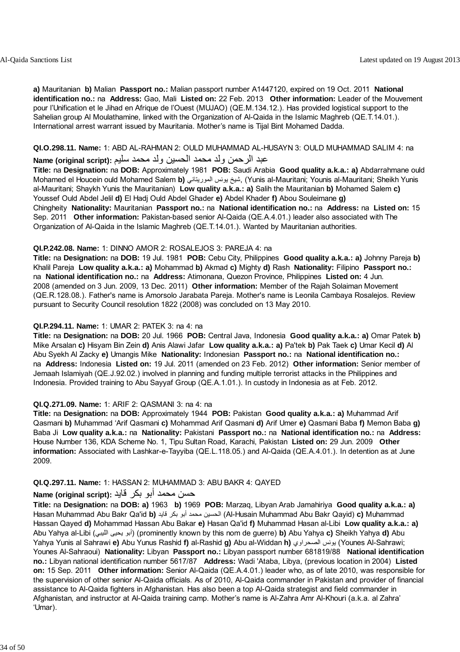**a)** Mauritanian **b)** Malian **Passport no.:** Malian passport number A1447120, expired on 19 Oct. 2011 **National identification no.:** na **Address:** Gao, Mali **Listed on:** 22 Feb. 2013 **Other information:** Leader of the Mouvement pour l'Unification et le Jihad en Afrique de l'Ouest (MUJAO) (QE.M.134.12.). Has provided logistical support to the Sahelian group Al Moulathamine, linked with the Organization of Al-Qaida in the Islamic Maghreb (QE.T.14.01.). International arrest warrant issued by Mauritania. Mother's name is Tijal Bint Mohamed Dadda.

#### **QI.O.298.11. Name:** 1: ABD AL-RAHMAN 2: OULD MUHAMMAD AL-HUSAYN 3: OULD MUHAMMAD SALIM 4: na

## عبد الرحمن ولد محمد الحسين ولد محمد سليم **:Name (original script)**

**Title:** na **Designation:** na **DOB:** Approximately 1981 **POB:** Saudi Arabia **Good quality a.k.a.: a)** Abdarrahmane ould Mohamed el Houcein ould Mohamed Salem **b)** الموريتاني يونس شيخ,) Yunis al-Mauritani; Younis al-Mauritani; Sheikh Yunis al-Mauritani; Shaykh Yunis the Mauritanian) **Low quality a.k.a.: a)** Salih the Mauritanian **b)** Mohamed Salem **c)** Youssef Ould Abdel Jelil **d)** El Hadj Ould Abdel Ghader **e)** Abdel Khader **f)** Abou Souleimane **g)** Chingheity **Nationality:** Mauritanian **Passport no.:** na **National identification no.:** na **Address:** na **Listed on:** 15 Sep. 2011 **Other information:** Pakistan-based senior Al-Qaida (QE.A.4.01.) leader also associated with The Organization of Al-Qaida in the Islamic Maghreb (QE.T.14.01.). Wanted by Mauritanian authorities.

### **QI.P.242.08. Name:** 1: DINNO AMOR 2: ROSALEJOS 3: PAREJA 4: na

**Title:** na **Designation:** na **DOB:** 19 Jul. 1981 **POB:** Cebu City, Philippines **Good quality a.k.a.: a)** Johnny Pareja **b)** Khalil Pareja **Low quality a.k.a.: a)** Mohammad **b)** Akmad **c)** Mighty **d)** Rash **Nationality:** Filipino **Passport no.:** na **National identification no.:** na **Address:** Atimonana, Quezon Province, Philippines **Listed on:** 4 Jun. 2008 (amended on 3 Jun. 2009, 13 Dec. 2011) **Other information:** Member of the Rajah Solaiman Movement (QE.R.128.08.). Father's name is Amorsolo Jarabata Pareja. Mother's name is Leonila Cambaya Rosalejos. Review pursuant to Security Council resolution 1822 (2008) was concluded on 13 May 2010.

### **QI.P.294.11. Name:** 1: UMAR 2: PATEK 3: na 4: na

**Title:** na **Designation:** na **DOB:** 20 Jul. 1966 **POB:** Central Java, Indonesia **Good quality a.k.a.: a)** Omar Patek **b)** Mike Arsalan **c)** Hisyam Bin Zein **d)** Anis Alawi Jafar **Low quality a.k.a.: a)** Pa'tek **b)** Pak Taek **c)** Umar Kecil **d)** Al Abu Syekh Al Zacky **e)** Umangis Mike **Nationality:** Indonesian **Passport no.:** na **National identification no.:** na **Address:** Indonesia **Listed on:** 19 Jul. 2011 (amended on 23 Feb. 2012) **Other information:** Senior member of Jemaah Islamiyah (QE.J.92.02.) involved in planning and funding multiple terrorist attacks in the Philippines and Indonesia. Provided training to Abu Sayyaf Group (QE.A.1.01.). In custody in Indonesia as at Feb. 2012.

## **QI.Q.271.09. Name:** 1: ARIF 2: QASMANI 3: na 4: na

**Title:** na **Designation:** na **DOB:** Approximately 1944 **POB:** Pakistan **Good quality a.k.a.: a)** Muhammad Arif Qasmani **b)** Muhammad 'Arif Qasmani **c)** Mohammad Arif Qasmani **d)** Arif Umer **e)** Qasmani Baba **f)** Memon Baba **g)** Baba Ji **Low quality a.k.a.:** na **Nationality:** Pakistani **Passport no.:** na **National identification no.:** na **Address:** House Number 136, KDA Scheme No. 1, Tipu Sultan Road, Karachi, Pakistan **Listed on:** 29 Jun. 2009 **Other information:** Associated with Lashkar-e-Tayyiba (QE.L.118.05.) and Al-Qaida (QE.A.4.01.). In detention as at June 2009.

#### **QI.Q.297.11. Name:** 1: HASSAN 2: MUHAMMAD 3: ABU BAKR 4: QAYED

## حسن محمد أبو بكر قايد **:(script original (Name**

**Title:** na **Designation:** na **DOB: a)** 1963 **b)** 1969 **POB:** Marzaq, Libyan Arab Jamahiriya **Good quality a.k.a.: a)** Hasan Muhammad Abu Bakr Qa'id **b)** قايد بكر أبو محمد الحسين) Al-Husain Muhammad Abu Bakr Qayid) **c)** Muhammad Hassan Qayed **d)** Mohammad Hassan Abu Bakar **e)** Hasan Qa'id **f)** Muhammad Hasan al-Libi **Low quality a.k.a.: a)** Abu Yahya al-Libi (الليبي يحيى أبو) (prominently known by this nom de guerre) **b)** Abu Yahya **c)** Sheikh Yahya **d)** Abu Yahya Yunis al Sahrawi **e)** Abu Yunus Rashid **f)** al-Rashid **g)** Abu al-Widdan **h)** الصحراوي يونس) Younes Al-Sahrawi; Younes Al-Sahraoui) **Nationality:** Libyan **Passport no.:** Libyan passport number 681819/88 **National identification no.:** Libyan national identification number 5617/87 **Address:** Wadi 'Ataba, Libya, (previous location in 2004) **Listed on:** 15 Sep. 2011 **Other information:** Senior Al-Qaida (QE.A.4.01.) leader who, as of late 2010, was responsible for the supervision of other senior Al-Qaida officials. As of 2010, Al-Qaida commander in Pakistan and provider of financial assistance to Al-Qaida fighters in Afghanistan. Has also been a top Al-Qaida strategist and field commander in Afghanistan, and instructor at Al-Qaida training camp. Mother's name is Al-Zahra Amr Al-Khouri (a.k.a. al Zahra' 'Umar).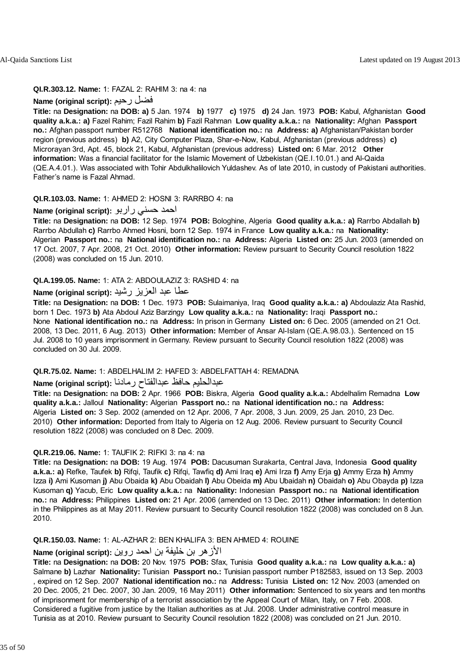### **QI.R.303.12. Name:** 1: FAZAL 2: RAHIM 3: na 4: na

## **Name (original script):** رحيم فضل

**Title:** na **Designation:** na **DOB: a)** 5 Jan. 1974 **b)** 1977 **c)** 1975 **d)** 24 Jan. 1973 **POB:** Kabul, Afghanistan **Good quality a.k.a.: a)** Fazel Rahim; Fazil Rahim **b)** Fazil Rahman **Low quality a.k.a.:** na **Nationality:** Afghan **Passport no.:** Afghan passport number R512768 **National identification no.:** na **Address: a)** Afghanistan/Pakistan border region (previous address) **b)** A2, City Computer Plaza, Shar-e-Now, Kabul, Afghanistan (previous address) **c)** Microrayan 3rd, Apt. 45, block 21, Kabul, Afghanistan (previous address) **Listed on:** 6 Mar. 2012 **Other information:** Was a financial facilitator for the Islamic Movement of Uzbekistan (QE.I.10.01.) and Al-Qaida (QE.A.4.01.). Was associated with Tohir Abdulkhalilovich Yuldashev. As of late 2010, in custody of Pakistani authorities. Father's name is Fazal Ahmad.

## **QI.R.103.03. Name:** 1: AHMED 2: HOSNI 3: RARRBO 4: na

### احمد حسني راربو **:(script original (Name**

**Title:** na **Designation:** na **DOB:** 12 Sep. 1974 **POB:** Bologhine, Algeria **Good quality a.k.a.: a)** Rarrbo Abdallah **b)** Rarrbo Abdullah **c)** Rarrbo Ahmed Hosni, born 12 Sep. 1974 in France **Low quality a.k.a.:** na **Nationality:** Algerian **Passport no.:** na **National identification no.:** na **Address:** Algeria **Listed on:** 25 Jun. 2003 (amended on 17 Oct. 2007, 7 Apr. 2008, 21 Oct. 2010) **Other information:** Review pursuant to Security Council resolution 1822 (2008) was concluded on 15 Jun. 2010.

### **QI.A.199.05. Name:** 1: ATA 2: ABDOULAZIZ 3: RASHID 4: na

## عطا عبد العزيز رشيد **:(script original (Name**

**Title:** na **Designation:** na **DOB:** 1 Dec. 1973 **POB:** Sulaimaniya, Iraq **Good quality a.k.a.: a)** Abdoulaziz Ata Rashid, born 1 Dec. 1973 **b)** Ata Abdoul Aziz Barzingy **Low quality a.k.a.:** na **Nationality:** Iraqi **Passport no.:** None **National identification no.:** na **Address:** In prison in Germany **Listed on:** 6 Dec. 2005 (amended on 21 Oct. 2008, 13 Dec. 2011, 6 Aug. 2013) **Other information:** Member of Ansar Al-Islam (QE.A.98.03.). Sentenced on 15 Jul. 2008 to 10 years imprisonment in Germany. Review pursuant to Security Council resolution 1822 (2008) was concluded on 30 Jul. 2009.

#### **QI.R.75.02. Name:** 1: ABDELHALIM 2: HAFED 3: ABDELFATTAH 4: REMADNA

## عبدالحليم حافظ عبدالفتاح رمادنا **:(script original (Name**

**Title:** na **Designation:** na **DOB:** 2 Apr. 1966 **POB:** Biskra, Algeria **Good quality a.k.a.:** Abdelhalim Remadna **Low quality a.k.a.:** Jalloul **Nationality:** Algerian **Passport no.:** na **National identification no.:** na **Address:** Algeria **Listed on:** 3 Sep. 2002 (amended on 12 Apr. 2006, 7 Apr. 2008, 3 Jun. 2009, 25 Jan. 2010, 23 Dec. 2010) **Other information:** Deported from Italy to Algeria on 12 Aug. 2006. Review pursuant to Security Council resolution 1822 (2008) was concluded on 8 Dec. 2009.

#### **QI.R.219.06. Name:** 1: TAUFIK 2: RIFKI 3: na 4: na

**Title:** na **Designation:** na **DOB:** 19 Aug. 1974 **POB:** Dacusuman Surakarta, Central Java, Indonesia **Good quality a.k.a.: a)** Refke, Taufek **b)** Rifqi, Taufik **c)** Rifqi, Tawfiq **d)** Ami Iraq **e)** Ami Irza **f)** Amy Erja **g)** Ammy Erza **h)** Ammy Izza **i)** Ami Kusoman **j)** Abu Obaida **k)** Abu Obaidah **l)** Abu Obeida **m)** Abu Ubaidah **n)** Obaidah **o)** Abu Obayda **p)** Izza Kusoman **q)** Yacub, Eric **Low quality a.k.a.:** na **Nationality:** Indonesian **Passport no.:** na **National identification no.:** na **Address:** Philippines **Listed on:** 21 Apr. 2006 (amended on 13 Dec. 2011) **Other information:** In detention in the Philippines as at May 2011. Review pursuant to Security Council resolution 1822 (2008) was concluded on 8 Jun. 2010.

### **QI.R.150.03. Name:** 1: AL-AZHAR 2: BEN KHALIFA 3: BEN AHMED 4: ROUINE

## الأزهر بن خليفة بن احمد روين **:(script original (Name**

**Title:** na **Designation:** na **DOB:** 20 Nov. 1975 **POB:** Sfax, Tunisia **Good quality a.k.a.:** na **Low quality a.k.a.: a)** Salmane **b)** Lazhar **Nationality:** Tunisian **Passport no.:** Tunisian passport number P182583, issued on 13 Sep. 2003 , expired on 12 Sep. 2007 **National identification no.:** na **Address:** Tunisia **Listed on:** 12 Nov. 2003 (amended on 20 Dec. 2005, 21 Dec. 2007, 30 Jan. 2009, 16 May 2011) **Other information:** Sentenced to six years and ten months of imprisonment for membership of a terrorist association by the Appeal Court of Milan, Italy, on 7 Feb. 2008. Considered a fugitive from justice by the Italian authorities as at Jul. 2008. Under administrative control measure in Tunisia as at 2010. Review pursuant to Security Council resolution 1822 (2008) was concluded on 21 Jun. 2010.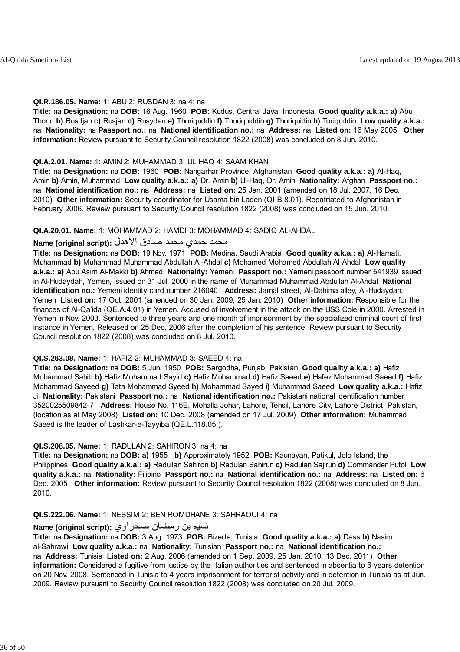#### **QI.R.186.05. Name:** 1: ABU 2: RUSDAN 3: na 4: na

**Title:** na **Designation:** na **DOB:** 16 Aug. 1960 **POB:** Kudus, Central Java, Indonesia **Good quality a.k.a.: a)** Abu Thoriq **b)** Rusdjan **c)** Rusjan **d)** Rusydan **e)** Thoriquddin **f)** Thoriquiddin **g)** Thoriquidin **h)** Toriquddin **Low quality a.k.a.:** na **Nationality:** na **Passport no.:** na **National identification no.:** na **Address:** na **Listed on:** 16 May 2005 **Other information:** Review pursuant to Security Council resolution 1822 (2008) was concluded on 8 Jun. 2010.

#### **QI.A.2.01. Name:** 1: AMIN 2: MUHAMMAD 3: UL HAQ 4: SAAM KHAN

**Title:** na **Designation:** na **DOB:** 1960 **POB:** Nangarhar Province, Afghanistan **Good quality a.k.a.: a)** Al-Haq, Amin **b)** Amin, Muhammad **Low quality a.k.a.: a)** Dr. Amin **b)** Ul-Haq, Dr. Amin **Nationality:** Afghan **Passport no.:** na **National identification no.:** na **Address:** na **Listed on:** 25 Jan. 2001 (amended on 18 Jul. 2007, 16 Dec. 2010) **Other information:** Security coordinator for Usama bin Laden (QI.B.8.01). Repatriated to Afghanistan in February 2006. Review pursuant to Security Council resolution 1822 (2008) was concluded on 15 Jun. 2010.

#### **QI.A.20.01. Name:** 1: MOHAMMAD 2: HAMDI 3: MOHAMMAD 4: SADIQ AL-AHDAL

## محمد حمدي محمد صبادق الأهدل **:Name (original script**)

**Title:** na **Designation:** na **DOB:** 19 Nov. 1971 **POB:** Medina, Saudi Arabia **Good quality a.k.a.: a)** Al-Hamati, Muhammad **b)** Muhammad Muhammad Abdullah Al-Ahdal **c)** Mohamed Mohamed Abdullah Al-Ahdal **Low quality a.k.a.: a)** Abu Asim Al-Makki **b)** Ahmed **Nationality:** Yemeni **Passport no.:** Yemeni passport number 541939 issued in Al-Hudaydah, Yemen, issued on 31 Jul. 2000 in the name of Muhammad Muhammad Abdullah Al-Ahdal **National identification no.:** Yemeni identity card number 216040 **Address:** Jamal street, Al-Dahima alley, Al-Hudaydah, Yemen **Listed on:** 17 Oct. 2001 (amended on 30 Jan. 2009, 25 Jan. 2010) **Other information:** Responsible for the finances of Al-Qa'ida (QE.A.4.01) in Yemen. Accused of involvement in the attack on the USS Cole in 2000. Arrested in Yemen in Nov. 2003. Sentenced to three years and one month of imprisonment by the specialized criminal court of first instance in Yemen. Released on 25 Dec. 2006 after the completion of his sentence. Review pursuant to Security Council resolution 1822 (2008) was concluded on 8 Jul. 2010.

#### **QI.S.263.08. Name:** 1: HAFIZ 2: MUHAMMAD 3: SAEED 4: na

**Title:** na **Designation:** na **DOB:** 5 Jun. 1950 **POB:** Sargodha, Punjab, Pakistan **Good quality a.k.a.: a)** Hafiz Mohammad Sahib **b)** Hafiz Mohammad Sayid **c)** Hafiz Muhammad **d)** Hafiz Saeed **e)** Hafez Mohammad Saeed **f)** Hafiz Mohammad Sayeed **g)** Tata Mohammad Syeed **h)** Mohammad Sayed **i)** Muhammad Saeed **Low quality a.k.a.:** Hafiz Ji **Nationality:** Pakistani **Passport no.:** na **National identification no.:** Pakistani national identification number 3520025509842-7 **Address:** House No. 116E, Mohalla Johar, Lahore, Tehsil, Lahore City, Lahore District, Pakistan, (location as at May 2008) **Listed on:** 10 Dec. 2008 (amended on 17 Jul. 2009) **Other information:** Muhammad Saeed is the leader of Lashkar-e-Tayyiba (QE.L.118.05.).

#### **QI.S.208.05. Name:** 1: RADULAN 2: SAHIRON 3: na 4: na

**Title:** na **Designation:** na **DOB: a)** 1955 **b)** Approximately 1952 **POB:** Kaunayan, Patikul, Jolo Island, the Philippines **Good quality a.k.a.: a)** Radullan Sahiron **b)** Radulan Sahirun **c)** Radulan Sajirun **d)** Commander Putol **Low quality a.k.a.:** na **Nationality:** Filipino **Passport no.:** na **National identification no.:** na **Address:** na **Listed on:** 6 Dec. 2005 **Other information:** Review pursuant to Security Council resolution 1822 (2008) was concluded on 8 Jun. 2010.

#### **QI.S.222.06. Name:** 1: NESSIM 2: BEN ROMDHANE 3: SAHRAOUI 4: na

## نسيم بن رمضان صحراوي **:(script original (Name**

**Title:** na **Designation:** na **DOB:** 3 Aug. 1973 **POB:** Bizerta, Tunisia **Good quality a.k.a.: a)** Dass **b)** Nasim al-Sahrawi **Low quality a.k.a.:** na **Nationality:** Tunisian **Passport no.:** na **National identification no.:** na **Address:** Tunisia **Listed on:** 2 Aug. 2006 (amended on 1 Sep. 2009, 25 Jan. 2010, 13 Dec. 2011) **Other information:** Considered a fugitive from justice by the Italian authorities and sentenced in absentia to 6 years detention on 20 Nov. 2008. Sentenced in Tunisia to 4 years imprisonment for terrorist activity and in detention in Tunisia as at Jun. 2009. Review pursuant to Security Council resolution 1822 (2008) was concluded on 20 Jul. 2009.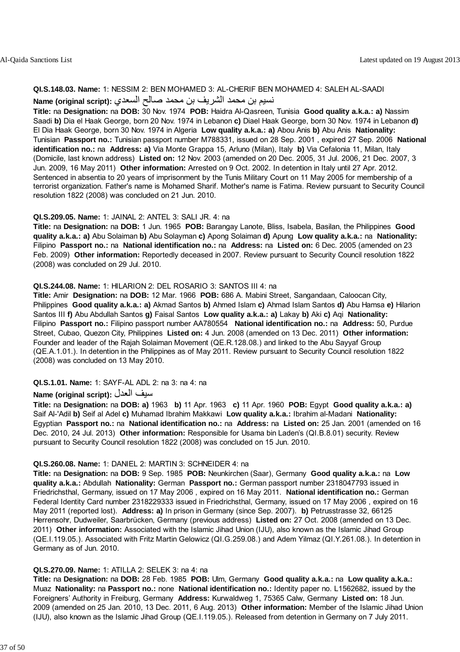#### **QI.S.148.03. Name:** 1: NESSIM 2: BEN MOHAMED 3: AL-CHERIF BEN MOHAMED 4: SALEH AL-SAADI

## نسيم بن محمد الشريف بن محمد صالح السعدي **:(script original (Name**

**Title:** na **Designation:** na **DOB:** 30 Nov. 1974 **POB:** Haidra Al-Qasreen, Tunisia **Good quality a.k.a.: a)** Nassim Saadi **b)** Dia el Haak George, born 20 Nov. 1974 in Lebanon **c)** Diael Haak George, born 30 Nov. 1974 in Lebanon **d)** El Dia Haak George, born 30 Nov. 1974 in Algeria **Low quality a.k.a.: a)** Abou Anis **b)** Abu Anis **Nationality:** Tunisian **Passport no.:** Tunisian passport number M788331, issued on 28 Sep. 2001 , expired 27 Sep. 2006 **National identification no.:** na **Address: a)** Via Monte Grappa 15, Arluno (Milan), Italy **b)** Via Cefalonia 11, Milan, Italy (Domicile, last known address) **Listed on:** 12 Nov. 2003 (amended on 20 Dec. 2005, 31 Jul. 2006, 21 Dec. 2007, 3 Jun. 2009, 16 May 2011) **Other information:** Arrested on 9 Oct. 2002. In detention in Italy until 27 Apr. 2012. Sentenced in absentia to 20 years of imprisonment by the Tunis Military Court on 11 May 2005 for membership of a terrorist organization. Father's name is Mohamed Sharif. Mother's name is Fatima. Review pursuant to Security Council resolution 1822 (2008) was concluded on 21 Jun. 2010.

#### **QI.S.209.05. Name:** 1: JAINAL 2: ANTEL 3: SALI JR. 4: na

**Title:** na **Designation:** na **DOB:** 1 Jun. 1965 **POB:** Barangay Lanote, Bliss, Isabela, Basilan, the Philippines **Good quality a.k.a.: a)** Abu Solaiman **b)** Abu Solayman **c)** Apong Solaiman **d)** Apung **Low quality a.k.a.:** na **Nationality:** Filipino **Passport no.:** na **National identification no.:** na **Address:** na **Listed on:** 6 Dec. 2005 (amended on 23 Feb. 2009) **Other information:** Reportedly deceased in 2007. Review pursuant to Security Council resolution 1822 (2008) was concluded on 29 Jul. 2010.

## **QI.S.244.08. Name:** 1: HILARION 2: DEL ROSARIO 3: SANTOS III 4: na

**Title:** Amir **Designation:** na **DOB:** 12 Mar. 1966 **POB:** 686 A. Mabini Street, Sangandaan, Caloocan City, Philippines **Good quality a.k.a.: a)** Akmad Santos **b)** Ahmed Islam **c)** Ahmad Islam Santos **d)** Abu Hamsa **e)** Hilarion Santos III **f)** Abu Abdullah Santos **g)** Faisal Santos **Low quality a.k.a.: a)** Lakay **b)** Aki **c)** Aqi **Nationality:** Filipino **Passport no.:** Filipino passport number AA780554 **National identification no.:** na **Address:** 50, Purdue Street, Cubao, Quezon City, Philippines **Listed on:** 4 Jun. 2008 (amended on 13 Dec. 2011) **Other information:** Founder and leader of the Rajah Solaiman Movement (QE.R.128.08.) and linked to the Abu Sayyaf Group (QE.A.1.01.). In detention in the Philippines as of May 2011. Review pursuant to Security Council resolution 1822 (2008) was concluded on 13 May 2010.

**QI.S.1.01. Name:** 1: SAYF-AL ADL 2: na 3: na 4: na

## **Name (original script):** العدل سيف

**Title:** na **Designation:** na **DOB: a)** 1963 **b)** 11 Apr. 1963 **c)** 11 Apr. 1960 **POB:** Egypt **Good quality a.k.a.: a)** Saif Al-'Adil **b)** Seif al Adel **c)** Muhamad Ibrahim Makkawi **Low quality a.k.a.:** Ibrahim al-Madani **Nationality:** Egyptian **Passport no.:** na **National identification no.:** na **Address:** na **Listed on:** 25 Jan. 2001 (amended on 16 Dec. 2010, 24 Jul. 2013) **Other information:** Responsible for Usama bin Laden's (QI.B.8.01) security. Review pursuant to Security Council resolution 1822 (2008) was concluded on 15 Jun. 2010.

#### **QI.S.260.08. Name:** 1: DANIEL 2: MARTIN 3: SCHNEIDER 4: na

**Title:** na **Designation:** na **DOB:** 9 Sep. 1985 **POB:** Neunkirchen (Saar), Germany **Good quality a.k.a.:** na **Low quality a.k.a.:** Abdullah **Nationality:** German **Passport no.:** German passport number 2318047793 issued in Friedrichsthal, Germany, issued on 17 May 2006 , expired on 16 May 2011. **National identification no.:** German Federal Identity Card number 2318229333 issued in Friedrichsthal, Germany, issued on 17 May 2006 , expired on 16 May 2011 (reported lost). **Address: a)** In prison in Germany (since Sep. 2007). **b)** Petrusstrasse 32, 66125 Herrensohr, Dudweiler, Saarbrücken, Germany (previous address) **Listed on:** 27 Oct. 2008 (amended on 13 Dec. 2011) **Other information:** Associated with the Islamic Jihad Union (IJU), also known as the Islamic Jihad Group (QE.I.119.05.). Associated with Fritz Martin Gelowicz (QI.G.259.08.) and Adem Yilmaz (QI.Y.261.08.). In detention in Germany as of Jun. 2010.

#### **QI.S.270.09. Name:** 1: ATILLA 2: SELEK 3: na 4: na

**Title:** na **Designation:** na **DOB:** 28 Feb. 1985 **POB:** Ulm, Germany **Good quality a.k.a.:** na **Low quality a.k.a.:** Muaz **Nationality:** na **Passport no.:** none **National identification no.:** Identity paper no. L1562682, issued by the Foreigners' Authority in Freiburg, Germany **Address:** Kurwaldweg 1, 75365 Calw, Germany **Listed on:** 18 Jun. 2009 (amended on 25 Jan. 2010, 13 Dec. 2011, 6 Aug. 2013) **Other information:** Member of the Islamic Jihad Union (IJU), also known as the Islamic Jihad Group (QE.I.119.05.). Released from detention in Germany on 7 July 2011.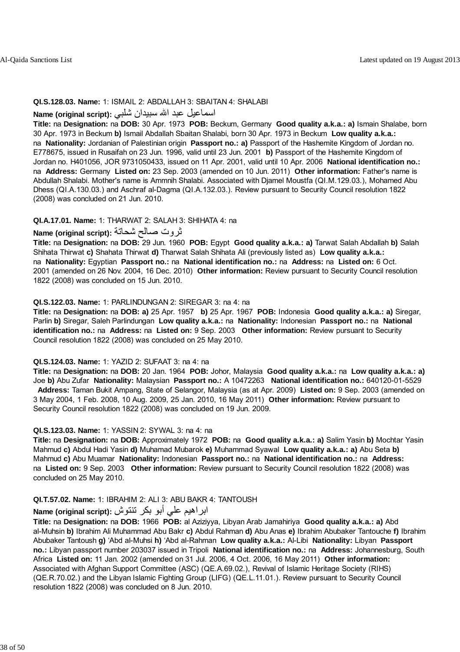#### **QI.S.128.03. Name:** 1: ISMAIL 2: ABDALLAH 3: SBAITAN 4: SHALABI

## اسماعيل عبد االله سبيدان شلبي **:(script original (Name**

**Title:** na **Designation:** na **DOB:** 30 Apr. 1973 **POB:** Beckum, Germany **Good quality a.k.a.: a)** Ismain Shalabe, born 30 Apr. 1973 in Beckum **b)** Ismail Abdallah Sbaitan Shalabi, born 30 Apr. 1973 in Beckum **Low quality a.k.a.:** na **Nationality:** Jordanian of Palestinian origin **Passport no.: a)** Passport of the Hashemite Kingdom of Jordan no. E778675, issued in Rusaifah on 23 Jun. 1996, valid until 23 Jun. 2001 **b)** Passport of the Hashemite Kingdom of Jordan no. H401056, JOR 9731050433, issued on 11 Apr. 2001, valid until 10 Apr. 2006 **National identification no.:** na **Address:** Germany **Listed on:** 23 Sep. 2003 (amended on 10 Jun. 2011) **Other information:** Father's name is Abdullah Shalabi. Mother's name is Ammnih Shalabi. Associated with Djamel Moustfa (QI.M.129.03.), Mohamed Abu Dhess (QI.A.130.03.) and Aschraf al-Dagma (QI.A.132.03.). Review pursuant to Security Council resolution 1822 (2008) was concluded on 21 Jun. 2010.

#### **QI.A.17.01. Name:** 1: THARWAT 2: SALAH 3: SHIHATA 4: na

## ثروت صالح شحاتة **:(script original (Name**

**Title:** na **Designation:** na **DOB:** 29 Jun. 1960 **POB:** Egypt **Good quality a.k.a.: a)** Tarwat Salah Abdallah **b)** Salah Shihata Thirwat **c)** Shahata Thirwat **d)** Tharwat Salah Shihata Ali (previously listed as) **Low quality a.k.a.:** na **Nationality:** Egyptian **Passport no.:** na **National identification no.:** na **Address:** na **Listed on:** 6 Oct. 2001 (amended on 26 Nov. 2004, 16 Dec. 2010) **Other information:** Review pursuant to Security Council resolution 1822 (2008) was concluded on 15 Jun. 2010.

#### **QI.S.122.03. Name:** 1: PARLINDUNGAN 2: SIREGAR 3: na 4: na

**Title:** na **Designation:** na **DOB: a)** 25 Apr. 1957 **b)** 25 Apr. 1967 **POB:** Indonesia **Good quality a.k.a.: a)** Siregar, Parlin **b)** Siregar, Saleh Parlindungan **Low quality a.k.a.:** na **Nationality:** Indonesian **Passport no.:** na **National identification no.:** na **Address:** na **Listed on:** 9 Sep. 2003 **Other information:** Review pursuant to Security Council resolution 1822 (2008) was concluded on 25 May 2010.

#### **QI.S.124.03. Name:** 1: YAZID 2: SUFAAT 3: na 4: na

**Title:** na **Designation:** na **DOB:** 20 Jan. 1964 **POB:** Johor, Malaysia **Good quality a.k.a.:** na **Low quality a.k.a.: a)** Joe **b)** Abu Zufar **Nationality:** Malaysian **Passport no.:** A 10472263 **National identification no.:** 640120-01-5529 **Address:** Taman Bukit Ampang, State of Selangor, Malaysia (as at Apr. 2009) **Listed on:** 9 Sep. 2003 (amended on 3 May 2004, 1 Feb. 2008, 10 Aug. 2009, 25 Jan. 2010, 16 May 2011) **Other information:** Review pursuant to Security Council resolution 1822 (2008) was concluded on 19 Jun. 2009.

#### **QI.S.123.03. Name:** 1: YASSIN 2: SYWAL 3: na 4: na

**Title:** na **Designation:** na **DOB:** Approximately 1972 **POB:** na **Good quality a.k.a.: a)** Salim Yasin **b)** Mochtar Yasin Mahmud **c)** Abdul Hadi Yasin **d)** Muhamad Mubarok **e)** Muhammad Syawal **Low quality a.k.a.: a)** Abu Seta **b)** Mahmud **c)** Abu Muamar **Nationality:** Indonesian **Passport no.:** na **National identification no.:** na **Address:** na **Listed on:** 9 Sep. 2003 **Other information:** Review pursuant to Security Council resolution 1822 (2008) was concluded on 25 May 2010.

#### **QI.T.57.02. Name:** 1: IBRAHIM 2: ALI 3: ABU BAKR 4: TANTOUSH

## ابراهيم علي أبو بكر تنتوش **:(script original (Name**

**Title:** na **Designation:** na **DOB:** 1966 **POB:** al Aziziyya, Libyan Arab Jamahiriya **Good quality a.k.a.: a)** Abd al-Muhsin **b)** Ibrahim Ali Muhammad Abu Bakr **c)** Abdul Rahman **d)** Abu Anas **e)** Ibrahim Abubaker Tantouche **f)** Ibrahim Abubaker Tantoush **g)** 'Abd al-Muhsi **h)** 'Abd al-Rahman **Low quality a.k.a.:** Al-Libi **Nationality:** Libyan **Passport no.:** Libyan passport number 203037 issued in Tripoli **National identification no.:** na **Address:** Johannesburg, South Africa **Listed on:** 11 Jan. 2002 (amended on 31 Jul. 2006, 4 Oct. 2006, 16 May 2011) **Other information:** Associated with Afghan Support Committee (ASC) (QE.A.69.02.), Revival of Islamic Heritage Society (RIHS) (QE.R.70.02.) and the Libyan Islamic Fighting Group (LIFG) (QE.L.11.01.). Review pursuant to Security Council resolution 1822 (2008) was concluded on 8 Jun. 2010.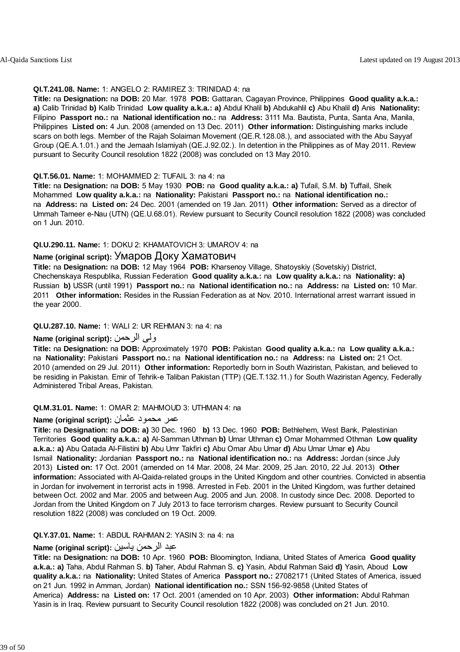#### **QI.T.241.08. Name:** 1: ANGELO 2: RAMIREZ 3: TRINIDAD 4: na

**Title:** na **Designation:** na **DOB:** 20 Mar. 1978 **POB:** Gattaran, Cagayan Province, Philippines **Good quality a.k.a.: a)** Calib Trinidad **b)** Kalib Trinidad **Low quality a.k.a.: a)** Abdul Khalil **b)** Abdukahlil **c)** Abu Khalil **d)** Anis **Nationality:** Filipino **Passport no.:** na **National identification no.:** na **Address:** 3111 Ma. Bautista, Punta, Santa Ana, Manila, Philippines **Listed on:** 4 Jun. 2008 (amended on 13 Dec. 2011) **Other information:** Distinguishing marks include scars on both legs. Member of the Rajah Solaiman Movement (QE.R.128.08.), and associated with the Abu Sayyaf Group (QE.A.1.01.) and the Jemaah Islamiyah (QE.J.92.02.). In detention in the Philippines as of May 2011. Review pursuant to Security Council resolution 1822 (2008) was concluded on 13 May 2010.

### **QI.T.56.01. Name:** 1: MOHAMMED 2: TUFAIL 3: na 4: na

**Title:** na **Designation:** na **DOB:** 5 May 1930 **POB:** na **Good quality a.k.a.: a)** Tufail, S.M. **b)** Tuffail, Sheik Mohammed **Low quality a.k.a.:** na **Nationality:** Pakistani **Passport no.:** na **National identification no.:** na **Address:** na **Listed on:** 24 Dec. 2001 (amended on 19 Jan. 2011) **Other information:** Served as a director of Ummah Tameer e-Nau (UTN) (QE.U.68.01). Review pursuant to Security Council resolution 1822 (2008) was concluded on 1 Jun. 2010.

## **QI.U.290.11. Name:** 1: DOKU 2: KHAMATOVICH 3: UMAROV 4: na

## **Name (original script):** Умаров Доку Хаматович

**Title:** na **Designation:** na **DOB:** 12 May 1964 **POB:** Kharsenoy Village, Shatoyskiy (Sovetskiy) District, Chechenskaya Respublika, Russian Federation **Good quality a.k.a.:** na **Low quality a.k.a.:** na **Nationality: a)** Russian **b)** USSR (until 1991) **Passport no.:** na **National identification no.:** na **Address:** na **Listed on:** 10 Mar. 2011 **Other information:** Resides in the Russian Federation as at Nov. 2010. International arrest warrant issued in the year 2000.

### **QI.U.287.10. Name:** 1: WALI 2: UR REHMAN 3: na 4: na

## **Name (original script):** الرحمن ولی

**Title:** na **Designation:** na **DOB:** Approximately 1970 **POB:** Pakistan **Good quality a.k.a.:** na **Low quality a.k.a.:** na **Nationality:** Pakistani **Passport no.:** na **National identification no.:** na **Address:** na **Listed on:** 21 Oct. 2010 (amended on 29 Jul. 2011) **Other information:** Reportedly born in South Waziristan, Pakistan, and believed to be residing in Pakistan. Emir of Tehrik-e Taliban Pakistan (TTP) (QE.T.132.11.) for South Waziristan Agency, Federally Administered Tribal Areas, Pakistan.

#### **QI.M.31.01. Name:** 1: OMAR 2: MAHMOUD 3: UTHMAN 4: na

## عمر محمود عثمان **:(script original (Name**

**Title:** na **Designation:** na **DOB: a)** 30 Dec. 1960 **b)** 13 Dec. 1960 **POB:** Bethlehem, West Bank, Palestinian Territories **Good quality a.k.a.: a)** Al-Samman Uthman **b)** Umar Uthman **c)** Omar Mohammed Othman **Low quality a.k.a.: a)** Abu Qatada Al-Filistini **b)** Abu Umr Takfiri **c)** Abu Omar Abu Umar **d)** Abu Umar Umar **e)** Abu Ismail **Nationality:** Jordanian **Passport no.:** na **National identification no.:** na **Address:** Jordan (since July 2013) **Listed on:** 17 Oct. 2001 (amended on 14 Mar. 2008, 24 Mar. 2009, 25 Jan. 2010, 22 Jul. 2013) **Other information:** Associated with Al-Qaida-related groups in the United Kingdom and other countries. Convicted in absentia in Jordan for involvement in terrorist acts in 1998. Arrested in Feb. 2001 in the United Kingdom, was further detained between Oct. 2002 and Mar. 2005 and between Aug. 2005 and Jun. 2008. In custody since Dec. 2008. Deported to Jordan from the United Kingdom on 7 July 2013 to face terrorism charges. Review pursuant to Security Council resolution 1822 (2008) was concluded on 19 Oct. 2009.

## **QI.Y.37.01. Name:** 1: ABDUL RAHMAN 2: YASIN 3: na 4: na

## عبد الرحمن ياسين **:(script original (Name**

**Title:** na **Designation:** na **DOB:** 10 Apr. 1960 **POB:** Bloomington, Indiana, United States of America **Good quality a.k.a.: a)** Taha, Abdul Rahman S. **b)** Taher, Abdul Rahman S. **c)** Yasin, Abdul Rahman Said **d)** Yasin, Aboud **Low quality a.k.a.:** na **Nationality:** United States of America **Passport no.:** 27082171 (United States of America, issued on 21 Jun. 1992 in Amman, Jordan) **National identification no.:** SSN 156-92-9858 (United States of America) **Address:** na **Listed on:** 17 Oct. 2001 (amended on 10 Apr. 2003) **Other information:** Abdul Rahman Yasin is in Iraq. Review pursuant to Security Council resolution 1822 (2008) was concluded on 21 Jun. 2010.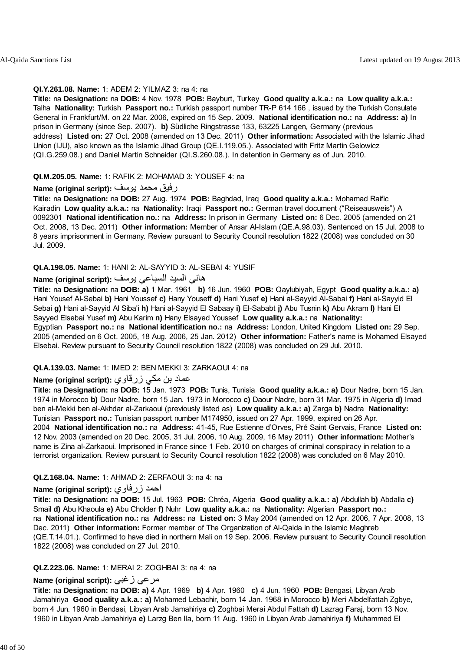## **QI.Y.261.08. Name:** 1: ADEM 2: YILMAZ 3: na 4: na

**Title:** na **Designation:** na **DOB:** 4 Nov. 1978 **POB:** Bayburt, Turkey **Good quality a.k.a.:** na **Low quality a.k.a.:** Talha **Nationality:** Turkish **Passport no.:** Turkish passport number TR-P 614 166 , issued by the Turkish Consulate General in Frankfurt/M. on 22 Mar. 2006, expired on 15 Sep. 2009. **National identification no.:** na **Address: a)** In prison in Germany (since Sep. 2007). **b)** Südliche Ringstrasse 133, 63225 Langen, Germany (previous address) **Listed on:** 27 Oct. 2008 (amended on 13 Dec. 2011) **Other information:** Associated with the Islamic Jihad Union (IJU), also known as the Islamic Jihad Group (QE.I.119.05.). Associated with Fritz Martin Gelowicz (QI.G.259.08.) and Daniel Martin Schneider (QI.S.260.08.). In detention in Germany as of Jun. 2010.

## **QI.M.205.05. Name:** 1: RAFIK 2: MOHAMAD 3: YOUSEF 4: na

## رفيق محمد يوسف **:(script original (Name**

**Title:** na **Designation:** na **DOB:** 27 Aug. 1974 **POB:** Baghdad, Iraq **Good quality a.k.a.:** Mohamad Raific Kairadin **Low quality a.k.a.:** na **Nationality:** Iraqi **Passport no.:** German travel document ("Reiseausweis") A 0092301 **National identification no.:** na **Address:** In prison in Germany **Listed on:** 6 Dec. 2005 (amended on 21 Oct. 2008, 13 Dec. 2011) **Other information:** Member of Ansar Al-Islam (QE.A.98.03). Sentenced on 15 Jul. 2008 to 8 years imprisonment in Germany. Review pursuant to Security Council resolution 1822 (2008) was concluded on 30 Jul. 2009.

## **QI.A.198.05. Name:** 1: HANI 2: AL-SAYYID 3: AL-SEBAI 4: YUSIF

## هاني السيد السباعي يوسف **:(script original (Name**

**Title:** na **Designation:** na **DOB: a)** 1 Mar. 1961 **b)** 16 Jun. 1960 **POB:** Qaylubiyah, Egypt **Good quality a.k.a.: a)** Hani Yousef Al-Sebai **b)** Hani Youssef **c)** Hany Youseff **d)** Hani Yusef **e)** Hani al-Sayyid Al-Sabai **f)** Hani al-Sayyid El Sebai **g)** Hani al-Sayyid Al Siba'i **h)** Hani al-Sayyid El Sabaay **i)** El-Sababt **j)** Abu Tusnin **k)** Abu Akram **l)** Hani El Sayyed Elsebai Yusef **m)** Abu Karim **n)** Hany Elsayed Youssef **Low quality a.k.a.:** na **Nationality:** Egyptian **Passport no.:** na **National identification no.:** na **Address:** London, United Kingdom **Listed on:** 29 Sep. 2005 (amended on 6 Oct. 2005, 18 Aug. 2006, 25 Jan. 2012) **Other information:** Father's name is Mohamed Elsayed Elsebai. Review pursuant to Security Council resolution 1822 (2008) was concluded on 29 Jul. 2010.

## **QI.A.139.03. Name:** 1: IMED 2: BEN MEKKI 3: ZARKAOUI 4: na

## عماد بن مكي زرقاوي **:(script original (Name**

**Title:** na **Designation:** na **DOB:** 15 Jan. 1973 **POB:** Tunis, Tunisia **Good quality a.k.a.: a)** Dour Nadre, born 15 Jan. 1974 in Morocco **b)** Dour Nadre, born 15 Jan. 1973 in Morocco **c)** Daour Nadre, born 31 Mar. 1975 in Algeria **d)** Imad ben al-Mekki ben al-Akhdar al-Zarkaoui (previously listed as) **Low quality a.k.a.: a)** Zarga **b)** Nadra **Nationality:** Tunisian **Passport no.:** Tunisian passport number M174950, issued on 27 Apr. 1999, expired on 26 Apr. 2004 **National identification no.:** na **Address:** 41-45, Rue Estienne d'Orves, Pré Saint Gervais, France **Listed on:** 12 Nov. 2003 (amended on 20 Dec. 2005, 31 Jul. 2006, 10 Aug. 2009, 16 May 2011) **Other information:** Mother's name is Zina al-Zarkaoui. Imprisoned in France since 1 Feb. 2010 on charges of criminal conspiracy in relation to a terrorist organization. Review pursuant to Security Council resolution 1822 (2008) was concluded on 6 May 2010.

## **QI.Z.168.04. Name:** 1: AHMAD 2: ZERFAOUI 3: na 4: na

## **Name (original script):** زرفاوي احمد

**Title:** na **Designation:** na **DOB:** 15 Jul. 1963 **POB:** Chréa, Algeria **Good quality a.k.a.: a)** Abdullah **b)** Abdalla **c)** Smail **d)** Abu Khaoula **e)** Abu Cholder **f)** Nuhr **Low quality a.k.a.:** na **Nationality:** Algerian **Passport no.:** na **National identification no.:** na **Address:** na **Listed on:** 3 May 2004 (amended on 12 Apr. 2006, 7 Apr. 2008, 13 Dec. 2011) **Other information:** Former member of The Organization of Al-Qaida in the Islamic Maghreb (QE.T.14.01.). Confirmed to have died in northern Mali on 19 Sep. 2006. Review pursuant to Security Council resolution 1822 (2008) was concluded on 27 Jul. 2010.

## **QI.Z.223.06. Name:** 1: MERAI 2: ZOGHBAI 3: na 4: na

## **Name (original script):** زغبي مرعي

**Title:** na **Designation:** na **DOB: a)** 4 Apr. 1969 **b)** 4 Apr. 1960 **c)** 4 Jun. 1960 **POB:** Bengasi, Libyan Arab Jamahiriya **Good quality a.k.a.: a)** Mohamed Lebachir, born 14 Jan. 1968 in Morocco **b)** Meri Albdelfattah Zgbye, born 4 Jun. 1960 in Bendasi, Libyan Arab Jamahiriya **c)** Zoghbai Merai Abdul Fattah **d)** Lazrag Faraj, born 13 Nov. 1960 in Libyan Arab Jamahiriya **e)** Larzg Ben Ila, born 11 Aug. 1960 in Libyan Arab Jamahiriya **f)** Muhammed El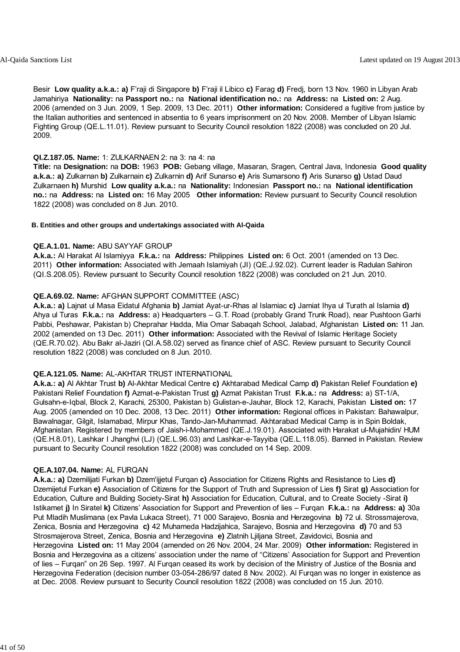Besir **Low quality a.k.a.: a)** F'raji di Singapore **b)** F'raji il Libico **c)** Farag **d)** Fredj, born 13 Nov. 1960 in Libyan Arab Jamahiriya **Nationality:** na **Passport no.:** na **National identification no.:** na **Address:** na **Listed on:** 2 Aug. 2006 (amended on 3 Jun. 2009, 1 Sep. 2009, 13 Dec. 2011) **Other information:** Considered a fugitive from justice by the Italian authorities and sentenced in absentia to 6 years imprisonment on 20 Nov. 2008. Member of Libyan Islamic Fighting Group (QE.L.11.01). Review pursuant to Security Council resolution 1822 (2008) was concluded on 20 Jul. 2009.

#### **QI.Z.187.05. Name:** 1: ZULKARNAEN 2: na 3: na 4: na

**Title:** na **Designation:** na **DOB:** 1963 **POB:** Gebang village, Masaran, Sragen, Central Java, Indonesia **Good quality a.k.a.: a)** Zulkarnan **b)** Zulkarnain **c)** Zulkarnin **d)** Arif Sunarso **e)** Aris Sumarsono **f)** Aris Sunarso **g)** Ustad Daud Zulkarnaen **h)** Murshid **Low quality a.k.a.:** na **Nationality:** Indonesian **Passport no.:** na **National identification no.:** na **Address:** na **Listed on:** 16 May 2005 **Other information:** Review pursuant to Security Council resolution 1822 (2008) was concluded on 8 Jun. 2010.

#### **B. Entities and other groups and undertakings associated with Al-Qaida**

#### **QE.A.1.01. Name:** ABU SAYYAF GROUP

**A.k.a.:** Al Harakat Al Islamiyya **F.k.a.:** na **Address:** Philippines **Listed on:** 6 Oct. 2001 (amended on 13 Dec. 2011) **Other information:** Associated with Jemaah Islamiyah (JI) (QE.J.92.02). Current leader is Radulan Sahiron (QI.S.208.05). Review pursuant to Security Council resolution 1822 (2008) was concluded on 21 Jun. 2010.

#### **QE.A.69.02. Name:** AFGHAN SUPPORT COMMITTEE (ASC)

**A.k.a.: a)** Lajnat ul Masa Eidatul Afghania **b)** Jamiat Ayat-ur-Rhas al Islamiac **c)** Jamiat Ihya ul Turath al Islamia **d)** Ahya ul Turas **F.k.a.:** na **Address:** a) Headquarters – G.T. Road (probably Grand Trunk Road), near Pushtoon Garhi Pabbi, Peshawar, Pakistan b) Cheprahar Hadda, Mia Omar Sabaqah School, Jalabad, Afghanistan **Listed on:** 11 Jan. 2002 (amended on 13 Dec. 2011) **Other information:** Associated with the Revival of Islamic Heritage Society (QE.R.70.02). Abu Bakr al-Jaziri (QI.A.58.02) served as finance chief of ASC. Review pursuant to Security Council resolution 1822 (2008) was concluded on 8 Jun. 2010.

#### **QE.A.121.05. Name:** AL-AKHTAR TRUST INTERNATIONAL

**A.k.a.: a)** Al Akhtar Trust **b)** Al-Akhtar Medical Centre **c)** Akhtarabad Medical Camp **d)** Pakistan Relief Foundation **e)** Pakistani Relief Foundation **f)** Azmat-e-Pakistan Trust **g)** Azmat Pakistan Trust **F.k.a.:** na **Address:** a) ST-1/A, Gulsahn-e-Iqbal, Block 2, Karachi, 25300, Pakistan b) Gulistan-e-Jauhar, Block 12, Karachi, Pakistan **Listed on:** 17 Aug. 2005 (amended on 10 Dec. 2008, 13 Dec. 2011) **Other information:** Regional offices in Pakistan: Bahawalpur, Bawalnagar, Gilgit, Islamabad, Mirpur Khas, Tando-Jan-Muhammad. Akhtarabad Medical Camp is in Spin Boldak, Afghanistan. Registered by members of Jaish-i-Mohammed (QE.J.19.01). Associated with Harakat ul-Mujahidin/ HUM (QE.H.8.01), Lashkar I Jhanghvi (LJ) (QE.L.96.03) and Lashkar-e-Tayyiba (QE.L.118.05). Banned in Pakistan. Review pursuant to Security Council resolution 1822 (2008) was concluded on 14 Sep. 2009.

#### **QE.A.107.04. Name:** AL FURQAN

**A.k.a.: a)** Dzemilijati Furkan **b)** Dzem'ijjetul Furqan **c)** Association for Citizens Rights and Resistance to Lies **d)** Dzemijetul Furkan **e)** Association of Citizens for the Support of Truth and Supression of Lies **f)** Sirat **g)** Association for Education, Culture and Building Society-Sirat **h)** Association for Education, Cultural, and to Create Society -Sirat **i)** Istikamet **j)** In Siratel **k)** Citizens' Association for Support and Prevention of lies – Furqan **F.k.a.:** na **Address: a)** 30a Put Mladih Muslimana (ex Pavla Lukaca Street), 71 000 Sarajevo, Bosnia and Herzegovina **b)** 72 ul. Strossmajerova, Zenica, Bosnia and Herzegovina **c)** 42 Muhameda Hadzijahica, Sarajevo, Bosnia and Herzegovina **d)** 70 and 53 Strosmajerova Street, Zenica, Bosnia and Herzegovina **e)** Zlatnih Ljiljana Street, Zavidovici, Bosnia and Herzegovina **Listed on:** 11 May 2004 (amended on 26 Nov. 2004, 24 Mar. 2009) **Other information:** Registered in Bosnia and Herzegovina as a citizens' association under the name of "Citizens' Association for Support and Prevention of lies – Furqan" on 26 Sep. 1997. Al Furqan ceased its work by decision of the Ministry of Justice of the Bosnia and Herzegovina Federation (decision number 03-054-286/97 dated 8 Nov. 2002). Al Furqan was no longer in existence as at Dec. 2008. Review pursuant to Security Council resolution 1822 (2008) was concluded on 15 Jun. 2010.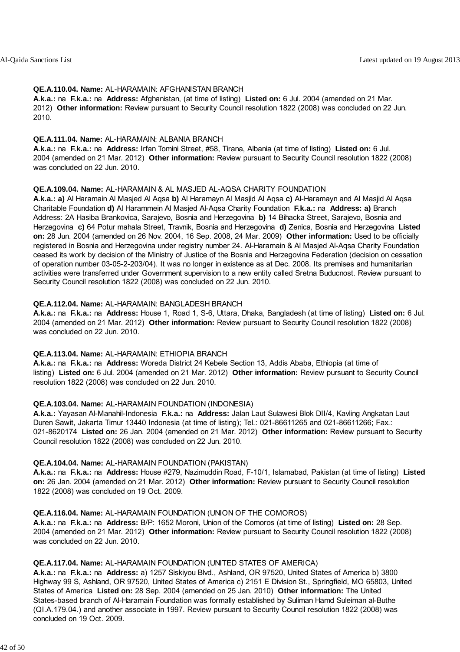#### **QE.A.110.04. Name:** AL-HARAMAIN: AFGHANISTAN BRANCH

**A.k.a.:** na **F.k.a.:** na **Address:** Afghanistan, (at time of listing) **Listed on:** 6 Jul. 2004 (amended on 21 Mar. 2012) **Other information:** Review pursuant to Security Council resolution 1822 (2008) was concluded on 22 Jun. 2010.

#### **QE.A.111.04. Name:** AL-HARAMAIN: ALBANIA BRANCH

**A.k.a.:** na **F.k.a.:** na **Address:** Irfan Tomini Street, #58, Tirana, Albania (at time of listing) **Listed on:** 6 Jul. 2004 (amended on 21 Mar. 2012) **Other information:** Review pursuant to Security Council resolution 1822 (2008) was concluded on 22 Jun. 2010.

### **QE.A.109.04. Name:** AL-HARAMAIN & AL MASJED AL-AQSA CHARITY FOUNDATION

**A.k.a.: a)** Al Haramain Al Masjed Al Aqsa **b)** Al Haramayn Al Masjid Al Aqsa **c)** Al-Haramayn and Al Masjid Al Aqsa Charitable Foundation **d)** Al Harammein Al Masjed Al-Aqsa Charity Foundation **F.k.a.:** na **Address: a)** Branch Address: 2A Hasiba Brankovica, Sarajevo, Bosnia and Herzegovina **b)** 14 Bihacka Street, Sarajevo, Bosnia and Herzegovina **c)** 64 Potur mahala Street, Travnik, Bosnia and Herzegovina **d)** Zenica, Bosnia and Herzegovina **Listed on:** 28 Jun. 2004 (amended on 26 Nov. 2004, 16 Sep. 2008, 24 Mar. 2009) **Other information:** Used to be officially registered in Bosnia and Herzegovina under registry number 24. Al-Haramain & Al Masjed Al-Aqsa Charity Foundation ceased its work by decision of the Ministry of Justice of the Bosnia and Herzegovina Federation (decision on cessation of operation number 03-05-2-203/04). It was no longer in existence as at Dec. 2008. Its premises and humanitarian activities were transferred under Government supervision to a new entity called Sretna Buducnost. Review pursuant to Security Council resolution 1822 (2008) was concluded on 22 Jun. 2010.

### **QE.A.112.04. Name:** AL-HARAMAIN: BANGLADESH BRANCH

**A.k.a.:** na **F.k.a.:** na **Address:** House 1, Road 1, S-6, Uttara, Dhaka, Bangladesh (at time of listing) **Listed on:** 6 Jul. 2004 (amended on 21 Mar. 2012) **Other information:** Review pursuant to Security Council resolution 1822 (2008) was concluded on 22 Jun. 2010.

#### **QE.A.113.04. Name:** AL-HARAMAIN: ETHIOPIA BRANCH

**A.k.a.:** na **F.k.a.:** na **Address:** Woreda District 24 Kebele Section 13, Addis Ababa, Ethiopia (at time of listing) **Listed on:** 6 Jul. 2004 (amended on 21 Mar. 2012) **Other information:** Review pursuant to Security Council resolution 1822 (2008) was concluded on 22 Jun. 2010.

#### **QE.A.103.04. Name:** AL-HARAMAIN FOUNDATION (INDONESIA)

**A.k.a.:** Yayasan Al-Manahil-Indonesia **F.k.a.:** na **Address:** Jalan Laut Sulawesi Blok DII/4, Kavling Angkatan Laut Duren Sawit, Jakarta Timur 13440 Indonesia (at time of listing); Tel.: 021-86611265 and 021-86611266; Fax.: 021-8620174 **Listed on:** 26 Jan. 2004 (amended on 21 Mar. 2012) **Other information:** Review pursuant to Security Council resolution 1822 (2008) was concluded on 22 Jun. 2010.

#### **QE.A.104.04. Name:** AL-HARAMAIN FOUNDATION (PAKISTAN)

**A.k.a.:** na **F.k.a.:** na **Address:** House #279, Nazimuddin Road, F-10/1, Islamabad, Pakistan (at time of listing) **Listed on:** 26 Jan. 2004 (amended on 21 Mar. 2012) **Other information:** Review pursuant to Security Council resolution 1822 (2008) was concluded on 19 Oct. 2009.

#### **QE.A.116.04. Name:** AL-HARAMAIN FOUNDATION (UNION OF THE COMOROS)

**A.k.a.:** na **F.k.a.:** na **Address:** B/P: 1652 Moroni, Union of the Comoros (at time of listing) **Listed on:** 28 Sep. 2004 (amended on 21 Mar. 2012) **Other information:** Review pursuant to Security Council resolution 1822 (2008) was concluded on 22 Jun. 2010.

#### **QE.A.117.04. Name:** AL-HARAMAIN FOUNDATION (UNITED STATES OF AMERICA)

**A.k.a.:** na **F.k.a.:** na **Address:** a) 1257 Siskiyou Blvd., Ashland, OR 97520, United States of America b) 3800 Highway 99 S, Ashland, OR 97520, United States of America c) 2151 E Division St., Springfield, MO 65803, United States of America **Listed on:** 28 Sep. 2004 (amended on 25 Jan. 2010) **Other information:** The United States-based branch of Al-Haramain Foundation was formally established by Suliman Hamd Suleiman al-Buthe (QI.A.179.04.) and another associate in 1997. Review pursuant to Security Council resolution 1822 (2008) was concluded on 19 Oct. 2009.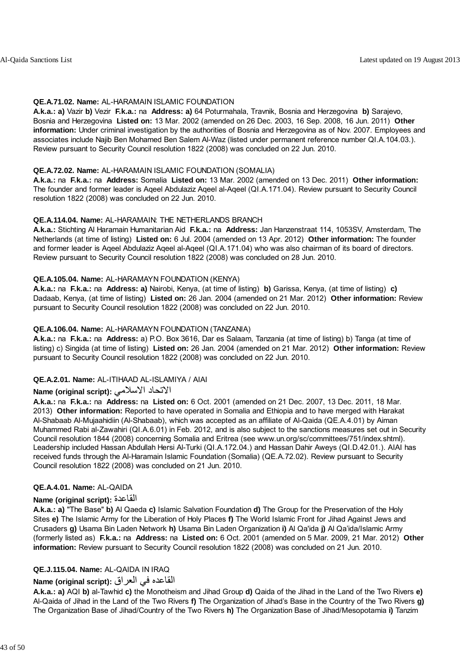### **QE.A.71.02. Name:** AL-HARAMAIN ISLAMIC FOUNDATION

**A.k.a.: a)** Vazir **b)** Vezir **F.k.a.:** na **Address: a)** 64 Poturmahala, Travnik, Bosnia and Herzegovina **b)** Sarajevo, Bosnia and Herzegovina **Listed on:** 13 Mar. 2002 (amended on 26 Dec. 2003, 16 Sep. 2008, 16 Jun. 2011) **Other information:** Under criminal investigation by the authorities of Bosnia and Herzegovina as of Nov. 2007. Employees and associates include Najib Ben Mohamed Ben Salem Al-Waz (listed under permanent reference number QI.A.104.03.). Review pursuant to Security Council resolution 1822 (2008) was concluded on 22 Jun. 2010.

### **QE.A.72.02. Name:** AL-HARAMAIN ISLAMIC FOUNDATION (SOMALIA)

**A.k.a.:** na **F.k.a.:** na **Address:** Somalia **Listed on:** 13 Mar. 2002 (amended on 13 Dec. 2011) **Other information:** The founder and former leader is Aqeel Abdulaziz Aqeel al-Aqeel (QI.A.171.04). Review pursuant to Security Council resolution 1822 (2008) was concluded on 22 Jun. 2010.

### **QE.A.114.04. Name:** AL-HARAMAIN: THE NETHERLANDS BRANCH

**A.k.a.:** Stichting Al Haramain Humanitarian Aid **F.k.a.:** na **Address:** Jan Hanzenstraat 114, 1053SV, Amsterdam, The Netherlands (at time of listing) **Listed on:** 6 Jul. 2004 (amended on 13 Apr. 2012) **Other information:** The founder and former leader is Aqeel Abdulaziz Aqeel al-Aqeel (QI.A.171.04) who was also chairman of its board of directors. Review pursuant to Security Council resolution 1822 (2008) was concluded on 28 Jun. 2010.

### **QE.A.105.04. Name:** AL-HARAMAYN FOUNDATION (KENYA)

**A.k.a.:** na **F.k.a.:** na **Address: a)** Nairobi, Kenya, (at time of listing) **b)** Garissa, Kenya, (at time of listing) **c)** Dadaab, Kenya, (at time of listing) **Listed on:** 26 Jan. 2004 (amended on 21 Mar. 2012) **Other information:** Review pursuant to Security Council resolution 1822 (2008) was concluded on 22 Jun. 2010.

### **QE.A.106.04. Name:** AL-HARAMAYN FOUNDATION (TANZANIA)

**A.k.a.:** na **F.k.a.:** na **Address:** a) P.O. Box 3616, Dar es Salaam, Tanzania (at time of listing) b) Tanga (at time of listing) c) Singida (at time of listing) **Listed on:** 26 Jan. 2004 (amended on 21 Mar. 2012) **Other information:** Review pursuant to Security Council resolution 1822 (2008) was concluded on 22 Jun. 2010.

## **QE.A.2.01. Name:** AL-ITIHAAD AL-ISLAMIYA / AIAI

## **Name (original script):** الاسلامي الاتحاد

**A.k.a.:** na **F.k.a.:** na **Address:** na **Listed on:** 6 Oct. 2001 (amended on 21 Dec. 2007, 13 Dec. 2011, 18 Mar. 2013) **Other information:** Reported to have operated in Somalia and Ethiopia and to have merged with Harakat Al-Shabaab Al-Mujaahidiin (Al-Shabaab), which was accepted as an affiliate of Al-Qaida (QE.A.4.01) by Aiman Muhammed Rabi al-Zawahiri (QI.A.6.01) in Feb. 2012, and is also subject to the sanctions measures set out in Security Council resolution 1844 (2008) concerning Somalia and Eritrea (see www.un.org/sc/committees/751/index.shtml). Leadership included Hassan Abdullah Hersi Al-Turki (QI.A.172.04.) and Hassan Dahir Aweys (QI.D.42.01.). AIAI has received funds through the Al-Haramain Islamic Foundation (Somalia) (QE.A.72.02). Review pursuant to Security Council resolution 1822 (2008) was concluded on 21 Jun. 2010.

#### **QE.A.4.01. Name:** AL-QAIDA

## **Name (original script):** القاعدة

**A.k.a.: a)** "The Base" **b)** Al Qaeda **c)** Islamic Salvation Foundation **d)** The Group for the Preservation of the Holy Sites **e)** The Islamic Army for the Liberation of Holy Places **f)** The World Islamic Front for Jihad Against Jews and Crusaders **g)** Usama Bin Laden Network **h)** Usama Bin Laden Organization **i)** Al Qa'ida **j)** Al Qa'ida/Islamic Army (formerly listed as) **F.k.a.:** na **Address:** na **Listed on:** 6 Oct. 2001 (amended on 5 Mar. 2009, 21 Mar. 2012) **Other information:** Review pursuant to Security Council resolution 1822 (2008) was concluded on 21 Jun. 2010.

#### **QE.J.115.04. Name:** AL-QAIDA IN IRAQ

## القاعده في العراق **:(script original (Name**

**A.k.a.: a)** AQI **b)** al-Tawhid **c)** the Monotheism and Jihad Group **d)** Qaida of the Jihad in the Land of the Two Rivers **e)** Al-Qaida of Jihad in the Land of the Two Rivers **f)** The Organization of Jihad's Base in the Country of the Two Rivers **g)** The Organization Base of Jihad/Country of the Two Rivers **h)** The Organization Base of Jihad/Mesopotamia **i)** Tanzim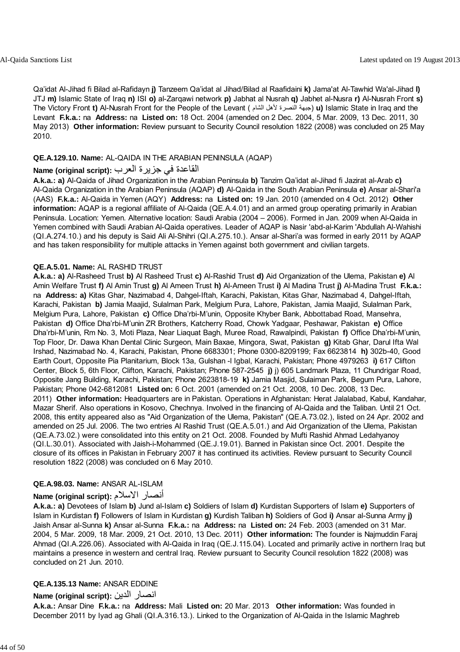Qa'idat Al-Jihad fi Bilad al-Rafidayn **j)** Tanzeem Qa'idat al Jihad/Bilad al Raafidaini **k)** Jama'at Al-Tawhid Wa'al-Jihad **l)** JTJ **m)** Islamic State of Iraq **n)** ISI **o)** al-Zarqawi network **p)** Jabhat al Nusrah **q)** Jabhet al-Nusra **r)** Al-Nusrah Front **s)** The Victory Front **t)** Al-Nusrah Front for the People of the Levant ( الشام لأهل النصرة جبهة (**u)** Islamic State in Iraq and the Levant **F.k.a.:** na **Address:** na **Listed on:** 18 Oct. 2004 (amended on 2 Dec. 2004, 5 Mar. 2009, 13 Dec. 2011, 30 May 2013) **Other information:** Review pursuant to Security Council resolution 1822 (2008) was concluded on 25 May 2010.

### **QE.A.129.10. Name:** AL-QAIDA IN THE ARABIAN PENINSULA (AQAP)

## القاعدة في جزيرة العرب **:(script original (Name**

**A.k.a.: a)** Al-Qaida of Jihad Organization in the Arabian Peninsula **b)** Tanzim Qa'idat al-Jihad fi Jazirat al-Arab **c)** Al-Qaida Organization in the Arabian Peninsula (AQAP) **d)** Al-Qaida in the South Arabian Peninsula **e)** Ansar al-Shari'a (AAS) **F.k.a.:** Al-Qaida in Yemen (AQY) **Address:** na **Listed on:** 19 Jan. 2010 (amended on 4 Oct. 2012) **Other information:** AQAP is a regional affiliate of Al-Qaida (QE.A.4.01) and an armed group operating primarily in Arabian Peninsula. Location: Yemen. Alternative location: Saudi Arabia (2004 – 2006). Formed in Jan. 2009 when Al-Qaida in Yemen combined with Saudi Arabian Al-Qaida operatives. Leader of AQAP is Nasir 'abd-al-Karim 'Abdullah Al-Wahishi (QI.A.274.10.) and his deputy is Said Ali Al-Shihri (QI.A.275.10.). Ansar al-Shari'a was formed in early 2011 by AQAP and has taken responsibility for multiple attacks in Yemen against both government and civilian targets.

### **QE.A.5.01. Name:** AL RASHID TRUST

**A.k.a.: a)** Al-Rasheed Trust **b)** Al Rasheed Trust **c)** Al-Rashid Trust **d)** Aid Organization of the Ulema, Pakistan **e)** Al Amin Welfare Trust **f)** Al Amin Trust **g)** Al Ameen Trust **h)** Al-Ameen Trust **i)** Al Madina Trust **j)** Al-Madina Trust **F.k.a.:** na **Address: a)** Kitas Ghar, Nazimabad 4, Dahgel-Iftah, Karachi, Pakistan, Kitas Ghar, Nazimabad 4, Dahgel-Iftah, Karachi, Pakistan **b)** Jamia Maajid, Sulalman Park, Melgium Pura, Lahore, Pakistan, Jamia Maajid, Sulalman Park, Melgium Pura, Lahore, Pakistan **c)** Office Dha'rbi-M'unin, Opposite Khyber Bank, Abbottabad Road, Mansehra, Pakistan **d)** Office Dha'rbi-M'unin ZR Brothers, Katcherry Road, Chowk Yadgaar, Peshawar, Pakistan **e)** Office Dha'rbi-M'unin, Rm No. 3, Moti Plaza, Near Liaquat Bagh, Muree Road, Rawalpindi, Pakistan **f)** Office Dha'rbi-M'unin, Top Floor, Dr. Dawa Khan Dental Clinic Surgeon, Main Baxae, Mingora, Swat, Pakistan **g)** Kitab Ghar, Darul Ifta Wal Irshad, Nazimabad No. 4, Karachi, Pakistan, Phone 6683301; Phone 0300-8209199; Fax 6623814 **h)** 302b-40, Good Earth Court, Opposite Pia Planitarium, Block 13a, Gulshan -l Igbal, Karachi, Pakistan; Phone 4979263 **i)** 617 Clifton Center, Block 5, 6th Floor, Clifton, Karachi, Pakistan; Phone 587-2545 **j)** j) 605 Landmark Plaza, 11 Chundrigar Road, Opposite Jang Building, Karachi, Pakistan; Phone 2623818-19 **k)** Jamia Masjid, Sulaiman Park, Begum Pura, Lahore, Pakistan; Phone 042-6812081 **Listed on:** 6 Oct. 2001 (amended on 21 Oct. 2008, 10 Dec. 2008, 13 Dec. 2011) **Other information:** Headquarters are in Pakistan. Operations in Afghanistan: Herat Jalalabad, Kabul, Kandahar, Mazar Sherif. Also operations in Kosovo, Chechnya. Involved in the financing of Al-Qaida and the Taliban. Until 21 Oct. 2008, this entity appeared also as "Aid Organization of the Ulema, Pakistan" (QE.A.73.02.), listed on 24 Apr. 2002 and amended on 25 Jul. 2006. The two entries Al Rashid Trust (QE.A.5.01.) and Aid Organization of the Ulema, Pakistan (QE.A.73.02.) were consolidated into this entity on 21 Oct. 2008. Founded by Mufti Rashid Ahmad Ledahyanoy (QI.L.30.01). Associated with Jaish-i-Mohammed (QE.J.19.01). Banned in Pakistan since Oct. 2001. Despite the closure of its offices in Pakistan in February 2007 it has continued its activities. Review pursuant to Security Council resolution 1822 (2008) was concluded on 6 May 2010.

#### **QE.A.98.03. Name:** ANSAR AL-ISLAM

## **Name (original script):** الاسلام أنصار

**A.k.a.: a)** Devotees of Islam **b)** Jund al-Islam **c)** Soldiers of Islam **d)** Kurdistan Supporters of Islam **e)** Supporters of Islam in Kurdistan **f)** Followers of Islam in Kurdistan **g)** Kurdish Taliban **h)** Soldiers of God **i)** Ansar al-Sunna Army **j)** Jaish Ansar al-Sunna **k)** Ansar al-Sunna **F.k.a.:** na **Address:** na **Listed on:** 24 Feb. 2003 (amended on 31 Mar. 2004, 5 Mar. 2009, 18 Mar. 2009, 21 Oct. 2010, 13 Dec. 2011) **Other information:** The founder is Najmuddin Faraj Ahmad (QI.A.226.06). Associated with Al-Qaida in Iraq (QE.J.115.04). Located and primarily active in northern Iraq but maintains a presence in western and central Iraq. Review pursuant to Security Council resolution 1822 (2008) was concluded on 21 Jun. 2010.

## **QE.A.135.13 Name:** ANSAR EDDINE

## **Name (original script):** الدين انصار

**A.k.a.:** Ansar Dine **F.k.a.:** na **Address:** Mali **Listed on:** 20 Mar. 2013 **Other information:** Was founded in December 2011 by Iyad ag Ghali (QI.A.316.13.). Linked to the Organization of Al-Qaida in the Islamic Maghreb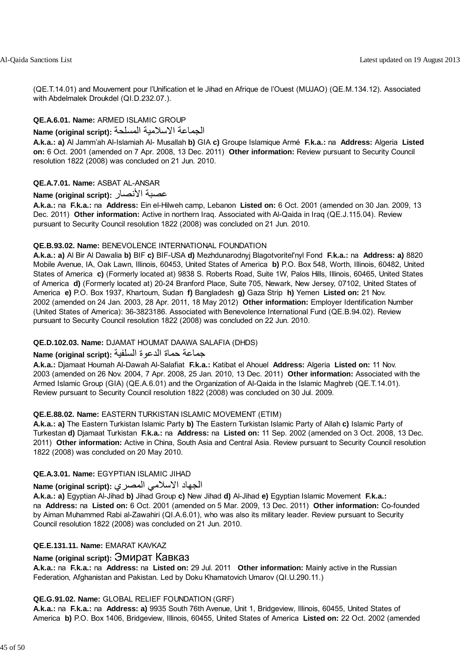(QE.T.14.01) and Mouvement pour l'Unification et le Jihad en Afrique de l'Ouest (MUJAO) (QE.M.134.12). Associated with Abdelmalek Droukdel (QI.D.232.07.).

## **QE.A.6.01. Name:** ARMED ISLAMIC GROUP

الجماعة الاسلامية المسلحة **:(script original (Name**

**A.k.a.: a)** Al Jamm'ah Al-Islamiah Al- Musallah **b)** GIA **c)** Groupe Islamique Armé **F.k.a.:** na **Address:** Algeria **Listed on:** 6 Oct. 2001 (amended on 7 Apr. 2008, 13 Dec. 2011) **Other information:** Review pursuant to Security Council resolution 1822 (2008) was concluded on 21 Jun. 2010.

## **QE.A.7.01. Name:** ASBAT AL-ANSAR

### **Name (original script):** الأنصار عصبة

**A.k.a.:** na **F.k.a.:** na **Address:** Ein el-Hilweh camp, Lebanon **Listed on:** 6 Oct. 2001 (amended on 30 Jan. 2009, 13 Dec. 2011) **Other information:** Active in northern Iraq. Associated with Al-Qaida in Iraq (QE.J.115.04). Review pursuant to Security Council resolution 1822 (2008) was concluded on 21 Jun. 2010.

### **QE.B.93.02. Name:** BENEVOLENCE INTERNATIONAL FOUNDATION

**A.k.a.: a)** Al Bir Al Dawalia **b)** BIF **c)** BIF-USA **d)** Mezhdunarodnyj Blagotvoritel'nyl Fond **F.k.a.:** na **Address: a)** 8820 Mobile Avenue, IA, Oak Lawn, Illinois, 60453, United States of America **b)** P.O. Box 548, Worth, Illinois, 60482, United States of America **c)** (Formerly located at) 9838 S. Roberts Road, Suite 1W, Palos Hills, Illinois, 60465, United States of America **d)** (Formerly located at) 20-24 Branford Place, Suite 705, Newark, New Jersey, 07102, United States of America **e)** P.O. Box 1937, Khartoum, Sudan **f)** Bangladesh **g)** Gaza Strip **h)** Yemen **Listed on:** 21 Nov. 2002 (amended on 24 Jan. 2003, 28 Apr. 2011, 18 May 2012) **Other information:** Employer Identification Number (United States of America): 36-3823186. Associated with Benevolence International Fund (QE.B.94.02). Review pursuant to Security Council resolution 1822 (2008) was concluded on 22 Jun. 2010.

## **QE.D.102.03. Name:** DJAMAT HOUMAT DAAWA SALAFIA (DHDS)

## جماعة حماة الدعوة السلفية **:(script original (Name**

**A.k.a.:** Djamaat Houmah Al-Dawah Al-Salafiat **F.k.a.:** Katibat el Ahouel **Address:** Algeria **Listed on:** 11 Nov. 2003 (amended on 26 Nov. 2004, 7 Apr. 2008, 25 Jan. 2010, 13 Dec. 2011) **Other information:** Associated with the Armed Islamic Group (GIA) (QE.A.6.01) and the Organization of Al-Qaida in the Islamic Maghreb (QE.T.14.01). Review pursuant to Security Council resolution 1822 (2008) was concluded on 30 Jul. 2009.

#### **QE.E.88.02. Name:** EASTERN TURKISTAN ISLAMIC MOVEMENT (ETIM)

**A.k.a.: a)** The Eastern Turkistan Islamic Party **b)** The Eastern Turkistan Islamic Party of Allah **c)** Islamic Party of Turkestan **d)** Djamaat Turkistan **F.k.a.:** na **Address:** na **Listed on:** 11 Sep. 2002 (amended on 3 Oct. 2008, 13 Dec. 2011) **Other information:** Active in China, South Asia and Central Asia. Review pursuant to Security Council resolution 1822 (2008) was concluded on 20 May 2010.

## **QE.A.3.01. Name:** EGYPTIAN ISLAMIC JIHAD

## الجهاد الاسلامي المصري **:(script original (Name**

**A.k.a.: a)** Egyptian Al-Jihad **b)** Jihad Group **c)** New Jihad **d)** Al-Jihad **e)** Egyptian Islamic Movement **F.k.a.:** na **Address:** na **Listed on:** 6 Oct. 2001 (amended on 5 Mar. 2009, 13 Dec. 2011) **Other information:** Co-founded by Aiman Muhammed Rabi al-Zawahiri (QI.A.6.01), who was also its military leader. Review pursuant to Security Council resolution 1822 (2008) was concluded on 21 Jun. 2010.

### **QE.E.131.11. Name:** EMARAT KAVKAZ

## **Name (original script):** Эмират Кавказ

**A.k.a.:** na **F.k.a.:** na **Address:** na **Listed on:** 29 Jul. 2011 **Other information:** Mainly active in the Russian Federation, Afghanistan and Pakistan. Led by Doku Khamatovich Umarov (QI.U.290.11.)

#### **QE.G.91.02. Name:** GLOBAL RELIEF FOUNDATION (GRF)

**A.k.a.:** na **F.k.a.:** na **Address: a)** 9935 South 76th Avenue, Unit 1, Bridgeview, Illinois, 60455, United States of America **b)** P.O. Box 1406, Bridgeview, Illinois, 60455, United States of America **Listed on:** 22 Oct. 2002 (amended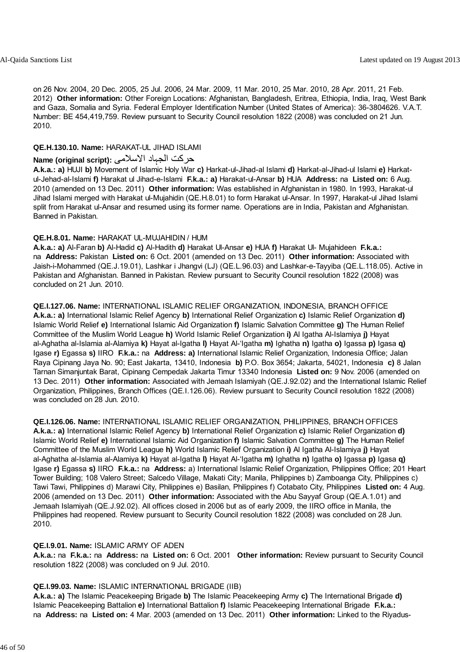on 26 Nov. 2004, 20 Dec. 2005, 25 Jul. 2006, 24 Mar. 2009, 11 Mar. 2010, 25 Mar. 2010, 28 Apr. 2011, 21 Feb. 2012) **Other information:** Other Foreign Locations: Afghanistan, Bangladesh, Eritrea, Ethiopia, India, Iraq, West Bank and Gaza, Somalia and Syria. Federal Employer Identification Number (United States of America): 36-3804626. V.A.T. Number: BE 454,419,759. Review pursuant to Security Council resolution 1822 (2008) was concluded on 21 Jun. 2010.

### **QE.H.130.10. Name:** HARAKAT-UL JIHAD ISLAMI

## حرکت الجہاد الاسلامی **:(script original (Name**

**A.k.a.: a)** HUJI **b)** Movement of Islamic Holy War **c)** Harkat-ul-Jihad-al Islami **d)** Harkat-al-Jihad-ul Islami **e)** Harkatul-Jehad-al-Islami **f)** Harakat ul Jihad-e-Islami **F.k.a.: a)** Harakat-ul-Ansar **b)** HUA **Address:** na **Listed on:** 6 Aug. 2010 (amended on 13 Dec. 2011) **Other information:** Was established in Afghanistan in 1980. In 1993, Harakat-ul Jihad Islami merged with Harakat ul-Mujahidin (QE.H.8.01) to form Harakat ul-Ansar. In 1997, Harakat-ul Jihad Islami split from Harakat ul-Ansar and resumed using its former name. Operations are in India, Pakistan and Afghanistan. Banned in Pakistan.

## **QE.H.8.01. Name:** HARAKAT UL-MUJAHIDIN / HUM

**A.k.a.: a)** Al-Faran **b)** Al-Hadid **c)** Al-Hadith **d)** Harakat Ul-Ansar **e)** HUA **f)** Harakat Ul- Mujahideen **F.k.a.:** na **Address:** Pakistan **Listed on:** 6 Oct. 2001 (amended on 13 Dec. 2011) **Other information:** Associated with Jaish-i-Mohammed (QE.J.19.01), Lashkar i Jhangvi (LJ) (QE.L.96.03) and Lashkar-e-Tayyiba (QE.L.118.05). Active in Pakistan and Afghanistan. Banned in Pakistan. Review pursuant to Security Council resolution 1822 (2008) was concluded on 21 Jun. 2010.

## **QE.I.127.06. Name:** INTERNATIONAL ISLAMIC RELIEF ORGANIZATION, INDONESIA, BRANCH OFFICE

**A.k.a.: a)** International Islamic Relief Agency **b)** International Relief Organization **c)** Islamic Relief Organization **d)** Islamic World Relief **e)** International Islamic Aid Organization **f)** Islamic Salvation Committee **g)** The Human Relief Committee of the Muslim World League **h)** World Islamic Relief Organization **i)** Al Igatha Al-Islamiya **j)** Hayat al-Aghatha al-Islamia al-Alamiya **k)** Hayat al-Igatha **l)** Hayat Al-'Igatha **m)** Ighatha **n)** Igatha **o)** Igassa **p)** Igasa **q)** Igase **r)** Egassa **s)** IIRO **F.k.a.:** na **Address: a)** International Islamic Relief Organization, Indonesia Office; Jalan Raya Cipinang Jaya No. 90; East Jakarta, 13410, Indonesia **b)** P.O. Box 3654; Jakarta, 54021, Indonesia **c)** 8 Jalan Tarnan Simanjuntak Barat, Cipinang Cempedak Jakarta Timur 13340 Indonesia **Listed on:** 9 Nov. 2006 (amended on 13 Dec. 2011) **Other information:** Associated with Jemaah Islamiyah (QE.J.92.02) and the International Islamic Relief Organization, Philippines, Branch Offices (QE.I.126.06). Review pursuant to Security Council resolution 1822 (2008) was concluded on 28 Jun. 2010.

**QE.I.126.06. Name:** INTERNATIONAL ISLAMIC RELIEF ORGANIZATION, PHILIPPINES, BRANCH OFFICES **A.k.a.: a)** International Islamic Relief Agency **b)** International Relief Organization **c)** Islamic Relief Organization **d)** Islamic World Relief **e)** International Islamic Aid Organization **f)** Islamic Salvation Committee **g)** The Human Relief Committee of the Muslim World League **h)** World Islamic Relief Organization **i)** Al Igatha Al-Islamiya **j)** Hayat al-Aghatha al-Islamia al-Alamiya **k)** Hayat al-Igatha **l)** Hayat Al-'Igatha **m)** Ighatha **n)** Igatha **o)** Igassa **p)** Igasa **q)** Igase **r)** Egassa **s)** IIRO **F.k.a.:** na **Address:** a) International Islamic Relief Organization, Philippines Office; 201 Heart Tower Building; 108 Valero Street; Salcedo Village, Makati City; Manila, Philippines b) Zamboanga City, Philippines c) Tawi Tawi, Philippines d) Marawi City, Philippines e) Basilan, Philippines f) Cotabato City, Philippines **Listed on:** 4 Aug. 2006 (amended on 13 Dec. 2011) **Other information:** Associated with the Abu Sayyaf Group (QE.A.1.01) and Jemaah Islamiyah (QE.J.92.02). All offices closed in 2006 but as of early 2009, the IIRO office in Manila, the Philippines had reopened. Review pursuant to Security Council resolution 1822 (2008) was concluded on 28 Jun. 2010.

#### **QE.I.9.01. Name:** ISLAMIC ARMY OF ADEN

**A.k.a.:** na **F.k.a.:** na **Address:** na **Listed on:** 6 Oct. 2001 **Other information:** Review pursuant to Security Council resolution 1822 (2008) was concluded on 9 Jul. 2010.

## **QE.I.99.03. Name:** ISLAMIC INTERNATIONAL BRIGADE (IIB)

**A.k.a.: a)** The Islamic Peacekeeping Brigade **b)** The Islamic Peacekeeping Army **c)** The International Brigade **d)** Islamic Peacekeeping Battalion **e)** International Battalion **f)** Islamic Peacekeeping International Brigade **F.k.a.:** na **Address:** na **Listed on:** 4 Mar. 2003 (amended on 13 Dec. 2011) **Other information:** Linked to the Riyadus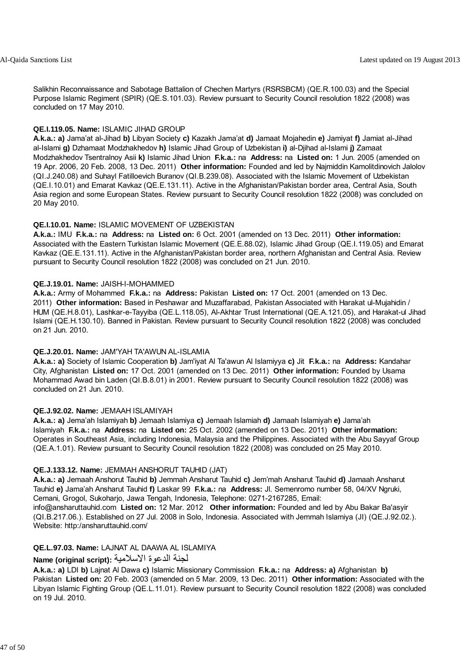Salikhin Reconnaissance and Sabotage Battalion of Chechen Martyrs (RSRSBCM) (QE.R.100.03) and the Special Purpose Islamic Regiment (SPIR) (QE.S.101.03). Review pursuant to Security Council resolution 1822 (2008) was concluded on 17 May 2010.

#### **QE.I.119.05. Name:** ISLAMIC JIHAD GROUP

**A.k.a.: a)** Jama'at al-Jihad **b)** Libyan Society **c)** Kazakh Jama'at **d)** Jamaat Mojahedin **e)** Jamiyat **f)** Jamiat al-Jihad al-Islami **g)** Dzhamaat Modzhakhedov **h)** Islamic Jihad Group of Uzbekistan **i)** al-Djihad al-Islami **j)** Zamaat Modzhakhedov Tsentralnoy Asii **k)** Islamic Jihad Union **F.k.a.:** na **Address:** na **Listed on:** 1 Jun. 2005 (amended on 19 Apr. 2006, 20 Feb. 2008, 13 Dec. 2011) **Other information:** Founded and led by Najmiddin Kamolitdinovich Jalolov (QI.J.240.08) and Suhayl Fatilloevich Buranov (QI.B.239.08). Associated with the Islamic Movement of Uzbekistan (QE.I.10.01) and Emarat Kavkaz (QE.E.131.11). Active in the Afghanistan/Pakistan border area, Central Asia, South Asia region and some European States. Review pursuant to Security Council resolution 1822 (2008) was concluded on 20 May 2010.

## **QE.I.10.01. Name:** ISLAMIC MOVEMENT OF UZBEKISTAN

**A.k.a.:** IMU **F.k.a.:** na **Address:** na **Listed on:** 6 Oct. 2001 (amended on 13 Dec. 2011) **Other information:** Associated with the Eastern Turkistan Islamic Movement (QE.E.88.02), Islamic Jihad Group (QE.I.119.05) and Emarat Kavkaz (QE.E.131.11). Active in the Afghanistan/Pakistan border area, northern Afghanistan and Central Asia. Review pursuant to Security Council resolution 1822 (2008) was concluded on 21 Jun. 2010.

### **QE.J.19.01. Name:** JAISH-I-MOHAMMED

**A.k.a.:** Army of Mohammed **F.k.a.:** na **Address:** Pakistan **Listed on:** 17 Oct. 2001 (amended on 13 Dec. 2011) **Other information:** Based in Peshawar and Muzaffarabad, Pakistan Associated with Harakat ul-Mujahidin / HUM (QE.H.8.01), Lashkar-e-Tayyiba (QE.L.118.05), Al-Akhtar Trust International (QE.A.121.05), and Harakat-ul Jihad Islami (QE.H.130.10). Banned in Pakistan. Review pursuant to Security Council resolution 1822 (2008) was concluded on 21 Jun. 2010.

#### **QE.J.20.01. Name:** JAM'YAH TA'AWUN AL-ISLAMIA

**A.k.a.: a)** Society of Islamic Cooperation **b)** Jam'iyat Al Ta'awun Al Islamiyya **c)** Jit **F.k.a.:** na **Address:** Kandahar City, Afghanistan **Listed on:** 17 Oct. 2001 (amended on 13 Dec. 2011) **Other information:** Founded by Usama Mohammad Awad bin Laden (QI.B.8.01) in 2001. Review pursuant to Security Council resolution 1822 (2008) was concluded on 21 Jun. 2010.

## **QE.J.92.02. Name:** JEMAAH ISLAMIYAH

**A.k.a.: a)** Jema'ah Islamiyah **b)** Jemaah Islamiya **c)** Jemaah Islamiah **d)** Jamaah Islamiyah **e)** Jama'ah Islamiyah **F.k.a.:** na **Address:** na **Listed on:** 25 Oct. 2002 (amended on 13 Dec. 2011) **Other information:** Operates in Southeast Asia, including Indonesia, Malaysia and the Philippines. Associated with the Abu Sayyaf Group (QE.A.1.01). Review pursuant to Security Council resolution 1822 (2008) was concluded on 25 May 2010.

#### **QE.J.133.12. Name:** JEMMAH ANSHORUT TAUHID (JAT)

**A.k.a.: a)** Jemaah Anshorut Tauhid **b)** Jemmah Ansharut Tauhid **c)** Jem'mah Ansharut Tauhid **d)** Jamaah Ansharut Tauhid **e)** Jama'ah Ansharut Tauhid **f)** Laskar 99 **F.k.a.:** na **Address:** Jl. Semenromo number 58, 04/XV Ngruki, Cemani, Grogol, Sukoharjo, Jawa Tengah, Indonesia, Telephone: 0271-2167285, Email:

info@ansharuttauhid.com **Listed on:** 12 Mar. 2012 **Other information:** Founded and led by Abu Bakar Ba'asyir (QI.B.217.06.). Established on 27 Jul. 2008 in Solo, Indonesia. Associated with Jemmah Islamiya (JI) (QE.J.92.02.). Website: http:/ansharuttauhid.com/

## **QE.L.97.03. Name:** LAJNAT AL DAAWA AL ISLAMIYA

## لجنة الدعوة الاسلامية **:(script original (Name**

**A.k.a.: a)** LDI **b)** Lajnat Al Dawa **c)** Islamic Missionary Commission **F.k.a.:** na **Address: a)** Afghanistan **b)** Pakistan **Listed on:** 20 Feb. 2003 (amended on 5 Mar. 2009, 13 Dec. 2011) **Other information:** Associated with the Libyan Islamic Fighting Group (QE.L.11.01). Review pursuant to Security Council resolution 1822 (2008) was concluded on 19 Jul. 2010.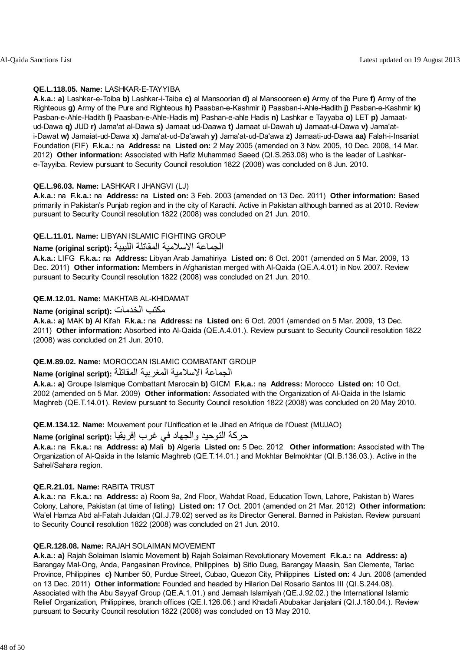### **QE.L.118.05. Name:** LASHKAR-E-TAYYIBA

**A.k.a.: a)** Lashkar-e-Toiba **b)** Lashkar-i-Taiba **c)** al Mansoorian **d)** al Mansooreen **e)** Army of the Pure **f)** Army of the Righteous **g)** Army of the Pure and Righteous **h)** Paasban-e-Kashmir **i)** Paasban-i-Ahle-Hadith **j)** Pasban-e-Kashmir **k)** Pasban-e-Ahle-Hadith **l)** Paasban-e-Ahle-Hadis **m)** Pashan-e-ahle Hadis **n)** Lashkar e Tayyaba **o)** LET **p)** Jamaatud-Dawa **q)** JUD **r)** Jama'at al-Dawa **s)** Jamaat ud-Daawa **t)** Jamaat ul-Dawah **u)** Jamaat-ul-Dawa **v)** Jama'ati-Dawat **w)** Jamaiat-ud-Dawa **x)** Jama'at-ud-Da'awah **y)** Jama'at-ud-Da'awa **z)** Jamaati-ud-Dawa **aa)** Falah-i-Insaniat Foundation (FIF) **F.k.a.:** na **Address:** na **Listed on:** 2 May 2005 (amended on 3 Nov. 2005, 10 Dec. 2008, 14 Mar. 2012) **Other information:** Associated with Hafiz Muhammad Saeed (QI.S.263.08) who is the leader of Lashkare-Tayyiba. Review pursuant to Security Council resolution 1822 (2008) was concluded on 8 Jun. 2010.

### **QE.L.96.03. Name:** LASHKAR I JHANGVI (LJ)

**A.k.a.:** na **F.k.a.:** na **Address:** na **Listed on:** 3 Feb. 2003 (amended on 13 Dec. 2011) **Other information:** Based primarily in Pakistan's Punjab region and in the city of Karachi. Active in Pakistan although banned as at 2010. Review pursuant to Security Council resolution 1822 (2008) was concluded on 21 Jun. 2010.

### **QE.L.11.01. Name:** LIBYAN ISLAMIC FIGHTING GROUP

# الجماعة الاسلامية المقاتلة الليبية **:(script original (Name**

**A.k.a.:** LIFG **F.k.a.:** na **Address:** Libyan Arab Jamahiriya **Listed on:** 6 Oct. 2001 (amended on 5 Mar. 2009, 13 Dec. 2011) **Other information:** Members in Afghanistan merged with Al-Qaida (QE.A.4.01) in Nov. 2007. Review pursuant to Security Council resolution 1822 (2008) was concluded on 21 Jun. 2010.

### **QE.M.12.01. Name:** MAKHTAB AL-KHIDAMAT

## **Name (original script):** الخدمات مكتب

**A.k.a.: a)** MAK **b)** Al Kifah **F.k.a.:** na **Address:** na **Listed on:** 6 Oct. 2001 (amended on 5 Mar. 2009, 13 Dec. 2011) **Other information:** Absorbed into Al-Qaida (QE.A.4.01.). Review pursuant to Security Council resolution 1822 (2008) was concluded on 21 Jun. 2010.

#### **QE.M.89.02. Name:** MOROCCAN ISLAMIC COMBATANT GROUP

## الجماعة الاسلامية المغربية المقاتلة **:(script original (Name**

**A.k.a.: a)** Groupe Islamique Combattant Marocain **b)** GICM **F.k.a.:** na **Address:** Morocco **Listed on:** 10 Oct. 2002 (amended on 5 Mar. 2009) **Other information:** Associated with the Organization of Al-Qaida in the Islamic Maghreb (QE.T.14.01). Review pursuant to Security Council resolution 1822 (2008) was concluded on 20 May 2010.

**QE.M.134.12. Name:** Mouvement pour l'Unification et le Jihad en Afrique de l'Ouest (MUJAO)

## حرآة التوحيد والجهاد في غرب إفريقيا **:(script original (Name**

**A.k.a.:** na **F.k.a.:** na **Address: a)** Mali **b)** Algeria **Listed on:** 5 Dec. 2012 **Other information:** Associated with The Organization of Al-Qaida in the Islamic Maghreb (QE.T.14.01.) and Mokhtar Belmokhtar (QI.B.136.03.). Active in the Sahel/Sahara region.

#### **QE.R.21.01. Name:** RABITA TRUST

**A.k.a.:** na **F.k.a.:** na **Address:** a) Room 9a, 2nd Floor, Wahdat Road, Education Town, Lahore, Pakistan b) Wares Colony, Lahore, Pakistan (at time of listing) **Listed on:** 17 Oct. 2001 (amended on 21 Mar. 2012) **Other information:** Wa'el Hamza Abd al-Fatah Julaidan (QI.J.79.02) served as its Director General. Banned in Pakistan. Review pursuant to Security Council resolution 1822 (2008) was concluded on 21 Jun. 2010.

#### **QE.R.128.08. Name:** RAJAH SOLAIMAN MOVEMENT

**A.k.a.: a)** Rajah Solaiman Islamic Movement **b)** Rajah Solaiman Revolutionary Movement **F.k.a.:** na **Address: a)** Barangay Mal-Ong, Anda, Pangasinan Province, Philippines **b)** Sitio Dueg, Barangay Maasin, San Clemente, Tarlac Province, Philippines **c)** Number 50, Purdue Street, Cubao, Quezon City, Philippines **Listed on:** 4 Jun. 2008 (amended on 13 Dec. 2011) **Other information:** Founded and headed by Hilarion Del Rosario Santos III (QI.S.244.08). Associated with the Abu Sayyaf Group (QE.A.1.01.) and Jemaah Islamiyah (QE.J.92.02.) the International Islamic Relief Organization, Philippines, branch offices (QE.I.126.06.) and Khadafi Abubakar Janjalani (QI.J.180.04.). Review pursuant to Security Council resolution 1822 (2008) was concluded on 13 May 2010.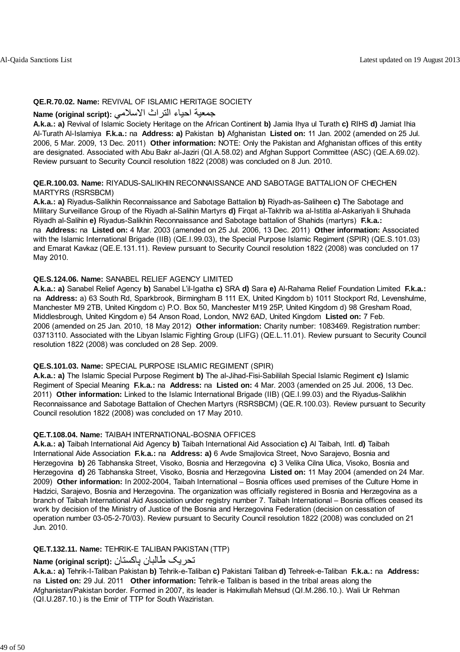### **QE.R.70.02. Name:** REVIVAL OF ISLAMIC HERITAGE SOCIETY

## جمعية احياء التراث الاسلامي **:(script original (Name**

**A.k.a.: a)** Revival of Islamic Society Heritage on the African Continent **b)** Jamia Ihya ul Turath **c)** RIHS **d)** Jamiat Ihia Al-Turath Al-Islamiya **F.k.a.:** na **Address: a)** Pakistan **b)** Afghanistan **Listed on:** 11 Jan. 2002 (amended on 25 Jul. 2006, 5 Mar. 2009, 13 Dec. 2011) **Other information:** NOTE: Only the Pakistan and Afghanistan offices of this entity are designated. Associated with Abu Bakr al-Jaziri (QI.A.58.02) and Afghan Support Committee (ASC) (QE.A.69.02). Review pursuant to Security Council resolution 1822 (2008) was concluded on 8 Jun. 2010.

### **QE.R.100.03. Name:** RIYADUS-SALIKHIN RECONNAISSANCE AND SABOTAGE BATTALION OF CHECHEN MARTYRS (RSRSBCM)

**A.k.a.: a)** Riyadus-Salikhin Reconnaissance and Sabotage Battalion **b)** Riyadh-as-Saliheen **c)** The Sabotage and Military Surveillance Group of the Riyadh al-Salihin Martyrs **d)** Firqat al-Takhrib wa al-Istitla al-Askariyah li Shuhada Riyadh al-Salihin **e)** Riyadus-Salikhin Reconnaissance and Sabotage battalion of Shahids (martyrs) **F.k.a.:** na **Address:** na **Listed on:** 4 Mar. 2003 (amended on 25 Jul. 2006, 13 Dec. 2011) **Other information:** Associated with the Islamic International Brigade (IIB) (QE.I.99.03), the Special Purpose Islamic Regiment (SPIR) (QE.S.101.03) and Emarat Kavkaz (QE.E.131.11). Review pursuant to Security Council resolution 1822 (2008) was concluded on 17 May 2010.

## **QE.S.124.06. Name:** SANABEL RELIEF AGENCY LIMITED

**A.k.a.: a)** Sanabel Relief Agency **b)** Sanabel L'il-Igatha **c)** SRA **d)** Sara **e)** Al-Rahama Relief Foundation Limited **F.k.a.:** na **Address:** a) 63 South Rd, Sparkbrook, Birmingham B 111 EX, United Kingdom b) 1011 Stockport Rd, Levenshulme, Manchester M9 2TB, United Kingdom c) P.O. Box 50, Manchester M19 25P, United Kingdom d) 98 Gresham Road, Middlesbrough, United Kingdom e) 54 Anson Road, London, NW2 6AD, United Kingdom **Listed on:** 7 Feb. 2006 (amended on 25 Jan. 2010, 18 May 2012) **Other information:** Charity number: 1083469. Registration number: 03713110. Associated with the Libyan Islamic Fighting Group (LIFG) (QE.L.11.01). Review pursuant to Security Council resolution 1822 (2008) was concluded on 28 Sep. 2009.

#### **QE.S.101.03. Name:** SPECIAL PURPOSE ISLAMIC REGIMENT (SPIR)

**A.k.a.: a)** The Islamic Special Purpose Regiment **b)** The al-Jihad-Fisi-Sabililah Special Islamic Regiment **c)** Islamic Regiment of Special Meaning **F.k.a.:** na **Address:** na **Listed on:** 4 Mar. 2003 (amended on 25 Jul. 2006, 13 Dec. 2011) **Other information:** Linked to the Islamic International Brigade (IIB) (QE.I.99.03) and the Riyadus-Salikhin Reconnaissance and Sabotage Battalion of Chechen Martyrs (RSRSBCM) (QE.R.100.03). Review pursuant to Security Council resolution 1822 (2008) was concluded on 17 May 2010.

#### **QE.T.108.04. Name:** TAIBAH INTERNATIONAL-BOSNIA OFFICES

**A.k.a.: a)** Taibah International Aid Agency **b)** Taibah International Aid Association **c)** Al Taibah, Intl. **d)** Taibah International Aide Association **F.k.a.:** na **Address: a)** 6 Avde Smajlovica Street, Novo Sarajevo, Bosnia and Herzegovina **b)** 26 Tabhanska Street, Visoko, Bosnia and Herzegovina **c)** 3 Velika Cilna Ulica, Visoko, Bosnia and Herzegovina **d)** 26 Tabhanska Street, Visoko, Bosnia and Herzegovina **Listed on:** 11 May 2004 (amended on 24 Mar. 2009) **Other information:** In 2002-2004, Taibah International – Bosnia offices used premises of the Culture Home in Hadzici, Sarajevo, Bosnia and Herzegovina. The organization was officially registered in Bosnia and Herzegovina as a branch of Taibah International Aid Association under registry number 7. Taibah International – Bosnia offices ceased its work by decision of the Ministry of Justice of the Bosnia and Herzegovina Federation (decision on cessation of operation number 03-05-2-70/03). Review pursuant to Security Council resolution 1822 (2008) was concluded on 21 Jun. 2010.

## **QE.T.132.11. Name:** TEHRIK-E TALIBAN PAKISTAN (TTP)

## تحريک طالبان پاکستان **:(script original (Name**

**A.k.a.: a)** Tehrik-I-Taliban Pakistan **b)** Tehrik-e-Taliban **c)** Pakistani Taliban **d)** Tehreek-e-Taliban **F.k.a.:** na **Address:** na **Listed on:** 29 Jul. 2011 **Other information:** Tehrik-e Taliban is based in the tribal areas along the Afghanistan/Pakistan border. Formed in 2007, its leader is Hakimullah Mehsud (QI.M.286.10.). Wali Ur Rehman (QI.U.287.10.) is the Emir of TTP for South Waziristan.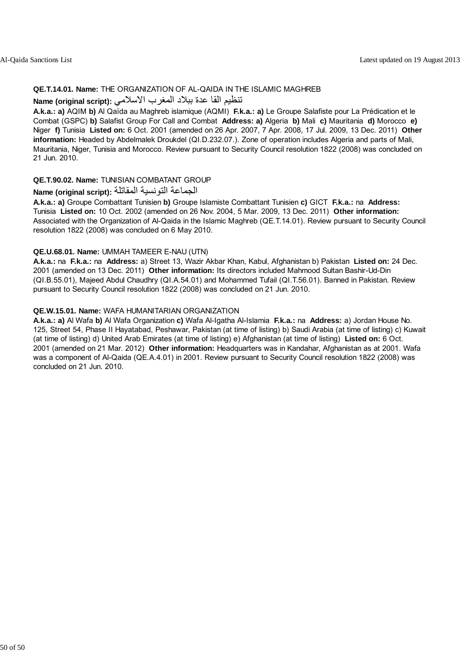#### **QE.T.14.01. Name:** THE ORGANIZATION OF AL-QAIDA IN THE ISLAMIC MAGHREB

## تنظيم القا عدة ببلاد المغرب الاسلامي **:Name (original script**)

**A.k.a.: a)** AQIM **b)** Al Qaïda au Maghreb islamique (AQMI) **F.k.a.: a)** Le Groupe Salafiste pour La Prédication et le Combat (GSPC) **b)** Salafist Group For Call and Combat **Address: a)** Algeria **b)** Mali **c)** Mauritania **d)** Morocco **e)** Niger **f)** Tunisia **Listed on:** 6 Oct. 2001 (amended on 26 Apr. 2007, 7 Apr. 2008, 17 Jul. 2009, 13 Dec. 2011) **Other information:** Headed by Abdelmalek Droukdel (QI.D.232.07.). Zone of operation includes Algeria and parts of Mali, Mauritania, Niger, Tunisia and Morocco. Review pursuant to Security Council resolution 1822 (2008) was concluded on 21 Jun. 2010.

#### **QE.T.90.02. Name:** TUNISIAN COMBATANT GROUP

# الجماعة التونسية المقاتلة **:(script original (Name**

**A.k.a.: a)** Groupe Combattant Tunisien **b)** Groupe Islamiste Combattant Tunisien **c)** GICT **F.k.a.:** na **Address:** Tunisia **Listed on:** 10 Oct. 2002 (amended on 26 Nov. 2004, 5 Mar. 2009, 13 Dec. 2011) **Other information:** Associated with the Organization of Al-Qaida in the Islamic Maghreb (QE.T.14.01). Review pursuant to Security Council resolution 1822 (2008) was concluded on 6 May 2010.

#### **QE.U.68.01. Name:** UMMAH TAMEER E-NAU (UTN)

**A.k.a.:** na **F.k.a.:** na **Address:** a) Street 13, Wazir Akbar Khan, Kabul, Afghanistan b) Pakistan **Listed on:** 24 Dec. 2001 (amended on 13 Dec. 2011) **Other information:** Its directors included Mahmood Sultan Bashir-Ud-Din (QI.B.55.01), Majeed Abdul Chaudhry (QI.A.54.01) and Mohammed Tufail (QI.T.56.01). Banned in Pakistan. Review pursuant to Security Council resolution 1822 (2008) was concluded on 21 Jun. 2010.

#### **QE.W.15.01. Name:** WAFA HUMANITARIAN ORGANIZATION

**A.k.a.: a)** Al Wafa **b)** Al Wafa Organization **c)** Wafa Al-Igatha Al-Islamia **F.k.a.:** na **Address:** a) Jordan House No. 125, Street 54, Phase II Hayatabad, Peshawar, Pakistan (at time of listing) b) Saudi Arabia (at time of listing) c) Kuwait (at time of listing) d) United Arab Emirates (at time of listing) e) Afghanistan (at time of listing) **Listed on:** 6 Oct. 2001 (amended on 21 Mar. 2012) **Other information:** Headquarters was in Kandahar, Afghanistan as at 2001. Wafa was a component of Al-Qaida (QE.A.4.01) in 2001. Review pursuant to Security Council resolution 1822 (2008) was concluded on 21 Jun. 2010.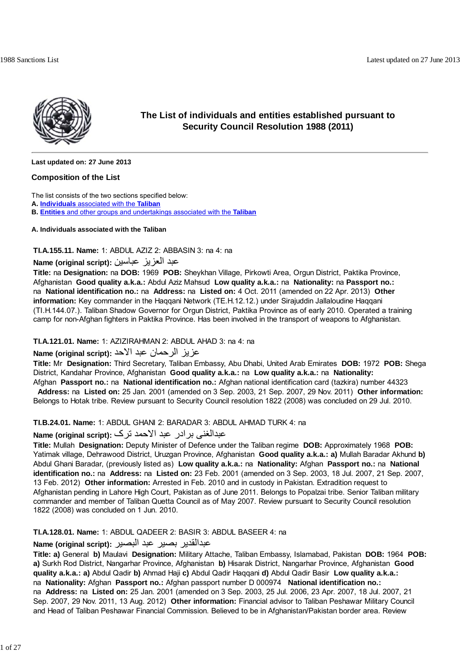

## **The List of individuals and entities established pursuant to Security Council Resolution 1988 (2011)**

**Last updated on: 27 June 2013**

#### **Composition of the List**

The list consists of the two sections specified below:

**A. Individuals** associated with the **Taliban**

**B. Entities** and other groups and undertakings associated with the **Taliban**

#### **A. Individuals associated with the Taliban**

#### **TI.A.155.11. Name:** 1: ABDUL AZIZ 2: ABBASIN 3: na 4: na

## عبد العزيز عباسين **:(script original (Name**

**Title:** na **Designation:** na **DOB:** 1969 **POB:** Sheykhan Village, Pirkowti Area, Orgun District, Paktika Province, Afghanistan **Good quality a.k.a.:** Abdul Aziz Mahsud **Low quality a.k.a.:** na **Nationality:** na **Passport no.:** na **National identification no.:** na **Address:** na **Listed on:** 4 Oct. 2011 (amended on 22 Apr. 2013) **Other information:** Key commander in the Haqqani Network (TE.H.12.12.) under Sirajuddin Jallaloudine Haqqani (TI.H.144.07.). Taliban Shadow Governor for Orgun District, Paktika Province as of early 2010. Operated a training camp for non-Afghan fighters in Paktika Province. Has been involved in the transport of weapons to Afghanistan.

#### **TI.A.121.01. Name:** 1: AZIZIRAHMAN 2: ABDUL AHAD 3: na 4: na

## عزيز الرحمان عبد الاحد **:(script original (Name**

**Title:** Mr **Designation:** Third Secretary, Taliban Embassy, Abu Dhabi, United Arab Emirates **DOB:** 1972 **POB:** Shega District, Kandahar Province, Afghanistan **Good quality a.k.a.:** na **Low quality a.k.a.:** na **Nationality:** Afghan **Passport no.:** na **National identification no.:** Afghan national identification card (tazkira) number 44323

 **Address:** na **Listed on:** 25 Jan. 2001 (amended on 3 Sep. 2003, 21 Sep. 2007, 29 Nov. 2011) **Other information:** Belongs to Hotak tribe. Review pursuant to Security Council resolution 1822 (2008) was concluded on 29 Jul. 2010.

#### **TI.B.24.01. Name:** 1: ABDUL GHANI 2: BARADAR 3: ABDUL AHMAD TURK 4: na

## عبدالغنی برادر عبد الاحمد ترک **:(script original (Name**

**Title:** Mullah **Designation:** Deputy Minister of Defence under the Taliban regime **DOB:** Approximately 1968 **POB:** Yatimak village, Dehrawood District, Uruzgan Province, Afghanistan **Good quality a.k.a.: a)** Mullah Baradar Akhund **b)** Abdul Ghani Baradar, (previously listed as) **Low quality a.k.a.:** na **Nationality:** Afghan **Passport no.:** na **National identification no.:** na **Address:** na **Listed on:** 23 Feb. 2001 (amended on 3 Sep. 2003, 18 Jul. 2007, 21 Sep. 2007, 13 Feb. 2012) **Other information:** Arrested in Feb. 2010 and in custody in Pakistan. Extradition request to Afghanistan pending in Lahore High Court, Pakistan as of June 2011. Belongs to Popalzai tribe. Senior Taliban military commander and member of Taliban Quetta Council as of May 2007. Review pursuant to Security Council resolution 1822 (2008) was concluded on 1 Jun. 2010.

## **TI.A.128.01. Name:** 1: ABDUL QADEER 2: BASIR 3: ABDUL BASEER 4: na

## عبدالقدير بصير عبد البصير **:(script original (Name**

**Title: a)** General **b)** Maulavi **Designation:** Military Attache, Taliban Embassy, Islamabad, Pakistan **DOB:** 1964 **POB: a)** Surkh Rod District, Nangarhar Province, Afghanistan **b)** Hisarak District, Nangarhar Province, Afghanistan **Good quality a.k.a.: a)** Abdul Qadir **b)** Ahmad Haji **c)** Abdul Qadir Haqqani **d)** Abdul Qadir Basir **Low quality a.k.a.:** na **Nationality:** Afghan **Passport no.:** Afghan passport number D 000974 **National identification no.:** na **Address:** na **Listed on:** 25 Jan. 2001 (amended on 3 Sep. 2003, 25 Jul. 2006, 23 Apr. 2007, 18 Jul. 2007, 21 Sep. 2007, 29 Nov. 2011, 13 Aug. 2012) **Other information:** Financial advisor to Taliban Peshawar Military Council and Head of Taliban Peshawar Financial Commission. Believed to be in Afghanistan/Pakistan border area. Review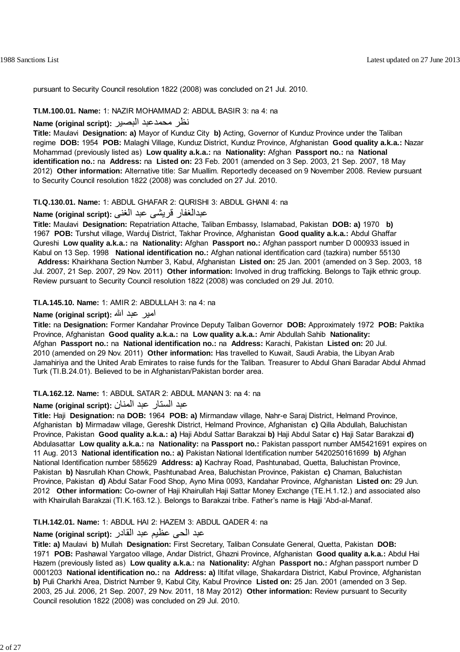pursuant to Security Council resolution 1822 (2008) was concluded on 21 Jul. 2010.

#### **TI.M.100.01. Name:** 1: NAZIR MOHAMMAD 2: ABDUL BASIR 3: na 4: na

### نظر محمدعبد البصير **:(script original (Name**

**Title:** Maulavi **Designation: a)** Mayor of Kunduz City **b)** Acting, Governor of Kunduz Province under the Taliban regime **DOB:** 1954 **POB:** Malaghi Village, Kunduz District, Kunduz Province, Afghanistan **Good quality a.k.a.:** Nazar Mohammad (previously listed as) **Low quality a.k.a.:** na **Nationality:** Afghan **Passport no.:** na **National identification no.:** na **Address:** na **Listed on:** 23 Feb. 2001 (amended on 3 Sep. 2003, 21 Sep. 2007, 18 May 2012) **Other information:** Alternative title: Sar Muallim. Reportedly deceased on 9 November 2008. Review pursuant to Security Council resolution 1822 (2008) was concluded on 27 Jul. 2010.

#### **TI.Q.130.01. Name:** 1: ABDUL GHAFAR 2: QURISHI 3: ABDUL GHANI 4: na

## عبدالغفار قريشی عبد الغنی **:(script original (Name**

**Title:** Maulavi **Designation:** Repatriation Attache, Taliban Embassy, Islamabad, Pakistan **DOB: a)** 1970 **b)** 1967 **POB:** Turshut village, Warduj District, Takhar Province, Afghanistan **Good quality a.k.a.:** Abdul Ghaffar Qureshi **Low quality a.k.a.:** na **Nationality:** Afghan **Passport no.:** Afghan passport number D 000933 issued in Kabul on 13 Sep. 1998 **National identification no.:** Afghan national identification card (tazkira) number 55130

 **Address:** Khairkhana Section Number 3, Kabul, Afghanistan **Listed on:** 25 Jan. 2001 (amended on 3 Sep. 2003, 18 Jul. 2007, 21 Sep. 2007, 29 Nov. 2011) **Other information:** Involved in drug trafficking. Belongs to Tajik ethnic group. Review pursuant to Security Council resolution 1822 (2008) was concluded on 29 Jul. 2010.

#### **TI.A.145.10. Name:** 1: AMIR 2: ABDULLAH 3: na 4: na

### امير عبد االله **:(script original (Name**

**Title:** na **Designation:** Former Kandahar Province Deputy Taliban Governor **DOB:** Approximately 1972 **POB:** Paktika Province, Afghanistan **Good quality a.k.a.:** na **Low quality a.k.a.:** Amir Abdullah Sahib **Nationality:** Afghan **Passport no.:** na **National identification no.:** na **Address:** Karachi, Pakistan **Listed on:** 20 Jul. 2010 (amended on 29 Nov. 2011) **Other information:** Has travelled to Kuwait, Saudi Arabia, the Libyan Arab Jamahiriya and the United Arab Emirates to raise funds for the Taliban. Treasurer to Abdul Ghani Baradar Abdul Ahmad Turk (TI.B.24.01). Believed to be in Afghanistan/Pakistan border area.

#### **TI.A.162.12. Name:** 1: ABDUL SATAR 2: ABDUL MANAN 3: na 4: na

## عبد الستار عبد المنان **:(script original (Name**

**Title:** Haji **Designation:** na **DOB:** 1964 **POB: a)** Mirmandaw village, Nahr-e Saraj District, Helmand Province, Afghanistan **b)** Mirmadaw village, Gereshk District, Helmand Province, Afghanistan **c)** Qilla Abdullah, Baluchistan Province, Pakistan **Good quality a.k.a.: a)** Haji Abdul Sattar Barakzai **b)** Haji Abdul Satar **c)** Haji Satar Barakzai **d)** Abdulasattar **Low quality a.k.a.:** na **Nationality:** na **Passport no.:** Pakistan passport number AM5421691 expires on 11 Aug. 2013 **National identification no.: a)** Pakistan National Identification number 5420250161699 **b)** Afghan National Identification number 585629 **Address: a)** Kachray Road, Pashtunabad, Quetta, Baluchistan Province, Pakistan **b)** Nasrullah Khan Chowk, Pashtunabad Area, Baluchistan Province, Pakistan **c)** Chaman, Baluchistan Province, Pakistan **d)** Abdul Satar Food Shop, Ayno Mina 0093, Kandahar Province, Afghanistan **Listed on:** 29 Jun. 2012 **Other information:** Co-owner of Haji Khairullah Haji Sattar Money Exchange (TE.H.1.12.) and associated also with Khairullah Barakzai (TI.K.163.12.). Belongs to Barakzai tribe. Father's name is Hajji 'Abd-al-Manaf.

### **TI.H.142.01. Name:** 1: ABDUL HAI 2: HAZEM 3: ABDUL QADER 4: na

## عبد الحی عظيم عبد القادر **:(script original (Name**

**Title: a)** Maulavi **b)** Mullah **Designation:** First Secretary, Taliban Consulate General, Quetta, Pakistan **DOB:** 1971 **POB:** Pashawal Yargatoo village, Andar District, Ghazni Province, Afghanistan **Good quality a.k.a.:** Abdul Hai Hazem (previously listed as) **Low quality a.k.a.:** na **Nationality:** Afghan **Passport no.:** Afghan passport number D 0001203 **National identification no.:** na **Address: a)** Iltifat village, Shakardara District, Kabul Province, Afghanistan **b)** Puli Charkhi Area, District Number 9, Kabul City, Kabul Province **Listed on:** 25 Jan. 2001 (amended on 3 Sep. 2003, 25 Jul. 2006, 21 Sep. 2007, 29 Nov. 2011, 18 May 2012) **Other information:** Review pursuant to Security Council resolution 1822 (2008) was concluded on 29 Jul. 2010.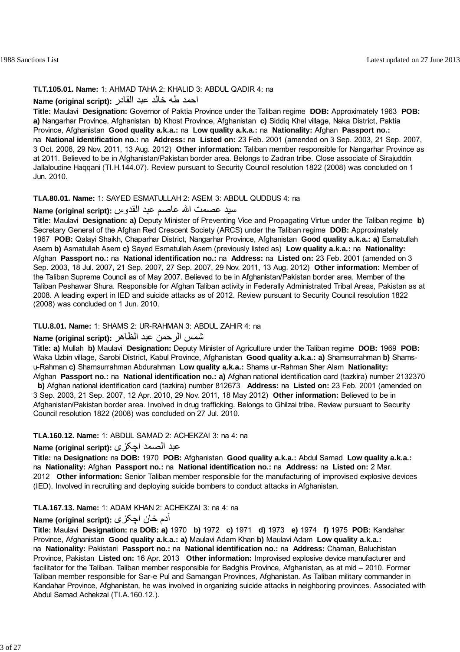## **TI.T.105.01. Name:** 1: AHMAD TAHA 2: KHALID 3: ABDUL QADIR 4: na

## احمد طه خالد عبد القادر **:(script original (Name**

**Title:** Maulavi **Designation:** Governor of Paktia Province under the Taliban regime **DOB:** Approximately 1963 **POB: a)** Nangarhar Province, Afghanistan **b)** Khost Province, Afghanistan **c)** Siddiq Khel village, Naka District, Paktia Province, Afghanistan **Good quality a.k.a.:** na **Low quality a.k.a.:** na **Nationality:** Afghan **Passport no.:** na **National identification no.:** na **Address:** na **Listed on:** 23 Feb. 2001 (amended on 3 Sep. 2003, 21 Sep. 2007, 3 Oct. 2008, 29 Nov. 2011, 13 Aug. 2012) **Other information:** Taliban member responsible for Nangarhar Province as at 2011. Believed to be in Afghanistan/Pakistan border area. Belongs to Zadran tribe. Close associate of Sirajuddin Jallaloudine Haqqani (TI.H.144.07). Review pursuant to Security Council resolution 1822 (2008) was concluded on 1 Jun. 2010.

## **TI.A.80.01. Name:** 1: SAYED ESMATULLAH 2: ASEM 3: ABDUL QUDDUS 4: na

## سيد عصمت االله عاصم عبد القدوس **:(script original (Name**

**Title:** Maulavi **Designation: a)** Deputy Minister of Preventing Vice and Propagating Virtue under the Taliban regime **b)** Secretary General of the Afghan Red Crescent Society (ARCS) under the Taliban regime **DOB:** Approximately 1967 **POB:** Qalayi Shaikh, Chaparhar District, Nangarhar Province, Afghanistan **Good quality a.k.a.: a)** Esmatullah Asem **b)** Asmatullah Asem **c)** Sayed Esmatullah Asem (previously listed as) **Low quality a.k.a.:** na **Nationality:** Afghan **Passport no.:** na **National identification no.:** na **Address:** na **Listed on:** 23 Feb. 2001 (amended on 3 Sep. 2003, 18 Jul. 2007, 21 Sep. 2007, 27 Sep. 2007, 29 Nov. 2011, 13 Aug. 2012) **Other information:** Member of the Taliban Supreme Council as of May 2007. Believed to be in Afghanistan/Pakistan border area. Member of the Taliban Peshawar Shura. Responsible for Afghan Taliban activity in Federally Administrated Tribal Areas, Pakistan as at 2008. A leading expert in IED and suicide attacks as of 2012. Review pursuant to Security Council resolution 1822 (2008) was concluded on 1 Jun. 2010.

#### **TI.U.8.01. Name:** 1: SHAMS 2: UR-RAHMAN 3: ABDUL ZAHIR 4: na

## شمس الرحمن عبد الظاهر **:(script original (Name**

**Title: a)** Mullah **b)** Maulavi **Designation:** Deputy Minister of Agriculture under the Taliban regime **DOB:** 1969 **POB:** Waka Uzbin village, Sarobi District, Kabul Province, Afghanistan **Good quality a.k.a.: a)** Shamsurrahman **b)** Shamsu-Rahman **c)** Shamsurrahman Abdurahman **Low quality a.k.a.:** Shams ur-Rahman Sher Alam **Nationality:** Afghan **Passport no.:** na **National identification no.: a)** Afghan national identification card (tazkira) number 2132370

 **b)** Afghan national identification card (tazkira) number 812673 **Address:** na **Listed on:** 23 Feb. 2001 (amended on 3 Sep. 2003, 21 Sep. 2007, 12 Apr. 2010, 29 Nov. 2011, 18 May 2012) **Other information:** Believed to be in Afghanistan/Pakistan border area. Involved in drug trafficking. Belongs to Ghilzai tribe. Review pursuant to Security Council resolution 1822 (2008) was concluded on 27 Jul. 2010.

## **TI.A.160.12. Name:** 1: ABDUL SAMAD 2: ACHEKZAI 3: na 4: na

## عبد الصمد اچکزی **:(script original (Name**

**Title:** na **Designation:** na **DOB:** 1970 **POB:** Afghanistan **Good quality a.k.a.:** Abdul Samad **Low quality a.k.a.:** na **Nationality:** Afghan **Passport no.:** na **National identification no.:** na **Address:** na **Listed on:** 2 Mar. 2012 **Other information:** Senior Taliban member responsible for the manufacturing of improvised explosive devices (IED). Involved in recruiting and deploying suicide bombers to conduct attacks in Afghanistan.

## **TI.A.167.13. Name:** 1: ADAM KHAN 2: ACHEKZAI 3: na 4: na

## آدم خان اچکزی **:(script original (Name**

**Title:** Maulavi **Designation:** na **DOB: a)** 1970 **b)** 1972 **c)** 1971 **d)** 1973 **e)** 1974 **f)** 1975 **POB:** Kandahar Province, Afghanistan **Good quality a.k.a.: a)** Maulavi Adam Khan **b)** Maulavi Adam **Low quality a.k.a.:** na **Nationality:** Pakistani **Passport no.:** na **National identification no.:** na **Address:** Chaman, Baluchistan Province, Pakistan **Listed on:** 16 Apr. 2013 **Other information:** Improvised explosive device manufacturer and facilitator for the Taliban. Taliban member responsible for Badghis Province, Afghanistan, as at mid – 2010. Former Taliban member responsible for Sar-e Pul and Samangan Provinces, Afghanistan. As Taliban military commander in Kandahar Province, Afghanistan, he was involved in organizing suicide attacks in neighboring provinces. Associated with Abdul Samad Achekzai (TI.A.160.12.).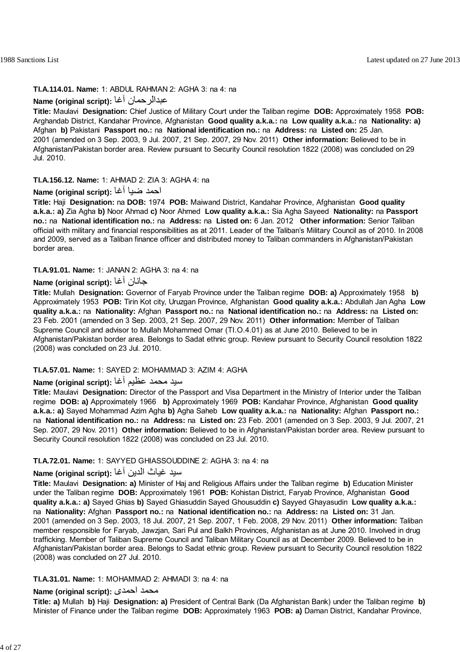## **TI.A.114.01. Name:** 1: ABDUL RAHMAN 2: AGHA 3: na 4: na

## **Name (original script):** آغا عبدالرحمان

**Title:** Maulavi **Designation:** Chief Justice of Military Court under the Taliban regime **DOB:** Approximately 1958 **POB:** Arghandab District, Kandahar Province, Afghanistan **Good quality a.k.a.:** na **Low quality a.k.a.:** na **Nationality: a)** Afghan **b)** Pakistani **Passport no.:** na **National identification no.:** na **Address:** na **Listed on:** 25 Jan. 2001 (amended on 3 Sep. 2003, 9 Jul. 2007, 21 Sep. 2007, 29 Nov. 2011) **Other information:** Believed to be in Afghanistan/Pakistan border area. Review pursuant to Security Council resolution 1822 (2008) was concluded on 29 Jul. 2010.

### **TI.A.156.12. Name:** 1: AHMAD 2: ZIA 3: AGHA 4: na

## احمد ضيا آغا **:(script original (Name**

**Title:** Haji **Designation:** na **DOB:** 1974 **POB:** Maiwand District, Kandahar Province, Afghanistan **Good quality a.k.a.: a)** Zia Agha **b)** Noor Ahmad **c)** Noor Ahmed **Low quality a.k.a.:** Sia Agha Sayeed **Nationality:** na **Passport no.:** na **National identification no.:** na **Address:** na **Listed on:** 6 Jan. 2012 **Other information:** Senior Taliban official with military and financial responsibilities as at 2011. Leader of the Taliban's Military Council as of 2010. In 2008 and 2009, served as a Taliban finance officer and distributed money to Taliban commanders in Afghanistan/Pakistan border area.

#### **TI.A.91.01. Name:** 1: JANAN 2: AGHA 3: na 4: na

### **Name (original script):** آغا جانان

**Title:** Mullah **Designation:** Governor of Faryab Province under the Taliban regime **DOB: a)** Approximately 1958 **b)** Approximately 1953 **POB:** Tirin Kot city, Uruzgan Province, Afghanistan **Good quality a.k.a.:** Abdullah Jan Agha **Low quality a.k.a.:** na **Nationality:** Afghan **Passport no.:** na **National identification no.:** na **Address:** na **Listed on:** 23 Feb. 2001 (amended on 3 Sep. 2003, 21 Sep. 2007, 29 Nov. 2011) **Other information:** Member of Taliban Supreme Council and advisor to Mullah Mohammed Omar (TI.O.4.01) as at June 2010. Believed to be in Afghanistan/Pakistan border area. Belongs to Sadat ethnic group. Review pursuant to Security Council resolution 1822 (2008) was concluded on 23 Jul. 2010.

### **TI.A.57.01. Name:** 1: SAYED 2: MOHAMMAD 3: AZIM 4: AGHA

## سيد محمد عظيم آغا **:(script original (Name**

**Title:** Maulavi **Designation:** Director of the Passport and Visa Department in the Ministry of Interior under the Taliban regime **DOB: a)** Approximately 1966 **b)** Approximately 1969 **POB:** Kandahar Province, Afghanistan **Good quality a.k.a.: a)** Sayed Mohammad Azim Agha **b)** Agha Saheb **Low quality a.k.a.:** na **Nationality:** Afghan **Passport no.:** na **National identification no.:** na **Address:** na **Listed on:** 23 Feb. 2001 (amended on 3 Sep. 2003, 9 Jul. 2007, 21 Sep. 2007, 29 Nov. 2011) **Other information:** Believed to be in Afghanistan/Pakistan border area. Review pursuant to Security Council resolution 1822 (2008) was concluded on 23 Jul. 2010.

### **TI.A.72.01. Name:** 1: SAYYED GHIASSOUDDINE 2: AGHA 3: na 4: na

## سيد غياث الدين آغا **:(script original (Name**

**Title:** Maulavi **Designation: a)** Minister of Haj and Religious Affairs under the Taliban regime **b)** Education Minister under the Taliban regime **DOB:** Approximately 1961 **POB:** Kohistan District, Faryab Province, Afghanistan **Good quality a.k.a.: a)** Sayed Ghias **b)** Sayed Ghiasuddin Sayed Ghousuddin **c)** Sayyed Ghayasudin **Low quality a.k.a.:** na **Nationality:** Afghan **Passport no.:** na **National identification no.:** na **Address:** na **Listed on:** 31 Jan. 2001 (amended on 3 Sep. 2003, 18 Jul. 2007, 21 Sep. 2007, 1 Feb. 2008, 29 Nov. 2011) **Other information:** Taliban member responsible for Faryab, Jawzjan, Sari Pul and Balkh Provinces, Afghanistan as at June 2010. Involved in drug trafficking. Member of Taliban Supreme Council and Taliban Military Council as at December 2009. Believed to be in Afghanistan/Pakistan border area. Belongs to Sadat ethnic group. Review pursuant to Security Council resolution 1822 (2008) was concluded on 27 Jul. 2010.

#### **TI.A.31.01. Name:** 1: MOHAMMAD 2: AHMADI 3: na 4: na

## **Name (original script):** احمدی محمد

**Title: a)** Mullah **b)** Haji **Designation: a)** President of Central Bank (Da Afghanistan Bank) under the Taliban regime **b)** Minister of Finance under the Taliban regime **DOB:** Approximately 1963 **POB: a)** Daman District, Kandahar Province,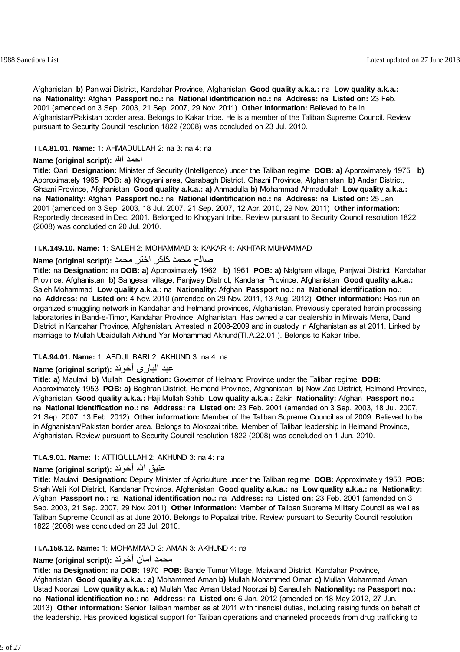Afghanistan **b)** Panjwai District, Kandahar Province, Afghanistan **Good quality a.k.a.:** na **Low quality a.k.a.:** na **Nationality:** Afghan **Passport no.:** na **National identification no.:** na **Address:** na **Listed on:** 23 Feb. 2001 (amended on 3 Sep. 2003, 21 Sep. 2007, 29 Nov. 2011) **Other information:** Believed to be in Afghanistan/Pakistan border area. Belongs to Kakar tribe. He is a member of the Taliban Supreme Council. Review pursuant to Security Council resolution 1822 (2008) was concluded on 23 Jul. 2010.

### **TI.A.81.01. Name:** 1: AHMADULLAH 2: na 3: na 4: na

### **Name (original script):** االله احمد

**Title:** Qari **Designation:** Minister of Security (Intelligence) under the Taliban regime **DOB: a)** Approximately 1975 **b)** Approximately 1965 **POB: a)** Khogyani area, Qarabagh District, Ghazni Province, Afghanistan **b)** Andar District, Ghazni Province, Afghanistan **Good quality a.k.a.: a)** Ahmadulla **b)** Mohammad Ahmadullah **Low quality a.k.a.:** na **Nationality:** Afghan **Passport no.:** na **National identification no.:** na **Address:** na **Listed on:** 25 Jan. 2001 (amended on 3 Sep. 2003, 18 Jul. 2007, 21 Sep. 2007, 12 Apr. 2010, 29 Nov. 2011) **Other information:** Reportedly deceased in Dec. 2001. Belonged to Khogyani tribe. Review pursuant to Security Council resolution 1822 (2008) was concluded on 20 Jul. 2010.

### **TI.K.149.10. Name:** 1: SALEH 2: MOHAMMAD 3: KAKAR 4: AKHTAR MUHAMMAD

## صالح محمد آاآر اختر محمد **:(script original (Name**

**Title:** na **Designation:** na **DOB: a)** Approximately 1962 **b)** 1961 **POB: a)** Nalgham village, Panjwai District, Kandahar Province, Afghanistan **b)** Sangesar village, Panjway District, Kandahar Province, Afghanistan **Good quality a.k.a.:** Saleh Mohammad **Low quality a.k.a.:** na **Nationality:** Afghan **Passport no.:** na **National identification no.:** na **Address:** na **Listed on:** 4 Nov. 2010 (amended on 29 Nov. 2011, 13 Aug. 2012) **Other information:** Has run an organized smuggling network in Kandahar and Helmand provinces, Afghanistan. Previously operated heroin processing laboratories in Band-e-Timor, Kandahar Province, Afghanistan. Has owned a car dealership in Mirwais Mena, Dand District in Kandahar Province, Afghanistan. Arrested in 2008-2009 and in custody in Afghanistan as at 2011. Linked by marriage to Mullah Ubaidullah Akhund Yar Mohammad Akhund(TI.A.22.01.). Belongs to Kakar tribe.

## **TI.A.94.01. Name:** 1: ABDUL BARI 2: AKHUND 3: na 4: na

## عبد الباری آخوند **:(script original (Name**

**Title: a)** Maulavi **b)** Mullah **Designation:** Governor of Helmand Province under the Taliban regime **DOB:** Approximately 1953 **POB: a)** Baghran District, Helmand Province, Afghanistan **b)** Now Zad District, Helmand Province, Afghanistan **Good quality a.k.a.:** Haji Mullah Sahib **Low quality a.k.a.:** Zakir **Nationality:** Afghan **Passport no.:** na **National identification no.:** na **Address:** na **Listed on:** 23 Feb. 2001 (amended on 3 Sep. 2003, 18 Jul. 2007, 21 Sep. 2007, 13 Feb. 2012) **Other information:** Member of the Taliban Supreme Council as of 2009. Believed to be in Afghanistan/Pakistan border area. Belongs to Alokozai tribe. Member of Taliban leadership in Helmand Province, Afghanistan. Review pursuant to Security Council resolution 1822 (2008) was concluded on 1 Jun. 2010.

## **TI.A.9.01. Name:** 1: ATTIQULLAH 2: AKHUND 3: na 4: na

## عتيق االله آخوند **:(script original (Name**

**Title:** Maulavi **Designation:** Deputy Minister of Agriculture under the Taliban regime **DOB:** Approximately 1953 **POB:** Shah Wali Kot District, Kandahar Province, Afghanistan **Good quality a.k.a.:** na **Low quality a.k.a.:** na **Nationality:** Afghan **Passport no.:** na **National identification no.:** na **Address:** na **Listed on:** 23 Feb. 2001 (amended on 3 Sep. 2003, 21 Sep. 2007, 29 Nov. 2011) **Other information:** Member of Taliban Supreme Military Council as well as Taliban Supreme Council as at June 2010. Belongs to Popalzai tribe. Review pursuant to Security Council resolution 1822 (2008) was concluded on 23 Jul. 2010.

#### **TI.A.158.12. Name:** 1: MOHAMMAD 2: AMAN 3: AKHUND 4: na

## محمد امان آخوند :**Name (original script**)

**Title:** na **Designation:** na **DOB:** 1970 **POB:** Bande Tumur Village, Maiwand District, Kandahar Province, Afghanistan **Good quality a.k.a.: a)** Mohammed Aman **b)** Mullah Mohammed Oman **c)** Mullah Mohammad Aman Ustad Noorzai **Low quality a.k.a.: a)** Mullah Mad Aman Ustad Noorzai **b)** Sanaullah **Nationality:** na **Passport no.:** na **National identification no.:** na **Address:** na **Listed on:** 6 Jan. 2012 (amended on 18 May 2012, 27 Jun. 2013) **Other information:** Senior Taliban member as at 2011 with financial duties, including raising funds on behalf of the leadership. Has provided logistical support for Taliban operations and channeled proceeds from drug trafficking to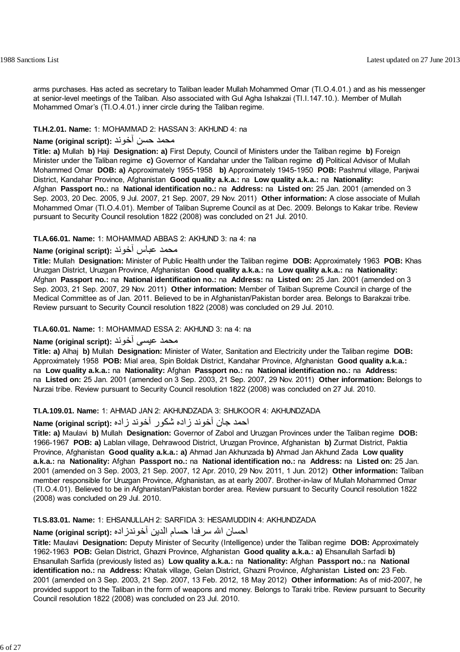arms purchases. Has acted as secretary to Taliban leader Mullah Mohammed Omar (TI.O.4.01.) and as his messenger at senior-level meetings of the Taliban. Also associated with Gul Agha Ishakzai (TI.I.147.10.). Member of Mullah Mohammed Omar's (TI.O.4.01.) inner circle during the Taliban regime.

## **TI.H.2.01. Name:** 1: MOHAMMAD 2: HASSAN 3: AKHUND 4: na

## محمد حسن آخوند **:**Name (original script)

**Title: a)** Mullah **b)** Haji **Designation: a)** First Deputy, Council of Ministers under the Taliban regime **b)** Foreign Minister under the Taliban regime **c)** Governor of Kandahar under the Taliban regime **d)** Political Advisor of Mullah Mohammed Omar **DOB: a)** Approximately 1955-1958 **b)** Approximately 1945-1950 **POB:** Pashmul village, Panjwai District, Kandahar Province, Afghanistan **Good quality a.k.a.:** na **Low quality a.k.a.:** na **Nationality:** Afghan **Passport no.:** na **National identification no.:** na **Address:** na **Listed on:** 25 Jan. 2001 (amended on 3 Sep. 2003, 20 Dec. 2005, 9 Jul. 2007, 21 Sep. 2007, 29 Nov. 2011) **Other information:** A close associate of Mullah Mohammed Omar (TI.O.4.01). Member of Taliban Supreme Council as at Dec. 2009. Belongs to Kakar tribe. Review pursuant to Security Council resolution 1822 (2008) was concluded on 21 Jul. 2010.

## **TI.A.66.01. Name:** 1: MOHAMMAD ABBAS 2: AKHUND 3: na 4: na

## محمد عباس آخوند **:(script original (Name**

**Title:** Mullah **Designation:** Minister of Public Health under the Taliban regime **DOB:** Approximately 1963 **POB:** Khas Uruzgan District, Uruzgan Province, Afghanistan **Good quality a.k.a.:** na **Low quality a.k.a.:** na **Nationality:** Afghan **Passport no.:** na **National identification no.:** na **Address:** na **Listed on:** 25 Jan. 2001 (amended on 3 Sep. 2003, 21 Sep. 2007, 29 Nov. 2011) **Other information:** Member of Taliban Supreme Council in charge of the Medical Committee as of Jan. 2011. Believed to be in Afghanistan/Pakistan border area. Belongs to Barakzai tribe. Review pursuant to Security Council resolution 1822 (2008) was concluded on 29 Jul. 2010.

## **TI.A.60.01. Name:** 1: MOHAMMAD ESSA 2: AKHUND 3: na 4: na

## محمد عيسی آخوند **:(script original (Name**

**Title: a)** Alhaj **b)** Mullah **Designation:** Minister of Water, Sanitation and Electricity under the Taliban regime **DOB:** Approximately 1958 **POB:** Mial area, Spin Boldak District, Kandahar Province, Afghanistan **Good quality a.k.a.:** na **Low quality a.k.a.:** na **Nationality:** Afghan **Passport no.:** na **National identification no.:** na **Address:** na **Listed on:** 25 Jan. 2001 (amended on 3 Sep. 2003, 21 Sep. 2007, 29 Nov. 2011) **Other information:** Belongs to Nurzai tribe. Review pursuant to Security Council resolution 1822 (2008) was concluded on 27 Jul. 2010.

## **TI.A.109.01. Name:** 1: AHMAD JAN 2: AKHUNDZADA 3: SHUKOOR 4: AKHUNDZADA

## احمد جان آخوند زاده شكور آخوند زاده **:(script original (Name**

**Title: a)** Maulavi **b)** Mullah **Designation:** Governor of Zabol and Uruzgan Provinces under the Taliban regime **DOB:** 1966-1967 **POB: a)** Lablan village, Dehrawood District, Uruzgan Province, Afghanistan **b)** Zurmat District, Paktia Province, Afghanistan **Good quality a.k.a.: a)** Ahmad Jan Akhunzada **b)** Ahmad Jan Akhund Zada **Low quality a.k.a.:** na **Nationality:** Afghan **Passport no.:** na **National identification no.:** na **Address:** na **Listed on:** 25 Jan. 2001 (amended on 3 Sep. 2003, 21 Sep. 2007, 12 Apr. 2010, 29 Nov. 2011, 1 Jun. 2012) **Other information:** Taliban member responsible for Uruzgan Province, Afghanistan, as at early 2007. Brother-in-law of Mullah Mohammed Omar (TI.O.4.01). Believed to be in Afghanistan/Pakistan border area. Review pursuant to Security Council resolution 1822 (2008) was concluded on 29 Jul. 2010.

## **TI.S.83.01. Name:** 1: EHSANULLAH 2: SARFIDA 3: HESAMUDDIN 4: AKHUNDZADA

## احسان االله سرفدا حسام الدين آخوندزاده **:(script original (Name**

**Title:** Maulavi **Designation:** Deputy Minister of Security (Intelligence) under the Taliban regime **DOB:** Approximately 1962-1963 **POB:** Gelan District, Ghazni Province, Afghanistan **Good quality a.k.a.: a)** Ehsanullah Sarfadi **b)** Ehsanullah Sarfida (previously listed as) **Low quality a.k.a.:** na **Nationality:** Afghan **Passport no.:** na **National identification no.:** na **Address:** Khatak village, Gelan District, Ghazni Province, Afghanistan **Listed on:** 23 Feb. 2001 (amended on 3 Sep. 2003, 21 Sep. 2007, 13 Feb. 2012, 18 May 2012) **Other information:** As of mid-2007, he provided support to the Taliban in the form of weapons and money. Belongs to Taraki tribe. Review pursuant to Security Council resolution 1822 (2008) was concluded on 23 Jul. 2010.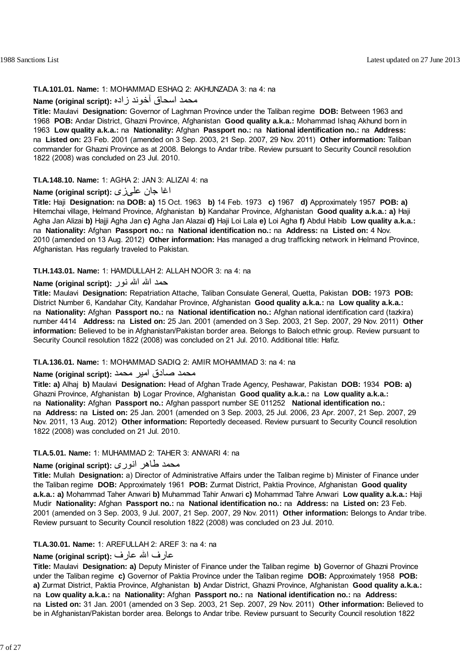#### **TI.A.101.01. Name:** 1: MOHAMMAD ESHAQ 2: AKHUNZADA 3: na 4: na

## محمد اسحاق آخوند زاده **:(script original (Name**

**Title:** Maulavi **Designation:** Governor of Laghman Province under the Taliban regime **DOB:** Between 1963 and 1968 **POB:** Andar District, Ghazni Province, Afghanistan **Good quality a.k.a.:** Mohammad Ishaq Akhund born in 1963 **Low quality a.k.a.:** na **Nationality:** Afghan **Passport no.:** na **National identification no.:** na **Address:** na **Listed on:** 23 Feb. 2001 (amended on 3 Sep. 2003, 21 Sep. 2007, 29 Nov. 2011) **Other information:** Taliban commander for Ghazni Province as at 2008. Belongs to Andar tribe. Review pursuant to Security Council resolution 1822 (2008) was concluded on 23 Jul. 2010.

#### **TI.A.148.10. Name:** 1: AGHA 2: JAN 3: ALIZAI 4: na

### اغا جان علىزى **:(script original (Name**

**Title:** Haji **Designation:** na **DOB: a)** 15 Oct. 1963 **b)** 14 Feb. 1973 **c)** 1967 **d)** Approximately 1957 **POB: a)** Hitemchai village, Helmand Province, Afghanistan **b)** Kandahar Province, Afghanistan **Good quality a.k.a.: a)** Haji Agha Jan Alizai **b)** Hajji Agha Jan **c)** Agha Jan Alazai **d)** Haji Loi Lala **e)** Loi Agha **f)** Abdul Habib **Low quality a.k.a.:** na **Nationality:** Afghan **Passport no.:** na **National identification no.:** na **Address:** na **Listed on:** 4 Nov. 2010 (amended on 13 Aug. 2012) **Other information:** Has managed a drug trafficking network in Helmand Province, Afghanistan. Has regularly traveled to Pakistan.

## **TI.H.143.01. Name:** 1: HAMDULLAH 2: ALLAH NOOR 3: na 4: na

### حمد االله االله نور **:(script original (Name**

**Title:** Maulavi **Designation:** Repatriation Attache, Taliban Consulate General, Quetta, Pakistan **DOB:** 1973 **POB:** District Number 6, Kandahar City, Kandahar Province, Afghanistan **Good quality a.k.a.:** na **Low quality a.k.a.:** na **Nationality:** Afghan **Passport no.:** na **National identification no.:** Afghan national identification card (tazkira) number 4414 **Address:** na **Listed on:** 25 Jan. 2001 (amended on 3 Sep. 2003, 21 Sep. 2007, 29 Nov. 2011) **Other information:** Believed to be in Afghanistan/Pakistan border area. Belongs to Baloch ethnic group. Review pursuant to Security Council resolution 1822 (2008) was concluded on 21 Jul. 2010. Additional title: Hafiz.

### **TI.A.136.01. Name:** 1: MOHAMMAD SADIQ 2: AMIR MOHAMMAD 3: na 4: na

## محمد صادق امير محمد **:(script original (Name**

**Title: a)** Alhaj **b)** Maulavi **Designation:** Head of Afghan Trade Agency, Peshawar, Pakistan **DOB:** 1934 **POB: a)** Ghazni Province, Afghanistan **b)** Logar Province, Afghanistan **Good quality a.k.a.:** na **Low quality a.k.a.:** na **Nationality:** Afghan **Passport no.:** Afghan passport number SE 011252 **National identification no.:** na **Address:** na **Listed on:** 25 Jan. 2001 (amended on 3 Sep. 2003, 25 Jul. 2006, 23 Apr. 2007, 21 Sep. 2007, 29 Nov. 2011, 13 Aug. 2012) **Other information:** Reportedly deceased. Review pursuant to Security Council resolution 1822 (2008) was concluded on 21 Jul. 2010.

### **TI.A.5.01. Name:** 1: MUHAMMAD 2: TAHER 3: ANWARI 4: na

## محمد طاهر انوری **:(script original (Name**

**Title:** Mullah **Designation:** a) Director of Administrative Affairs under the Taliban regime b) Minister of Finance under the Taliban regime **DOB:** Approximately 1961 **POB:** Zurmat District, Paktia Province, Afghanistan **Good quality a.k.a.: a)** Mohammad Taher Anwari **b)** Muhammad Tahir Anwari **c)** Mohammad Tahre Anwari **Low quality a.k.a.:** Haji Mudir **Nationality:** Afghan **Passport no.:** na **National identification no.:** na **Address:** na **Listed on:** 23 Feb. 2001 (amended on 3 Sep. 2003, 9 Jul. 2007, 21 Sep. 2007, 29 Nov. 2011) **Other information:** Belongs to Andar tribe. Review pursuant to Security Council resolution 1822 (2008) was concluded on 23 Jul. 2010.

#### **TI.A.30.01. Name:** 1: AREFULLAH 2: AREF 3: na 4: na

## عارف االله عارف **:(script original (Name**

**Title:** Maulavi **Designation: a)** Deputy Minister of Finance under the Taliban regime **b)** Governor of Ghazni Province under the Taliban regime **c)** Governor of Paktia Province under the Taliban regime **DOB:** Approximately 1958 **POB: a)** Zurmat District, Paktia Province, Afghanistan **b)** Andar District, Ghazni Province, Afghanistan **Good quality a.k.a.:** na **Low quality a.k.a.:** na **Nationality:** Afghan **Passport no.:** na **National identification no.:** na **Address:** na **Listed on:** 31 Jan. 2001 (amended on 3 Sep. 2003, 21 Sep. 2007, 29 Nov. 2011) **Other information:** Believed to be in Afghanistan/Pakistan border area. Belongs to Andar tribe. Review pursuant to Security Council resolution 1822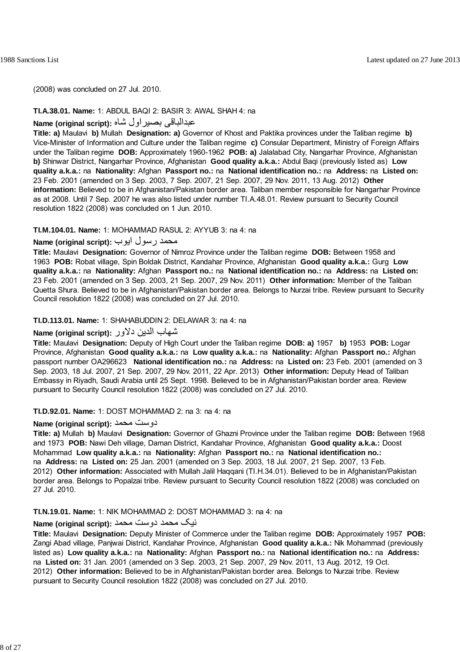(2008) was concluded on 27 Jul. 2010.

#### **TI.A.38.01. Name:** 1: ABDUL BAQI 2: BASIR 3: AWAL SHAH 4: na

### عبدالباقی بصيراول شاه **:(script original (Name**

**Title: a)** Maulavi **b)** Mullah **Designation: a)** Governor of Khost and Paktika provinces under the Taliban regime **b)** Vice-Minister of Information and Culture under the Taliban regime **c)** Consular Department, Ministry of Foreign Affairs under the Taliban regime **DOB:** Approximately 1960-1962 **POB: a)** Jalalabad City, Nangarhar Province, Afghanistan **b)** Shinwar District, Nangarhar Province, Afghanistan **Good quality a.k.a.:** Abdul Baqi (previously listed as) **Low quality a.k.a.:** na **Nationality:** Afghan **Passport no.:** na **National identification no.:** na **Address:** na **Listed on:** 23 Feb. 2001 (amended on 3 Sep. 2003, 7 Sep. 2007, 21 Sep. 2007, 29 Nov. 2011, 13 Aug. 2012) **Other information:** Believed to be in Afghanistan/Pakistan border area. Taliban member responsible for Nangarhar Province as at 2008. Until 7 Sep. 2007 he was also listed under number TI.A.48.01. Review pursuant to Security Council resolution 1822 (2008) was concluded on 1 Jun. 2010.

### **TI.M.104.01. Name:** 1: MOHAMMAD RASUL 2: AYYUB 3: na 4: na

## محمد رسول ايوب :**Name (original script**)

**Title:** Maulavi **Designation:** Governor of Nimroz Province under the Taliban regime **DOB:** Between 1958 and 1963 **POB:** Robat village, Spin Boldak District, Kandahar Province, Afghanistan **Good quality a.k.a.:** Gurg **Low quality a.k.a.:** na **Nationality:** Afghan **Passport no.:** na **National identification no.:** na **Address:** na **Listed on:** 23 Feb. 2001 (amended on 3 Sep. 2003, 21 Sep. 2007, 29 Nov. 2011) **Other information:** Member of the Taliban Quetta Shura. Believed to be in Afghanistan/Pakistan border area. Belongs to Nurzai tribe. Review pursuant to Security Council resolution 1822 (2008) was concluded on 27 Jul. 2010.

### **TI.D.113.01. Name:** 1: SHAHABUDDIN 2: DELAWAR 3: na 4: na

## شهاب الدين دلاور **:(script original (Name**

**Title:** Maulavi **Designation:** Deputy of High Court under the Taliban regime **DOB: a)** 1957 **b)** 1953 **POB:** Logar Province, Afghanistan **Good quality a.k.a.:** na **Low quality a.k.a.:** na **Nationality:** Afghan **Passport no.:** Afghan passport number OA296623 **National identification no.:** na **Address:** na **Listed on:** 23 Feb. 2001 (amended on 3 Sep. 2003, 18 Jul. 2007, 21 Sep. 2007, 29 Nov. 2011, 22 Apr. 2013) **Other information:** Deputy Head of Taliban Embassy in Riyadh, Saudi Arabia until 25 Sept. 1998. Believed to be in Afghanistan/Pakistan border area. Review pursuant to Security Council resolution 1822 (2008) was concluded on 27 Jul. 2010.

## **TI.D.92.01. Name:** 1: DOST MOHAMMAD 2: na 3: na 4: na

## **Name (original script):** محمد دوست

**Title: a)** Mullah **b)** Maulavi **Designation:** Governor of Ghazni Province under the Taliban regime **DOB:** Between 1968 and 1973 **POB:** Nawi Deh village, Daman District, Kandahar Province, Afghanistan **Good quality a.k.a.:** Doost Mohammad **Low quality a.k.a.:** na **Nationality:** Afghan **Passport no.:** na **National identification no.:** na **Address:** na **Listed on:** 25 Jan. 2001 (amended on 3 Sep. 2003, 18 Jul. 2007, 21 Sep. 2007, 13 Feb. 2012) **Other information:** Associated with Mullah Jalil Haqqani (TI.H.34.01). Believed to be in Afghanistan/Pakistan border area. Belongs to Popalzai tribe. Review pursuant to Security Council resolution 1822 (2008) was concluded on 27 Jul. 2010.

#### **TI.N.19.01. Name:** 1: NIK MOHAMMAD 2: DOST MOHAMMAD 3: na 4: na

## نيک محمد دوست محمد **:(script original (Name**

**Title:** Maulavi **Designation:** Deputy Minister of Commerce under the Taliban regime **DOB:** Approximately 1957 **POB:** Zangi Abad village, Panjwai District, Kandahar Province, Afghanistan **Good quality a.k.a.:** Nik Mohammad (previously listed as) **Low quality a.k.a.:** na **Nationality:** Afghan **Passport no.:** na **National identification no.:** na **Address:** na **Listed on:** 31 Jan. 2001 (amended on 3 Sep. 2003, 21 Sep. 2007, 29 Nov. 2011, 13 Aug. 2012, 19 Oct. 2012) **Other information:** Believed to be in Afghanistan/Pakistan border area. Belongs to Nurzai tribe. Review pursuant to Security Council resolution 1822 (2008) was concluded on 27 Jul. 2010.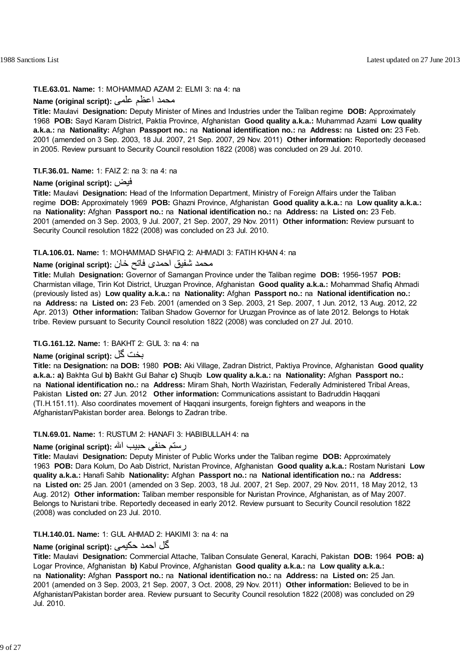#### **TI.E.63.01. Name:** 1: MOHAMMAD AZAM 2: ELMI 3: na 4: na

## محمد اعظم عل*می* : **(Name (original script**

**Title:** Maulavi **Designation:** Deputy Minister of Mines and Industries under the Taliban regime **DOB:** Approximately 1968 **POB:** Sayd Karam District, Paktia Province, Afghanistan **Good quality a.k.a.:** Muhammad Azami **Low quality a.k.a.:** na **Nationality:** Afghan **Passport no.:** na **National identification no.:** na **Address:** na **Listed on:** 23 Feb. 2001 (amended on 3 Sep. 2003, 18 Jul. 2007, 21 Sep. 2007, 29 Nov. 2011) **Other information:** Reportedly deceased in 2005. Review pursuant to Security Council resolution 1822 (2008) was concluded on 29 Jul. 2010.

#### **TI.F.36.01. Name:** 1: FAIZ 2: na 3: na 4: na

#### **Name (original script):** فيض

**Title:** Maulavi **Designation:** Head of the Information Department, Ministry of Foreign Affairs under the Taliban regime **DOB:** Approximately 1969 **POB:** Ghazni Province, Afghanistan **Good quality a.k.a.:** na **Low quality a.k.a.:** na **Nationality:** Afghan **Passport no.:** na **National identification no.:** na **Address:** na **Listed on:** 23 Feb. 2001 (amended on 3 Sep. 2003, 9 Jul. 2007, 21 Sep. 2007, 29 Nov. 2011) **Other information:** Review pursuant to Security Council resolution 1822 (2008) was concluded on 23 Jul. 2010.

#### **TI.A.106.01. Name:** 1: MOHAMMAD SHAFIQ 2: AHMADI 3: FATIH KHAN 4: na

## محمد شفيق احمدی فاتح خان **:(script original (Name**

**Title:** Mullah **Designation:** Governor of Samangan Province under the Taliban regime **DOB:** 1956-1957 **POB:** Charmistan village, Tirin Kot District, Uruzgan Province, Afghanistan **Good quality a.k.a.:** Mohammad Shafiq Ahmadi (previously listed as) **Low quality a.k.a.:** na **Nationality:** Afghan **Passport no.:** na **National identification no.:** na **Address:** na **Listed on:** 23 Feb. 2001 (amended on 3 Sep. 2003, 21 Sep. 2007, 1 Jun. 2012, 13 Aug. 2012, 22 Apr. 2013) **Other information:** Taliban Shadow Governor for Uruzgan Province as of late 2012. Belongs to Hotak tribe. Review pursuant to Security Council resolution 1822 (2008) was concluded on 27 Jul. 2010.

### **TI.G.161.12. Name:** 1: BAKHT 2: GUL 3: na 4: na

## **Name (original script):** گل بخت

**Title:** na **Designation:** na **DOB:** 1980 **POB:** Aki Village, Zadran District, Paktiya Province, Afghanistan **Good quality a.k.a.: a)** Bakhta Gul **b)** Bakht Gul Bahar **c)** Shuqib **Low quality a.k.a.:** na **Nationality:** Afghan **Passport no.:** na **National identification no.:** na **Address:** Miram Shah, North Waziristan, Federally Administered Tribal Areas, Pakistan **Listed on:** 27 Jun. 2012 **Other information:** Communications assistant to Badruddin Haqqani (TI.H.151.11). Also coordinates movement of Haqqani insurgents, foreign fighters and weapons in the Afghanistan/Pakistan border area. Belongs to Zadran tribe.

#### **TI.N.69.01. Name:** 1: RUSTUM 2: HANAFI 3: HABIBULLAH 4: na

### رستم حنفی حبيب االله **:(script original (Name**

**Title:** Maulavi **Designation:** Deputy Minister of Public Works under the Taliban regime **DOB:** Approximately 1963 **POB:** Dara Kolum, Do Aab District, Nuristan Province, Afghanistan **Good quality a.k.a.:** Rostam Nuristani **Low quality a.k.a.:** Hanafi Sahib **Nationality:** Afghan **Passport no.:** na **National identification no.:** na **Address:** na **Listed on:** 25 Jan. 2001 (amended on 3 Sep. 2003, 18 Jul. 2007, 21 Sep. 2007, 29 Nov. 2011, 18 May 2012, 13 Aug. 2012) **Other information:** Taliban member responsible for Nuristan Province, Afghanistan, as of May 2007. Belongs to Nuristani tribe. Reportedly deceased in early 2012. Review pursuant to Security Council resolution 1822 (2008) was concluded on 23 Jul. 2010.

#### **TI.H.140.01. Name:** 1: GUL AHMAD 2: HAKIMI 3: na 4: na

## $\mathsf{Name}\ \mathsf{(original}\ \mathsf{script}):$  گل احمد حکيمي

**Title:** Maulavi **Designation:** Commercial Attache, Taliban Consulate General, Karachi, Pakistan **DOB:** 1964 **POB: a)** Logar Province, Afghanistan **b)** Kabul Province, Afghanistan **Good quality a.k.a.:** na **Low quality a.k.a.:** na **Nationality:** Afghan **Passport no.:** na **National identification no.:** na **Address:** na **Listed on:** 25 Jan. 2001 (amended on 3 Sep. 2003, 21 Sep. 2007, 3 Oct. 2008, 29 Nov. 2011) **Other information:** Believed to be in Afghanistan/Pakistan border area. Review pursuant to Security Council resolution 1822 (2008) was concluded on 29 Jul. 2010.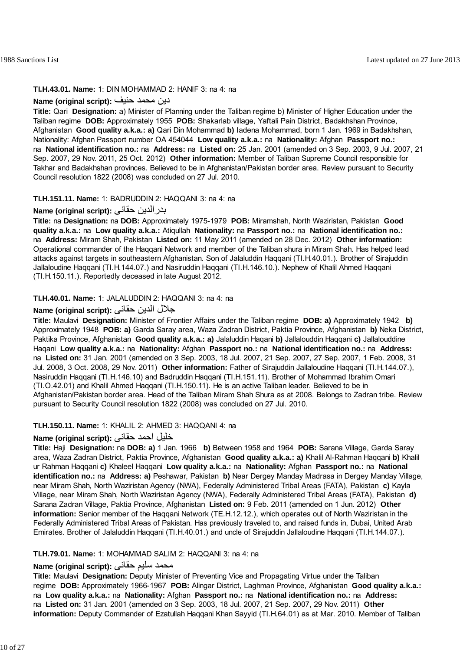#### **TI.H.43.01. Name:** 1: DIN MOHAMMAD 2: HANIF 3: na 4: na

### دين محمد حنيف **:(script original (Name**

**Title:** Qari **Designation:** a) Minister of Planning under the Taliban regime b) Minister of Higher Education under the Taliban regime **DOB:** Approximately 1955 **POB:** Shakarlab village, Yaftali Pain District, Badakhshan Province, Afghanistan **Good quality a.k.a.: a)** Qari Din Mohammad **b)** Iadena Mohammad, born 1 Jan. 1969 in Badakhshan, Nationality: Afghan Passport number OA 454044 **Low quality a.k.a.:** na **Nationality:** Afghan **Passport no.:** na **National identification no.:** na **Address:** na **Listed on:** 25 Jan. 2001 (amended on 3 Sep. 2003, 9 Jul. 2007, 21 Sep. 2007, 29 Nov. 2011, 25 Oct. 2012) **Other information:** Member of Taliban Supreme Council responsible for Takhar and Badakhshan provinces. Believed to be in Afghanistan/Pakistan border area. Review pursuant to Security Council resolution 1822 (2008) was concluded on 27 Jul. 2010.

### **TI.H.151.11. Name:** 1: BADRUDDIN 2: HAQQANI 3: na 4: na

## **Name (original script):** حقانى بدرالدين

**Title:** na **Designation:** na **DOB:** Approximately 1975-1979 **POB:** Miramshah, North Waziristan, Pakistan **Good quality a.k.a.:** na **Low quality a.k.a.:** Atiqullah **Nationality:** na **Passport no.:** na **National identification no.:** na **Address:** Miram Shah, Pakistan **Listed on:** 11 May 2011 (amended on 28 Dec. 2012) **Other information:** Operational commander of the Haqqani Network and member of the Taliban shura in Miram Shah. Has helped lead attacks against targets in southeastern Afghanistan. Son of Jalaluddin Haqqani (TI.H.40.01.). Brother of Sirajuddin Jallaloudine Haqqani (TI.H.144.07.) and Nasiruddin Haqqani (TI.H.146.10.). Nephew of Khalil Ahmed Haqqani (TI.H.150.11.). Reportedly deceased in late August 2012.

#### **TI.H.40.01. Name:** 1: JALALUDDIN 2: HAQQANI 3: na 4: na

## جلال الدين حقانى **:(script original (Name**

**Title:** Maulavi **Designation:** Minister of Frontier Affairs under the Taliban regime **DOB: a)** Approximately 1942 **b)** Approximately 1948 **POB: a)** Garda Saray area, Waza Zadran District, Paktia Province, Afghanistan **b)** Neka District, Paktika Province, Afghanistan **Good quality a.k.a.: a)** Jalaluddin Haqani **b)** Jallalouddin Haqqani **c)** Jallalouddine Haqani **Low quality a.k.a.:** na **Nationality:** Afghan **Passport no.:** na **National identification no.:** na **Address:** na **Listed on:** 31 Jan. 2001 (amended on 3 Sep. 2003, 18 Jul. 2007, 21 Sep. 2007, 27 Sep. 2007, 1 Feb. 2008, 31 Jul. 2008, 3 Oct. 2008, 29 Nov. 2011) **Other information:** Father of Sirajuddin Jallaloudine Haqqani (TI.H.144.07.), Nasiruddin Haqqani (TI.H.146.10) and Badruddin Haqqani (TI.H.151.11). Brother of Mohammad Ibrahim Omari (TI.O.42.01) and Khalil Ahmed Haqqani (TI.H.150.11). He is an active Taliban leader. Believed to be in Afghanistan/Pakistan border area. Head of the Taliban Miram Shah Shura as at 2008. Belongs to Zadran tribe. Review pursuant to Security Council resolution 1822 (2008) was concluded on 27 Jul. 2010.

## **TI.H.150.11. Name:** 1: KHALIL 2: AHMED 3: HAQQANI 4: na

## خليل احمد حقانی **:(script original (Name**

**Title:** Haji **Designation:** na **DOB: a)** 1 Jan. 1966 **b)** Between 1958 and 1964 **POB:** Sarana Village, Garda Saray area, Waza Zadran District, Paktia Province, Afghanistan **Good quality a.k.a.: a)** Khalil Al-Rahman Haqqani **b)** Khalil ur Rahman Haqqani **c)** Khaleel Haqqani **Low quality a.k.a.:** na **Nationality:** Afghan **Passport no.:** na **National identification no.:** na **Address: a)** Peshawar, Pakistan **b)** Near Dergey Manday Madrasa in Dergey Manday Village, near Miram Shah, North Waziristan Agency (NWA), Federally Administered Tribal Areas (FATA), Pakistan **c)** Kayla Village, near Miram Shah, North Waziristan Agency (NWA), Federally Administered Tribal Areas (FATA), Pakistan **d)** Sarana Zadran Village, Paktia Province, Afghanistan **Listed on:** 9 Feb. 2011 (amended on 1 Jun. 2012) **Other information:** Senior member of the Haqqani Network (TE.H.12.12.), which operates out of North Waziristan in the Federally Administered Tribal Areas of Pakistan. Has previously traveled to, and raised funds in, Dubai, United Arab Emirates. Brother of Jalaluddin Haqqani (TI.H.40.01.) and uncle of Sirajuddin Jallaloudine Haqqani (TI.H.144.07.).

## **TI.H.79.01. Name:** 1: MOHAMMAD SALIM 2: HAQQANI 3: na 4: na

## محمد سليم حقانی **:(script original (Name**

**Title:** Maulavi **Designation:** Deputy Minister of Preventing Vice and Propagating Virtue under the Taliban regime **DOB:** Approximately 1966-1967 **POB:** Alingar District, Laghman Province, Afghanistan **Good quality a.k.a.:** na **Low quality a.k.a.:** na **Nationality:** Afghan **Passport no.:** na **National identification no.:** na **Address:** na **Listed on:** 31 Jan. 2001 (amended on 3 Sep. 2003, 18 Jul. 2007, 21 Sep. 2007, 29 Nov. 2011) **Other information:** Deputy Commander of Ezatullah Haqqani Khan Sayyid (TI.H.64.01) as at Mar. 2010. Member of Taliban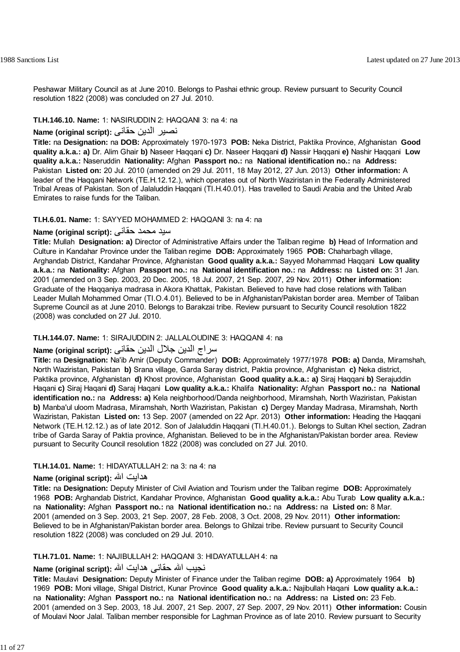Peshawar Military Council as at June 2010. Belongs to Pashai ethnic group. Review pursuant to Security Council resolution 1822 (2008) was concluded on 27 Jul. 2010.

## **TI.H.146.10. Name:** 1: NASIRUDDIN 2: HAQQANI 3: na 4: na

## نصير الدين حقانی **:(script original (Name**

**Title:** na **Designation:** na **DOB:** Approximately 1970-1973 **POB:** Neka District, Paktika Province, Afghanistan **Good quality a.k.a.: a)** Dr. Alim Ghair **b)** Naseer Haqqani **c)** Dr. Naseer Haqqani **d)** Nassir Haqqani **e)** Nashir Haqqani **Low quality a.k.a.:** Naseruddin **Nationality:** Afghan **Passport no.:** na **National identification no.:** na **Address:** Pakistan **Listed on:** 20 Jul. 2010 (amended on 29 Jul. 2011, 18 May 2012, 27 Jun. 2013) **Other information:** A leader of the Haqqani Network (TE.H.12.12.), which operates out of North Waziristan in the Federally Administered Tribal Areas of Pakistan. Son of Jalaluddin Haqqani (TI.H.40.01). Has travelled to Saudi Arabia and the United Arab Emirates to raise funds for the Taliban.

## **TI.H.6.01. Name:** 1: SAYYED MOHAMMED 2: HAQQANI 3: na 4: na

## سيد محمد حقانی **:(script original (Name**

**Title:** Mullah **Designation: a)** Director of Administrative Affairs under the Taliban regime **b)** Head of Information and Culture in Kandahar Province under the Taliban regime **DOB:** Approximately 1965 **POB:** Chaharbagh village, Arghandab District, Kandahar Province, Afghanistan **Good quality a.k.a.:** Sayyed Mohammad Haqqani **Low quality a.k.a.:** na **Nationality:** Afghan **Passport no.:** na **National identification no.:** na **Address:** na **Listed on:** 31 Jan. 2001 (amended on 3 Sep. 2003, 20 Dec. 2005, 18 Jul. 2007, 21 Sep. 2007, 29 Nov. 2011) **Other information:** Graduate of the Haqqaniya madrasa in Akora Khattak, Pakistan. Believed to have had close relations with Taliban Leader Mullah Mohammed Omar (TI.O.4.01). Believed to be in Afghanistan/Pakistan border area. Member of Taliban Supreme Council as at June 2010. Belongs to Barakzai tribe. Review pursuant to Security Council resolution 1822 (2008) was concluded on 27 Jul. 2010.

## **TI.H.144.07. Name:** 1: SIRAJUDDIN 2: JALLALOUDINE 3: HAQQANI 4: na

## سراج الدين جلال الدين حقانى **:(script original (Name**

**Title:** na **Designation:** Na'ib Amir (Deputy Commander) **DOB:** Approximately 1977/1978 **POB: a)** Danda, Miramshah, North Waziristan, Pakistan **b)** Srana village, Garda Saray district, Paktia province, Afghanistan **c)** Neka district, Paktika province, Afghanistan **d)** Khost province, Afghanistan **Good quality a.k.a.: a)** Siraj Haqqani **b)** Serajuddin Haqani **c)** Siraj Haqani **d)** Saraj Haqani **Low quality a.k.a.:** Khalifa **Nationality:** Afghan **Passport no.:** na **National identification no.:** na **Address: a)** Kela neighborhood/Danda neighborhood, Miramshah, North Waziristan, Pakistan **b)** Manba'ul uloom Madrasa, Miramshah, North Waziristan, Pakistan **c)** Dergey Manday Madrasa, Miramshah, North Waziristan, Pakistan **Listed on:** 13 Sep. 2007 (amended on 22 Apr. 2013) **Other information:** Heading the Haqqani Network (TE.H.12.12.) as of late 2012. Son of Jalaluddin Haqqani (TI.H.40.01.). Belongs to Sultan Khel section, Zadran tribe of Garda Saray of Paktia province, Afghanistan. Believed to be in the Afghanistan/Pakistan border area. Review pursuant to Security Council resolution 1822 (2008) was concluded on 27 Jul. 2010.

## **TI.H.14.01. Name:** 1: HIDAYATULLAH 2: na 3: na 4: na

## **Name (original script):** االله هدايت

**Title:** na **Designation:** Deputy Minister of Civil Aviation and Tourism under the Taliban regime **DOB:** Approximately 1968 **POB:** Arghandab District, Kandahar Province, Afghanistan **Good quality a.k.a.:** Abu Turab **Low quality a.k.a.:** na **Nationality:** Afghan **Passport no.:** na **National identification no.:** na **Address:** na **Listed on:** 8 Mar. 2001 (amended on 3 Sep. 2003, 21 Sep. 2007, 28 Feb. 2008, 3 Oct. 2008, 29 Nov. 2011) **Other information:** Believed to be in Afghanistan/Pakistan border area. Belongs to Ghilzai tribe. Review pursuant to Security Council resolution 1822 (2008) was concluded on 29 Jul. 2010.

## **TI.H.71.01. Name:** 1: NAJIBULLAH 2: HAQQANI 3: HIDAYATULLAH 4: na

## نجيب االله حقانی هدايت االله **:(script original (Name**

**Title:** Maulavi **Designation:** Deputy Minister of Finance under the Taliban regime **DOB: a)** Approximately 1964 **b)** 1969 **POB:** Moni village, Shigal District, Kunar Province **Good quality a.k.a.:** Najibullah Haqani **Low quality a.k.a.:** na **Nationality:** Afghan **Passport no.:** na **National identification no.:** na **Address:** na **Listed on:** 23 Feb. 2001 (amended on 3 Sep. 2003, 18 Jul. 2007, 21 Sep. 2007, 27 Sep. 2007, 29 Nov. 2011) **Other information:** Cousin of Moulavi Noor Jalal. Taliban member responsible for Laghman Province as of late 2010. Review pursuant to Security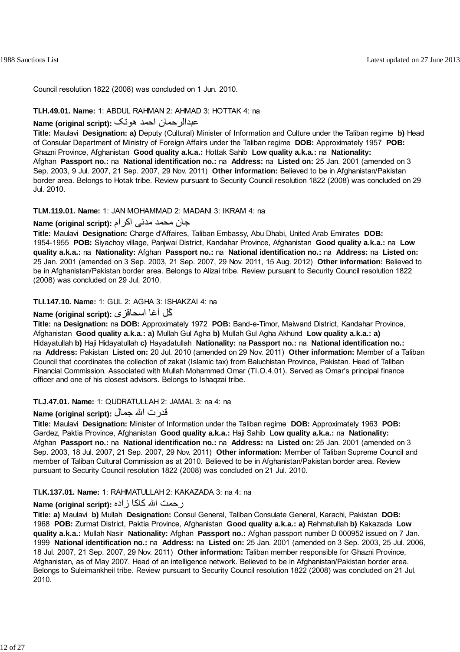Council resolution 1822 (2008) was concluded on 1 Jun. 2010.

### **TI.H.49.01. Name:** 1: ABDUL RAHMAN 2: AHMAD 3: HOTTAK 4: na

## عبدالرحمان احمد هوتک **:(script original (Name**

**Title:** Maulavi **Designation: a)** Deputy (Cultural) Minister of Information and Culture under the Taliban regime **b)** Head of Consular Department of Ministry of Foreign Affairs under the Taliban regime **DOB:** Approximately 1957 **POB:** Ghazni Province, Afghanistan **Good quality a.k.a.:** Hottak Sahib **Low quality a.k.a.:** na **Nationality:** Afghan **Passport no.:** na **National identification no.:** na **Address:** na **Listed on:** 25 Jan. 2001 (amended on 3 Sep. 2003, 9 Jul. 2007, 21 Sep. 2007, 29 Nov. 2011) **Other information:** Believed to be in Afghanistan/Pakistan border area. Belongs to Hotak tribe. Review pursuant to Security Council resolution 1822 (2008) was concluded on 29 Jul. 2010.

#### **TI.M.119.01. Name:** 1: JAN MOHAMMAD 2: MADANI 3: IKRAM 4: na

#### جان محمد مدنی اکرام **:(script original (Name**

**Title:** Maulavi **Designation:** Charge d'Affaires, Taliban Embassy, Abu Dhabi, United Arab Emirates **DOB:** 1954-1955 **POB:** Siyachoy village, Panjwai District, Kandahar Province, Afghanistan **Good quality a.k.a.:** na **Low quality a.k.a.:** na **Nationality:** Afghan **Passport no.:** na **National identification no.:** na **Address:** na **Listed on:** 25 Jan. 2001 (amended on 3 Sep. 2003, 21 Sep. 2007, 29 Nov. 2011, 15 Aug. 2012) **Other information:** Believed to be in Afghanistan/Pakistan border area. Belongs to Alizai tribe. Review pursuant to Security Council resolution 1822 (2008) was concluded on 29 Jul. 2010.

### **TI.I.147.10. Name:** 1: GUL 2: AGHA 3: ISHAKZAI 4: na

## آُل آغا اسحاقزی **:(script original (Name**

**Title:** na **Designation:** na **DOB:** Approximately 1972 **POB:** Band-e-Timor, Maiwand District, Kandahar Province, Afghanistan **Good quality a.k.a.: a)** Mullah Gul Agha **b)** Mullah Gul Agha Akhund **Low quality a.k.a.: a)** Hidayatullah **b)** Haji Hidayatullah **c)** Hayadatullah **Nationality:** na **Passport no.:** na **National identification no.:** na **Address:** Pakistan **Listed on:** 20 Jul. 2010 (amended on 29 Nov. 2011) **Other information:** Member of a Taliban Council that coordinates the collection of zakat (Islamic tax) from Baluchistan Province, Pakistan. Head of Taliban Financial Commission. Associated with Mullah Mohammed Omar (TI.O.4.01). Served as Omar's principal finance officer and one of his closest advisors. Belongs to Ishaqzai tribe.

#### **TI.J.47.01. Name:** 1: QUDRATULLAH 2: JAMAL 3: na 4: na

## قدرت االله جمال **:(script original (Name**

**Title:** Maulavi **Designation:** Minister of Information under the Taliban regime **DOB:** Approximately 1963 **POB:** Gardez, Paktia Province, Afghanistan **Good quality a.k.a.:** Haji Sahib **Low quality a.k.a.:** na **Nationality:** Afghan **Passport no.:** na **National identification no.:** na **Address:** na **Listed on:** 25 Jan. 2001 (amended on 3 Sep. 2003, 18 Jul. 2007, 21 Sep. 2007, 29 Nov. 2011) **Other information:** Member of Taliban Supreme Council and member of Taliban Cultural Commission as at 2010. Believed to be in Afghanistan/Pakistan border area. Review pursuant to Security Council resolution 1822 (2008) was concluded on 21 Jul. 2010.

#### **TI.K.137.01. Name:** 1: RAHMATULLAH 2: KAKAZADA 3: na 4: na

## رحمت االله کاکا زاده **:(script original (Name**

**Title: a)** Maulavi **b)** Mullah **Designation:** Consul General, Taliban Consulate General, Karachi, Pakistan **DOB:** 1968 **POB:** Zurmat District, Paktia Province, Afghanistan **Good quality a.k.a.: a)** Rehmatullah **b)** Kakazada **Low quality a.k.a.:** Mullah Nasir **Nationality:** Afghan **Passport no.:** Afghan passport number D 000952 issued on 7 Jan. 1999 **National identification no.:** na **Address:** na **Listed on:** 25 Jan. 2001 (amended on 3 Sep. 2003, 25 Jul. 2006, 18 Jul. 2007, 21 Sep. 2007, 29 Nov. 2011) **Other information:** Taliban member responsible for Ghazni Province, Afghanistan, as of May 2007. Head of an intelligence network. Believed to be in Afghanistan/Pakistan border area. Belongs to Suleimankheil tribe. Review pursuant to Security Council resolution 1822 (2008) was concluded on 21 Jul. 2010.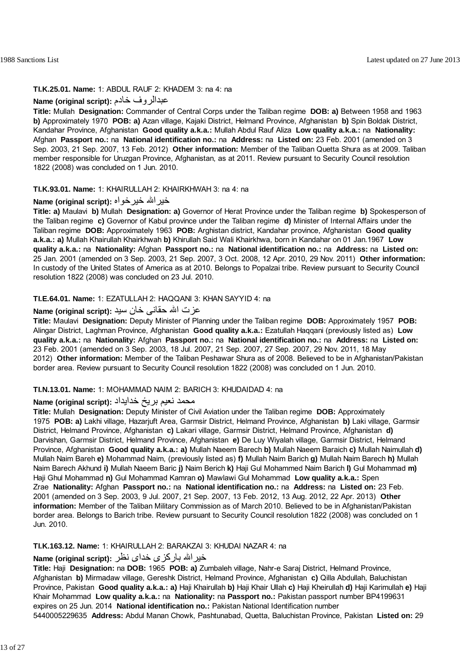#### **TI.K.25.01. Name:** 1: ABDUL RAUF 2: KHADEM 3: na 4: na

#### **Name (original script):** خادم عبدالروف

**Title:** Mullah **Designation:** Commander of Central Corps under the Taliban regime **DOB: a)** Between 1958 and 1963 **b)** Approximately 1970 **POB: a)** Azan village, Kajaki District, Helmand Province, Afghanistan **b)** Spin Boldak District, Kandahar Province, Afghanistan **Good quality a.k.a.:** Mullah Abdul Rauf Aliza **Low quality a.k.a.:** na **Nationality:** Afghan **Passport no.:** na **National identification no.:** na **Address:** na **Listed on:** 23 Feb. 2001 (amended on 3 Sep. 2003, 21 Sep. 2007, 13 Feb. 2012) **Other information:** Member of the Taliban Quetta Shura as at 2009. Taliban member responsible for Uruzgan Province, Afghanistan, as at 2011. Review pursuant to Security Council resolution 1822 (2008) was concluded on 1 Jun. 2010.

#### **TI.K.93.01. Name:** 1: KHAIRULLAH 2: KHAIRKHWAH 3: na 4: na

## **Name (original script):** خيرخواه خيراالله

**Title: a)** Maulavi **b)** Mullah **Designation: a)** Governor of Herat Province under the Taliban regime **b)** Spokesperson of the Taliban regime **c)** Governor of Kabul province under the Taliban regime **d)** Minister of Internal Affairs under the Taliban regime **DOB:** Approximately 1963 **POB:** Arghistan district, Kandahar province, Afghanistan **Good quality a.k.a.: a)** Mullah Khairullah Khairkhwah **b)** Khirullah Said Wali Khairkhwa, born in Kandahar on 01 Jan.1967 **Low quality a.k.a.:** na **Nationality:** Afghan **Passport no.:** na **National identification no.:** na **Address:** na **Listed on:** 25 Jan. 2001 (amended on 3 Sep. 2003, 21 Sep. 2007, 3 Oct. 2008, 12 Apr. 2010, 29 Nov. 2011) **Other information:** In custody of the United States of America as at 2010. Belongs to Popalzai tribe. Review pursuant to Security Council resolution 1822 (2008) was concluded on 23 Jul. 2010.

#### **TI.E.64.01. Name:** 1: EZATULLAH 2: HAQQANI 3: KHAN SAYYID 4: na

## عزت االله حقانی خان سيد **:(script original (Name**

**Title:** Maulavi **Designation:** Deputy Minister of Planning under the Taliban regime **DOB:** Approximately 1957 **POB:** Alingar District, Laghman Province, Afghanistan **Good quality a.k.a.:** Ezatullah Haqqani (previously listed as) **Low quality a.k.a.:** na **Nationality:** Afghan **Passport no.:** na **National identification no.:** na **Address:** na **Listed on:** 23 Feb. 2001 (amended on 3 Sep. 2003, 18 Jul. 2007, 21 Sep. 2007, 27 Sep. 2007, 29 Nov. 2011, 18 May 2012) **Other information:** Member of the Taliban Peshawar Shura as of 2008. Believed to be in Afghanistan/Pakistan border area. Review pursuant to Security Council resolution 1822 (2008) was concluded on 1 Jun. 2010.

#### **TI.N.13.01. Name:** 1: MOHAMMAD NAIM 2: BARICH 3: KHUDAIDAD 4: na

### محمد نعيم بريځ خدايداد **:(script original (Name**

**Title:** Mullah **Designation:** Deputy Minister of Civil Aviation under the Taliban regime **DOB:** Approximately 1975 **POB: a)** Lakhi village, Hazarjuft Area, Garmsir District, Helmand Province, Afghanistan **b)** Laki village, Garmsir District, Helmand Province, Afghanistan **c)** Lakari village, Garmsir District, Helmand Province, Afghanistan **d)** Darvishan, Garmsir District, Helmand Province, Afghanistan **e)** De Luy Wiyalah village, Garmsir District, Helmand Province, Afghanistan **Good quality a.k.a.: a)** Mullah Naeem Barech **b)** Mullah Naeem Baraich **c)** Mullah Naimullah **d)** Mullah Naim Bareh **e)** Mohammad Naim, (previously listed as) **f)** Mullah Naim Barich **g)** Mullah Naim Barech **h)** Mullah Naim Barech Akhund **i)** Mullah Naeem Baric **j)** Naim Berich **k)** Haji Gul Mohammed Naim Barich **l)** Gul Mohammad **m)** Haji Ghul Mohammad **n)** Gul Mohammad Kamran **o)** Mawlawi Gul Mohammad **Low quality a.k.a.:** Spen Zrae **Nationality:** Afghan **Passport no.:** na **National identification no.:** na **Address:** na **Listed on:** 23 Feb. 2001 (amended on 3 Sep. 2003, 9 Jul. 2007, 21 Sep. 2007, 13 Feb. 2012, 13 Aug. 2012, 22 Apr. 2013) **Other information:** Member of the Taliban Military Commission as of March 2010. Believed to be in Afghanistan/Pakistan border area. Belongs to Barich tribe. Review pursuant to Security Council resolution 1822 (2008) was concluded on 1 Jun. 2010.

## **TI.K.163.12. Name:** 1: KHAIRULLAH 2: BARAKZAI 3: KHUDAI NAZAR 4: na

## خيراالله بارکزی خدای نظر **:(script original (Name**

**Title:** Haji **Designation:** na **DOB:** 1965 **POB: a)** Zumbaleh village, Nahr-e Saraj District, Helmand Province, Afghanistan **b)** Mirmadaw village, Gereshk District, Helmand Province, Afghanistan **c)** Qilla Abdullah, Baluchistan Province, Pakistan **Good quality a.k.a.: a)** Haji Khairullah **b)** Haji Khair Ullah **c)** Haji Kheirullah **d)** Haji Karimullah **e)** Haji Khair Mohammad **Low quality a.k.a.:** na **Nationality:** na **Passport no.:** Pakistan passport number BP4199631 expires on 25 Jun. 2014 **National identification no.:** Pakistan National Identification number 5440005229635 **Address:** Abdul Manan Chowk, Pashtunabad, Quetta, Baluchistan Province, Pakistan **Listed on:** 29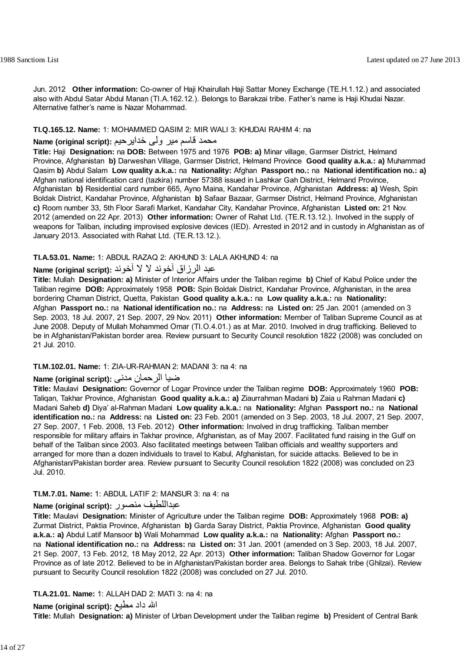Jun. 2012 **Other information:** Co-owner of Haji Khairullah Haji Sattar Money Exchange (TE.H.1.12.) and associated also with Abdul Satar Abdul Manan (TI.A.162.12.). Belongs to Barakzai tribe. Father's name is Haji Khudai Nazar. Alternative father's name is Nazar Mohammad.

### **TI.Q.165.12. Name:** 1: MOHAMMED QASIM 2: MIR WALI 3: KHUDAI RAHIM 4: na

# محمد قاسم مير ولي خدايرحيم **:(Name (original script**

**Title:** Haji **Designation:** na **DOB:** Between 1975 and 1976 **POB: a)** Minar village, Garmser District, Helmand Province, Afghanistan **b)** Darweshan Village, Garmser District, Helmand Province **Good quality a.k.a.: a)** Muhammad Qasim **b)** Abdul Salam **Low quality a.k.a.:** na **Nationality:** Afghan **Passport no.:** na **National identification no.: a)** Afghan national identification card (tazkira) number 57388 issued in Lashkar Gah District, Helmand Province, Afghanistan **b)** Residential card number 665, Ayno Maina, Kandahar Province, Afghanistan **Address: a)** Wesh, Spin Boldak District, Kandahar Province, Afghanistan **b)** Safaar Bazaar, Garmser District, Helmand Province, Afghanistan **c)** Room number 33, 5th Floor Sarafi Market, Kandahar City, Kandahar Province, Afghanistan **Listed on:** 21 Nov. 2012 (amended on 22 Apr. 2013) **Other information:** Owner of Rahat Ltd. (TE.R.13.12.). Involved in the supply of weapons for Taliban, including improvised explosive devices (IED). Arrested in 2012 and in custody in Afghanistan as of January 2013. Associated with Rahat Ltd. (TE.R.13.12.).

### **TI.A.53.01. Name:** 1: ABDUL RAZAQ 2: AKHUND 3: LALA AKHUND 4: na

## عبد الرزاق آخوند لا لا آخوند **:(script original (Name**

**Title:** Mullah **Designation: a)** Minister of Interior Affairs under the Taliban regime **b)** Chief of Kabul Police under the Taliban regime **DOB:** Approximately 1958 **POB:** Spin Boldak District, Kandahar Province, Afghanistan, in the area bordering Chaman District, Quetta, Pakistan **Good quality a.k.a.:** na **Low quality a.k.a.:** na **Nationality:** Afghan **Passport no.:** na **National identification no.:** na **Address:** na **Listed on:** 25 Jan. 2001 (amended on 3 Sep. 2003, 18 Jul. 2007, 21 Sep. 2007, 29 Nov. 2011) **Other information:** Member of Taliban Supreme Council as at June 2008. Deputy of Mullah Mohammed Omar (TI.O.4.01.) as at Mar. 2010. Involved in drug trafficking. Believed to be in Afghanistan/Pakistan border area. Review pursuant to Security Council resolution 1822 (2008) was concluded on 21 Jul. 2010.

#### **TI.M.102.01. Name:** 1: ZIA-UR-RAHMAN 2: MADANI 3: na 4: na

### ضيا الرحمان مدنی **:(script original (Name**

**Title:** Maulavi **Designation:** Governor of Logar Province under the Taliban regime **DOB:** Approximately 1960 **POB:** Taliqan, Takhar Province, Afghanistan **Good quality a.k.a.: a)** Ziaurrahman Madani **b)** Zaia u Rahman Madani **c)** Madani Saheb **d)** Diya' al-Rahman Madani **Low quality a.k.a.:** na **Nationality:** Afghan **Passport no.:** na **National identification no.:** na **Address:** na **Listed on:** 23 Feb. 2001 (amended on 3 Sep. 2003, 18 Jul. 2007, 21 Sep. 2007, 27 Sep. 2007, 1 Feb. 2008, 13 Feb. 2012) **Other information:** Involved in drug trafficking. Taliban member responsible for military affairs in Takhar province, Afghanistan, as of May 2007. Facilitated fund raising in the Gulf on behalf of the Taliban since 2003. Also facilitated meetings between Taliban officials and wealthy supporters and arranged for more than a dozen individuals to travel to Kabul, Afghanistan, for suicide attacks. Believed to be in Afghanistan/Pakistan border area. Review pursuant to Security Council resolution 1822 (2008) was concluded on 23 Jul. 2010.

## **TI.M.7.01. Name:** 1: ABDUL LATIF 2: MANSUR 3: na 4: na

## **Name (original script):** منصور عبداللطيف

**Title:** Maulavi **Designation:** Minister of Agriculture under the Taliban regime **DOB:** Approximately 1968 **POB: a)** Zurmat District, Paktia Province, Afghanistan **b)** Garda Saray District, Paktia Province, Afghanistan **Good quality a.k.a.: a)** Abdul Latif Mansoor **b)** Wali Mohammad **Low quality a.k.a.:** na **Nationality:** Afghan **Passport no.:** na **National identification no.:** na **Address:** na **Listed on:** 31 Jan. 2001 (amended on 3 Sep. 2003, 18 Jul. 2007, 21 Sep. 2007, 13 Feb. 2012, 18 May 2012, 22 Apr. 2013) **Other information:** Taliban Shadow Governor for Logar Province as of late 2012. Believed to be in Afghanistan/Pakistan border area. Belongs to Sahak tribe (Ghilzai). Review pursuant to Security Council resolution 1822 (2008) was concluded on 27 Jul. 2010.

## **TI.A.21.01. Name:** 1: ALLAH DAD 2: MATI 3: na 4: na

## الله داد مطيع **:Name (original script)**

**Title:** Mullah **Designation: a)** Minister of Urban Development under the Taliban regime **b)** President of Central Bank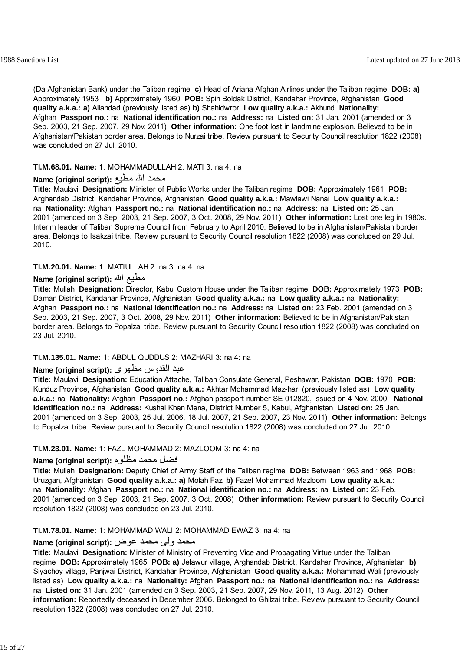(Da Afghanistan Bank) under the Taliban regime **c)** Head of Ariana Afghan Airlines under the Taliban regime **DOB: a)** Approximately 1953 **b)** Approximately 1960 **POB:** Spin Boldak District, Kandahar Province, Afghanistan **Good quality a.k.a.: a)** Allahdad (previously listed as) **b)** Shahidwror **Low quality a.k.a.:** Akhund **Nationality:** Afghan **Passport no.:** na **National identification no.:** na **Address:** na **Listed on:** 31 Jan. 2001 (amended on 3 Sep. 2003, 21 Sep. 2007, 29 Nov. 2011) **Other information:** One foot lost in landmine explosion. Believed to be in Afghanistan/Pakistan border area. Belongs to Nurzai tribe. Review pursuant to Security Council resolution 1822 (2008) was concluded on 27 Jul. 2010.

## **TI.M.68.01. Name:** 1: MOHAMMADULLAH 2: MATI 3: na 4: na

## محمد االله مطيع **:(script original (Name**

**Title:** Maulavi **Designation:** Minister of Public Works under the Taliban regime **DOB:** Approximately 1961 **POB:** Arghandab District, Kandahar Province, Afghanistan **Good quality a.k.a.:** Mawlawi Nanai **Low quality a.k.a.:** na **Nationality:** Afghan **Passport no.:** na **National identification no.:** na **Address:** na **Listed on:** 25 Jan. 2001 (amended on 3 Sep. 2003, 21 Sep. 2007, 3 Oct. 2008, 29 Nov. 2011) **Other information:** Lost one leg in 1980s. Interim leader of Taliban Supreme Council from February to April 2010. Believed to be in Afghanistan/Pakistan border area. Belongs to Isakzai tribe. Review pursuant to Security Council resolution 1822 (2008) was concluded on 29 Jul. 2010.

**TI.M.20.01. Name:** 1: MATIULLAH 2: na 3: na 4: na

## **Name (original script):** االله مطيع

**Title:** Mullah **Designation:** Director, Kabul Custom House under the Taliban regime **DOB:** Approximately 1973 **POB:** Daman District, Kandahar Province, Afghanistan **Good quality a.k.a.:** na **Low quality a.k.a.:** na **Nationality:** Afghan **Passport no.:** na **National identification no.:** na **Address:** na **Listed on:** 23 Feb. 2001 (amended on 3 Sep. 2003, 21 Sep. 2007, 3 Oct. 2008, 29 Nov. 2011) **Other information:** Believed to be in Afghanistan/Pakistan border area. Belongs to Popalzai tribe. Review pursuant to Security Council resolution 1822 (2008) was concluded on 23 Jul. 2010.

#### **TI.M.135.01. Name:** 1: ABDUL QUDDUS 2: MAZHARI 3: na 4: na

## عبد القدوس مظهری **:(script original (Name**

**Title:** Maulavi **Designation:** Education Attache, Taliban Consulate General, Peshawar, Pakistan **DOB:** 1970 **POB:** Kunduz Province, Afghanistan **Good quality a.k.a.:** Akhtar Mohammad Maz-hari (previously listed as) **Low quality a.k.a.:** na **Nationality:** Afghan **Passport no.:** Afghan passport number SE 012820, issued on 4 Nov. 2000 **National identification no.:** na **Address:** Kushal Khan Mena, District Number 5, Kabul, Afghanistan **Listed on:** 25 Jan. 2001 (amended on 3 Sep. 2003, 25 Jul. 2006, 18 Jul. 2007, 21 Sep. 2007, 23 Nov. 2011) **Other information:** Belongs to Popalzai tribe. Review pursuant to Security Council resolution 1822 (2008) was concluded on 27 Jul. 2010.

## **TI.M.23.01. Name:** 1: FAZL MOHAMMAD 2: MAZLOOM 3: na 4: na

### فضل محمد مظلوم **:(script original (Name**

**Title:** Mullah **Designation:** Deputy Chief of Army Staff of the Taliban regime **DOB:** Between 1963 and 1968 **POB:** Uruzgan, Afghanistan **Good quality a.k.a.: a)** Molah Fazl **b)** Fazel Mohammad Mazloom **Low quality a.k.a.:** na **Nationality:** Afghan **Passport no.:** na **National identification no.:** na **Address:** na **Listed on:** 23 Feb. 2001 (amended on 3 Sep. 2003, 21 Sep. 2007, 3 Oct. 2008) **Other information:** Review pursuant to Security Council resolution 1822 (2008) was concluded on 23 Jul. 2010.

#### **TI.M.78.01. Name:** 1: MOHAMMAD WALI 2: MOHAMMAD EWAZ 3: na 4: na

### محمد ولی محمد عوض **:Name (original script**)

**Title:** Maulavi **Designation:** Minister of Ministry of Preventing Vice and Propagating Virtue under the Taliban regime **DOB:** Approximately 1965 **POB: a)** Jelawur village, Arghandab District, Kandahar Province, Afghanistan **b)** Siyachoy village, Panjwai District, Kandahar Province, Afghanistan **Good quality a.k.a.:** Mohammad Wali (previously listed as) **Low quality a.k.a.:** na **Nationality:** Afghan **Passport no.:** na **National identification no.:** na **Address:** na **Listed on:** 31 Jan. 2001 (amended on 3 Sep. 2003, 21 Sep. 2007, 29 Nov. 2011, 13 Aug. 2012) **Other information:** Reportedly deceased in December 2006. Belonged to Ghilzai tribe. Review pursuant to Security Council resolution 1822 (2008) was concluded on 27 Jul. 2010.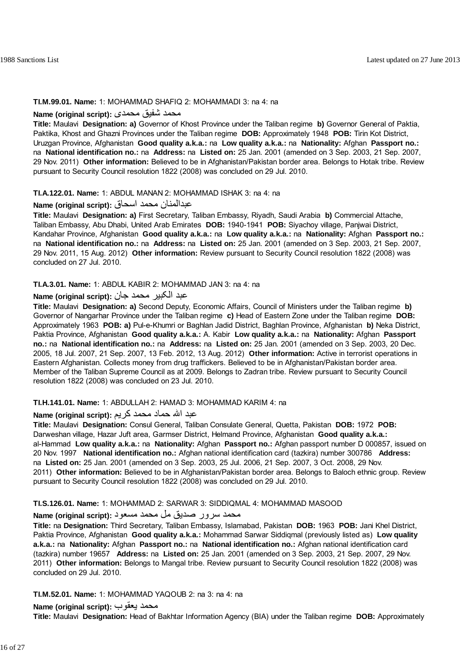## **TI.M.99.01. Name:** 1: MOHAMMAD SHAFIQ 2: MOHAMMADI 3: na 4: na

## محمد شفيق محمدی **:(script original (Name**

**Title:** Maulavi **Designation: a)** Governor of Khost Province under the Taliban regime **b)** Governor General of Paktia, Paktika, Khost and Ghazni Provinces under the Taliban regime **DOB:** Approximately 1948 **POB:** Tirin Kot District, Uruzgan Province, Afghanistan **Good quality a.k.a.:** na **Low quality a.k.a.:** na **Nationality:** Afghan **Passport no.:** na **National identification no.:** na **Address:** na **Listed on:** 25 Jan. 2001 (amended on 3 Sep. 2003, 21 Sep. 2007, 29 Nov. 2011) **Other information:** Believed to be in Afghanistan/Pakistan border area. Belongs to Hotak tribe. Review pursuant to Security Council resolution 1822 (2008) was concluded on 29 Jul. 2010.

## **TI.A.122.01. Name:** 1: ABDUL MANAN 2: MOHAMMAD ISHAK 3: na 4: na

## عبدالمنان محمد اسحاق **:(script original (Name**

**Title:** Maulavi **Designation: a)** First Secretary, Taliban Embassy, Riyadh, Saudi Arabia **b)** Commercial Attache, Taliban Embassy, Abu Dhabi, United Arab Emirates **DOB:** 1940-1941 **POB:** Siyachoy village, Panjwai District, Kandahar Province, Afghanistan **Good quality a.k.a.:** na **Low quality a.k.a.:** na **Nationality:** Afghan **Passport no.:** na **National identification no.:** na **Address:** na **Listed on:** 25 Jan. 2001 (amended on 3 Sep. 2003, 21 Sep. 2007, 29 Nov. 2011, 15 Aug. 2012) **Other information:** Review pursuant to Security Council resolution 1822 (2008) was concluded on 27 Jul. 2010.

### **TI.A.3.01. Name:** 1: ABDUL KABIR 2: MOHAMMAD JAN 3: na 4: na

## عبد الکبير محمد جان **:(script original (Name**

**Title:** Maulavi **Designation: a)** Second Deputy, Economic Affairs, Council of Ministers under the Taliban regime **b)** Governor of Nangarhar Province under the Taliban regime **c)** Head of Eastern Zone under the Taliban regime **DOB:** Approximately 1963 **POB: a)** Pul-e-Khumri or Baghlan Jadid District, Baghlan Province, Afghanistan **b)** Neka District, Paktia Province, Afghanistan **Good quality a.k.a.:** A. Kabir **Low quality a.k.a.:** na **Nationality:** Afghan **Passport no.:** na **National identification no.:** na **Address:** na **Listed on:** 25 Jan. 2001 (amended on 3 Sep. 2003, 20 Dec. 2005, 18 Jul. 2007, 21 Sep. 2007, 13 Feb. 2012, 13 Aug. 2012) **Other information:** Active in terrorist operations in Eastern Afghanistan. Collects money from drug traffickers. Believed to be in Afghanistan/Pakistan border area. Member of the Taliban Supreme Council as at 2009. Belongs to Zadran tribe. Review pursuant to Security Council resolution 1822 (2008) was concluded on 23 Jul. 2010.

## **TI.H.141.01. Name:** 1: ABDULLAH 2: HAMAD 3: MOHAMMAD KARIM 4: na

## عبد االله حماد محمد آريم **:(script original (Name**

**Title:** Maulavi **Designation:** Consul General, Taliban Consulate General, Quetta, Pakistan **DOB:** 1972 **POB:** Darweshan village, Hazar Juft area, Garmser District, Helmand Province, Afghanistan **Good quality a.k.a.:** al-Hammad **Low quality a.k.a.:** na **Nationality:** Afghan **Passport no.:** Afghan passport number D 000857, issued on 20 Nov. 1997 **National identification no.:** Afghan national identification card (tazkira) number 300786 **Address:** na **Listed on:** 25 Jan. 2001 (amended on 3 Sep. 2003, 25 Jul. 2006, 21 Sep. 2007, 3 Oct. 2008, 29 Nov. 2011) **Other information:** Believed to be in Afghanistan/Pakistan border area. Belongs to Baloch ethnic group. Review pursuant to Security Council resolution 1822 (2008) was concluded on 29 Jul. 2010.

#### **TI.S.126.01. Name:** 1: MOHAMMAD 2: SARWAR 3: SIDDIQMAL 4: MOHAMMAD MASOOD

## محمد سرور صديق مل محمد مسعود **:(script original (Name**

**Title:** na **Designation:** Third Secretary, Taliban Embassy, Islamabad, Pakistan **DOB:** 1963 **POB:** Jani Khel District, Paktia Province, Afghanistan **Good quality a.k.a.:** Mohammad Sarwar Siddiqmal (previously listed as) **Low quality a.k.a.:** na **Nationality:** Afghan **Passport no.:** na **National identification no.:** Afghan national identification card (tazkira) number 19657 **Address:** na **Listed on:** 25 Jan. 2001 (amended on 3 Sep. 2003, 21 Sep. 2007, 29 Nov. 2011) **Other information:** Belongs to Mangal tribe. Review pursuant to Security Council resolution 1822 (2008) was concluded on 29 Jul. 2010.

## **TI.M.52.01. Name:** 1: MOHAMMAD YAQOUB 2: na 3: na 4: na

## **Name (original script):** يعقوب محمد

**Title:** Maulavi **Designation:** Head of Bakhtar Information Agency (BIA) under the Taliban regime **DOB:** Approximately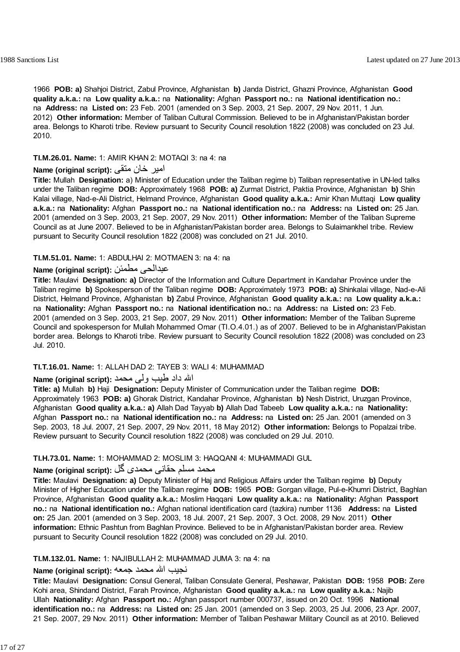1966 **POB: a)** Shahjoi District, Zabul Province, Afghanistan **b)** Janda District, Ghazni Province, Afghanistan **Good quality a.k.a.:** na **Low quality a.k.a.:** na **Nationality:** Afghan **Passport no.:** na **National identification no.:** na **Address:** na **Listed on:** 23 Feb. 2001 (amended on 3 Sep. 2003, 21 Sep. 2007, 29 Nov. 2011, 1 Jun. 2012) **Other information:** Member of Taliban Cultural Commission. Believed to be in Afghanistan/Pakistan border area. Belongs to Kharoti tribe. Review pursuant to Security Council resolution 1822 (2008) was concluded on 23 Jul. 2010.

**TI.M.26.01. Name:** 1: AMIR KHAN 2: MOTAQI 3: na 4: na

## امير خان متقی **:(script original (Name**

**Title:** Mullah **Designation:** a) Minister of Education under the Taliban regime b) Taliban representative in UN-led talks under the Taliban regime **DOB:** Approximately 1968 **POB: a)** Zurmat District, Paktia Province, Afghanistan **b)** Shin Kalai village, Nad-e-Ali District, Helmand Province, Afghanistan **Good quality a.k.a.:** Amir Khan Muttaqi **Low quality a.k.a.:** na **Nationality:** Afghan **Passport no.:** na **National identification no.:** na **Address:** na **Listed on:** 25 Jan. 2001 (amended on 3 Sep. 2003, 21 Sep. 2007, 29 Nov. 2011) **Other information:** Member of the Taliban Supreme Council as at June 2007. Believed to be in Afghanistan/Pakistan border area. Belongs to Sulaimankhel tribe. Review pursuant to Security Council resolution 1822 (2008) was concluded on 21 Jul. 2010.

## **TI.M.51.01. Name:** 1: ABDULHAI 2: MOTMAEN 3: na 4: na

## **Name (original script):** مطمئن عبدالحی

**Title:** Maulavi **Designation: a)** Director of the Information and Culture Department in Kandahar Province under the Taliban regime **b)** Spokesperson of the Taliban regime **DOB:** Approximately 1973 **POB: a)** Shinkalai village, Nad-e-Ali District, Helmand Province, Afghanistan **b)** Zabul Province, Afghanistan **Good quality a.k.a.:** na **Low quality a.k.a.:** na **Nationality:** Afghan **Passport no.:** na **National identification no.:** na **Address:** na **Listed on:** 23 Feb. 2001 (amended on 3 Sep. 2003, 21 Sep. 2007, 29 Nov. 2011) **Other information:** Member of the Taliban Supreme Council and spokesperson for Mullah Mohammed Omar (TI.O.4.01.) as of 2007. Believed to be in Afghanistan/Pakistan border area. Belongs to Kharoti tribe. Review pursuant to Security Council resolution 1822 (2008) was concluded on 23 Jul. 2010.

## **TI.T.16.01. Name:** 1: ALLAH DAD 2: TAYEB 3: WALI 4: MUHAMMAD

## االله داد طيب ولی محمد **:(script original (Name**

**Title: a)** Mullah **b)** Haji **Designation:** Deputy Minister of Communication under the Taliban regime **DOB:** Approximately 1963 **POB: a)** Ghorak District, Kandahar Province, Afghanistan **b)** Nesh District, Uruzgan Province, Afghanistan **Good quality a.k.a.: a)** Allah Dad Tayyab **b)** Allah Dad Tabeeb **Low quality a.k.a.:** na **Nationality:** Afghan **Passport no.:** na **National identification no.:** na **Address:** na **Listed on:** 25 Jan. 2001 (amended on 3 Sep. 2003, 18 Jul. 2007, 21 Sep. 2007, 29 Nov. 2011, 18 May 2012) **Other information:** Belongs to Popalzai tribe. Review pursuant to Security Council resolution 1822 (2008) was concluded on 29 Jul. 2010.

## **TI.H.73.01. Name:** 1: MOHAMMAD 2: MOSLIM 3: HAQQANI 4: MUHAMMADI GUL

## محمد مسلم حقانی محمدی گل **:Name (original script)**

**Title:** Maulavi **Designation: a)** Deputy Minister of Haj and Religious Affairs under the Taliban regime **b)** Deputy Minister of Higher Education under the Taliban regime **DOB:** 1965 **POB:** Gorgan village, Pul-e-Khumri District, Baghlan Province, Afghanistan **Good quality a.k.a.:** Moslim Haqqani **Low quality a.k.a.:** na **Nationality:** Afghan **Passport no.:** na **National identification no.:** Afghan national identification card (tazkira) number 1136 **Address:** na **Listed on:** 25 Jan. 2001 (amended on 3 Sep. 2003, 18 Jul. 2007, 21 Sep. 2007, 3 Oct. 2008, 29 Nov. 2011) **Other information:** Ethnic Pashtun from Baghlan Province. Believed to be in Afghanistan/Pakistan border area. Review pursuant to Security Council resolution 1822 (2008) was concluded on 29 Jul. 2010.

#### **TI.M.132.01. Name:** 1: NAJIBULLAH 2: MUHAMMAD JUMA 3: na 4: na

## نجيب االله محمد جمعه **:(script original (Name**

**Title:** Maulavi **Designation:** Consul General, Taliban Consulate General, Peshawar, Pakistan **DOB:** 1958 **POB:** Zere Kohi area, Shindand District, Farah Province, Afghanistan **Good quality a.k.a.:** na **Low quality a.k.a.:** Najib Ullah **Nationality:** Afghan **Passport no.:** Afghan passport number 000737, issued on 20 Oct. 1996 **National identification no.:** na **Address:** na **Listed on:** 25 Jan. 2001 (amended on 3 Sep. 2003, 25 Jul. 2006, 23 Apr. 2007, 21 Sep. 2007, 29 Nov. 2011) **Other information:** Member of Taliban Peshawar Military Council as at 2010. Believed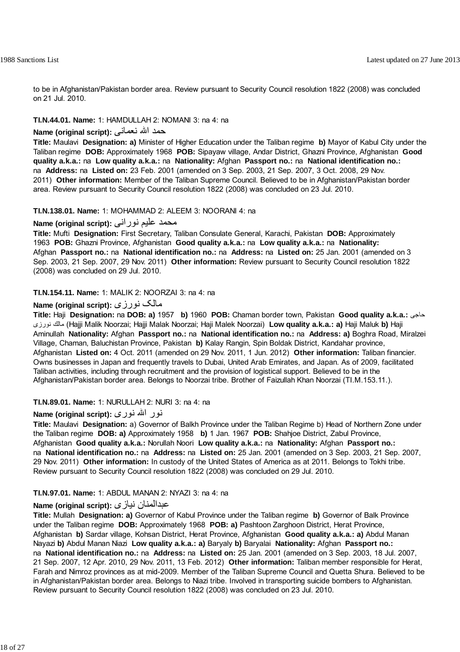to be in Afghanistan/Pakistan border area. Review pursuant to Security Council resolution 1822 (2008) was concluded on 21 Jul. 2010.

## **TI.N.44.01. Name:** 1: HAMDULLAH 2: NOMANI 3: na 4: na

### حمد االله نعمانى **:(script original (Name**

**Title:** Maulavi **Designation: a)** Minister of Higher Education under the Taliban regime **b)** Mayor of Kabul City under the Taliban regime **DOB:** Approximately 1968 **POB:** Sipayaw village, Andar District, Ghazni Province, Afghanistan **Good quality a.k.a.:** na **Low quality a.k.a.:** na **Nationality:** Afghan **Passport no.:** na **National identification no.:** na **Address:** na **Listed on:** 23 Feb. 2001 (amended on 3 Sep. 2003, 21 Sep. 2007, 3 Oct. 2008, 29 Nov. 2011) **Other information:** Member of the Taliban Supreme Council. Believed to be in Afghanistan/Pakistan border area. Review pursuant to Security Council resolution 1822 (2008) was concluded on 23 Jul. 2010.

#### **TI.N.138.01. Name:** 1: MOHAMMAD 2: ALEEM 3: NOORANI 4: na

## محمد عليم نوراني **:Name (original script)**

**Title:** Mufti **Designation:** First Secretary, Taliban Consulate General, Karachi, Pakistan **DOB:** Approximately 1963 **POB:** Ghazni Province, Afghanistan **Good quality a.k.a.:** na **Low quality a.k.a.:** na **Nationality:** Afghan **Passport no.:** na **National identification no.:** na **Address:** na **Listed on:** 25 Jan. 2001 (amended on 3 Sep. 2003, 21 Sep. 2007, 29 Nov. 2011) **Other information:** Review pursuant to Security Council resolution 1822 (2008) was concluded on 29 Jul. 2010.

## **TI.N.154.11. Name:** 1: MALIK 2: NOORZAI 3: na 4: na

## **Name (original script):** نورزى مالک

**Title:** Haji **Designation:** na **DOB: a)** 1957 **b)** 1960 **POB:** Chaman border town, Pakistan **Good quality a.k.a.:** حاجى نورزى مالك) Hajji Malik Noorzai; Hajji Malak Noorzai; Haji Malek Noorzai) **Low quality a.k.a.: a)** Haji Maluk **b)** Haji Aminullah **Nationality:** Afghan **Passport no.:** na **National identification no.:** na **Address: a)** Boghra Road, Miralzei Village, Chaman, Baluchistan Province, Pakistan **b)** Kalay Rangin, Spin Boldak District, Kandahar province, Afghanistan **Listed on:** 4 Oct. 2011 (amended on 29 Nov. 2011, 1 Jun. 2012) **Other information:** Taliban financier. Owns businesses in Japan and frequently travels to Dubai, United Arab Emirates, and Japan. As of 2009, facilitated Taliban activities, including through recruitment and the provision of logistical support. Believed to be in the Afghanistan/Pakistan border area. Belongs to Noorzai tribe. Brother of Faizullah Khan Noorzai (TI.M.153.11.).

#### **TI.N.89.01. Name:** 1: NURULLAH 2: NURI 3: na 4: na

#### نور االله نوری **:(script original (Name**

**Title:** Maulavi **Designation:** a) Governor of Balkh Province under the Taliban Regime b) Head of Northern Zone under the Taliban regime **DOB: a)** Approximately 1958 **b)** 1 Jan. 1967 **POB:** Shahjoe District, Zabul Province, Afghanistan **Good quality a.k.a.:** Norullah Noori **Low quality a.k.a.:** na **Nationality:** Afghan **Passport no.:** na **National identification no.:** na **Address:** na **Listed on:** 25 Jan. 2001 (amended on 3 Sep. 2003, 21 Sep. 2007, 29 Nov. 2011) **Other information:** In custody of the United States of America as at 2011. Belongs to Tokhi tribe. Review pursuant to Security Council resolution 1822 (2008) was concluded on 29 Jul. 2010.

#### **TI.N.97.01. Name:** 1: ABDUL MANAN 2: NYAZI 3: na 4: na

#### **Name (original script):** نيازی عبدالمنان

**Title:** Mullah **Designation: a)** Governor of Kabul Province under the Taliban regime **b)** Governor of Balk Province under the Taliban regime **DOB:** Approximately 1968 **POB: a)** Pashtoon Zarghoon District, Herat Province, Afghanistan **b)** Sardar village, Kohsan District, Herat Province, Afghanistan **Good quality a.k.a.: a)** Abdul Manan Nayazi **b)** Abdul Manan Niazi **Low quality a.k.a.: a)** Baryaly **b)** Baryalai **Nationality:** Afghan **Passport no.:** na **National identification no.:** na **Address:** na **Listed on:** 25 Jan. 2001 (amended on 3 Sep. 2003, 18 Jul. 2007, 21 Sep. 2007, 12 Apr. 2010, 29 Nov. 2011, 13 Feb. 2012) **Other information:** Taliban member responsible for Herat, Farah and Nimroz provinces as at mid-2009. Member of the Taliban Supreme Council and Quetta Shura. Believed to be in Afghanistan/Pakistan border area. Belongs to Niazi tribe. Involved in transporting suicide bombers to Afghanistan. Review pursuant to Security Council resolution 1822 (2008) was concluded on 23 Jul. 2010.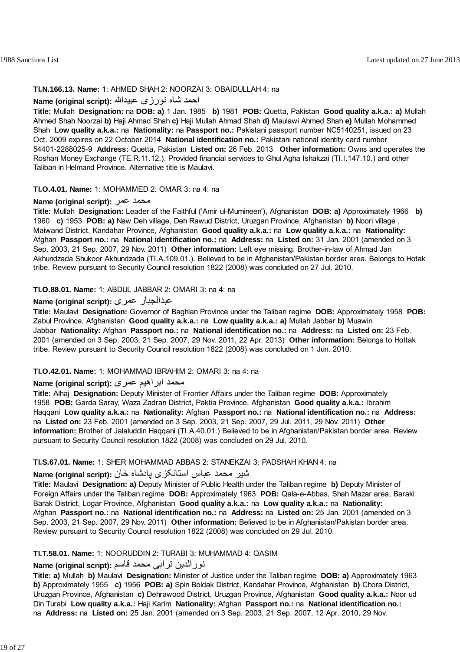# **TI.N.166.13. Name:** 1: AHMED SHAH 2: NOORZAI 3: OBAIDULLAH 4: na

# احمد شاه نورزی عبيداالله **:(script original (Name**

**Title:** Mullah **Designation:** na **DOB: a)** 1 Jan. 1985 **b)** 1981 **POB:** Quetta, Pakistan **Good quality a.k.a.: a)** Mullah Ahmed Shah Noorzai **b)** Haji Ahmad Shah **c)** Haji Mullah Ahmad Shah **d)** Maulawi Ahmed Shah **e)** Mullah Mohammed Shah **Low quality a.k.a.:** na **Nationality:** na **Passport no.:** Pakistani passport number NC5140251, issued on 23 Oct. 2009 expires on 22 October 2014 **National identification no.:** Pakistani national identity card number 54401-2288025-9 **Address:** Quetta, Pakistan **Listed on:** 26 Feb. 2013 **Other information:** Owns and operates the Roshan Money Exchange (TE.R.11.12.). Provided financial services to Ghul Agha Ishakzai (TI.I.147.10.) and other Taliban in Helmand Province. Alternative title is Maulavi.

# **TI.O.4.01. Name:** 1: MOHAMMED 2: OMAR 3: na 4: na

# **Name (original script):** عمر محمد

**Title:** Mullah **Designation:** Leader of the Faithful ('Amir ul-Mumineen'), Afghanistan **DOB: a)** Approximately 1966 **b)** 1960 **c)** 1953 **POB: a)** Naw Deh village, Deh Rawud District, Uruzgan Province, Afghanistan **b)** Noori village , Maiwand District, Kandahar Province, Afghanistan **Good quality a.k.a.:** na **Low quality a.k.a.:** na **Nationality:** Afghan **Passport no.:** na **National identification no.:** na **Address:** na **Listed on:** 31 Jan. 2001 (amended on 3 Sep. 2003, 21 Sep. 2007, 29 Nov. 2011) **Other information:** Left eye missing. Brother-in-law of Ahmad Jan Akhundzada Shukoor Akhundzada (TI.A.109.01.). Believed to be in Afghanistan/Pakistan border area. Belongs to Hotak tribe. Review pursuant to Security Council resolution 1822 (2008) was concluded on 27 Jul. 2010.

# **TI.O.88.01. Name:** 1: ABDUL JABBAR 2: OMARI 3: na 4: na

# **Name (original script):** عمری عبدالجبار

**Title:** Maulavi **Designation:** Governor of Baghlan Province under the Taliban regime **DOB:** Approximately 1958 **POB:** Zabul Province, Afghanistan **Good quality a.k.a.:** na **Low quality a.k.a.: a)** Mullah Jabbar **b)** Muawin Jabbar **Nationality:** Afghan **Passport no.:** na **National identification no.:** na **Address:** na **Listed on:** 23 Feb. 2001 (amended on 3 Sep. 2003, 21 Sep. 2007, 29 Nov. 2011, 22 Apr. 2013) **Other information:** Belongs to Hottak tribe. Review pursuant to Security Council resolution 1822 (2008) was concluded on 1 Jun. 2010.

# **TI.O.42.01. Name:** 1: MOHAMMAD IBRAHIM 2: OMARI 3: na 4: na

# محمد ابراهيم ع*مري* : Name (original script)

**Title:** Alhaj **Designation:** Deputy Minister of Frontier Affairs under the Taliban regime **DOB:** Approximately 1958 **POB:** Garda Saray, Waza Zadran District, Paktia Province, Afghanistan **Good quality a.k.a.:** Ibrahim Haqqani **Low quality a.k.a.:** na **Nationality:** Afghan **Passport no.:** na **National identification no.:** na **Address:** na **Listed on:** 23 Feb. 2001 (amended on 3 Sep. 2003, 21 Sep. 2007, 29 Jul. 2011, 29 Nov. 2011) **Other information:** Brother of Jalaluddin Haqqani (TI.A.40.01.) Believed to be in Afghanistan/Pakistan border area. Review pursuant to Security Council resolution 1822 (2008) was concluded on 29 Jul. 2010.

# **TI.S.67.01. Name:** 1: SHER MOHAMMAD ABBAS 2: STANEKZAI 3: PADSHAH KHAN 4: na

# شير محمد عباس استانکزی پادشاه خان **:(script original (Name**

**Title:** Maulavi **Designation: a)** Deputy Minister of Public Health under the Taliban regime **b)** Deputy Minister of Foreign Affairs under the Taliban regime **DOB:** Approximately 1963 **POB:** Qala-e-Abbas, Shah Mazar area, Baraki Barak District, Logar Province, Afghanistan **Good quality a.k.a.:** na **Low quality a.k.a.:** na **Nationality:** Afghan **Passport no.:** na **National identification no.:** na **Address:** na **Listed on:** 25 Jan. 2001 (amended on 3 Sep. 2003, 21 Sep. 2007, 29 Nov. 2011) **Other information:** Believed to be in Afghanistan/Pakistan border area. Review pursuant to Security Council resolution 1822 (2008) was concluded on 29 Jul. 2010.

# **TI.T.58.01. Name:** 1: NOORUDDIN 2: TURABI 3: MUHAMMAD 4: QASIM

# نورالدين ترابی محمد قاسم **:(script original (Name**

**Title: a)** Mullah **b)** Maulavi **Designation:** Minister of Justice under the Taliban regime **DOB: a)** Approximately 1963 **b)** Approximately 1955 **c)** 1956 **POB: a)** Spin Boldak District, Kandahar Province, Afghanistan **b)** Chora District, Uruzgan Province, Afghanistan **c)** Dehrawood District, Uruzgan Province, Afghanistan **Good quality a.k.a.:** Noor ud Din Turabi **Low quality a.k.a.:** Haji Karim **Nationality:** Afghan **Passport no.:** na **National identification no.:** na **Address:** na **Listed on:** 25 Jan. 2001 (amended on 3 Sep. 2003, 21 Sep. 2007, 12 Apr. 2010, 29 Nov.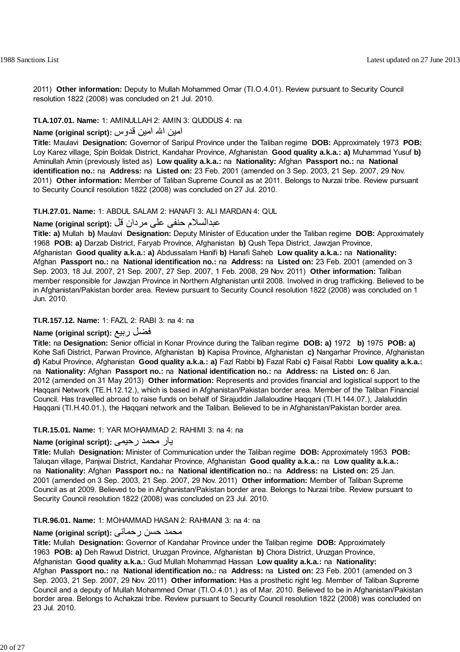2011) **Other information:** Deputy to Mullah Mohammed Omar (TI.O.4.01). Review pursuant to Security Council resolution 1822 (2008) was concluded on 21 Jul. 2010.

#### **TI.A.107.01. Name:** 1: AMINULLAH 2: AMIN 3: QUDDUS 4: na

# امين االله امين قدوس **:(script original (Name**

**Title:** Maulavi **Designation:** Governor of Saripul Province under the Taliban regime **DOB:** Approximately 1973 **POB:** Loy Karez village, Spin Boldak District, Kandahar Province, Afghanistan **Good quality a.k.a.: a)** Muhammad Yusuf **b)** Aminullah Amin (previously listed as) **Low quality a.k.a.:** na **Nationality:** Afghan **Passport no.:** na **National identification no.:** na **Address:** na **Listed on:** 23 Feb. 2001 (amended on 3 Sep. 2003, 21 Sep. 2007, 29 Nov. 2011) **Other information:** Member of Taliban Supreme Council as at 2011. Belongs to Nurzai tribe. Review pursuant to Security Council resolution 1822 (2008) was concluded on 27 Jul. 2010.

#### **TI.H.27.01. Name:** 1: ABDUL SALAM 2: HANAFI 3: ALI MARDAN 4: QUL

# عبدالسلام حنفی علی مردان قل **:(script original (Name**

**Title: a)** Mullah **b)** Maulavi **Designation:** Deputy Minister of Education under the Taliban regime **DOB:** Approximately 1968 **POB: a)** Darzab District, Faryab Province, Afghanistan **b)** Qush Tepa District, Jawzjan Province, Afghanistan **Good quality a.k.a.: a)** Abdussalam Hanifi **b)** Hanafi Saheb **Low quality a.k.a.:** na **Nationality:** Afghan **Passport no.:** na **National identification no.:** na **Address:** na **Listed on:** 23 Feb. 2001 (amended on 3 Sep. 2003, 18 Jul. 2007, 21 Sep. 2007, 27 Sep. 2007, 1 Feb. 2008, 29 Nov. 2011) **Other information:** Taliban member responsible for Jawzjan Province in Northern Afghanistan until 2008. Involved in drug trafficking. Believed to be in Afghanistan/Pakistan border area. Review pursuant to Security Council resolution 1822 (2008) was concluded on 1 Jun. 2010.

#### **TI.R.157.12. Name:** 1: FAZL 2: RABI 3: na 4: na

## **Name (original script):** ربيع فضل

**Title:** na **Designation:** Senior official in Konar Province during the Taliban regime **DOB: a)** 1972 **b)** 1975 **POB: a)** Kohe Safi District, Parwan Province, Afghanistan **b)** Kapisa Province, Afghanistan **c)** Nangarhar Province, Afghanistan **d)** Kabul Province, Afghanistan **Good quality a.k.a.: a)** Fazl Rabbi **b)** Fazal Rabi **c)** Faisal Rabbi **Low quality a.k.a.:** na **Nationality:** Afghan **Passport no.:** na **National identification no.:** na **Address:** na **Listed on:** 6 Jan. 2012 (amended on 31 May 2013) **Other information:** Represents and provides financial and logistical support to the Haqqani Network (TE.H.12.12.), which is based in Afghanistan/Pakistan border area. Member of the Taliban Financial Council. Has travelled abroad to raise funds on behalf of Sirajuddin Jallaloudine Haqqani (TI.H.144.07.), Jalaluddin Haqqani (TI.H.40.01.), the Haqqani network and the Taliban. Believed to be in Afghanistan/Pakistan border area.

#### **TI.R.15.01. Name:** 1: YAR MOHAMMAD 2: RAHIMI 3: na 4: na

## يار محمد رحيمی **:(script original (Name**

**Title:** Mullah **Designation:** Minister of Communication under the Taliban regime **DOB:** Approximately 1953 **POB:** Taluqan village, Panjwai District, Kandahar Province, Afghanistan **Good quality a.k.a.:** na **Low quality a.k.a.:** na **Nationality:** Afghan **Passport no.:** na **National identification no.:** na **Address:** na **Listed on:** 25 Jan. 2001 (amended on 3 Sep. 2003, 21 Sep. 2007, 29 Nov. 2011) **Other information:** Member of Taliban Supreme Council as at 2009. Believed to be in Afghanistan/Pakistan border area. Belongs to Nurzai tribe. Review pursuant to Security Council resolution 1822 (2008) was concluded on 23 Jul. 2010.

## **TI.R.96.01. Name:** 1: MOHAMMAD HASAN 2: RAHMANI 3: na 4: na

#### محمد حسن رحمانی **:Name (original script**)

**Title:** Mullah **Designation:** Governor of Kandahar Province under the Taliban regime **DOB:** Approximately 1963 **POB: a)** Deh Rawud District, Uruzgan Province, Afghanistan **b)** Chora District, Uruzgan Province, Afghanistan **Good quality a.k.a.:** Gud Mullah Mohammad Hassan **Low quality a.k.a.:** na **Nationality:** Afghan **Passport no.:** na **National identification no.:** na **Address:** na **Listed on:** 23 Feb. 2001 (amended on 3 Sep. 2003, 21 Sep. 2007, 29 Nov. 2011) **Other information:** Has a prosthetic right leg. Member of Taliban Supreme Council and a deputy of Mullah Mohammed Omar (TI.O.4.01.) as of Mar. 2010. Believed to be in Afghanistan/Pakistan border area. Belongs to Achakzai tribe. Review pursuant to Security Council resolution 1822 (2008) was concluded on 23 Jul. 2010.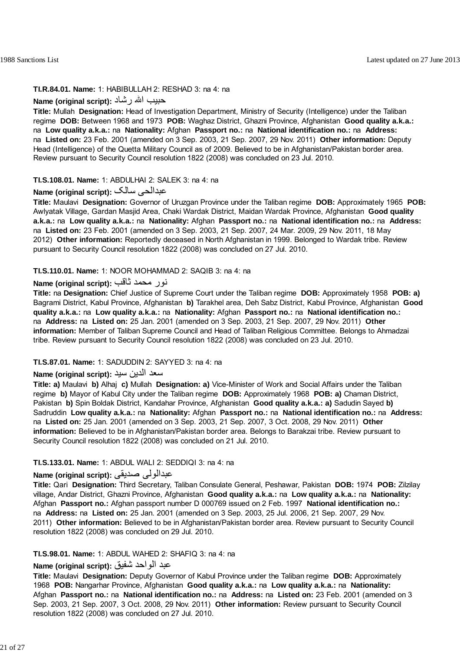#### **TI.R.84.01. Name:** 1: HABIBULLAH 2: RESHAD 3: na 4: na

# حبيب االله رشاد **:(script original (Name**

**Title:** Mullah **Designation:** Head of Investigation Department, Ministry of Security (Intelligence) under the Taliban regime **DOB:** Between 1968 and 1973 **POB:** Waghaz District, Ghazni Province, Afghanistan **Good quality a.k.a.:** na **Low quality a.k.a.:** na **Nationality:** Afghan **Passport no.:** na **National identification no.:** na **Address:** na **Listed on:** 23 Feb. 2001 (amended on 3 Sep. 2003, 21 Sep. 2007, 29 Nov. 2011) **Other information:** Deputy Head (Intelligence) of the Quetta Military Council as of 2009. Believed to be in Afghanistan/Pakistan border area. Review pursuant to Security Council resolution 1822 (2008) was concluded on 23 Jul. 2010.

#### **TI.S.108.01. Name:** 1: ABDULHAI 2: SALEK 3: na 4: na

# **Name (original script):** سالک عبدالحی

**Title:** Maulavi **Designation:** Governor of Uruzgan Province under the Taliban regime **DOB:** Approximately 1965 **POB:** Awlyatak Village, Gardan Masjid Area, Chaki Wardak District, Maidan Wardak Province, Afghanistan **Good quality a.k.a.:** na **Low quality a.k.a.:** na **Nationality:** Afghan **Passport no.:** na **National identification no.:** na **Address:** na **Listed on:** 23 Feb. 2001 (amended on 3 Sep. 2003, 21 Sep. 2007, 24 Mar. 2009, 29 Nov. 2011, 18 May 2012) **Other information:** Reportedly deceased in North Afghanistan in 1999. Belonged to Wardak tribe. Review pursuant to Security Council resolution 1822 (2008) was concluded on 27 Jul. 2010.

#### **TI.S.110.01. Name:** 1: NOOR MOHAMMAD 2: SAQIB 3: na 4: na

# نور محمد ثاقب **:(script original (Name**

**Title:** na **Designation:** Chief Justice of Supreme Court under the Taliban regime **DOB:** Approximately 1958 **POB: a)** Bagrami District, Kabul Province, Afghanistan **b)** Tarakhel area, Deh Sabz District, Kabul Province, Afghanistan **Good quality a.k.a.:** na **Low quality a.k.a.:** na **Nationality:** Afghan **Passport no.:** na **National identification no.:** na **Address:** na **Listed on:** 25 Jan. 2001 (amended on 3 Sep. 2003, 21 Sep. 2007, 29 Nov. 2011) **Other information:** Member of Taliban Supreme Council and Head of Taliban Religious Committee. Belongs to Ahmadzai tribe. Review pursuant to Security Council resolution 1822 (2008) was concluded on 23 Jul. 2010.

#### **TI.S.87.01. Name:** 1: SADUDDIN 2: SAYYED 3: na 4: na

# سعد الدين سيد **:(script original (Name**

**Title: a)** Maulavi **b)** Alhaj **c)** Mullah **Designation: a)** Vice-Minister of Work and Social Affairs under the Taliban regime **b)** Mayor of Kabul City under the Taliban regime **DOB:** Approximately 1968 **POB: a)** Chaman District, Pakistan **b)** Spin Boldak District, Kandahar Province, Afghanistan **Good quality a.k.a.: a)** Sadudin Sayed **b)** Sadruddin **Low quality a.k.a.:** na **Nationality:** Afghan **Passport no.:** na **National identification no.:** na **Address:** na **Listed on:** 25 Jan. 2001 (amended on 3 Sep. 2003, 21 Sep. 2007, 3 Oct. 2008, 29 Nov. 2011) **Other information:** Believed to be in Afghanistan/Pakistan border area. Belongs to Barakzai tribe. Review pursuant to Security Council resolution 1822 (2008) was concluded on 21 Jul. 2010.

#### **TI.S.133.01. Name:** 1: ABDUL WALI 2: SEDDIQI 3: na 4: na

# **Name (original script):** صديقی عبدالولی

**Title:** Qari **Designation:** Third Secretary, Taliban Consulate General, Peshawar, Pakistan **DOB:** 1974 **POB:** Zilzilay village, Andar District, Ghazni Province, Afghanistan **Good quality a.k.a.:** na **Low quality a.k.a.:** na **Nationality:** Afghan **Passport no.:** Afghan passport number D 000769 issued on 2 Feb. 1997 **National identification no.:** na **Address:** na **Listed on:** 25 Jan. 2001 (amended on 3 Sep. 2003, 25 Jul. 2006, 21 Sep. 2007, 29 Nov. 2011) **Other information:** Believed to be in Afghanistan/Pakistan border area. Review pursuant to Security Council resolution 1822 (2008) was concluded on 29 Jul. 2010.

## **TI.S.98.01. Name:** 1: ABDUL WAHED 2: SHAFIQ 3: na 4: na

# عبد الواحد شفيق **:(script original (Name**

**Title:** Maulavi **Designation:** Deputy Governor of Kabul Province under the Taliban regime **DOB:** Approximately 1968 **POB:** Nangarhar Province, Afghanistan **Good quality a.k.a.:** na **Low quality a.k.a.:** na **Nationality:** Afghan **Passport no.:** na **National identification no.:** na **Address:** na **Listed on:** 23 Feb. 2001 (amended on 3 Sep. 2003, 21 Sep. 2007, 3 Oct. 2008, 29 Nov. 2011) **Other information:** Review pursuant to Security Council resolution 1822 (2008) was concluded on 27 Jul. 2010.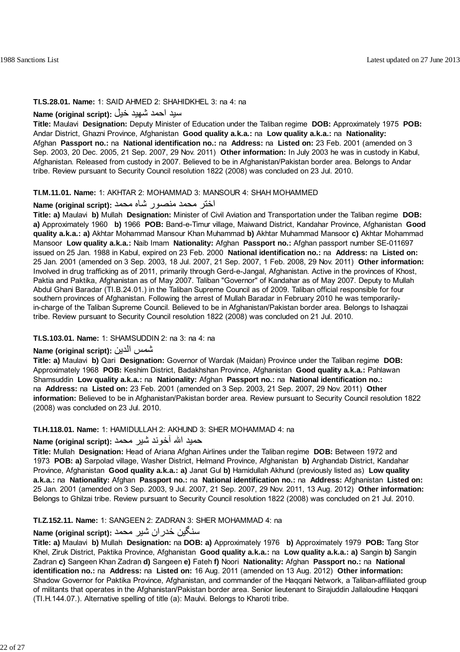#### **TI.S.28.01. Name:** 1: SAID AHMED 2: SHAHIDKHEL 3: na 4: na

# سيد احمد شهيد خيل **:(script original (Name**

**Title:** Maulavi **Designation:** Deputy Minister of Education under the Taliban regime **DOB:** Approximately 1975 **POB:** Andar District, Ghazni Province, Afghanistan **Good quality a.k.a.:** na **Low quality a.k.a.:** na **Nationality:** Afghan **Passport no.:** na **National identification no.:** na **Address:** na **Listed on:** 23 Feb. 2001 (amended on 3 Sep. 2003, 20 Dec. 2005, 21 Sep. 2007, 29 Nov. 2011) **Other information:** In July 2003 he was in custody in Kabul, Afghanistan. Released from custody in 2007. Believed to be in Afghanistan/Pakistan border area. Belongs to Andar tribe. Review pursuant to Security Council resolution 1822 (2008) was concluded on 23 Jul. 2010.

#### **TI.M.11.01. Name:** 1: AKHTAR 2: MOHAMMAD 3: MANSOUR 4: SHAH MOHAMMED

#### اختر محمد منصور شاه محمد **:(script original (Name**

**Title: a)** Maulavi **b)** Mullah **Designation:** Minister of Civil Aviation and Transportation under the Taliban regime **DOB: a)** Approximately 1960 **b)** 1966 **POB:** Band-e-Timur village, Maiwand District, Kandahar Province, Afghanistan **Good quality a.k.a.: a)** Akhtar Mohammad Mansour Khan Muhammad **b)** Akhtar Muhammad Mansoor **c)** Akhtar Mohammad Mansoor **Low quality a.k.a.:** Naib Imam **Nationality:** Afghan **Passport no.:** Afghan passport number SE-011697 issued on 25 Jan. 1988 in Kabul, expired on 23 Feb. 2000 **National identification no.:** na **Address:** na **Listed on:** 25 Jan. 2001 (amended on 3 Sep. 2003, 18 Jul. 2007, 21 Sep. 2007, 1 Feb. 2008, 29 Nov. 2011) **Other information:** Involved in drug trafficking as of 2011, primarily through Gerd-e-Jangal, Afghanistan. Active in the provinces of Khost, Paktia and Paktika, Afghanistan as of May 2007. Taliban "Governor" of Kandahar as of May 2007. Deputy to Mullah Abdul Ghani Baradar (TI.B.24.01.) in the Taliban Supreme Council as of 2009. Taliban official responsible for four southern provinces of Afghanistan. Following the arrest of Mullah Baradar in February 2010 he was temporarilyin-charge of the Taliban Supreme Council. Believed to be in Afghanistan/Pakistan border area. Belongs to Ishaqzai tribe. Review pursuant to Security Council resolution 1822 (2008) was concluded on 21 Jul. 2010.

#### **TI.S.103.01. Name:** 1: SHAMSUDDIN 2: na 3: na 4: na

# **Name (original script):** الدين شمس

**Title: a)** Maulavi **b)** Qari **Designation:** Governor of Wardak (Maidan) Province under the Taliban regime **DOB:** Approximately 1968 **POB:** Keshim District, Badakhshan Province, Afghanistan **Good quality a.k.a.:** Pahlawan Shamsuddin **Low quality a.k.a.:** na **Nationality:** Afghan **Passport no.:** na **National identification no.:** na **Address:** na **Listed on:** 23 Feb. 2001 (amended on 3 Sep. 2003, 21 Sep. 2007, 29 Nov. 2011) **Other information:** Believed to be in Afghanistan/Pakistan border area. Review pursuant to Security Council resolution 1822 (2008) was concluded on 23 Jul. 2010.

#### **TI.H.118.01. Name:** 1: HAMIDULLAH 2: AKHUND 3: SHER MOHAMMAD 4: na

# حميد االله آخوند شير محمد **:(script original (Name**

**Title:** Mullah **Designation:** Head of Ariana Afghan Airlines under the Taliban regime **DOB:** Between 1972 and 1973 **POB: a)** Sarpolad village, Washer District, Helmand Province, Afghanistan **b)** Arghandab District, Kandahar Province, Afghanistan **Good quality a.k.a.: a)** Janat Gul **b)** Hamidullah Akhund (previously listed as) **Low quality a.k.a.:** na **Nationality:** Afghan **Passport no.:** na **National identification no.:** na **Address:** Afghanistan **Listed on:** 25 Jan. 2001 (amended on 3 Sep. 2003, 9 Jul. 2007, 21 Sep. 2007, 29 Nov. 2011, 13 Aug. 2012) **Other information:** Belongs to Ghilzai tribe. Review pursuant to Security Council resolution 1822 (2008) was concluded on 21 Jul. 2010.

#### **TI.Z.152.11. Name:** 1: SANGEEN 2: ZADRAN 3: SHER MOHAMMAD 4: na

# سنگين ځدران شير محمد **:(script original (Name**

**Title: a)** Maulavi **b)** Mullah **Designation:** na **DOB: a)** Approximately 1976 **b)** Approximately 1979 **POB:** Tang Stor Khel, Ziruk District, Paktika Province, Afghanistan **Good quality a.k.a.:** na **Low quality a.k.a.: a)** Sangin **b)** Sangin Zadran **c)** Sangeen Khan Zadran **d)** Sangeen **e)** Fateh **f)** Noori **Nationality:** Afghan **Passport no.:** na **National identification no.:** na **Address:** na **Listed on:** 16 Aug. 2011 (amended on 13 Aug. 2012) **Other information:** Shadow Governor for Paktika Province, Afghanistan, and commander of the Haggani Network, a Taliban-affiliated group of militants that operates in the Afghanistan/Pakistan border area. Senior lieutenant to Sirajuddin Jallaloudine Haqqani (TI.H.144.07.). Alternative spelling of title (a): Maulvi. Belongs to Kharoti tribe.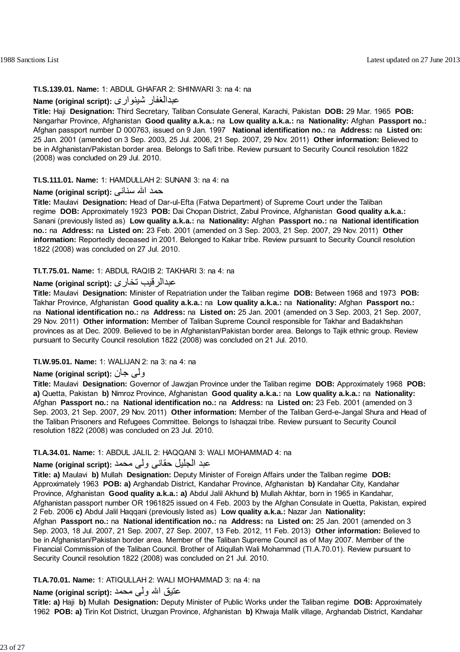#### **TI.S.139.01. Name:** 1: ABDUL GHAFAR 2: SHINWARI 3: na 4: na

# **Name (original script):** شينواری عبدالغفار

**Title:** Haji **Designation:** Third Secretary, Taliban Consulate General, Karachi, Pakistan **DOB:** 29 Mar. 1965 **POB:** Nangarhar Province, Afghanistan **Good quality a.k.a.:** na **Low quality a.k.a.:** na **Nationality:** Afghan **Passport no.:** Afghan passport number D 000763, issued on 9 Jan. 1997 **National identification no.:** na **Address:** na **Listed on:** 25 Jan. 2001 (amended on 3 Sep. 2003, 25 Jul. 2006, 21 Sep. 2007, 29 Nov. 2011) **Other information:** Believed to be in Afghanistan/Pakistan border area. Belongs to Safi tribe. Review pursuant to Security Council resolution 1822 (2008) was concluded on 29 Jul. 2010.

#### **TI.S.111.01. Name:** 1: HAMDULLAH 2: SUNANI 3: na 4: na

# حمد االله سنانی **:(script original (Name**

**Title:** Maulavi **Designation:** Head of Dar-ul-Efta (Fatwa Department) of Supreme Court under the Taliban regime **DOB:** Approximately 1923 **POB:** Dai Chopan District, Zabul Province, Afghanistan **Good quality a.k.a.:** Sanani (previously listed as) **Low quality a.k.a.:** na **Nationality:** Afghan **Passport no.:** na **National identification no.:** na **Address:** na **Listed on:** 23 Feb. 2001 (amended on 3 Sep. 2003, 21 Sep. 2007, 29 Nov. 2011) **Other information:** Reportedly deceased in 2001. Belonged to Kakar tribe. Review pursuant to Security Council resolution 1822 (2008) was concluded on 27 Jul. 2010.

# **TI.T.75.01. Name:** 1: ABDUL RAQIB 2: TAKHARI 3: na 4: na

# **Name (original script):** تخاری عبدالرقيب

**Title:** Maulavi **Designation:** Minister of Repatriation under the Taliban regime **DOB:** Between 1968 and 1973 **POB:** Takhar Province, Afghanistan **Good quality a.k.a.:** na **Low quality a.k.a.:** na **Nationality:** Afghan **Passport no.:** na **National identification no.:** na **Address:** na **Listed on:** 25 Jan. 2001 (amended on 3 Sep. 2003, 21 Sep. 2007, 29 Nov. 2011) **Other information:** Member of Taliban Supreme Council responsible for Takhar and Badakhshan provinces as at Dec. 2009. Believed to be in Afghanistan/Pakistan border area. Belongs to Tajik ethnic group. Review pursuant to Security Council resolution 1822 (2008) was concluded on 21 Jul. 2010.

## **TI.W.95.01. Name:** 1: WALIJAN 2: na 3: na 4: na

# **Name (original script):** جان ولی

**Title:** Maulavi **Designation:** Governor of Jawzjan Province under the Taliban regime **DOB:** Approximately 1968 **POB: a)** Quetta, Pakistan **b)** Nimroz Province, Afghanistan **Good quality a.k.a.:** na **Low quality a.k.a.:** na **Nationality:** Afghan **Passport no.:** na **National identification no.:** na **Address:** na **Listed on:** 23 Feb. 2001 (amended on 3 Sep. 2003, 21 Sep. 2007, 29 Nov. 2011) **Other information:** Member of the Taliban Gerd-e-Jangal Shura and Head of the Taliban Prisoners and Refugees Committee. Belongs to Ishaqzai tribe. Review pursuant to Security Council resolution 1822 (2008) was concluded on 23 Jul. 2010.

#### **TI.A.34.01. Name:** 1: ABDUL JALIL 2: HAQQANI 3: WALI MOHAMMAD 4: na

# عبد الجليل حقانی ولی محمد **:(script original (Name**

**Title: a)** Maulavi **b)** Mullah **Designation:** Deputy Minister of Foreign Affairs under the Taliban regime **DOB:** Approximately 1963 **POB: a)** Arghandab District, Kandahar Province, Afghanistan **b)** Kandahar City, Kandahar Province, Afghanistan **Good quality a.k.a.: a)** Abdul Jalil Akhund **b)** Mullah Akhtar, born in 1965 in Kandahar, Afghanistan passport number OR 1961825 issued on 4 Feb. 2003 by the Afghan Consulate in Quetta, Pakistan, expired 2 Feb. 2006 **c)** Abdul Jalil Haqqani (previously listed as) **Low quality a.k.a.:** Nazar Jan **Nationality:** Afghan **Passport no.:** na **National identification no.:** na **Address:** na **Listed on:** 25 Jan. 2001 (amended on 3 Sep. 2003, 18 Jul. 2007, 21 Sep. 2007, 27 Sep. 2007, 13 Feb. 2012, 11 Feb. 2013) **Other information:** Believed to be in Afghanistan/Pakistan border area. Member of the Taliban Supreme Council as of May 2007. Member of the Financial Commission of the Taliban Council. Brother of Atiqullah Wali Mohammad (TI.A.70.01). Review pursuant to Security Council resolution 1822 (2008) was concluded on 21 Jul. 2010.

## **TI.A.70.01. Name:** 1: ATIQULLAH 2: WALI MOHAMMAD 3: na 4: na

# عتيق االله ولی محمد **:(script original (Name**

**Title: a)** Haji **b)** Mullah **Designation:** Deputy Minister of Public Works under the Taliban regime **DOB:** Approximately 1962 **POB: a)** Tirin Kot District, Uruzgan Province, Afghanistan **b)** Khwaja Malik village, Arghandab District, Kandahar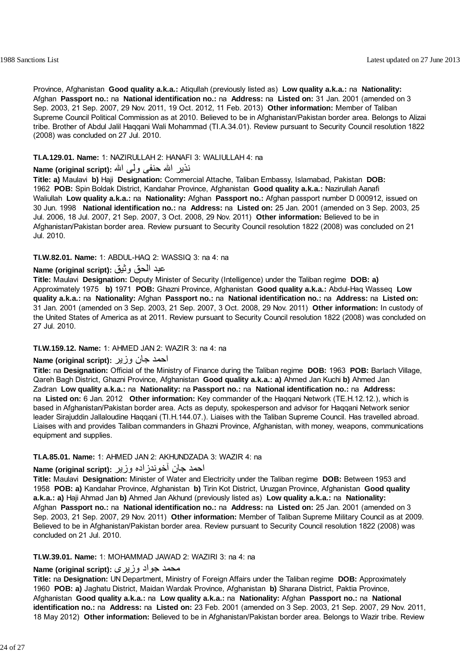Province, Afghanistan **Good quality a.k.a.:** Atiqullah (previously listed as) **Low quality a.k.a.:** na **Nationality:** Afghan **Passport no.:** na **National identification no.:** na **Address:** na **Listed on:** 31 Jan. 2001 (amended on 3 Sep. 2003, 21 Sep. 2007, 29 Nov. 2011, 19 Oct. 2012, 11 Feb. 2013) **Other information:** Member of Taliban Supreme Council Political Commission as at 2010. Believed to be in Afghanistan/Pakistan border area. Belongs to Alizai tribe. Brother of Abdul Jalil Haqqani Wali Mohammad (TI.A.34.01). Review pursuant to Security Council resolution 1822 (2008) was concluded on 27 Jul. 2010.

# **TI.A.129.01. Name:** 1: NAZIRULLAH 2: HANAFI 3: WALIULLAH 4: na

# نذير االله حنفى ولى االله **:(script original (Name**

**Title: a)** Maulavi **b)** Haji **Designation:** Commercial Attache, Taliban Embassy, Islamabad, Pakistan **DOB:** 1962 **POB:** Spin Boldak District, Kandahar Province, Afghanistan **Good quality a.k.a.:** Nazirullah Aanafi Waliullah **Low quality a.k.a.:** na **Nationality:** Afghan **Passport no.:** Afghan passport number D 000912, issued on 30 Jun. 1998 **National identification no.:** na **Address:** na **Listed on:** 25 Jan. 2001 (amended on 3 Sep. 2003, 25 Jul. 2006, 18 Jul. 2007, 21 Sep. 2007, 3 Oct. 2008, 29 Nov. 2011) **Other information:** Believed to be in Afghanistan/Pakistan border area. Review pursuant to Security Council resolution 1822 (2008) was concluded on 21 Jul. 2010.

## **TI.W.82.01. Name:** 1: ABDUL-HAQ 2: WASSIQ 3: na 4: na

# عبد الحق وثيق **:(script original (Name**

**Title:** Maulavi **Designation:** Deputy Minister of Security (Intelligence) under the Taliban regime **DOB: a)** Approximately 1975 **b)** 1971 **POB:** Ghazni Province, Afghanistan **Good quality a.k.a.:** Abdul-Haq Wasseq **Low quality a.k.a.:** na **Nationality:** Afghan **Passport no.:** na **National identification no.:** na **Address:** na **Listed on:** 31 Jan. 2001 (amended on 3 Sep. 2003, 21 Sep. 2007, 3 Oct. 2008, 29 Nov. 2011) **Other information:** In custody of the United States of America as at 2011. Review pursuant to Security Council resolution 1822 (2008) was concluded on 27 Jul. 2010.

## **TI.W.159.12. Name:** 1: AHMED JAN 2: WAZIR 3: na 4: na

# احمد جان وزير **:(script original (Name**

**Title:** na **Designation:** Official of the Ministry of Finance during the Taliban regime **DOB:** 1963 **POB:** Barlach Village, Qareh Bagh District, Ghazni Province, Afghanistan **Good quality a.k.a.: a)** Ahmed Jan Kuchi **b)** Ahmed Jan Zadran **Low quality a.k.a.:** na **Nationality:** na **Passport no.:** na **National identification no.:** na **Address:** na **Listed on:** 6 Jan. 2012 **Other information:** Key commander of the Haqqani Network (TE.H.12.12.), which is based in Afghanistan/Pakistan border area. Acts as deputy, spokesperson and advisor for Haqqani Network senior leader Sirajuddin Jallaloudine Haqqani (TI.H.144.07.). Liaises with the Taliban Supreme Council. Has travelled abroad. Liaises with and provides Taliban commanders in Ghazni Province, Afghanistan, with money, weapons, communications equipment and supplies.

## **TI.A.85.01. Name:** 1: AHMED JAN 2: AKHUNDZADA 3: WAZIR 4: na

# احمد جان آخوندزاده وزير **:(script original (Name**

**Title:** Maulavi **Designation:** Minister of Water and Electricity under the Taliban regime **DOB:** Between 1953 and 1958 **POB: a)** Kandahar Province, Afghanistan **b)** Tirin Kot District, Uruzgan Province, Afghanistan **Good quality a.k.a.: a)** Haji Ahmad Jan **b)** Ahmed Jan Akhund (previously listed as) **Low quality a.k.a.:** na **Nationality:** Afghan **Passport no.:** na **National identification no.:** na **Address:** na **Listed on:** 25 Jan. 2001 (amended on 3 Sep. 2003, 21 Sep. 2007, 29 Nov. 2011) **Other information:** Member of Taliban Supreme Military Council as at 2009. Believed to be in Afghanistan/Pakistan border area. Review pursuant to Security Council resolution 1822 (2008) was concluded on 21 Jul. 2010.

## **TI.W.39.01. Name:** 1: MOHAMMAD JAWAD 2: WAZIRI 3: na 4: na

## محمد جو<sup>اد</sup> وزيری :(Name (original script

**Title:** na **Designation:** UN Department, Ministry of Foreign Affairs under the Taliban regime **DOB:** Approximately 1960 **POB: a)** Jaghatu District, Maidan Wardak Province, Afghanistan **b)** Sharana District, Paktia Province, Afghanistan **Good quality a.k.a.:** na **Low quality a.k.a.:** na **Nationality:** Afghan **Passport no.:** na **National identification no.:** na **Address:** na **Listed on:** 23 Feb. 2001 (amended on 3 Sep. 2003, 21 Sep. 2007, 29 Nov. 2011, 18 May 2012) **Other information:** Believed to be in Afghanistan/Pakistan border area. Belongs to Wazir tribe. Review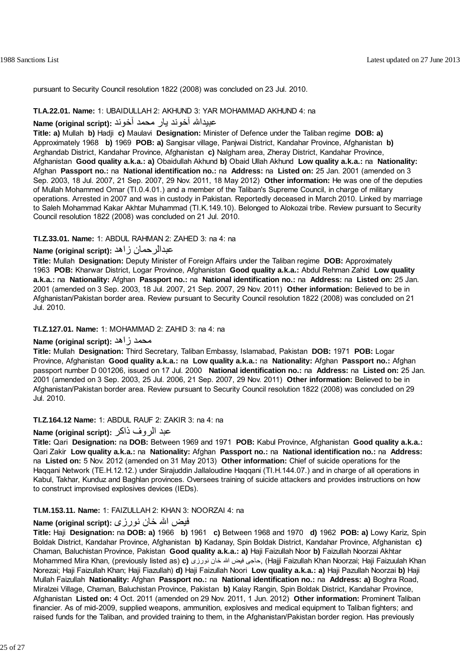pursuant to Security Council resolution 1822 (2008) was concluded on 23 Jul. 2010.

#### **TI.A.22.01. Name:** 1: UBAIDULLAH 2: AKHUND 3: YAR MOHAMMAD AKHUND 4: na

#### عبيداالله آخوند يار محمد آخوند **:(script original (Name**

**Title: a)** Mullah **b)** Hadji **c)** Maulavi **Designation:** Minister of Defence under the Taliban regime **DOB: a)** Approximately 1968 **b)** 1969 **POB: a)** Sangisar village, Panjwai District, Kandahar Province, Afghanistan **b)** Arghandab District, Kandahar Province, Afghanistan **c)** Nalgham area, Zheray District, Kandahar Province, Afghanistan **Good quality a.k.a.: a)** Obaidullah Akhund **b)** Obaid Ullah Akhund **Low quality a.k.a.:** na **Nationality:** Afghan **Passport no.:** na **National identification no.:** na **Address:** na **Listed on:** 25 Jan. 2001 (amended on 3 Sep. 2003, 18 Jul. 2007, 21 Sep. 2007, 29 Nov. 2011, 18 May 2012) **Other information:** He was one of the deputies of Mullah Mohammed Omar (TI.0.4.01.) and a member of the Taliban's Supreme Council, in charge of military operations. Arrested in 2007 and was in custody in Pakistan. Reportedly deceased in March 2010. Linked by marriage to Saleh Mohammad Kakar Akhtar Muhammad (TI.K.149.10). Belonged to Alokozai tribe. Review pursuant to Security Council resolution 1822 (2008) was concluded on 21 Jul. 2010.

#### **TI.Z.33.01. Name:** 1: ABDUL RAHMAN 2: ZAHED 3: na 4: na

# **Name (original script):** زاهد عبدالرحمان

**Title:** Mullah **Designation:** Deputy Minister of Foreign Affairs under the Taliban regime **DOB:** Approximately 1963 **POB:** Kharwar District, Logar Province, Afghanistan **Good quality a.k.a.:** Abdul Rehman Zahid **Low quality a.k.a.:** na **Nationality:** Afghan **Passport no.:** na **National identification no.:** na **Address:** na **Listed on:** 25 Jan. 2001 (amended on 3 Sep. 2003, 18 Jul. 2007, 21 Sep. 2007, 29 Nov. 2011) **Other information:** Believed to be in Afghanistan/Pakistan border area. Review pursuant to Security Council resolution 1822 (2008) was concluded on 21 Jul. 2010.

#### **TI.Z.127.01. Name:** 1: MOHAMMAD 2: ZAHID 3: na 4: na

#### **Name (original script):** زاهد محمد

**Title:** Mullah **Designation:** Third Secretary, Taliban Embassy, Islamabad, Pakistan **DOB:** 1971 **POB:** Logar Province, Afghanistan **Good quality a.k.a.:** na **Low quality a.k.a.:** na **Nationality:** Afghan **Passport no.:** Afghan passport number D 001206, issued on 17 Jul. 2000 **National identification no.:** na **Address:** na **Listed on:** 25 Jan. 2001 (amended on 3 Sep. 2003, 25 Jul. 2006, 21 Sep. 2007, 29 Nov. 2011) **Other information:** Believed to be in Afghanistan/Pakistan border area. Review pursuant to Security Council resolution 1822 (2008) was concluded on 29 Jul. 2010.

## **TI.Z.164.12 Name:** 1: ABDUL RAUF 2: ZAKIR 3: na 4: na

# عبد الروف ذاکر **:(script original (Name**

**Title:** Qari **Designation:** na **DOB:** Between 1969 and 1971 **POB:** Kabul Province, Afghanistan **Good quality a.k.a.:** Qari Zakir **Low quality a.k.a.:** na **Nationality:** Afghan **Passport no.:** na **National identification no.:** na **Address:** na **Listed on:** 5 Nov. 2012 (amended on 31 May 2013) **Other information:** Chief of suicide operations for the Haqqani Network (TE.H.12.12.) under Sirajuddin Jallaloudine Haqqani (TI.H.144.07.) and in charge of all operations in Kabul, Takhar, Kunduz and Baghlan provinces. Oversees training of suicide attackers and provides instructions on how to construct improvised explosives devices (IEDs).

#### **TI.M.153.11. Name:** 1: FAIZULLAH 2: KHAN 3: NOORZAI 4: na

# فيض االله خان نورزی **:(script original (Name**

**Title:** Haji **Designation:** na **DOB: a)** 1966 **b)** 1961 **c)** Between 1968 and 1970 **d)** 1962 **POB: a)** Lowy Kariz, Spin Boldak District, Kandahar Province, Afghanistan **b)** Kadanay, Spin Boldak District, Kandahar Province, Afghanistan **c)** Chaman, Baluchistan Province, Pakistan **Good quality a.k.a.: a)** Haji Faizullah Noor **b)** Faizullah Noorzai Akhtar Mohammed Mira Khan, (previously listed as) **c)** نورزى خان االله فيض حاجى,) Hajji Faizullah Khan Noorzai; Haji Faizuulah Khan Norezai; Haji Faizullah Khan; Haji Fiazullah) **d)** Haji Faizullah Noori **Low quality a.k.a.: a)** Haji Pazullah Noorzai **b)** Haji Mullah Faizullah **Nationality:** Afghan **Passport no.:** na **National identification no.:** na **Address: a)** Boghra Road, Miralzei Village, Chaman, Baluchistan Province, Pakistan **b)** Kalay Rangin, Spin Boldak District, Kandahar Province, Afghanistan **Listed on:** 4 Oct. 2011 (amended on 29 Nov. 2011, 1 Jun. 2012) **Other information:** Prominent Taliban financier. As of mid-2009, supplied weapons, ammunition, explosives and medical equipment to Taliban fighters; and raised funds for the Taliban, and provided training to them, in the Afghanistan/Pakistan border region. Has previously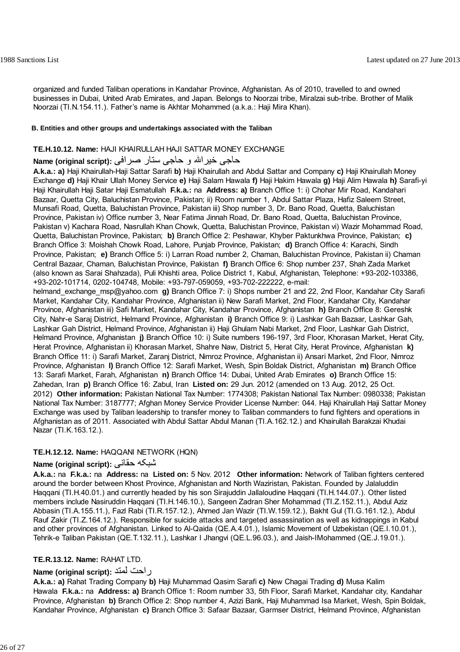organized and funded Taliban operations in Kandahar Province, Afghanistan. As of 2010, travelled to and owned businesses in Dubai, United Arab Emirates, and Japan. Belongs to Noorzai tribe, Miralzai sub-tribe. Brother of Malik Noorzai (TI.N.154.11.). Father's name is Akhtar Mohammed (a.k.a.: Haji Mira Khan).

#### **B. Entities and other groups and undertakings associated with the Taliban**

#### **TE.H.10.12. Name:** HAJI KHAIRULLAH HAJI SATTAR MONEY EXCHANGE

# حاجی خيراالله و حاجی ستار صرافی **:(script original (Name**

**A.k.a.: a)** Haji Khairullah-Haji Sattar Sarafi **b)** Haji Khairullah and Abdul Sattar and Company **c)** Haji Khairullah Money Exchange **d)** Haji Khair Ullah Money Service **e)** Haji Salam Hawala **f)** Haji Hakim Hawala **g)** Haji Alim Hawala **h)** Sarafi-yi Haji Khairullah Haji Satar Haji Esmatullah **F.k.a.:** na **Address: a)** Branch Office 1: i) Chohar Mir Road, Kandahari Bazaar, Quetta City, Baluchistan Province, Pakistan; ii) Room number 1, Abdul Sattar Plaza, Hafiz Saleem Street, Munsafi Road, Quetta, Baluchistan Province, Pakistan iii) Shop number 3, Dr. Bano Road, Quetta, Baluchistan Province, Pakistan iv) Office number 3, Near Fatima Jinnah Road, Dr. Bano Road, Quetta, Baluchistan Province, Pakistan v) Kachara Road, Nasrullah Khan Chowk, Quetta, Baluchistan Province, Pakistan vi) Wazir Mohammad Road, Quetta, Baluchistan Province, Pakistan; **b)** Branch Office 2: Peshawar, Khyber Paktunkhwa Province, Pakistan; **c)** Branch Office 3: Moishah Chowk Road, Lahore, Punjab Province, Pakistan; **d)** Branch Office 4: Karachi, Sindh Province, Pakistan; **e)** Branch Office 5: i) Larran Road number 2, Chaman, Baluchistan Province, Pakistan ii) Chaman Central Bazaar, Chaman, Baluchistan Province, Pakistan **f)** Branch Office 6: Shop number 237, Shah Zada Market (also known as Sarai Shahzada), Puli Khishti area, Police District 1, Kabul, Afghanistan, Telephone: +93-202-103386, +93-202-101714, 0202-104748, Mobile: +93-797-059059, +93-702-222222, e-mail: helmand\_exchange\_msp@yahoo.com **g)** Branch Office 7: i) Shops number 21 and 22, 2nd Floor, Kandahar City Sarafi Market, Kandahar City, Kandahar Province, Afghanistan ii) New Sarafi Market, 2nd Floor, Kandahar City, Kandahar Province, Afghanistan iii) Safi Market, Kandahar City, Kandahar Province, Afghanistan **h)** Branch Office 8: Gereshk City, Nahr-e Saraj District, Helmand Province, Afghanistan **i)** Branch Office 9: i) Lashkar Gah Bazaar, Lashkar Gah, Lashkar Gah District, Helmand Province, Afghanistan ii) Haji Ghulam Nabi Market, 2nd Floor, Lashkar Gah District, Helmand Province, Afghanistan **j)** Branch Office 10: i) Suite numbers 196-197, 3rd Floor, Khorasan Market, Herat City, Herat Province, Afghanistan ii) Khorasan Market, Shahre Naw, District 5, Herat City, Herat Province, Afghanistan **k)** Branch Office 11: i) Sarafi Market, Zaranj District, Nimroz Province, Afghanistan ii) Ansari Market, 2nd Floor, Nimroz Province, Afghanistan **l)** Branch Office 12: Sarafi Market, Wesh, Spin Boldak District, Afghanistan **m)** Branch Office 13: Sarafi Market, Farah, Afghanistan **n)** Branch Office 14: Dubai, United Arab Emirates **o)** Branch Office 15: Zahedan, Iran **p)** Branch Office 16: Zabul, Iran **Listed on:** 29 Jun. 2012 (amended on 13 Aug. 2012, 25 Oct.

2012) **Other information:** Pakistan National Tax Number: 1774308; Pakistan National Tax Number: 0980338; Pakistan National Tax Number: 3187777; Afghan Money Service Provider License Number: 044. Haji Khairullah Haji Sattar Money Exchange was used by Taliban leadership to transfer money to Taliban commanders to fund fighters and operations in Afghanistan as of 2011. Associated with Abdul Sattar Abdul Manan (TI.A.162.12.) and Khairullah Barakzai Khudai Nazar (TI.K.163.12.).

#### **TE.H.12.12. Name:** HAQQANI NETWORK (HQN)

# **Name (original script):** حقانی شبکه

**A.k.a.:** na **F.k.a.:** na **Address:** na **Listed on:** 5 Nov. 2012 **Other information:** Network of Taliban fighters centered around the border between Khost Province, Afghanistan and North Waziristan, Pakistan. Founded by Jalaluddin Haqqani (TI.H.40.01.) and currently headed by his son Sirajuddin Jallaloudine Haqqani (TI.H.144.07.). Other listed members include Nasiruddin Haqqani (TI.H.146.10.), Sangeen Zadran Sher Mohammad (TI.Z.152.11.), Abdul Aziz Abbasin (TI.A.155.11.), Fazl Rabi (TI.R.157.12.), Ahmed Jan Wazir (TI.W.159.12.), Bakht Gul (TI.G.161.12.), Abdul Rauf Zakir (TI.Z.164.12.). Responsible for suicide attacks and targeted assassination as well as kidnappings in Kabul and other provinces of Afghanistan. Linked to Al-Qaida (QE.A.4.01.), Islamic Movement of Uzbekistan (QE.I.10.01.), Tehrik-e Taliban Pakistan (QE.T.132.11.), Lashkar I Jhangvi (QE.L.96.03.), and Jaish-IMohammed (QE.J.19.01.).

# **TE.R.13.12. Name:** RAHAT LTD.

# **Name (original script):** لمتد راحت

**A.k.a.: a)** Rahat Trading Company **b)** Haji Muhammad Qasim Sarafi **c)** New Chagai Trading **d)** Musa Kalim Hawala **F.k.a.:** na **Address: a)** Branch Office 1: Room number 33, 5th Floor, Sarafi Market, Kandahar city, Kandahar Province, Afghanistan **b)** Branch Office 2: Shop number 4, Azizi Bank, Haji Muhammad Isa Market, Wesh, Spin Boldak, Kandahar Province, Afghanistan **c)** Branch Office 3: Safaar Bazaar, Garmser District, Helmand Province, Afghanistan